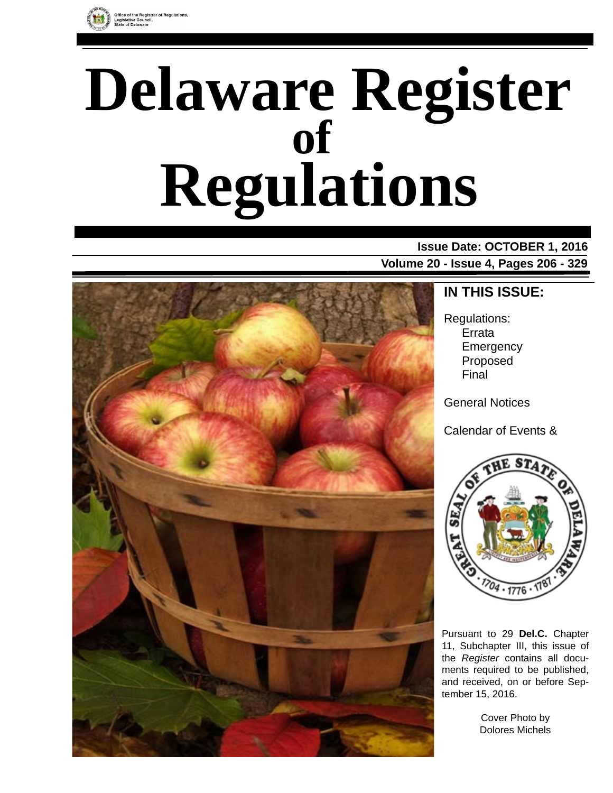

# **Delaware Register Regulations of**

# **Issue Date: OCTOBER 1, 2016**

**Volume 20 - Issue 4, Pages 206 - 329**



### **IN THIS ISSUE:**

Regulations: Errata **Emergency** Proposed Final

General Notices

Calendar of Events &



Pursuant to 29 **Del.C.** Chapter 11, Subchapter III, this issue of the *Register* contains all documents required to be published, and received, on or before September 15, 2016.

> Cover Photo by Dolores Michels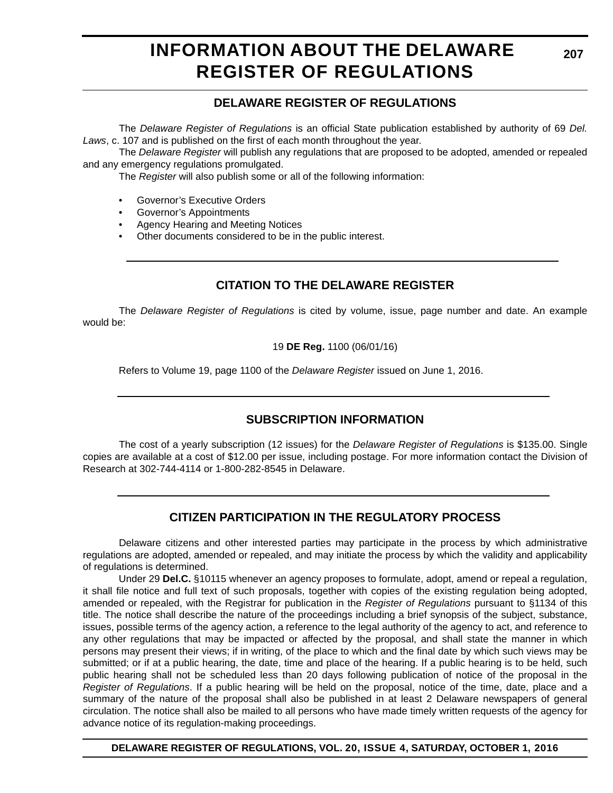# **INFORMATION ABOUT THE DELAWARE REGISTER OF REGULATIONS**

### **DELAWARE REGISTER OF REGULATIONS**

The *Delaware Register of Regulations* is an official State publication established by authority of 69 *Del. Laws*, c. 107 and is published on the first of each month throughout the year.

The *Delaware Register* will publish any regulations that are proposed to be adopted, amended or repealed and any emergency regulations promulgated.

The *Register* will also publish some or all of the following information:

- Governor's Executive Orders
- Governor's Appointments
- Agency Hearing and Meeting Notices
- Other documents considered to be in the public interest.

### **CITATION TO THE DELAWARE REGISTER**

The *Delaware Register of Regulations* is cited by volume, issue, page number and date. An example would be:

19 **DE Reg.** 1100 (06/01/16)

Refers to Volume 19, page 1100 of the *Delaware Register* issued on June 1, 2016.

### **SUBSCRIPTION INFORMATION**

The cost of a yearly subscription (12 issues) for the *Delaware Register of Regulations* is \$135.00. Single copies are available at a cost of \$12.00 per issue, including postage. For more information contact the Division of Research at 302-744-4114 or 1-800-282-8545 in Delaware.

### **CITIZEN PARTICIPATION IN THE REGULATORY PROCESS**

Delaware citizens and other interested parties may participate in the process by which administrative regulations are adopted, amended or repealed, and may initiate the process by which the validity and applicability of regulations is determined.

Under 29 **Del.C.** §10115 whenever an agency proposes to formulate, adopt, amend or repeal a regulation, it shall file notice and full text of such proposals, together with copies of the existing regulation being adopted, amended or repealed, with the Registrar for publication in the *Register of Regulations* pursuant to §1134 of this title. The notice shall describe the nature of the proceedings including a brief synopsis of the subject, substance, issues, possible terms of the agency action, a reference to the legal authority of the agency to act, and reference to any other regulations that may be impacted or affected by the proposal, and shall state the manner in which persons may present their views; if in writing, of the place to which and the final date by which such views may be submitted; or if at a public hearing, the date, time and place of the hearing. If a public hearing is to be held, such public hearing shall not be scheduled less than 20 days following publication of notice of the proposal in the *Register of Regulations*. If a public hearing will be held on the proposal, notice of the time, date, place and a summary of the nature of the proposal shall also be published in at least 2 Delaware newspapers of general circulation. The notice shall also be mailed to all persons who have made timely written requests of the agency for advance notice of its regulation-making proceedings.

**DELAWARE REGISTER OF REGULATIONS, VOL. 20, ISSUE 4, SATURDAY, OCTOBER 1, 2016**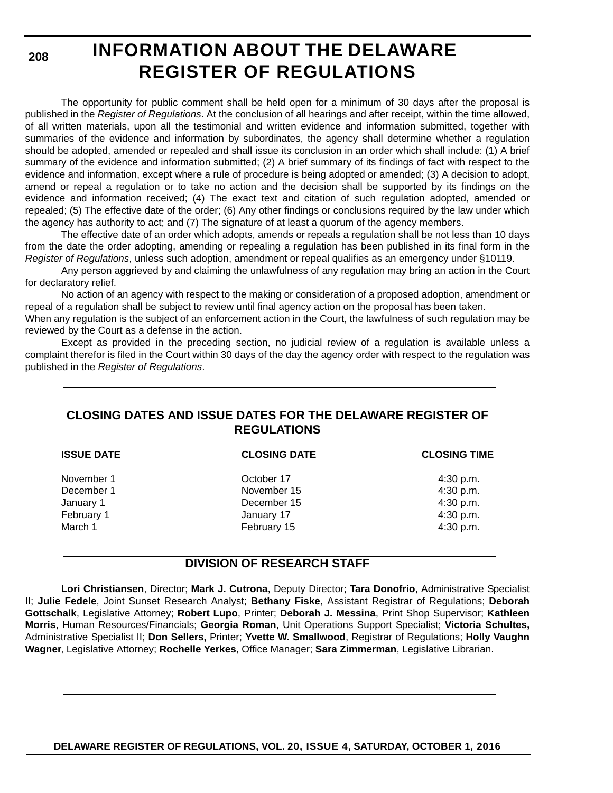**208**

# **INFORMATION ABOUT THE DELAWARE REGISTER OF REGULATIONS**

The opportunity for public comment shall be held open for a minimum of 30 days after the proposal is published in the *Register of Regulations*. At the conclusion of all hearings and after receipt, within the time allowed, of all written materials, upon all the testimonial and written evidence and information submitted, together with summaries of the evidence and information by subordinates, the agency shall determine whether a regulation should be adopted, amended or repealed and shall issue its conclusion in an order which shall include: (1) A brief summary of the evidence and information submitted; (2) A brief summary of its findings of fact with respect to the evidence and information, except where a rule of procedure is being adopted or amended; (3) A decision to adopt, amend or repeal a regulation or to take no action and the decision shall be supported by its findings on the evidence and information received; (4) The exact text and citation of such regulation adopted, amended or repealed; (5) The effective date of the order; (6) Any other findings or conclusions required by the law under which the agency has authority to act; and (7) The signature of at least a quorum of the agency members.

The effective date of an order which adopts, amends or repeals a regulation shall be not less than 10 days from the date the order adopting, amending or repealing a regulation has been published in its final form in the *Register of Regulations*, unless such adoption, amendment or repeal qualifies as an emergency under §10119.

Any person aggrieved by and claiming the unlawfulness of any regulation may bring an action in the Court for declaratory relief.

No action of an agency with respect to the making or consideration of a proposed adoption, amendment or repeal of a regulation shall be subject to review until final agency action on the proposal has been taken.

When any regulation is the subject of an enforcement action in the Court, the lawfulness of such regulation may be reviewed by the Court as a defense in the action.

Except as provided in the preceding section, no judicial review of a regulation is available unless a complaint therefor is filed in the Court within 30 days of the day the agency order with respect to the regulation was published in the *Register of Regulations*.

### **CLOSING DATES AND ISSUE DATES FOR THE DELAWARE REGISTER OF REGULATIONS**

| <b>ISSUE DATE</b> | <b>CLOSING DATE</b> | <b>CLOSING TIME</b> |  |  |  |  |
|-------------------|---------------------|---------------------|--|--|--|--|
| November 1        | October 17          | 4:30 p.m.           |  |  |  |  |
| December 1        | November 15         | 4:30 p.m.           |  |  |  |  |
| January 1         | December 15         | 4:30 p.m.           |  |  |  |  |
| February 1        | January 17          | 4:30 p.m.           |  |  |  |  |
| March 1           | February 15         | 4:30 p.m.           |  |  |  |  |

### **DIVISION OF RESEARCH STAFF**

**Lori Christiansen**, Director; **Mark J. Cutrona**, Deputy Director; **Tara Donofrio**, Administrative Specialist II; **Julie Fedele**, Joint Sunset Research Analyst; **Bethany Fiske**, Assistant Registrar of Regulations; **Deborah Gottschalk**, Legislative Attorney; **Robert Lupo**, Printer; **Deborah J. Messina**, Print Shop Supervisor; **Kathleen Morris**, Human Resources/Financials; **Georgia Roman**, Unit Operations Support Specialist; **Victoria Schultes,** Administrative Specialist II; **Don Sellers,** Printer; **Yvette W. Smallwood**, Registrar of Regulations; **Holly Vaughn Wagner**, Legislative Attorney; **Rochelle Yerkes**, Office Manager; **Sara Zimmerman**, Legislative Librarian.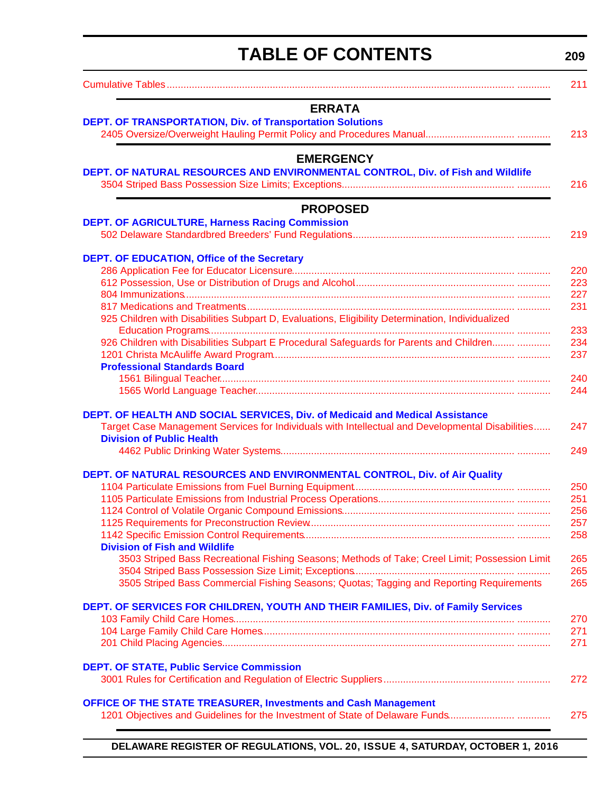<span id="page-3-0"></span>

| <b>TABLE OF CONTENTS</b>                                                                            | 209        |
|-----------------------------------------------------------------------------------------------------|------------|
|                                                                                                     | 211        |
| <b>ERRATA</b>                                                                                       |            |
| DEPT. OF TRANSPORTATION, Div. of Transportation Solutions                                           |            |
|                                                                                                     | 213        |
| <b>EMERGENCY</b><br>DEPT. OF NATURAL RESOURCES AND ENVIRONMENTAL CONTROL, Div. of Fish and Wildlife | 216        |
| <b>PROPOSED</b>                                                                                     |            |
| <b>DEPT. OF AGRICULTURE, Harness Racing Commission</b>                                              |            |
|                                                                                                     | 219        |
| DEPT. OF EDUCATION, Office of the Secretary                                                         |            |
|                                                                                                     | 220        |
|                                                                                                     | 223<br>227 |
|                                                                                                     | 231        |
| 925 Children with Disabilities Subpart D, Evaluations, Eligibility Determination, Individualized    |            |
|                                                                                                     | 233        |
| 926 Children with Disabilities Subpart E Procedural Safeguards for Parents and Children             | 234        |
| <b>Professional Standards Board</b>                                                                 | 237        |
|                                                                                                     | 240        |
|                                                                                                     | 244        |
| DEPT. OF HEALTH AND SOCIAL SERVICES, Div. of Medicaid and Medical Assistance                        |            |
| Target Case Management Services for Individuals with Intellectual and Developmental Disabilities    | 247        |
| <b>Division of Public Health</b>                                                                    |            |
|                                                                                                     | 249        |
| DEPT. OF NATURAL RESOURCES AND ENVIRONMENTAL CONTROL, Div. of Air Quality                           |            |
| 1104 Particulate Emissions from Fuel Burning Equipment                                              | 250        |
|                                                                                                     | 251        |
|                                                                                                     | 256<br>257 |
|                                                                                                     | 258        |
| <b>Division of Fish and Wildlife</b>                                                                |            |
| 3503 Striped Bass Recreational Fishing Seasons; Methods of Take; Creel Limit; Possession Limit      | 265<br>265 |
| 3505 Striped Bass Commercial Fishing Seasons; Quotas; Tagging and Reporting Requirements            | 265        |
| DEPT. OF SERVICES FOR CHILDREN, YOUTH AND THEIR FAMILIES, Div. of Family Services                   |            |
|                                                                                                     | 270        |
|                                                                                                     | 271        |
|                                                                                                     | 271        |
| <b>DEPT. OF STATE, Public Service Commission</b>                                                    |            |
|                                                                                                     | 272        |
| <b>OFFICE OF THE STATE TREASURER, Investments and Cash Management</b>                               |            |
| 1201 Objectives and Guidelines for the Investment of State of Delaware Funds                        | 275        |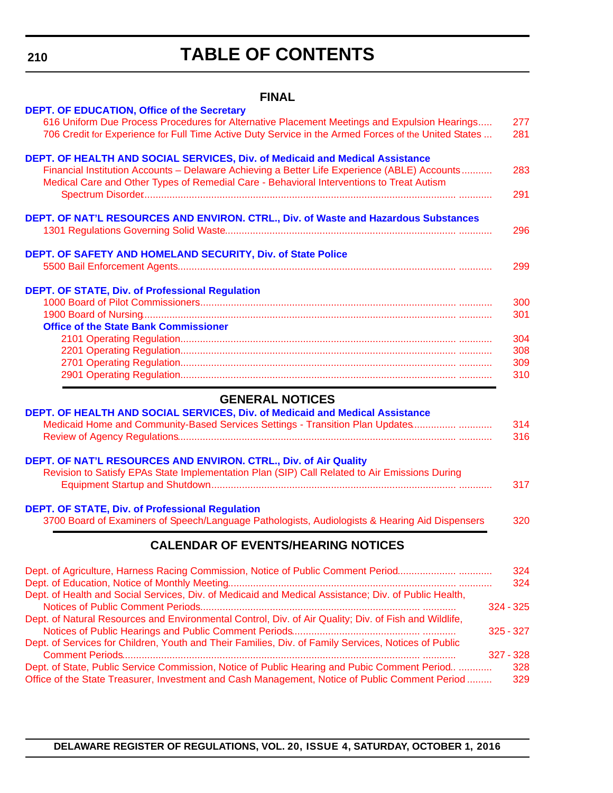**210**

# **TABLE OF CONTENTS**

### **FINAL**

| <b>DEPT. OF EDUCATION, Office of the Secretary</b>                                                    |     |
|-------------------------------------------------------------------------------------------------------|-----|
| 616 Uniform Due Process Procedures for Alternative Placement Meetings and Expulsion Hearings          | 277 |
| 706 Credit for Experience for Full Time Active Duty Service in the Armed Forces of the United States  | 281 |
|                                                                                                       |     |
| DEPT. OF HEALTH AND SOCIAL SERVICES, Div. of Medicaid and Medical Assistance                          |     |
| Financial Institution Accounts - Delaware Achieving a Better Life Experience (ABLE) Accounts          | 283 |
| Medical Care and Other Types of Remedial Care - Behavioral Interventions to Treat Autism              |     |
|                                                                                                       | 291 |
|                                                                                                       |     |
| DEPT. OF NAT'L RESOURCES AND ENVIRON. CTRL., Div. of Waste and Hazardous Substances                   |     |
|                                                                                                       | 296 |
|                                                                                                       |     |
| DEPT. OF SAFETY AND HOMELAND SECURITY, Div. of State Police                                           |     |
|                                                                                                       | 299 |
|                                                                                                       |     |
| <b>DEPT. OF STATE, Div. of Professional Regulation</b>                                                |     |
|                                                                                                       | 300 |
|                                                                                                       | 301 |
| <b>Office of the State Bank Commissioner</b>                                                          |     |
|                                                                                                       | 304 |
|                                                                                                       | 308 |
|                                                                                                       | 309 |
|                                                                                                       | 310 |
|                                                                                                       |     |
| <b>GENERAL NOTICES</b>                                                                                |     |
| DEPT. OF HEALTH AND SOCIAL SERVICES, Div. of Medicaid and Medical Assistance                          |     |
| Medicaid Home and Community-Based Services Settings - Transition Plan Updates                         | 314 |
|                                                                                                       | 316 |
|                                                                                                       |     |
| DEPT. OF NAT'L RESOURCES AND ENVIRON. CTRL., Div. of Air Quality                                      |     |
| Revision to Satisfy EPAs State Implementation Plan (SIP) Call Related to Air Emissions During         |     |
|                                                                                                       | 317 |
| <b>DEPT. OF STATE, Div. of Professional Regulation</b>                                                |     |
| 3700 Board of Examiners of Speech/Language Pathologists, Audiologists & Hearing Aid Dispensers        | 320 |
|                                                                                                       |     |
| <b>CALENDAR OF EVENTS/HEARING NOTICES</b>                                                             |     |
|                                                                                                       |     |
| Dept. of Agriculture, Harness Racing Commission, Notice of Public Comment Period                      | 324 |
|                                                                                                       | 324 |
| Dept. of Health and Social Services, Div. of Medicaid and Medical Assistance; Div. of Public Health,  |     |
| 324 - 325                                                                                             |     |
| Dept. of Natural Resources and Environmental Control, Div. of Air Quality; Div. of Fish and Wildlife, |     |
| $325 - 327$                                                                                           |     |
| Dept. of Services for Children, Youth and Their Families, Div. of Family Services, Notices of Public  |     |
| 327 - 328                                                                                             |     |
| Dept. of State, Public Service Commission, Notice of Public Hearing and Pubic Comment Period          | 328 |
| Office of the State Treasurer, Investment and Cash Management, Notice of Public Comment Period        | 329 |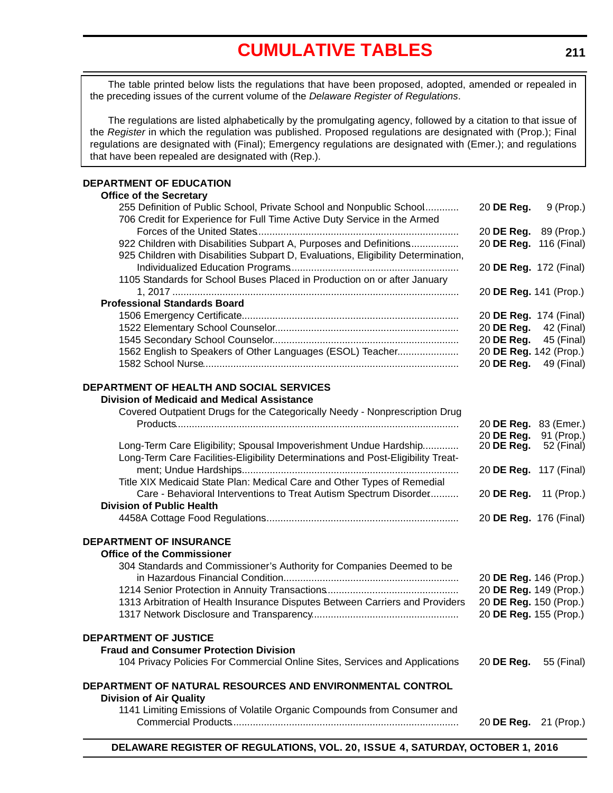# **[CUMULATIVE TABLES](#page-3-0)**

<span id="page-5-0"></span>The table printed below lists the regulations that have been proposed, adopted, amended or repealed in the preceding issues of the current volume of the *Delaware Register of Regulations*.

The regulations are listed alphabetically by the promulgating agency, followed by a citation to that issue of the *Register* in which the regulation was published. Proposed regulations are designated with (Prop.); Final regulations are designated with (Final); Emergency regulations are designated with (Emer.); and regulations that have been repealed are designated with (Rep.).

#### **DEPARTMENT OF EDUCATION**

| <b>Office of the Secretary</b>                                                                                                                   |                        |             |
|--------------------------------------------------------------------------------------------------------------------------------------------------|------------------------|-------------|
| 255 Definition of Public School, Private School and Nonpublic School<br>706 Credit for Experience for Full Time Active Duty Service in the Armed | 20 DE Reg.             | 9 (Prop.)   |
|                                                                                                                                                  | 20 DE Reg. 89 (Prop.)  |             |
| 922 Children with Disabilities Subpart A, Purposes and Definitions                                                                               | 20 DE Reg.             | 116 (Final) |
| 925 Children with Disabilities Subpart D, Evaluations, Eligibility Determination,                                                                |                        |             |
|                                                                                                                                                  | 20 DE Reg. 172 (Final) |             |
| 1105 Standards for School Buses Placed in Production on or after January                                                                         |                        |             |
|                                                                                                                                                  | 20 DE Reg. 141 (Prop.) |             |
| <b>Professional Standards Board</b>                                                                                                              |                        |             |
|                                                                                                                                                  | 20 DE Reg. 174 (Final) |             |
|                                                                                                                                                  | 20 DE Reg.             | 42 (Final)  |
|                                                                                                                                                  | 20 DE Reg.             | 45 (Final)  |
| 1562 English to Speakers of Other Languages (ESOL) Teacher                                                                                       | 20 DE Reg. 142 (Prop.) |             |
|                                                                                                                                                  | 20 DE Reg.             | 49 (Final)  |
| DEPARTMENT OF HEALTH AND SOCIAL SERVICES                                                                                                         |                        |             |
| <b>Division of Medicaid and Medical Assistance</b>                                                                                               |                        |             |
| Covered Outpatient Drugs for the Categorically Needy - Nonprescription Drug                                                                      |                        |             |
|                                                                                                                                                  | 20 DE Reg. 83 (Emer.)  |             |
|                                                                                                                                                  | 20 DE Reg.             | 91 (Prop.)  |
| Long-Term Care Eligibility; Spousal Impoverishment Undue Hardship                                                                                | 20 DE Reg.             | 52 (Final)  |
| Long-Term Care Facilities-Eligibility Determinations and Post-Eligibility Treat-                                                                 |                        |             |
|                                                                                                                                                  | 20 DE Reg. 117 (Final) |             |
| Title XIX Medicaid State Plan: Medical Care and Other Types of Remedial                                                                          |                        |             |
| Care - Behavioral Interventions to Treat Autism Spectrum Disorder                                                                                | 20 DE Reg.             | 11 (Prop.)  |
| <b>Division of Public Health</b>                                                                                                                 |                        |             |
|                                                                                                                                                  | 20 DE Reg. 176 (Final) |             |
| <b>DEPARTMENT OF INSURANCE</b>                                                                                                                   |                        |             |
| <b>Office of the Commissioner</b>                                                                                                                |                        |             |
| 304 Standards and Commissioner's Authority for Companies Deemed to be                                                                            |                        |             |
|                                                                                                                                                  | 20 DE Reg. 146 (Prop.) |             |
|                                                                                                                                                  | 20 DE Reg. 149 (Prop.) |             |
| 1313 Arbitration of Health Insurance Disputes Between Carriers and Providers                                                                     | 20 DE Reg. 150 (Prop.) |             |
|                                                                                                                                                  | 20 DE Reg. 155 (Prop.) |             |
| <b>DEPARTMENT OF JUSTICE</b>                                                                                                                     |                        |             |
| <b>Fraud and Consumer Protection Division</b>                                                                                                    |                        |             |
| 104 Privacy Policies For Commercial Online Sites, Services and Applications                                                                      | 20 DE Reg.             | 55 (Final)  |
| DEPARTMENT OF NATURAL RESOURCES AND ENVIRONMENTAL CONTROL                                                                                        |                        |             |
|                                                                                                                                                  |                        |             |
| <b>Division of Air Quality</b>                                                                                                                   |                        |             |
| 1141 Limiting Emissions of Volatile Organic Compounds from Consumer and                                                                          |                        |             |
|                                                                                                                                                  | 20 DE Reg. 21 (Prop.)  |             |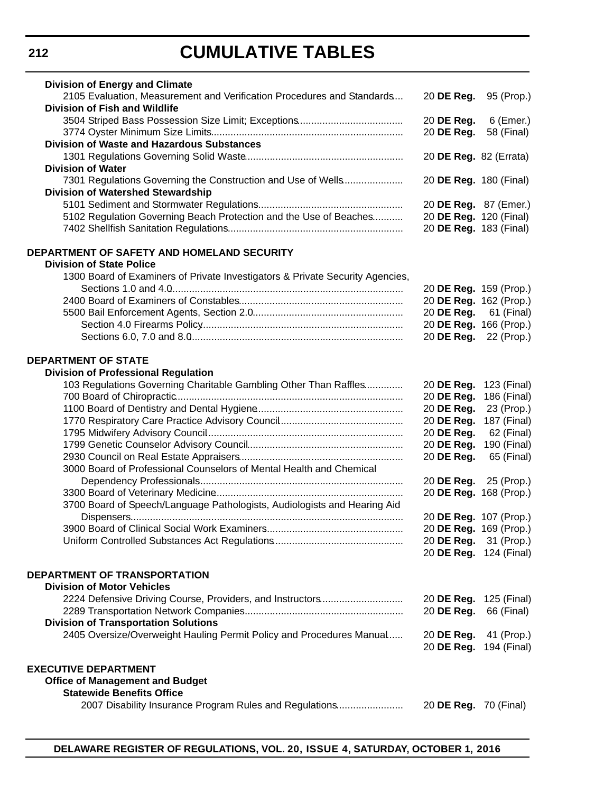# **CUMULATIVE TABLES**

| <b>Division of Energy and Climate</b>                                         |                               |             |
|-------------------------------------------------------------------------------|-------------------------------|-------------|
| 2105 Evaluation, Measurement and Verification Procedures and Standards        | 20 DE Reg.                    | 95 (Prop.)  |
| <b>Division of Fish and Wildlife</b>                                          |                               |             |
|                                                                               | 20 DE Reg.                    | 6 (Emer.)   |
|                                                                               | 20 DE Reg.                    | 58 (Final)  |
|                                                                               |                               |             |
| <b>Division of Waste and Hazardous Substances</b>                             |                               |             |
|                                                                               | 20 DE Reg. 82 (Errata)        |             |
| <b>Division of Water</b>                                                      |                               |             |
| 7301 Regulations Governing the Construction and Use of Wells                  | 20 DE Reg. 180 (Final)        |             |
| Division of Watershed Stewardship                                             |                               |             |
|                                                                               | 20 DE Reg. 87 (Emer.)         |             |
| 5102 Regulation Governing Beach Protection and the Use of Beaches             | 20 DE Reg. 120 (Final)        |             |
|                                                                               | 20 DE Reg. 183 (Final)        |             |
|                                                                               |                               |             |
| DEPARTMENT OF SAFETY AND HOMELAND SECURITY<br><b>Division of State Police</b> |                               |             |
|                                                                               |                               |             |
| 1300 Board of Examiners of Private Investigators & Private Security Agencies, |                               |             |
|                                                                               | 20 DE Reg. 159 (Prop.)        |             |
|                                                                               | 20 DE Reg. 162 (Prop.)        |             |
|                                                                               | 20 DE Reg. 61 (Final)         |             |
|                                                                               | 20 DE Reg. 166 (Prop.)        |             |
|                                                                               | 20 DE Reg. 22 (Prop.)         |             |
| <b>DEPARTMENT OF STATE</b>                                                    |                               |             |
|                                                                               |                               |             |
| <b>Division of Professional Regulation</b>                                    |                               |             |
| 103 Regulations Governing Charitable Gambling Other Than Raffles              | 20 <b>DE Reg.</b> 123 (Final) |             |
|                                                                               | 20 DE Reg.                    | 186 (Final) |
|                                                                               | 20 DE Reg.                    | 23 (Prop.)  |
|                                                                               | 20 DE Reg.                    | 187 (Final) |
|                                                                               | 20 DE Reg.                    | 62 (Final)  |
|                                                                               | 20 DE Reg.                    | 190 (Final) |
|                                                                               | 20 DE Reg.                    | 65 (Final)  |
| 3000 Board of Professional Counselors of Mental Health and Chemical           |                               |             |
|                                                                               | 20 DE Reg. 25 (Prop.)         |             |
|                                                                               | 20 DE Reg. 168 (Prop.)        |             |
| 3700 Board of Speech/Language Pathologists, Audiologists and Hearing Aid      |                               |             |
|                                                                               | 20 DE Reg. 107 (Prop.)        |             |
|                                                                               | 20 DE Reg. 169 (Prop.)        |             |
|                                                                               |                               |             |
|                                                                               | 20 DE Reg.                    | 31 (Prop.)  |
|                                                                               | 20 DE Reg. 124 (Final)        |             |
| <b>DEPARTMENT OF TRANSPORTATION</b>                                           |                               |             |
| <b>Division of Motor Vehicles</b>                                             |                               |             |
| 2224 Defensive Driving Course, Providers, and Instructors                     | 20 DE Reg. 125 (Final)        |             |
|                                                                               | 20 DE Reg.                    | 66 (Final)  |
| <b>Division of Transportation Solutions</b>                                   |                               |             |
| 2405 Oversize/Overweight Hauling Permit Policy and Procedures Manual          | 20 DE Reg.                    | 41 (Prop.)  |
|                                                                               | 20 DE Reg. 194 (Final)        |             |
|                                                                               |                               |             |
| <b>EXECUTIVE DEPARTMENT</b>                                                   |                               |             |
| <b>Office of Management and Budget</b>                                        |                               |             |
| <b>Statewide Benefits Office</b>                                              |                               |             |
| 2007 Disability Insurance Program Rules and Regulations                       | 20 <b>DE Reg.</b> 70 (Final)  |             |
|                                                                               |                               |             |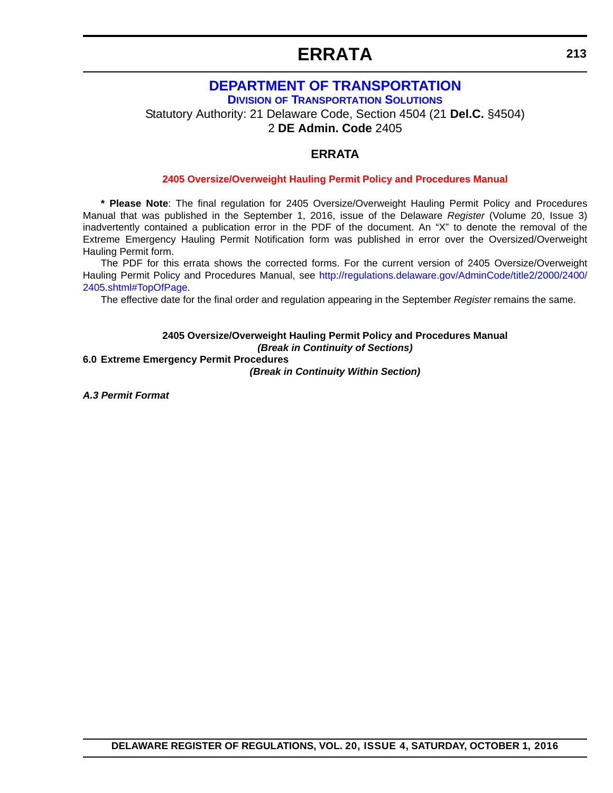# **ERRATA**

### **DEPARTMENT OF TRANSPORTATION**

**DIVISION OF TRANSPORTATION SOLUTIONS**

<span id="page-7-0"></span>Statutory Authority: 21 Delaware Code, Section 4504 (21 **Del.C.** §4504)

2 **DE Admin. Code** 2405

### **ERRATA**

#### **[2405 Oversize/Overweight Hauling Permit Policy and Procedures Manual](#page-3-0)**

**\* Please Note**: The final regulation for 2405 Oversize/Overweight Hauling Permit Policy and Procedures Manual that was published in the September 1, 2016, issue of the Delaware *Register* (Volume 20, Issue 3) inadvertently contained a publication error in the PDF of the document. An "X" to denote the removal of the Extreme Emergency Hauling Permit Notification form was published in error over the Oversized/Overweight Hauling Permit form.

The PDF for this errata shows the corrected forms. For the current version of 2405 Oversize/Overweight Hauling Permit Policy and Procedures Manual, see [http://regulations.delaware.gov/AdminCode/title2/2000/2400/](http://regulations.delaware.gov/AdminCode/title2/2000/2400/2405.shtml#TopOfPage) [2405.shtml#TopOfPage](http://regulations.delaware.gov/AdminCode/title2/2000/2400/2405.shtml#TopOfPage).

The effective date for the final order and regulation appearing in the September *Register* remains the same.

### **2405 Oversize/Overweight Hauling Permit Policy and Procedures Manual** *(Break in Continuity of Sections)*

**6.0 Extreme Emergency Permit Procedures** *(Break in Continuity Within Section)*

*A.3 Permit Format*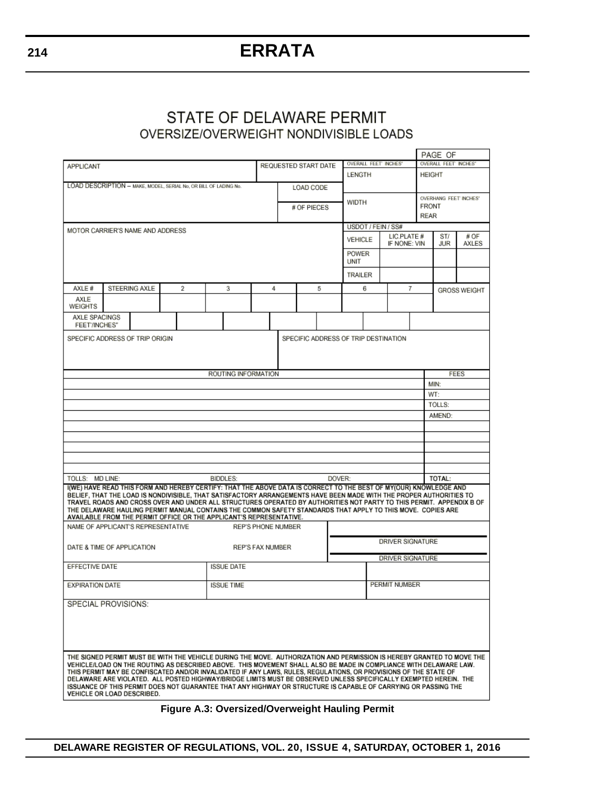# **ERRATA**

### STATE OF DELAWARE PERMIT OVERSIZE/OVERWEIGHT NONDIVISIBLE LOADS

|                                                                                                                                                                                                                                                                                                                                                                                                                                                                                                                                                                                                                                      |                                             |                      |  |                |                      |                     |  |                                             |               |                     |              |                                |                    |                                      |                       | PAGE OF             |      |  |
|--------------------------------------------------------------------------------------------------------------------------------------------------------------------------------------------------------------------------------------------------------------------------------------------------------------------------------------------------------------------------------------------------------------------------------------------------------------------------------------------------------------------------------------------------------------------------------------------------------------------------------------|---------------------------------------------|----------------------|--|----------------|----------------------|---------------------|--|---------------------------------------------|---------------|---------------------|--------------|--------------------------------|--------------------|--------------------------------------|-----------------------|---------------------|------|--|
| <b>APPLICANT</b>                                                                                                                                                                                                                                                                                                                                                                                                                                                                                                                                                                                                                     |                                             |                      |  |                | REQUESTED START DATE |                     |  |                                             |               | OVERALL FEET INCHES |              |                                |                    | OVERALL FEET INCHES                  |                       |                     |      |  |
|                                                                                                                                                                                                                                                                                                                                                                                                                                                                                                                                                                                                                                      |                                             |                      |  |                |                      |                     |  |                                             |               |                     |              | <b>LENGTH</b>                  |                    |                                      |                       | HEIGHT              |      |  |
| LOAD DESCRIPTION - MAKE, MODEL, SERIAL No, OR BILL OF LADING No.                                                                                                                                                                                                                                                                                                                                                                                                                                                                                                                                                                     |                                             |                      |  |                |                      |                     |  |                                             | LOAD CODE     |                     |              |                                |                    |                                      |                       |                     |      |  |
|                                                                                                                                                                                                                                                                                                                                                                                                                                                                                                                                                                                                                                      |                                             |                      |  |                |                      |                     |  |                                             |               |                     | <b>WIDTH</b> |                                |                    |                                      | OVERHANG FEET INCHES' |                     |      |  |
|                                                                                                                                                                                                                                                                                                                                                                                                                                                                                                                                                                                                                                      |                                             |                      |  |                |                      |                     |  |                                             | # OF PIECES   |                     |              |                                |                    |                                      |                       | <b>FRONT</b>        |      |  |
|                                                                                                                                                                                                                                                                                                                                                                                                                                                                                                                                                                                                                                      |                                             |                      |  |                |                      |                     |  |                                             |               |                     |              |                                | USDOT / FEIN / SS# |                                      |                       | <b>REAR</b>         |      |  |
| MOTOR CARRIER'S NAME AND ADDRESS                                                                                                                                                                                                                                                                                                                                                                                                                                                                                                                                                                                                     |                                             |                      |  |                |                      |                     |  |                                             |               |                     |              |                                |                    |                                      | LIC.PLATE #           | ST/                 | # OF |  |
|                                                                                                                                                                                                                                                                                                                                                                                                                                                                                                                                                                                                                                      |                                             |                      |  |                |                      |                     |  |                                             |               |                     |              | <b>VEHICLE</b><br>IF NONE: VIN |                    |                                      | JUR                   | <b>AXLES</b>        |      |  |
|                                                                                                                                                                                                                                                                                                                                                                                                                                                                                                                                                                                                                                      |                                             |                      |  |                |                      |                     |  |                                             |               |                     |              | POWER                          |                    |                                      |                       |                     |      |  |
|                                                                                                                                                                                                                                                                                                                                                                                                                                                                                                                                                                                                                                      |                                             |                      |  |                |                      |                     |  |                                             |               |                     |              | UNIT                           |                    |                                      |                       |                     |      |  |
|                                                                                                                                                                                                                                                                                                                                                                                                                                                                                                                                                                                                                                      |                                             |                      |  |                |                      |                     |  |                                             |               |                     |              | <b>TRAILER</b>                 |                    |                                      |                       |                     |      |  |
| AXLE #                                                                                                                                                                                                                                                                                                                                                                                                                                                                                                                                                                                                                               |                                             | <b>STEERING AXLE</b> |  | $\overline{2}$ | 3                    |                     |  | 4                                           | 5             |                     |              |                                | 6                  |                                      | 7                     | <b>GROSS WEIGHT</b> |      |  |
| AXLE                                                                                                                                                                                                                                                                                                                                                                                                                                                                                                                                                                                                                                 |                                             |                      |  |                |                      |                     |  |                                             |               |                     |              |                                |                    |                                      |                       |                     |      |  |
| <b>WEIGHTS</b>                                                                                                                                                                                                                                                                                                                                                                                                                                                                                                                                                                                                                       |                                             |                      |  |                |                      |                     |  |                                             |               |                     |              |                                |                    |                                      |                       |                     |      |  |
| AXLE SPACINGS<br><b>FEET/INCHES*</b>                                                                                                                                                                                                                                                                                                                                                                                                                                                                                                                                                                                                 |                                             |                      |  |                |                      |                     |  |                                             |               |                     |              |                                |                    |                                      |                       |                     |      |  |
| SPECIFIC ADDRESS OF TRIP ORIGIN                                                                                                                                                                                                                                                                                                                                                                                                                                                                                                                                                                                                      |                                             |                      |  |                |                      |                     |  |                                             |               |                     |              |                                |                    | SPECIFIC ADDRESS OF TRIP DESTINATION |                       |                     |      |  |
|                                                                                                                                                                                                                                                                                                                                                                                                                                                                                                                                                                                                                                      |                                             |                      |  |                |                      |                     |  |                                             |               |                     |              |                                |                    |                                      |                       |                     |      |  |
|                                                                                                                                                                                                                                                                                                                                                                                                                                                                                                                                                                                                                                      |                                             |                      |  |                |                      |                     |  |                                             |               |                     |              |                                |                    |                                      |                       |                     |      |  |
|                                                                                                                                                                                                                                                                                                                                                                                                                                                                                                                                                                                                                                      |                                             |                      |  |                |                      |                     |  |                                             |               |                     |              |                                |                    |                                      |                       |                     |      |  |
|                                                                                                                                                                                                                                                                                                                                                                                                                                                                                                                                                                                                                                      |                                             |                      |  |                |                      | ROUTING INFORMATION |  |                                             |               |                     |              |                                |                    |                                      |                       | <b>FEES</b>         |      |  |
|                                                                                                                                                                                                                                                                                                                                                                                                                                                                                                                                                                                                                                      |                                             |                      |  |                |                      |                     |  |                                             |               |                     |              |                                |                    |                                      |                       | MIN:                |      |  |
|                                                                                                                                                                                                                                                                                                                                                                                                                                                                                                                                                                                                                                      |                                             |                      |  |                |                      |                     |  |                                             |               |                     |              |                                |                    |                                      |                       | WT:                 |      |  |
|                                                                                                                                                                                                                                                                                                                                                                                                                                                                                                                                                                                                                                      |                                             |                      |  |                |                      |                     |  |                                             |               |                     |              |                                |                    |                                      |                       | TOLLS:<br>AMEND:    |      |  |
|                                                                                                                                                                                                                                                                                                                                                                                                                                                                                                                                                                                                                                      |                                             |                      |  |                |                      |                     |  |                                             |               |                     |              |                                |                    |                                      |                       |                     |      |  |
|                                                                                                                                                                                                                                                                                                                                                                                                                                                                                                                                                                                                                                      |                                             |                      |  |                |                      |                     |  |                                             |               |                     |              |                                |                    |                                      |                       |                     |      |  |
|                                                                                                                                                                                                                                                                                                                                                                                                                                                                                                                                                                                                                                      |                                             |                      |  |                |                      |                     |  |                                             |               |                     |              |                                |                    |                                      |                       |                     |      |  |
|                                                                                                                                                                                                                                                                                                                                                                                                                                                                                                                                                                                                                                      |                                             |                      |  |                |                      |                     |  |                                             |               |                     |              |                                |                    |                                      |                       |                     |      |  |
|                                                                                                                                                                                                                                                                                                                                                                                                                                                                                                                                                                                                                                      |                                             |                      |  |                |                      |                     |  |                                             |               |                     |              |                                |                    |                                      |                       |                     |      |  |
| TOLLS: MD LINE:                                                                                                                                                                                                                                                                                                                                                                                                                                                                                                                                                                                                                      |                                             |                      |  |                |                      | <b>BIDDLES:</b>     |  |                                             |               |                     | DOVER:       |                                |                    |                                      |                       | <b>TOTAL:</b>       |      |  |
| I(WE) HAVE READ THIS FORM AND HEREBY CERTIFY: THAT THE ABOVE DATA IS CORRECT TO THE BEST OF MY(OUR) KNOWLEDGE AND<br>BELIEF, THAT THE LOAD IS NONDIVISIBLE, THAT SATISFACTORY ARRANGEMENTS HAVE BEEN MADE WITH THE PROPER AUTHORITIES TO<br>TRAVEL ROADS AND CROSS OVER AND UNDER ALL STRUCTURES OPERATED BY AUTHORITIES NOT PARTY TO THIS PERMIT. APPENDIX B OF<br>THE DELAWARE HAULING PERMIT MANUAL CONTAINS THE COMMON SAFETY STANDARDS THAT APPLY TO THIS MOVE. COPIES ARE<br>AVAILABLE FROM THE PERMIT OFFICE OR THE APPLICANT'S REPRESENTATIVE.<br>NAME OF APPLICANT'S REPRESENTATIVE<br><b>REP'S PHONE NUMBER</b>            |                                             |                      |  |                |                      |                     |  |                                             |               |                     |              |                                |                    |                                      |                       |                     |      |  |
|                                                                                                                                                                                                                                                                                                                                                                                                                                                                                                                                                                                                                                      |                                             |                      |  |                |                      |                     |  |                                             |               |                     |              |                                |                    |                                      |                       |                     |      |  |
| DATE & TIME OF APPLICATION                                                                                                                                                                                                                                                                                                                                                                                                                                                                                                                                                                                                           |                                             |                      |  |                |                      |                     |  | DRIVER SIGNATURE<br><b>REP'S FAX NUMBER</b> |               |                     |              |                                |                    |                                      |                       |                     |      |  |
|                                                                                                                                                                                                                                                                                                                                                                                                                                                                                                                                                                                                                                      |                                             |                      |  |                |                      |                     |  |                                             |               |                     |              |                                |                    | DRIVER SIGNATURE                     |                       |                     |      |  |
| EFFECTIVE DATE                                                                                                                                                                                                                                                                                                                                                                                                                                                                                                                                                                                                                       |                                             |                      |  |                |                      | <b>ISSUE DATE</b>   |  |                                             |               |                     |              |                                |                    |                                      |                       |                     |      |  |
|                                                                                                                                                                                                                                                                                                                                                                                                                                                                                                                                                                                                                                      | <b>EXPIRATION DATE</b><br><b>ISSUE TIME</b> |                      |  |                |                      |                     |  |                                             | PERMIT NUMBER |                     |              |                                |                    |                                      |                       |                     |      |  |
| SPECIAL PROVISIONS:                                                                                                                                                                                                                                                                                                                                                                                                                                                                                                                                                                                                                  |                                             |                      |  |                |                      |                     |  |                                             |               |                     |              |                                |                    |                                      |                       |                     |      |  |
|                                                                                                                                                                                                                                                                                                                                                                                                                                                                                                                                                                                                                                      |                                             |                      |  |                |                      |                     |  |                                             |               |                     |              |                                |                    |                                      |                       |                     |      |  |
| THE SIGNED PERMIT MUST BE WITH THE VEHICLE DURING THE MOVE. AUTHORIZATION AND PERMISSION IS HEREBY GRANTED TO MOVE THE<br>VEHICLE/LOAD ON THE ROUTING AS DESCRIBED ABOVE. THIS MOVEMENT SHALL ALSO BE MADE IN COMPLIANCE WITH DELAWARE LAW.<br>THIS PERMIT MAY BE CONFISCATED AND/OR INVALIDATED IF ANY LAWS, RULES, REGULATIONS, OR PROVISIONS OF THE STATE OF<br>DELAWARE ARE VIOLATED. ALL POSTED HIGHWAY/BRIDGE LIMITS MUST BE OBSERVED UNLESS SPECIFICALLY EXEMPTED HEREIN. THE<br>ISSUANCE OF THIS PERMIT DOES NOT GUARANTEE THAT ANY HIGHWAY OR STRUCTURE IS CAPABLE OF CARRYING OR PASSING THE<br>VEHICLE OR LOAD DESCRIBED. |                                             |                      |  |                |                      |                     |  |                                             |               |                     |              |                                |                    |                                      |                       |                     |      |  |

**Figure A.3: Oversized/Overweight Hauling Permit**

**214**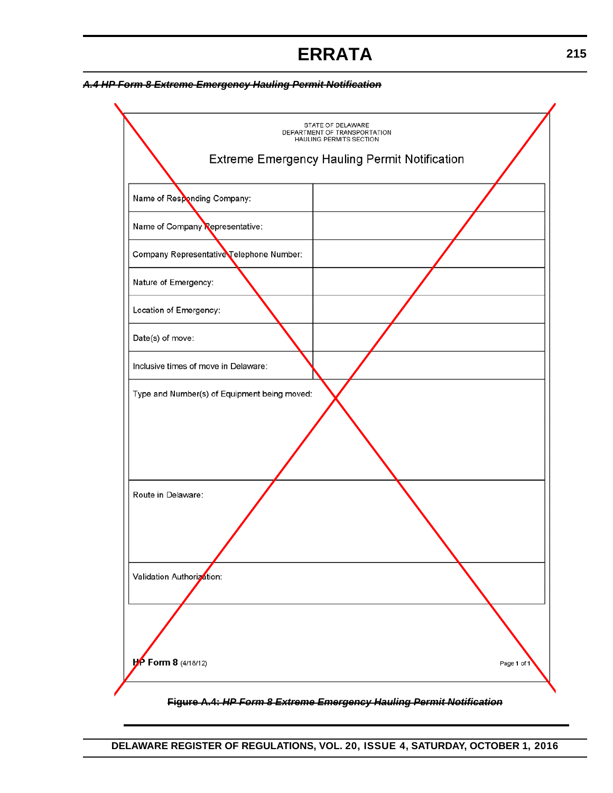# **ERRATA**

#### *A.4 HP Form 8 Extreme Emergency Hauling Permit Notification*

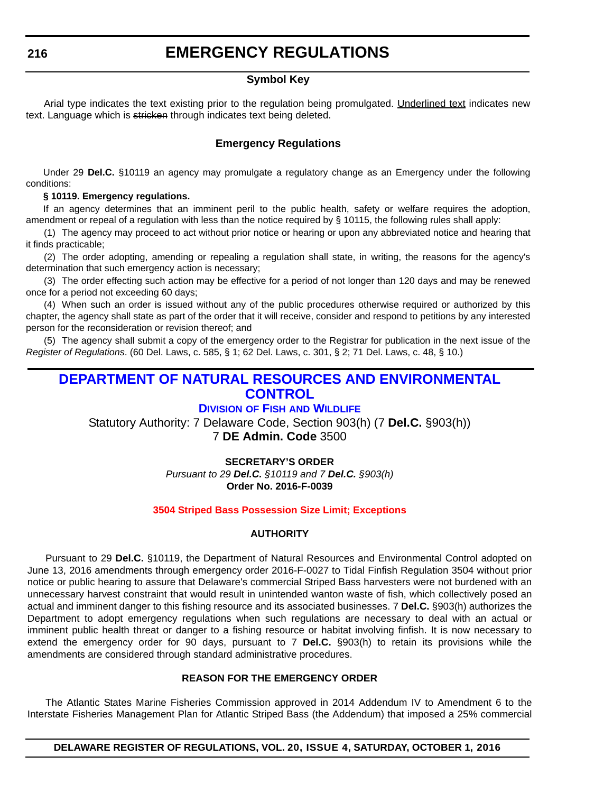### **EMERGENCY REGULATIONS**

#### **Symbol Key**

<span id="page-10-0"></span>Arial type indicates the text existing prior to the regulation being promulgated. Underlined text indicates new text. Language which is stricken through indicates text being deleted.

#### **Emergency Regulations**

Under 29 **Del.C.** §10119 an agency may promulgate a regulatory change as an Emergency under the following conditions:

#### **§ 10119. Emergency regulations.**

If an agency determines that an imminent peril to the public health, safety or welfare requires the adoption, amendment or repeal of a regulation with less than the notice required by § 10115, the following rules shall apply:

(1) The agency may proceed to act without prior notice or hearing or upon any abbreviated notice and hearing that it finds practicable;

(2) The order adopting, amending or repealing a regulation shall state, in writing, the reasons for the agency's determination that such emergency action is necessary;

(3) The order effecting such action may be effective for a period of not longer than 120 days and may be renewed once for a period not exceeding 60 days;

(4) When such an order is issued without any of the public procedures otherwise required or authorized by this chapter, the agency shall state as part of the order that it will receive, consider and respond to petitions by any interested person for the reconsideration or revision thereof; and

(5) The agency shall submit a copy of the emergency order to the Registrar for publication in the next issue of the *Register of Regulations*. (60 Del. Laws, c. 585, § 1; 62 Del. Laws, c. 301, § 2; 71 Del. Laws, c. 48, § 10.)

### **DEPARTMENT OF NATURAL RESOURCES AND ENVIRONMENTAL CONTROL**

#### **DIVISION OF FISH AND WILDLIFE**

Statutory Authority: 7 Delaware Code, Section 903(h) (7 **Del.C.** §903(h))

7 **DE Admin. Code** 3500

**SECRETARY'S ORDER** *Pursuant to 29 Del.C. §10119 and 7 Del.C. §903(h)* **Order No. 2016-F-0039**

#### **[3504 Striped Bass Possession Size Limit; Exceptions](#page-3-0)**

#### **AUTHORITY**

Pursuant to 29 **Del.C.** §10119, the Department of Natural Resources and Environmental Control adopted on June 13, 2016 amendments through emergency order 2016-F-0027 to Tidal Finfish Regulation 3504 without prior notice or public hearing to assure that Delaware's commercial Striped Bass harvesters were not burdened with an unnecessary harvest constraint that would result in unintended wanton waste of fish, which collectively posed an actual and imminent danger to this fishing resource and its associated businesses. 7 **Del.C.** §903(h) authorizes the Department to adopt emergency regulations when such regulations are necessary to deal with an actual or imminent public health threat or danger to a fishing resource or habitat involving finfish. It is now necessary to extend the emergency order for 90 days, pursuant to 7 **Del.C.** §903(h) to retain its provisions while the amendments are considered through standard administrative procedures.

#### **REASON FOR THE EMERGENCY ORDER**

The Atlantic States Marine Fisheries Commission approved in 2014 Addendum IV to Amendment 6 to the Interstate Fisheries Management Plan for Atlantic Striped Bass (the Addendum) that imposed a 25% commercial

**DELAWARE REGISTER OF REGULATIONS, VOL. 20, ISSUE 4, SATURDAY, OCTOBER 1, 2016**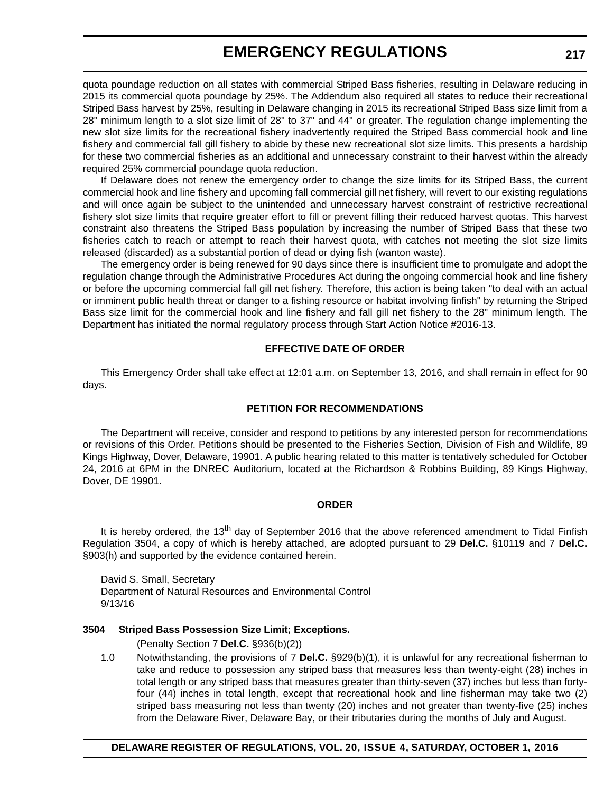### **EMERGENCY REGULATIONS**

quota poundage reduction on all states with commercial Striped Bass fisheries, resulting in Delaware reducing in 2015 its commercial quota poundage by 25%. The Addendum also required all states to reduce their recreational Striped Bass harvest by 25%, resulting in Delaware changing in 2015 its recreational Striped Bass size limit from a 28" minimum length to a slot size limit of 28" to 37" and 44" or greater. The regulation change implementing the new slot size limits for the recreational fishery inadvertently required the Striped Bass commercial hook and line fishery and commercial fall gill fishery to abide by these new recreational slot size limits. This presents a hardship for these two commercial fisheries as an additional and unnecessary constraint to their harvest within the already required 25% commercial poundage quota reduction.

If Delaware does not renew the emergency order to change the size limits for its Striped Bass, the current commercial hook and line fishery and upcoming fall commercial gill net fishery, will revert to our existing regulations and will once again be subject to the unintended and unnecessary harvest constraint of restrictive recreational fishery slot size limits that require greater effort to fill or prevent filling their reduced harvest quotas. This harvest constraint also threatens the Striped Bass population by increasing the number of Striped Bass that these two fisheries catch to reach or attempt to reach their harvest quota, with catches not meeting the slot size limits released (discarded) as a substantial portion of dead or dying fish (wanton waste).

The emergency order is being renewed for 90 days since there is insufficient time to promulgate and adopt the regulation change through the Administrative Procedures Act during the ongoing commercial hook and line fishery or before the upcoming commercial fall gill net fishery. Therefore, this action is being taken "to deal with an actual or imminent public health threat or danger to a fishing resource or habitat involving finfish" by returning the Striped Bass size limit for the commercial hook and line fishery and fall gill net fishery to the 28" minimum length. The Department has initiated the normal regulatory process through Start Action Notice #2016-13.

#### **EFFECTIVE DATE OF ORDER**

This Emergency Order shall take effect at 12:01 a.m. on September 13, 2016, and shall remain in effect for 90 days.

#### **PETITION FOR RECOMMENDATIONS**

The Department will receive, consider and respond to petitions by any interested person for recommendations or revisions of this Order. Petitions should be presented to the Fisheries Section, Division of Fish and Wildlife, 89 Kings Highway, Dover, Delaware, 19901. A public hearing related to this matter is tentatively scheduled for October 24, 2016 at 6PM in the DNREC Auditorium, located at the Richardson & Robbins Building, 89 Kings Highway, Dover, DE 19901.

#### **ORDER**

It is hereby ordered, the 13<sup>th</sup> day of September 2016 that the above referenced amendment to Tidal Finfish Regulation 3504, a copy of which is hereby attached, are adopted pursuant to 29 **Del.C.** §10119 and 7 **Del.C.** §903(h) and supported by the evidence contained herein.

David S. Small, Secretary Department of Natural Resources and Environmental Control 9/13/16

#### **3504 Striped Bass Possession Size Limit; Exceptions.**

(Penalty Section 7 **Del.C.** §936(b)(2))

1.0 Notwithstanding, the provisions of 7 **Del.C.** §929(b)(1), it is unlawful for any recreational fisherman to take and reduce to possession any striped bass that measures less than twenty-eight (28) inches in total length or any striped bass that measures greater than thirty-seven (37) inches but less than fortyfour (44) inches in total length, except that recreational hook and line fisherman may take two (2) striped bass measuring not less than twenty (20) inches and not greater than twenty-five (25) inches from the Delaware River, Delaware Bay, or their tributaries during the months of July and August.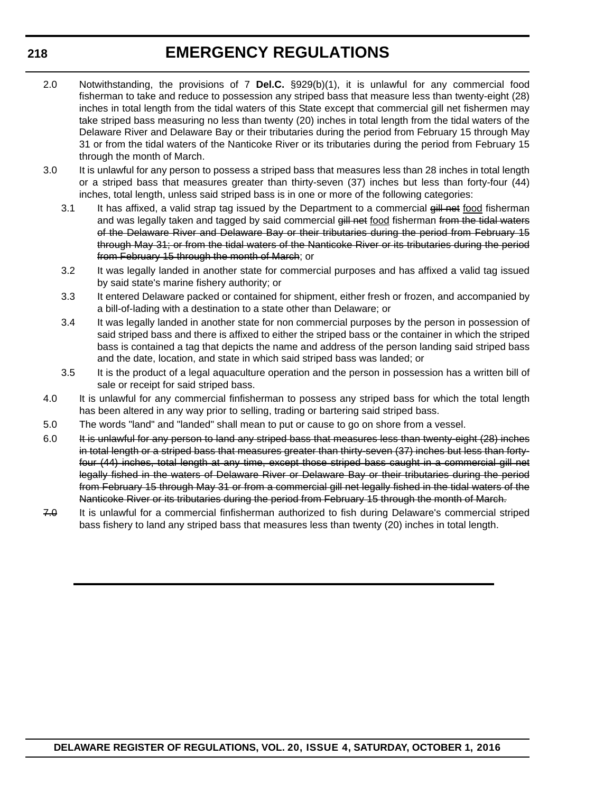### **EMERGENCY REGULATIONS**

- 2.0 Notwithstanding, the provisions of 7 **Del.C.** §929(b)(1), it is unlawful for any commercial food fisherman to take and reduce to possession any striped bass that measure less than twenty-eight (28) inches in total length from the tidal waters of this State except that commercial gill net fishermen may take striped bass measuring no less than twenty (20) inches in total length from the tidal waters of the Delaware River and Delaware Bay or their tributaries during the period from February 15 through May 31 or from the tidal waters of the Nanticoke River or its tributaries during the period from February 15 through the month of March.
- 3.0 It is unlawful for any person to possess a striped bass that measures less than 28 inches in total length or a striped bass that measures greater than thirty-seven (37) inches but less than forty-four (44) inches, total length, unless said striped bass is in one or more of the following categories:
	- 3.1 It has affixed, a valid strap tag issued by the Department to a commercial  $\frac{d}{dt}$  net food fisherman and was legally taken and tagged by said commercial gill net food fisherman from the tidal waters of the Delaware River and Delaware Bay or their tributaries during the period from February 15 through May 31; or from the tidal waters of the Nanticoke River or its tributaries during the period from February 15 through the month of March; or
	- 3.2 It was legally landed in another state for commercial purposes and has affixed a valid tag issued by said state's marine fishery authority; or
	- 3.3 It entered Delaware packed or contained for shipment, either fresh or frozen, and accompanied by a bill-of-lading with a destination to a state other than Delaware; or
	- 3.4 It was legally landed in another state for non commercial purposes by the person in possession of said striped bass and there is affixed to either the striped bass or the container in which the striped bass is contained a tag that depicts the name and address of the person landing said striped bass and the date, location, and state in which said striped bass was landed; or
	- 3.5 It is the product of a legal aquaculture operation and the person in possession has a written bill of sale or receipt for said striped bass.
- 4.0 It is unlawful for any commercial finfisherman to possess any striped bass for which the total length has been altered in any way prior to selling, trading or bartering said striped bass.
- 5.0 The words "land" and "landed" shall mean to put or cause to go on shore from a vessel.
- 6.0 It is unlawful for any person to land any striped bass that measures less than twenty-eight (28) inches in total length or a striped bass that measures greater than thirty-seven (37) inches but less than fortyfour (44) inches, total length at any time, except those striped bass caught in a commercial gill net legally fished in the waters of Delaware River or Delaware Bay or their tributaries during the period from February 15 through May 31 or from a commercial gill net legally fished in the tidal waters of the Nanticoke River or its tributaries during the period from February 15 through the month of March.
- 7.0 It is unlawful for a commercial finfisherman authorized to fish during Delaware's commercial striped bass fishery to land any striped bass that measures less than twenty (20) inches in total length.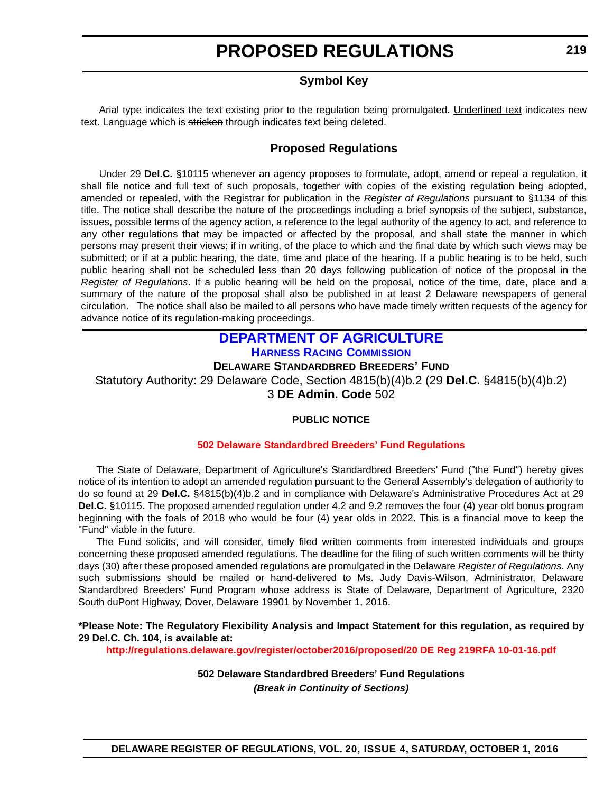### **Symbol Key**

<span id="page-13-0"></span>Arial type indicates the text existing prior to the regulation being promulgated. Underlined text indicates new text. Language which is stricken through indicates text being deleted.

### **Proposed Regulations**

Under 29 **Del.C.** §10115 whenever an agency proposes to formulate, adopt, amend or repeal a regulation, it shall file notice and full text of such proposals, together with copies of the existing regulation being adopted, amended or repealed, with the Registrar for publication in the *Register of Regulations* pursuant to §1134 of this title. The notice shall describe the nature of the proceedings including a brief synopsis of the subject, substance, issues, possible terms of the agency action, a reference to the legal authority of the agency to act, and reference to any other regulations that may be impacted or affected by the proposal, and shall state the manner in which persons may present their views; if in writing, of the place to which and the final date by which such views may be submitted; or if at a public hearing, the date, time and place of the hearing. If a public hearing is to be held, such public hearing shall not be scheduled less than 20 days following publication of notice of the proposal in the *Register of Regulations*. If a public hearing will be held on the proposal, notice of the time, date, place and a summary of the nature of the proposal shall also be published in at least 2 Delaware newspapers of general circulation. The notice shall also be mailed to all persons who have made timely written requests of the agency for advance notice of its regulation-making proceedings.

#### **DEPARTMENT OF AGRICULTURE HARNESS RACING COMMISSION DELAWARE STANDARDBRED BREEDERS' FUND**

Statutory Authority: 29 Delaware Code, Section 4815(b)(4)b.2 (29 **Del.C.** §4815(b)(4)b.2) 3 **DE Admin. Code** 502

#### **PUBLIC NOTICE**

#### **502 Delaware [Standardbred Breeders' Fund Regulations](#page-3-0)**

The State of Delaware, Department of Agriculture's Standardbred Breeders' Fund ("the Fund") hereby gives notice of its intention to adopt an amended regulation pursuant to the General Assembly's delegation of authority to do so found at 29 **Del.C.** §4815(b)(4)b.2 and in compliance with Delaware's Administrative Procedures Act at 29 **Del.C.** §10115. The proposed amended regulation under 4.2 and 9.2 removes the four (4) year old bonus program beginning with the foals of 2018 who would be four (4) year olds in 2022. This is a financial move to keep the "Fund" viable in the future.

The Fund solicits, and will consider, timely filed written comments from interested individuals and groups concerning these proposed amended regulations. The deadline for the filing of such written comments will be thirty days (30) after these proposed amended regulations are promulgated in the Delaware *Register of Regulations*. Any such submissions should be mailed or hand-delivered to Ms. Judy Davis-Wilson, Administrator, Delaware Standardbred Breeders' Fund Program whose address is State of Delaware, Department of Agriculture, 2320 South duPont Highway, Dover, Delaware 19901 by November 1, 2016.

#### **\*Please Note: The Regulatory Flexibility Analysis and Impact Statement for this regulation, as required by 29 Del.C. Ch. 104, is available at:**

**<http://regulations.delaware.gov/register/october2016/proposed/20 DE Reg 219RFA 10-01-16.pdf>**

**502 Delaware Standardbred Breeders' Fund Regulations** *(Break in Continuity of Sections)*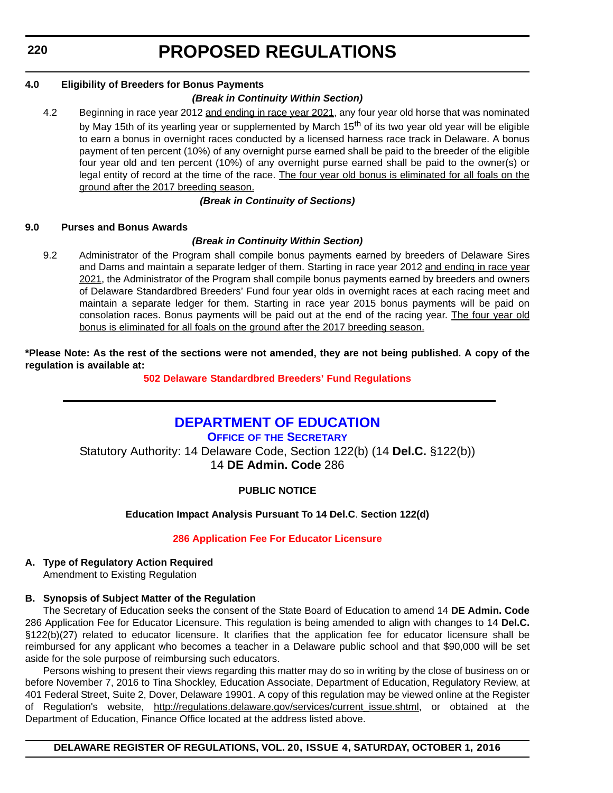<span id="page-14-0"></span>**220**

# **PROPOSED REGULATIONS**

#### **4.0 Eligibility of Breeders for Bonus Payments**

#### *(Break in Continuity Within Section)*

4.2 Beginning in race year 2012 and ending in race year 2021, any four year old horse that was nominated by May 15th of its yearling year or supplemented by March 15<sup>th</sup> of its two year old year will be eligible to earn a bonus in overnight races conducted by a licensed harness race track in Delaware. A bonus payment of ten percent (10%) of any overnight purse earned shall be paid to the breeder of the eligible four year old and ten percent (10%) of any overnight purse earned shall be paid to the owner(s) or legal entity of record at the time of the race. The four year old bonus is eliminated for all foals on the ground after the 2017 breeding season.

#### *(Break in Continuity of Sections)*

#### **9.0 Purses and Bonus Awards**

#### *(Break in Continuity Within Section)*

9.2 Administrator of the Program shall compile bonus payments earned by breeders of Delaware Sires and Dams and maintain a separate ledger of them. Starting in race year 2012 and ending in race year 2021, the Administrator of the Program shall compile bonus payments earned by breeders and owners of Delaware Standardbred Breeders' Fund four year olds in overnight races at each racing meet and maintain a separate ledger for them. Starting in race year 2015 bonus payments will be paid on consolation races. Bonus payments will be paid out at the end of the racing year. The four year old bonus is eliminated for all foals on the ground after the 2017 breeding season.

**\*Please Note: As the rest of the sections were not amended, they are not being published. A copy of the regulation is available at:**

**502 Delaware [Standardbred Breeders' Fund Regulations](http://regulations.delaware.gov/register/october2016/proposed/20 DE Reg 219 10-01-16.htm)**

### **DEPARTMENT OF EDUCATION**

**OFFICE OF THE SECRETARY** Statutory Authority: 14 Delaware Code, Section 122(b) (14 **Del.C.** §122(b)) 14 **DE Admin. Code** 286

#### **PUBLIC NOTICE**

#### **Education Impact Analysis Pursuant To 14 Del.C**. **Section 122(d)**

#### **[286 Application Fee For Educator Licensure](#page-3-0)**

#### **A. Type of Regulatory Action Required**

Amendment to Existing Regulation

#### **B. Synopsis of Subject Matter of the Regulation**

The Secretary of Education seeks the consent of the State Board of Education to amend 14 **DE Admin. Code** 286 Application Fee for Educator Licensure. This regulation is being amended to align with changes to 14 **Del.C.** §122(b)(27) related to educator licensure. It clarifies that the application fee for educator licensure shall be reimbursed for any applicant who becomes a teacher in a Delaware public school and that \$90,000 will be set aside for the sole purpose of reimbursing such educators.

Persons wishing to present their views regarding this matter may do so in writing by the close of business on or before November 7, 2016 to Tina Shockley, Education Associate, Department of Education, Regulatory Review, at 401 Federal Street, Suite 2, Dover, Delaware 19901. A copy of this regulation may be viewed online at the Register of Regulation's website, [http://regulations.delaware.gov/services/current\\_issue.shtml,](http://regulations.delaware.gov/services/current_issue.shtml) or obtained at the Department of Education, Finance Office located at the address listed above.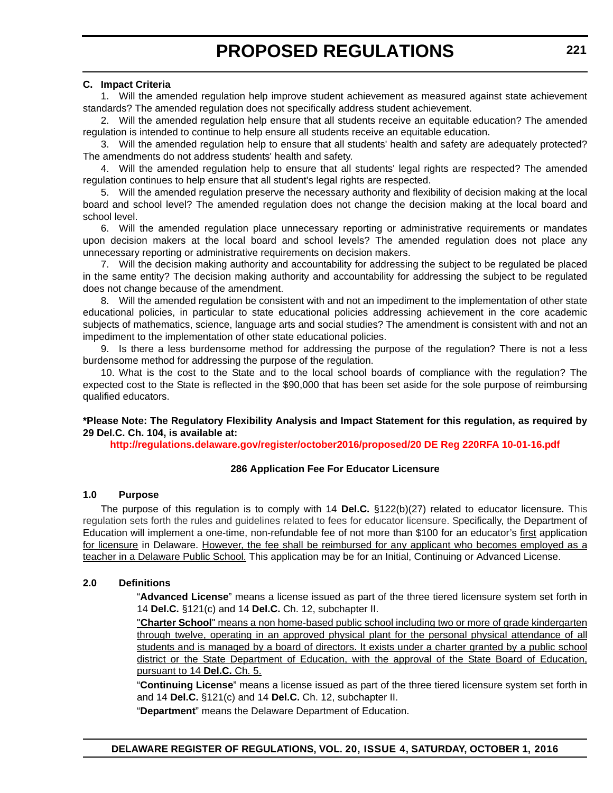#### **C. Impact Criteria**

1. Will the amended regulation help improve student achievement as measured against state achievement standards? The amended regulation does not specifically address student achievement.

2. Will the amended regulation help ensure that all students receive an equitable education? The amended regulation is intended to continue to help ensure all students receive an equitable education.

3. Will the amended regulation help to ensure that all students' health and safety are adequately protected? The amendments do not address students' health and safety.

4. Will the amended regulation help to ensure that all students' legal rights are respected? The amended regulation continues to help ensure that all student's legal rights are respected.

5. Will the amended regulation preserve the necessary authority and flexibility of decision making at the local board and school level? The amended regulation does not change the decision making at the local board and school level.

6. Will the amended regulation place unnecessary reporting or administrative requirements or mandates upon decision makers at the local board and school levels? The amended regulation does not place any unnecessary reporting or administrative requirements on decision makers.

7. Will the decision making authority and accountability for addressing the subject to be regulated be placed in the same entity? The decision making authority and accountability for addressing the subject to be regulated does not change because of the amendment.

8. Will the amended regulation be consistent with and not an impediment to the implementation of other state educational policies, in particular to state educational policies addressing achievement in the core academic subjects of mathematics, science, language arts and social studies? The amendment is consistent with and not an impediment to the implementation of other state educational policies.

9. Is there a less burdensome method for addressing the purpose of the regulation? There is not a less burdensome method for addressing the purpose of the regulation.

10. What is the cost to the State and to the local school boards of compliance with the regulation? The expected cost to the State is reflected in the \$90,000 that has been set aside for the sole purpose of reimbursing qualified educators.

**\*Please Note: The Regulatory Flexibility Analysis and Impact Statement for this regulation, as required by 29 Del.C. Ch. 104, is available at:**

**<http://regulations.delaware.gov/register/october2016/proposed/20 DE Reg 220RFA 10-01-16.pdf>**

#### **286 Application Fee For Educator Licensure**

#### **1.0 Purpose**

The purpose of this regulation is to comply with 14 **Del.C.** §122(b)(27) related to educator licensure. This regulation sets forth the rules and guidelines related to fees for educator licensure. Specifically, the Department of Education will implement a one-time, non-refundable fee of not more than \$100 for an educator's first application for licensure in Delaware. However, the fee shall be reimbursed for any applicant who becomes employed as a teacher in a Delaware Public School. This application may be for an Initial, Continuing or Advanced License.

#### **2.0 Definitions**

"**Advanced License**" means a license issued as part of the three tiered licensure system set forth in 14 **Del.C.** §121(c) and 14 **Del.C.** Ch. 12, subchapter II.

"**Charter School**" means a non home-based public school including two or more of grade kindergarten through twelve, operating in an approved physical plant for the personal physical attendance of all students and is managed by a board of directors. It exists under a charter granted by a public school district or the State Department of Education, with the approval of the State Board of Education, pursuant to 14 **Del.C.** Ch. 5.

"**Continuing License**" means a license issued as part of the three tiered licensure system set forth in and 14 **Del.C.** §121(c) and 14 **Del.C.** Ch. 12, subchapter II.

"**Department**" means the Delaware Department of Education.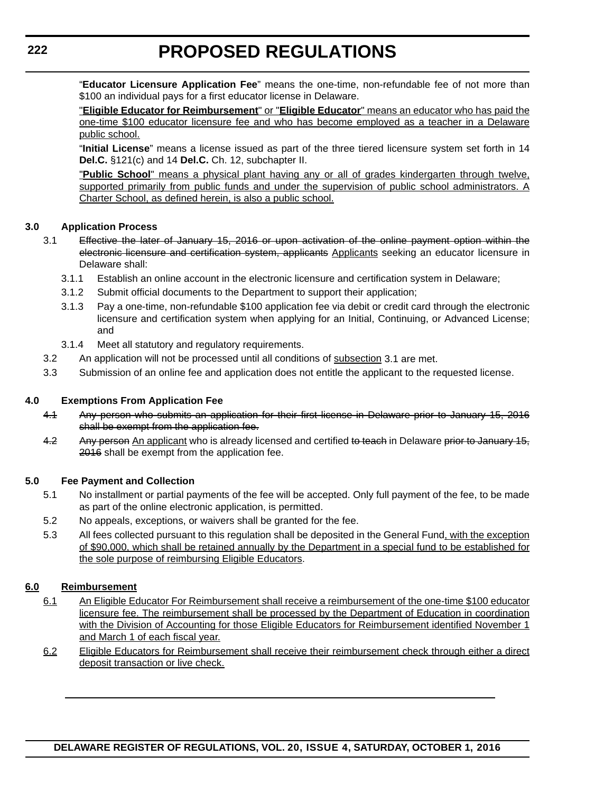"**Educator Licensure Application Fee**" means the one-time, non-refundable fee of not more than \$100 an individual pays for a first educator license in Delaware.

"**Eligible Educator for Reimbursement**" or "**Eligible Educator**" means an educator who has paid the one-time \$100 educator licensure fee and who has become employed as a teacher in a Delaware public school.

"**Initial License**" means a license issued as part of the three tiered licensure system set forth in 14 **Del.C.** §121(c) and 14 **Del.C.** Ch. 12, subchapter II.

"**Public School**" means a physical plant having any or all of grades kindergarten through twelve, supported primarily from public funds and under the supervision of public school administrators. A Charter School, as defined herein, is also a public school.

#### **3.0 Application Process**

- 3.1 Effective the later of January 15, 2016 or upon activation of the online payment option within the electronic licensure and certification system, applicants Applicants seeking an educator licensure in Delaware shall:
	- 3.1.1 Establish an online account in the electronic licensure and certification system in Delaware;
	- 3.1.2 Submit official documents to the Department to support their application;
	- 3.1.3 Pay a one-time, non-refundable \$100 application fee via debit or credit card through the electronic licensure and certification system when applying for an Initial, Continuing, or Advanced License; and
	- 3.1.4 Meet all statutory and regulatory requirements.
- 3.2 An application will not be processed until all conditions of subsection 3.1 are met.
- 3.3 Submission of an online fee and application does not entitle the applicant to the requested license.

#### **4.0 Exemptions From Application Fee**

- 4.1 Any person who submits an application for their first license in Delaware prior to January 15, 2016 shall be exempt from the application fee.
- 4.2 Any person An applicant who is already licensed and certified to teach in Delaware prior to January 15, 2016 shall be exempt from the application fee.

#### **5.0 Fee Payment and Collection**

- 5.1 No installment or partial payments of the fee will be accepted. Only full payment of the fee, to be made as part of the online electronic application, is permitted.
- 5.2 No appeals, exceptions, or waivers shall be granted for the fee.
- 5.3 All fees collected pursuant to this regulation shall be deposited in the General Fund, with the exception of \$90,000, which shall be retained annually by the Department in a special fund to be established for the sole purpose of reimbursing Eligible Educators.

#### **6.0 Reimbursement**

- 6.1 An Eligible Educator For Reimbursement shall receive a reimbursement of the one-time \$100 educator licensure fee. The reimbursement shall be processed by the Department of Education in coordination with the Division of Accounting for those Eligible Educators for Reimbursement identified November 1 and March 1 of each fiscal year.
- 6.2 Eligible Educators for Reimbursement shall receive their reimbursement check through either a direct deposit transaction or live check.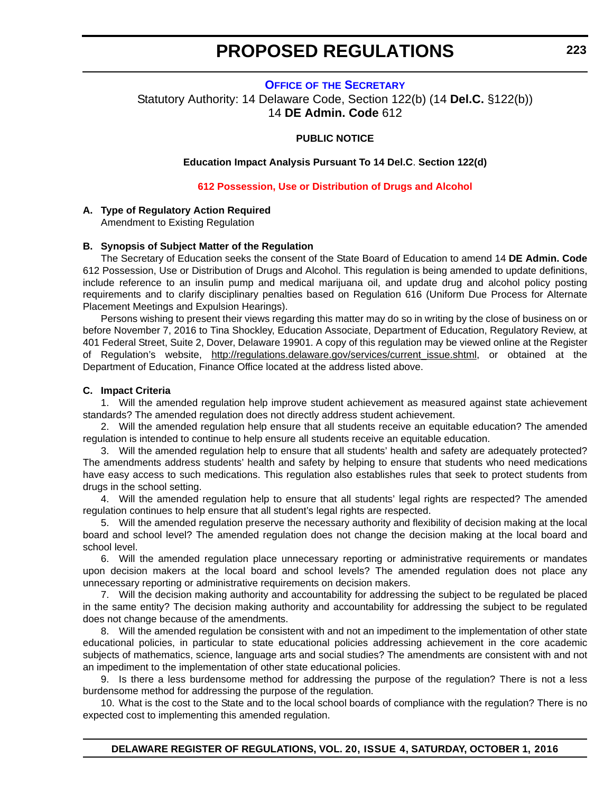#### **OFFICE OF THE SECRETARY**

<span id="page-17-0"></span>Statutory Authority: 14 Delaware Code, Section 122(b) (14 **Del.C.** §122(b)) 14 **DE Admin. Code** 612

#### **PUBLIC NOTICE**

**Education Impact Analysis Pursuant To 14 Del.C**. **Section 122(d)**

#### **[612 Possession, Use or Distribution of Drugs and Alcohol](#page-3-0)**

#### **A. Type of Regulatory Action Required**

Amendment to Existing Regulation

#### **B. Synopsis of Subject Matter of the Regulation**

The Secretary of Education seeks the consent of the State Board of Education to amend 14 **DE Admin. Code** 612 Possession, Use or Distribution of Drugs and Alcohol. This regulation is being amended to update definitions, include reference to an insulin pump and medical marijuana oil, and update drug and alcohol policy posting requirements and to clarify disciplinary penalties based on Regulation 616 (Uniform Due Process for Alternate Placement Meetings and Expulsion Hearings).

Persons wishing to present their views regarding this matter may do so in writing by the close of business on or before November 7, 2016 to Tina Shockley, Education Associate, Department of Education, Regulatory Review, at 401 Federal Street, Suite 2, Dover, Delaware 19901. A copy of this regulation may be viewed online at the Register of Regulation's website, [http://regulations.delaware.gov/services/current\\_issue.shtml](http://regulations.delaware.gov/services/current_issue.shtml), or obtained at the Department of Education, Finance Office located at the address listed above.

#### **C. Impact Criteria**

1. Will the amended regulation help improve student achievement as measured against state achievement standards? The amended regulation does not directly address student achievement.

2. Will the amended regulation help ensure that all students receive an equitable education? The amended regulation is intended to continue to help ensure all students receive an equitable education.

3. Will the amended regulation help to ensure that all students' health and safety are adequately protected? The amendments address students' health and safety by helping to ensure that students who need medications have easy access to such medications. This regulation also establishes rules that seek to protect students from drugs in the school setting.

4. Will the amended regulation help to ensure that all students' legal rights are respected? The amended regulation continues to help ensure that all student's legal rights are respected.

5. Will the amended regulation preserve the necessary authority and flexibility of decision making at the local board and school level? The amended regulation does not change the decision making at the local board and school level.

6. Will the amended regulation place unnecessary reporting or administrative requirements or mandates upon decision makers at the local board and school levels? The amended regulation does not place any unnecessary reporting or administrative requirements on decision makers.

7. Will the decision making authority and accountability for addressing the subject to be regulated be placed in the same entity? The decision making authority and accountability for addressing the subject to be regulated does not change because of the amendments.

8. Will the amended regulation be consistent with and not an impediment to the implementation of other state educational policies, in particular to state educational policies addressing achievement in the core academic subjects of mathematics, science, language arts and social studies? The amendments are consistent with and not an impediment to the implementation of other state educational policies.

9. Is there a less burdensome method for addressing the purpose of the regulation? There is not a less burdensome method for addressing the purpose of the regulation.

10. What is the cost to the State and to the local school boards of compliance with the regulation? There is no expected cost to implementing this amended regulation.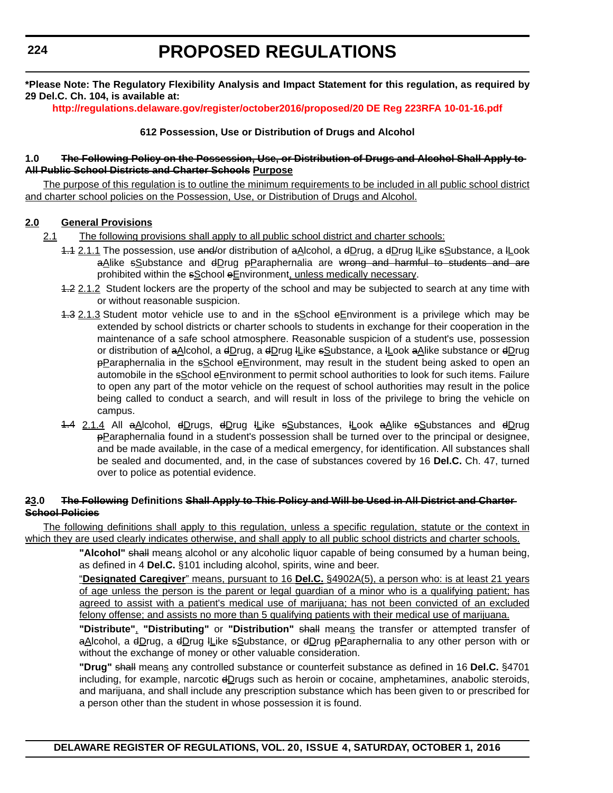**\*Please Note: The Regulatory Flexibility Analysis and Impact Statement for this regulation, as required by 29 Del.C. Ch. 104, is available at:**

**<http://regulations.delaware.gov/register/october2016/proposed/20 DE Reg 223RFA 10-01-16.pdf>**

#### **612 Possession, Use or Distribution of Drugs and Alcohol**

#### **1.0 The Following Policy on the Possession, Use, or Distribution of Drugs and Alcohol Shall Apply to All Public School Districts and Charter Schools Purpose**

The purpose of this regulation is to outline the minimum requirements to be included in all public school district and charter school policies on the Possession, Use, or Distribution of Drugs and Alcohol.

#### **2.0 General Provisions**

- 2.1 The following provisions shall apply to all public school district and charter schools:
	- 1.1 2.1.1 The possession, use and/or distribution of aAlcohol, a dDrug, a dDrug lLike sSubstance, a lLook aAlike sSubstance and dDrug pParaphernalia are wrong and harmful to students and are prohibited within the sSchool eEnvironment, unless medically necessary.
	- 1.2 2.1.2 Student lockers are the property of the school and may be subjected to search at any time with or without reasonable suspicion.
	- 1.3 2.1.3 Student motor vehicle use to and in the sSchool eEnvironment is a privilege which may be extended by school districts or charter schools to students in exchange for their cooperation in the maintenance of a safe school atmosphere. Reasonable suspicion of a student's use, possession or distribution of aAlcohol, a dDrug, a dDrug ILike sSubstance, a ILook aAlike substance or dDrug pParaphernalia in the sSchool eEnvironment, may result in the student being asked to open an automobile in the  $s$ School eEnvironment to permit school authorities to look for such items. Failure to open any part of the motor vehicle on the request of school authorities may result in the police being called to conduct a search, and will result in loss of the privilege to bring the vehicle on campus.
	- 1.4 2.1.4 All aAlcohol, dDrugs, dDrug ILike sSubstances, ILook aAlike sSubstances and dDrug pParaphernalia found in a student's possession shall be turned over to the principal or designee, and be made available, in the case of a medical emergency, for identification. All substances shall be sealed and documented, and, in the case of substances covered by 16 **Del.C.** Ch. 47, turned over to police as potential evidence.

#### **23.0 The Following Definitions Shall Apply to This Policy and Will be Used in All District and Charter School Policies**

The following definitions shall apply to this regulation, unless a specific regulation, statute or the context in which they are used clearly indicates otherwise, and shall apply to all public school districts and charter schools.

> **"Alcohol"** shall means alcohol or any alcoholic liquor capable of being consumed by a human being, as defined in 4 **Del.C.** §101 including alcohol, spirits, wine and beer.

> "**Designated Caregiver**" means, pursuant to 16 **Del.C.** §4902A(5), a person who: is at least 21 years of age unless the person is the parent or legal guardian of a minor who is a qualifying patient; has agreed to assist with a patient's medical use of marijuana; has not been convicted of an excluded felony offense; and assists no more than 5 qualifying patients with their medical use of marijuana.

> **"Distribute"**, **"Distributing"** or **"Distribution"** shall means the transfer or attempted transfer of aAlcohol, a dDrug, a dDrug ILike sSubstance, or dDrug pParaphernalia to any other person with or without the exchange of money or other valuable consideration.

> **"Drug"** shall means any controlled substance or counterfeit substance as defined in 16 **Del.C.** §4701 including, for example, narcotic  $dD$ rugs such as heroin or cocaine, amphetamines, anabolic steroids, and marijuana, and shall include any prescription substance which has been given to or prescribed for a person other than the student in whose possession it is found.

**DELAWARE REGISTER OF REGULATIONS, VOL. 20, ISSUE 4, SATURDAY, OCTOBER 1, 2016**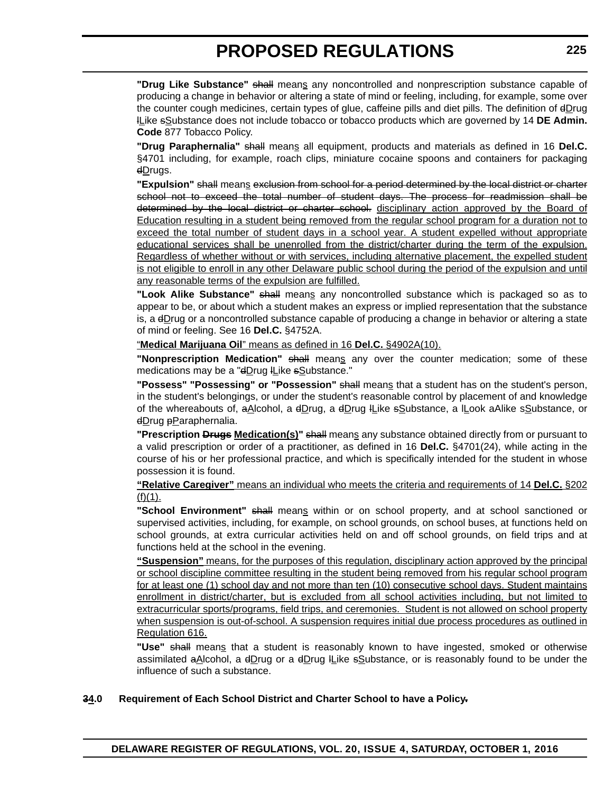**"Drug Like Substance"** shall means any noncontrolled and nonprescription substance capable of producing a change in behavior or altering a state of mind or feeling, including, for example, some over the counter cough medicines, certain types of glue, caffeine pills and diet pills. The definition of dDrug lLike sSubstance does not include tobacco or tobacco products which are governed by 14 **DE Admin. Code** 877 Tobacco Policy.

**"Drug Paraphernalia"** shall means all equipment, products and materials as defined in 16 **Del.C.** §4701 including, for example, roach clips, miniature cocaine spoons and containers for packaging dDrugs.

**"Expulsion"** shall means exclusion from school for a period determined by the local district or charter school not to exceed the total number of student days. The process for readmission shall be determined by the local district or charter school. disciplinary action approved by the Board of Education resulting in a student being removed from the regular school program for a duration not to exceed the total number of student days in a school year. A student expelled without appropriate educational services shall be unenrolled from the district/charter during the term of the expulsion. Regardless of whether without or with services, including alternative placement, the expelled student is not eligible to enroll in any other Delaware public school during the period of the expulsion and until any reasonable terms of the expulsion are fulfilled.

**"Look Alike Substance"** shall means any noncontrolled substance which is packaged so as to appear to be, or about which a student makes an express or implied representation that the substance is, a  $\bigoplus$ rug or a noncontrolled substance capable of producing a change in behavior or altering a state of mind or feeling. See 16 **Del.C.** §4752A.

#### "**Medical Marijuana Oil**" means as defined in 16 **Del.C.** §4902A(10).

"Nonprescription Medication" shall means any over the counter medication; some of these medications may be a "dDrug ILike sSubstance."

**"Possess" "Possessing" or "Possession"** shall means that a student has on the student's person, in the student's belongings, or under the student's reasonable control by placement of and knowledge of the whereabouts of, aAlcohol, a dDrug, a dDrug lLike sSubstance, a lLook aAlike sSubstance, or dDrug pParaphernalia.

**"Prescription Drugs Medication(s)"** shall means any substance obtained directly from or pursuant to a valid prescription or order of a practitioner, as defined in 16 **Del.C.** §4701(24), while acting in the course of his or her professional practice, and which is specifically intended for the student in whose possession it is found.

#### **"Relative Caregiver"** means an individual who meets the criteria and requirements of 14 **Del.C.** §202  $(f)(1)$ .

**"School Environment"** shall means within or on school property, and at school sanctioned or supervised activities, including, for example, on school grounds, on school buses, at functions held on school grounds, at extra curricular activities held on and off school grounds, on field trips and at functions held at the school in the evening.

**"Suspension"** means, for the purposes of this regulation, disciplinary action approved by the principal or school discipline committee resulting in the student being removed from his regular school program for at least one (1) school day and not more than ten (10) consecutive school days. Student maintains enrollment in district/charter, but is excluded from all school activities including, but not limited to extracurricular sports/programs, field trips, and ceremonies. Student is not allowed on school property when suspension is out-of-school. A suspension requires initial due process procedures as outlined in Regulation 616.

**"Use"** shall means that a student is reasonably known to have ingested, smoked or otherwise assimilated aAlcohol, a  $dDrug$  or a  $dDrug$  *I*Like  $sDu$ stance, or is reasonably found to be under the influence of such a substance.

#### **34.0 Requirement of Each School District and Charter School to have a Policy.**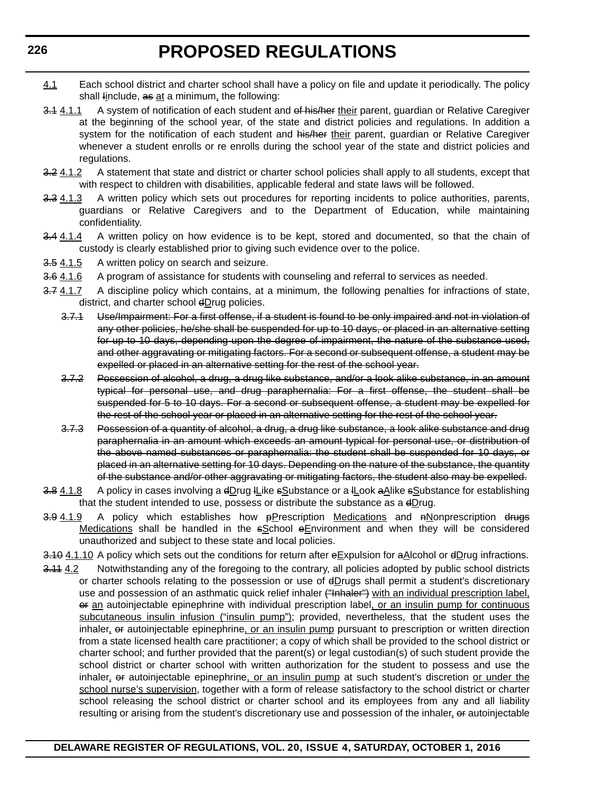- 4.1 Each school district and charter school shall have a policy on file and update it periodically. The policy shall linclude, as at a minimum, the following:
- 3.1 4.1.1 A system of notification of each student and of his/her their parent, guardian or Relative Caregiver at the beginning of the school year, of the state and district policies and regulations. In addition a system for the notification of each student and his/her their parent, guardian or Relative Caregiver whenever a student enrolls or re enrolls during the school year of the state and district policies and regulations.
- 3.2 4.1.2 A statement that state and district or charter school policies shall apply to all students, except that with respect to children with disabilities, applicable federal and state laws will be followed.
- 3.3 4.1.3 A written policy which sets out procedures for reporting incidents to police authorities, parents, guardians or Relative Caregivers and to the Department of Education, while maintaining confidentiality.
- 3.4 4.1.4 A written policy on how evidence is to be kept, stored and documented, so that the chain of custody is clearly established prior to giving such evidence over to the police.
- 3.5 4.1.5 A written policy on search and seizure.
- 3.6 4.1.6 A program of assistance for students with counseling and referral to services as needed.
- 3.7 4.1.7 A discipline policy which contains, at a minimum, the following penalties for infractions of state, district, and charter school  $dDruq$  policies.
	- 3.7.1 Use/Impairment: For a first offense, if a student is found to be only impaired and not in violation of any other policies, he/she shall be suspended for up to 10 days, or placed in an alternative setting for up to 10 days, depending upon the degree of impairment, the nature of the substance used, and other aggravating or mitigating factors. For a second or subsequent offense, a student may be expelled or placed in an alternative setting for the rest of the school year.
	- 3.7.2 Possession of alcohol, a drug, a drug like substance, and/or a look alike substance, in an amount typical for personal use, and drug paraphernalia: For a first offense, the student shall be suspended for 5 to 10 days. For a second or subsequent offense, a student may be expelled for the rest of the school year or placed in an alternative setting for the rest of the school year.
	- 3.7.3 Possession of a quantity of alcohol, a drug, a drug like substance, a look alike substance and drug paraphernalia in an amount which exceeds an amount typical for personal use, or distribution of the above named substances or paraphernalia: the student shall be suspended for 10 days, or placed in an alternative setting for 10 days. Depending on the nature of the substance, the quantity of the substance and/or other aggravating or mitigating factors, the student also may be expelled.
- 3.8  $4.1.8$  A policy in cases involving a  $4D \text{rug}$  H<sub>L</sub>ike  $\frac{1}{2}$  Substance or a H<sub>L</sub>ook a Alike  $\frac{1}{2}$  Abstance for establishing that the student intended to use, possess or distribute the substance as a dDrug.
- $3.9\,4.1.9$  A policy which establishes how  $p$ Prescription Medications and  $n$ Nonprescription drugs Medications shall be handled in the sSchool eEnvironment and when they will be considered unauthorized and subject to these state and local policies.

3.10 4.1.10 A policy which sets out the conditions for return after eExpulsion for aAlcohol or dDrug infractions.

3.11 4.2 Notwithstanding any of the foregoing to the contrary, all policies adopted by public school districts or charter schools relating to the possession or use of dDrugs shall permit a student's discretionary use and possession of an asthmatic quick relief inhaler ("Inhaler") with an individual prescription label, or an autoinjectable epinephrine with individual prescription label, or an insulin pump for continuous subcutaneous insulin infusion ("insulin pump"); provided, nevertheless, that the student uses the inhaler, or autoinjectable epinephrine, or an insulin pump pursuant to prescription or written direction from a state licensed health care practitioner; a copy of which shall be provided to the school district or charter school; and further provided that the parent(s) or legal custodian(s) of such student provide the school district or charter school with written authorization for the student to possess and use the inhaler, or autoinjectable epinephrine, or an insulin pump at such student's discretion or under the school nurse's supervision, together with a form of release satisfactory to the school district or charter school releasing the school district or charter school and its employees from any and all liability resulting or arising from the student's discretionary use and possession of the inhaler, or autoinjectable

**226**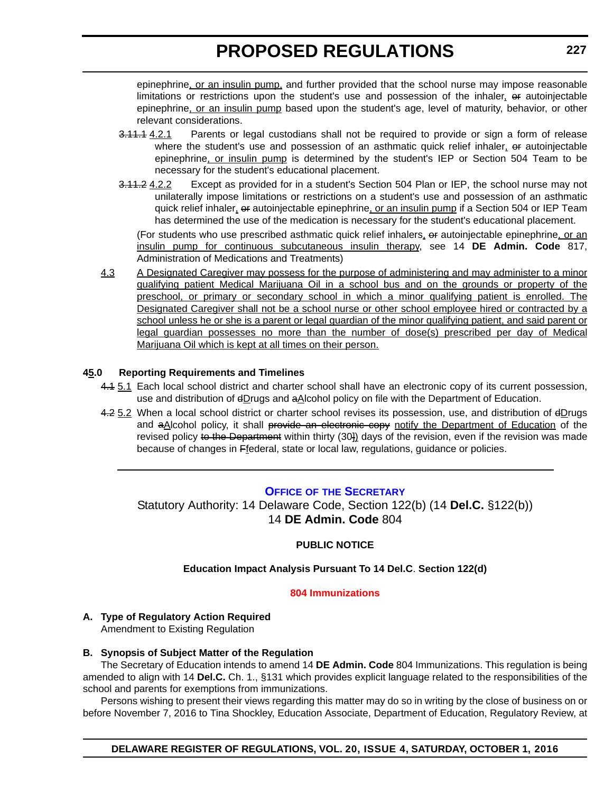<span id="page-21-0"></span>epinephrine, or an insulin pump, and further provided that the school nurse may impose reasonable limitations or restrictions upon the student's use and possession of the inhaler, or autoinjectable epinephrine, or an insulin pump based upon the student's age, level of maturity, behavior, or other relevant considerations.

- 3.11.1 4.2.1 Parents or legal custodians shall not be required to provide or sign a form of release where the student's use and possession of an asthmatic quick relief inhaler,  $\theta$  autoinjectable epinephrine, or insulin pump is determined by the student's IEP or Section 504 Team to be necessary for the student's educational placement.
- 3.11.2 4.2.2 Except as provided for in a student's Section 504 Plan or IEP, the school nurse may not unilaterally impose limitations or restrictions on a student's use and possession of an asthmatic quick relief inhaler, or autoinjectable epinephrine, or an insulin pump if a Section 504 or IEP Team has determined the use of the medication is necessary for the student's educational placement.

(For students who use prescribed asthmatic quick relief inhalers, or autoinjectable epinephrine, or an insulin pump for continuous subcutaneous insulin therapy, see 14 **DE Admin. Code** 817, Administration of Medications and Treatments)

4.3 A Designated Caregiver may possess for the purpose of administering and may administer to a minor qualifying patient Medical Marijuana Oil in a school bus and on the grounds or property of the preschool, or primary or secondary school in which a minor qualifying patient is enrolled. The Designated Caregiver shall not be a school nurse or other school employee hired or contracted by a school unless he or she is a parent or legal guardian of the minor qualifying patient, and said parent or legal guardian possesses no more than the number of dose(s) prescribed per day of Medical Marijuana Oil which is kept at all times on their person.

#### **45.0 Reporting Requirements and Timelines**

- 4.4 5.1 Each local school district and charter school shall have an electronic copy of its current possession, use and distribution of  $\frac{dD}{dD}$  and  $\frac{dD}{dD}$  and  $\frac{dD}{dD}$  policy on file with the Department of Education.
- 4.25.2 When a local school district or charter school revises its possession, use, and distribution of dDrugs and aAlcohol policy, it shall provide an electronic copy notify the Department of Education of the revised policy to the Department within thirty (30) days of the revision, even if the revision was made because of changes in Ffederal, state or local law, regulations, guidance or policies.

#### **OFFICE OF THE SECRETARY**

Statutory Authority: 14 Delaware Code, Section 122(b) (14 **Del.C.** §122(b)) 14 **DE Admin. Code** 804

#### **PUBLIC NOTICE**

#### **Education Impact Analysis Pursuant To 14 Del.C**. **Section 122(d)**

#### **[804 Immunizations](#page-3-0)**

### **A. Type of Regulatory Action Required**

Amendment to Existing Regulation

#### **B. Synopsis of Subject Matter of the Regulation**

The Secretary of Education intends to amend 14 **DE Admin. Code** 804 Immunizations. This regulation is being amended to align with 14 **Del.C.** Ch. 1., §131 which provides explicit language related to the responsibilities of the school and parents for exemptions from immunizations.

Persons wishing to present their views regarding this matter may do so in writing by the close of business on or before November 7, 2016 to Tina Shockley, Education Associate, Department of Education, Regulatory Review, at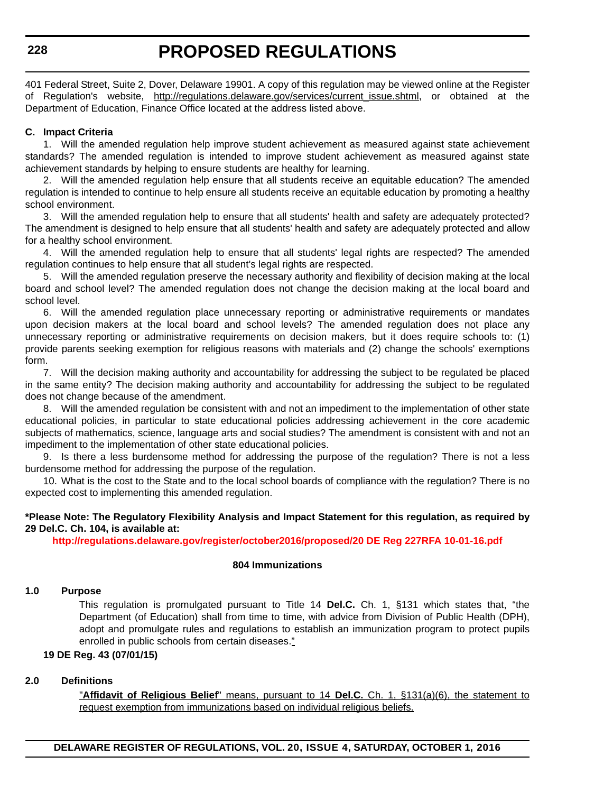401 Federal Street, Suite 2, Dover, Delaware 19901. A copy of this regulation may be viewed online at the Register of Regulation's website, [http://regulations.delaware.gov/services/current\\_issue.shtml,](http://regulations.delaware.gov/services/current_issue.shtml) or obtained at the Department of Education, Finance Office located at the address listed above.

#### **C. Impact Criteria**

1. Will the amended regulation help improve student achievement as measured against state achievement standards? The amended regulation is intended to improve student achievement as measured against state achievement standards by helping to ensure students are healthy for learning.

2. Will the amended regulation help ensure that all students receive an equitable education? The amended regulation is intended to continue to help ensure all students receive an equitable education by promoting a healthy school environment.

3. Will the amended regulation help to ensure that all students' health and safety are adequately protected? The amendment is designed to help ensure that all students' health and safety are adequately protected and allow for a healthy school environment.

4. Will the amended regulation help to ensure that all students' legal rights are respected? The amended regulation continues to help ensure that all student's legal rights are respected.

5. Will the amended regulation preserve the necessary authority and flexibility of decision making at the local board and school level? The amended regulation does not change the decision making at the local board and school level.

6. Will the amended regulation place unnecessary reporting or administrative requirements or mandates upon decision makers at the local board and school levels? The amended regulation does not place any unnecessary reporting or administrative requirements on decision makers, but it does require schools to: (1) provide parents seeking exemption for religious reasons with materials and (2) change the schools' exemptions form.

7. Will the decision making authority and accountability for addressing the subject to be regulated be placed in the same entity? The decision making authority and accountability for addressing the subject to be regulated does not change because of the amendment.

8. Will the amended regulation be consistent with and not an impediment to the implementation of other state educational policies, in particular to state educational policies addressing achievement in the core academic subjects of mathematics, science, language arts and social studies? The amendment is consistent with and not an impediment to the implementation of other state educational policies.

9. Is there a less burdensome method for addressing the purpose of the regulation? There is not a less burdensome method for addressing the purpose of the regulation.

10. What is the cost to the State and to the local school boards of compliance with the regulation? There is no expected cost to implementing this amended regulation.

#### **\*Please Note: The Regulatory Flexibility Analysis and Impact Statement for this regulation, as required by 29 Del.C. Ch. 104, is available at:**

**<http://regulations.delaware.gov/register/october2016/proposed/20 DE Reg 227RFA 10-01-16.pdf>**

#### **804 Immunizations**

#### **1.0 Purpose**

This regulation is promulgated pursuant to Title 14 **Del.C.** Ch. 1, §131 which states that, "the Department (of Education) shall from time to time, with advice from Division of Public Health (DPH), adopt and promulgate rules and regulations to establish an immunization program to protect pupils enrolled in public schools from certain diseases."

#### **19 DE Reg. 43 (07/01/15)**

#### **2.0 Definitions**

"**Affidavit of Religious Belief**" means, pursuant to 14 **Del.C.** Ch. 1, §131(a)(6), the statement to request exemption from immunizations based on individual religious beliefs.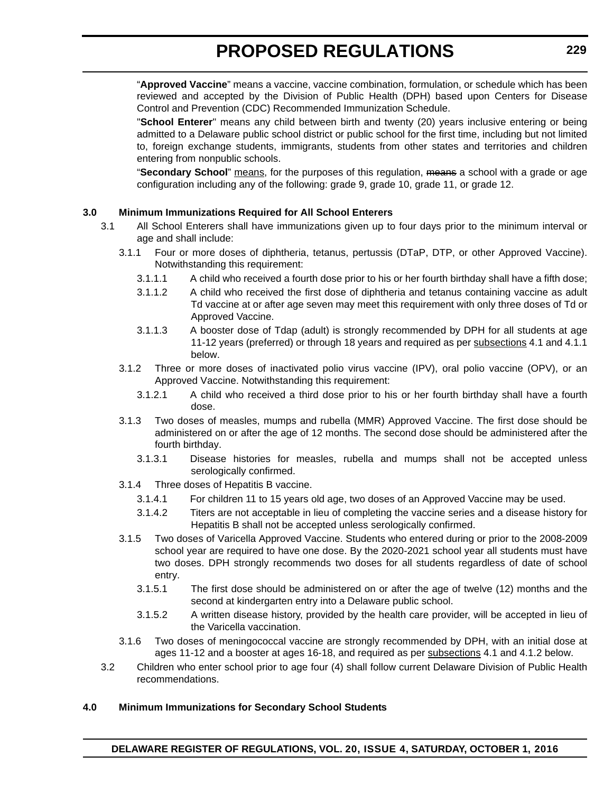"**Approved Vaccine**" means a vaccine, vaccine combination, formulation, or schedule which has been reviewed and accepted by the Division of Public Health (DPH) based upon Centers for Disease Control and Prevention (CDC) Recommended Immunization Schedule.

"**School Enterer**" means any child between birth and twenty (20) years inclusive entering or being admitted to a Delaware public school district or public school for the first time, including but not limited to, foreign exchange students, immigrants, students from other states and territories and children entering from nonpublic schools.

"**Secondary School**" means, for the purposes of this regulation, means a school with a grade or age configuration including any of the following: grade 9, grade 10, grade 11, or grade 12.

#### **3.0 Minimum Immunizations Required for All School Enterers**

- 3.1 All School Enterers shall have immunizations given up to four days prior to the minimum interval or age and shall include:
	- 3.1.1 Four or more doses of diphtheria, tetanus, pertussis (DTaP, DTP, or other Approved Vaccine). Notwithstanding this requirement:
		- 3.1.1.1 A child who received a fourth dose prior to his or her fourth birthday shall have a fifth dose;
		- 3.1.1.2 A child who received the first dose of diphtheria and tetanus containing vaccine as adult Td vaccine at or after age seven may meet this requirement with only three doses of Td or Approved Vaccine.
		- 3.1.1.3 A booster dose of Tdap (adult) is strongly recommended by DPH for all students at age 11-12 years (preferred) or through 18 years and required as per subsections 4.1 and 4.1.1 below.
	- 3.1.2 Three or more doses of inactivated polio virus vaccine (IPV), oral polio vaccine (OPV), or an Approved Vaccine. Notwithstanding this requirement:
		- 3.1.2.1 A child who received a third dose prior to his or her fourth birthday shall have a fourth dose.
	- 3.1.3 Two doses of measles, mumps and rubella (MMR) Approved Vaccine. The first dose should be administered on or after the age of 12 months. The second dose should be administered after the fourth birthday.
		- 3.1.3.1 Disease histories for measles, rubella and mumps shall not be accepted unless serologically confirmed.
	- 3.1.4 Three doses of Hepatitis B vaccine.
		- 3.1.4.1 For children 11 to 15 years old age, two doses of an Approved Vaccine may be used.
		- 3.1.4.2 Titers are not acceptable in lieu of completing the vaccine series and a disease history for Hepatitis B shall not be accepted unless serologically confirmed.
	- 3.1.5 Two doses of Varicella Approved Vaccine. Students who entered during or prior to the 2008-2009 school year are required to have one dose. By the 2020-2021 school year all students must have two doses. DPH strongly recommends two doses for all students regardless of date of school entry.
		- 3.1.5.1 The first dose should be administered on or after the age of twelve (12) months and the second at kindergarten entry into a Delaware public school.
		- 3.1.5.2 A written disease history, provided by the health care provider, will be accepted in lieu of the Varicella vaccination.
	- 3.1.6 Two doses of meningococcal vaccine are strongly recommended by DPH, with an initial dose at ages 11-12 and a booster at ages 16-18, and required as per subsections 4.1 and 4.1.2 below.
- 3.2 Children who enter school prior to age four (4) shall follow current Delaware Division of Public Health recommendations.

#### **4.0 Minimum Immunizations for Secondary School Students**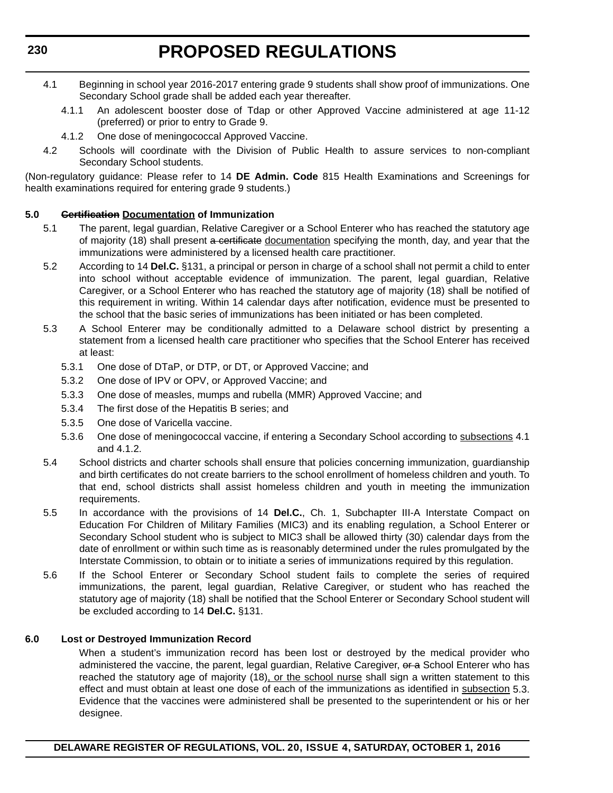- 4.1 Beginning in school year 2016-2017 entering grade 9 students shall show proof of immunizations. One Secondary School grade shall be added each year thereafter.
	- 4.1.1 An adolescent booster dose of Tdap or other Approved Vaccine administered at age 11-12 (preferred) or prior to entry to Grade 9.
	- 4.1.2 One dose of meningococcal Approved Vaccine.
- 4.2 Schools will coordinate with the Division of Public Health to assure services to non-compliant Secondary School students.

(Non-regulatory guidance: Please refer to 14 **DE Admin. Code** 815 Health Examinations and Screenings for health examinations required for entering grade 9 students.)

#### **5.0 Certification Documentation of Immunization**

- 5.1 The parent, legal guardian, Relative Caregiver or a School Enterer who has reached the statutory age of majority (18) shall present a certificate documentation specifying the month, day, and year that the immunizations were administered by a licensed health care practitioner.
- 5.2 According to 14 **Del.C.** §131, a principal or person in charge of a school shall not permit a child to enter into school without acceptable evidence of immunization. The parent, legal guardian, Relative Caregiver, or a School Enterer who has reached the statutory age of majority (18) shall be notified of this requirement in writing. Within 14 calendar days after notification, evidence must be presented to the school that the basic series of immunizations has been initiated or has been completed.
- 5.3 A School Enterer may be conditionally admitted to a Delaware school district by presenting a statement from a licensed health care practitioner who specifies that the School Enterer has received at least:
	- 5.3.1 One dose of DTaP, or DTP, or DT, or Approved Vaccine; and
	- 5.3.2 One dose of IPV or OPV, or Approved Vaccine; and
	- 5.3.3 One dose of measles, mumps and rubella (MMR) Approved Vaccine; and
	- 5.3.4 The first dose of the Hepatitis B series; and
	- 5.3.5 One dose of Varicella vaccine.
	- 5.3.6 One dose of meningococcal vaccine, if entering a Secondary School according to subsections 4.1 and 4.1.2.
- 5.4 School districts and charter schools shall ensure that policies concerning immunization, guardianship and birth certificates do not create barriers to the school enrollment of homeless children and youth. To that end, school districts shall assist homeless children and youth in meeting the immunization requirements.
- 5.5 In accordance with the provisions of 14 **Del.C.**, Ch. 1, Subchapter III-A Interstate Compact on Education For Children of Military Families (MIC3) and its enabling regulation, a School Enterer or Secondary School student who is subject to MIC3 shall be allowed thirty (30) calendar days from the date of enrollment or within such time as is reasonably determined under the rules promulgated by the Interstate Commission, to obtain or to initiate a series of immunizations required by this regulation.
- 5.6 If the School Enterer or Secondary School student fails to complete the series of required immunizations, the parent, legal guardian, Relative Caregiver, or student who has reached the statutory age of majority (18) shall be notified that the School Enterer or Secondary School student will be excluded according to 14 **Del.C.** §131.

#### **6.0 Lost or Destroyed Immunization Record**

When a student's immunization record has been lost or destroyed by the medical provider who administered the vaccine, the parent, legal guardian, Relative Caregiver, or a School Enterer who has reached the statutory age of majority (18), or the school nurse shall sign a written statement to this effect and must obtain at least one dose of each of the immunizations as identified in subsection 5.3. Evidence that the vaccines were administered shall be presented to the superintendent or his or her designee.

**DELAWARE REGISTER OF REGULATIONS, VOL. 20, ISSUE 4, SATURDAY, OCTOBER 1, 2016**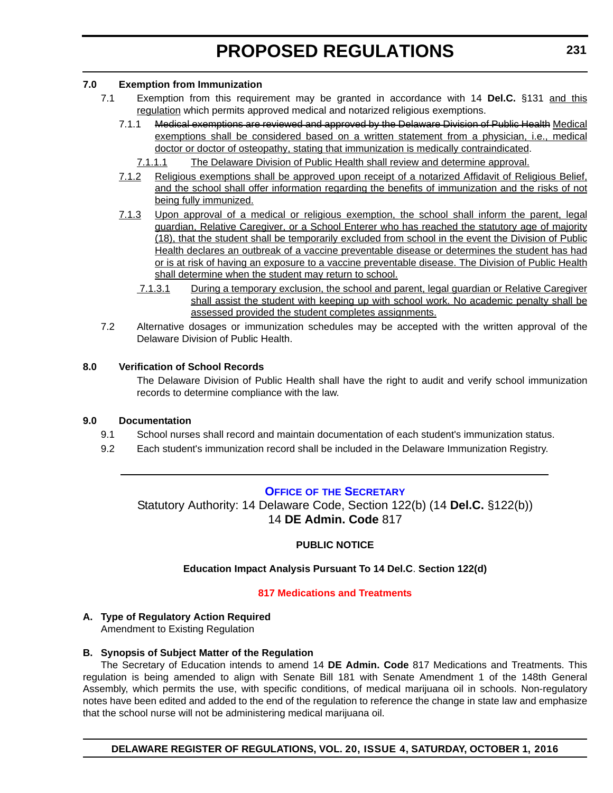#### <span id="page-25-0"></span>**7.0 Exemption from Immunization**

- 7.1 Exemption from this requirement may be granted in accordance with 14 **Del.C.** §131 and this regulation which permits approved medical and notarized religious exemptions.
	- 7.1.1 Medical exemptions are reviewed and approved by the Delaware Division of Public Health Medical exemptions shall be considered based on a written statement from a physician, i.e., medical doctor or doctor of osteopathy, stating that immunization is medically contraindicated.
		- 7.1.1.1 The Delaware Division of Public Health shall review and determine approval.
	- 7.1.2 Religious exemptions shall be approved upon receipt of a notarized Affidavit of Religious Belief, and the school shall offer information regarding the benefits of immunization and the risks of not being fully immunized.
	- 7.1.3 Upon approval of a medical or religious exemption, the school shall inform the parent, legal guardian, Relative Caregiver, or a School Enterer who has reached the statutory age of majority (18), that the student shall be temporarily excluded from school in the event the Division of Public Health declares an outbreak of a vaccine preventable disease or determines the student has had or is at risk of having an exposure to a vaccine preventable disease. The Division of Public Health shall determine when the student may return to school.
		- 7.1.3.1 During a temporary exclusion, the school and parent, legal guardian or Relative Caregiver shall assist the student with keeping up with school work. No academic penalty shall be assessed provided the student completes assignments.
- 7.2 Alternative dosages or immunization schedules may be accepted with the written approval of the Delaware Division of Public Health.

#### **8.0 Verification of School Records**

The Delaware Division of Public Health shall have the right to audit and verify school immunization records to determine compliance with the law.

#### **9.0 Documentation**

- 9.1 School nurses shall record and maintain documentation of each student's immunization status.
- 9.2 Each student's immunization record shall be included in the Delaware Immunization Registry.

### **OFFICE OF THE SECRETARY**

Statutory Authority: 14 Delaware Code, Section 122(b) (14 **Del.C.** §122(b)) 14 **DE Admin. Code** 817

#### **PUBLIC NOTICE**

#### **Education Impact Analysis Pursuant To 14 Del.C**. **Section 122(d)**

#### **[817 Medications and Treatments](#page-3-0)**

### **A. Type of Regulatory Action Required**

Amendment to Existing Regulation

#### **B. Synopsis of Subject Matter of the Regulation**

The Secretary of Education intends to amend 14 **DE Admin. Code** 817 Medications and Treatments. This regulation is being amended to align with Senate Bill 181 with Senate Amendment 1 of the 148th General Assembly, which permits the use, with specific conditions, of medical marijuana oil in schools. Non-regulatory notes have been edited and added to the end of the regulation to reference the change in state law and emphasize that the school nurse will not be administering medical marijuana oil.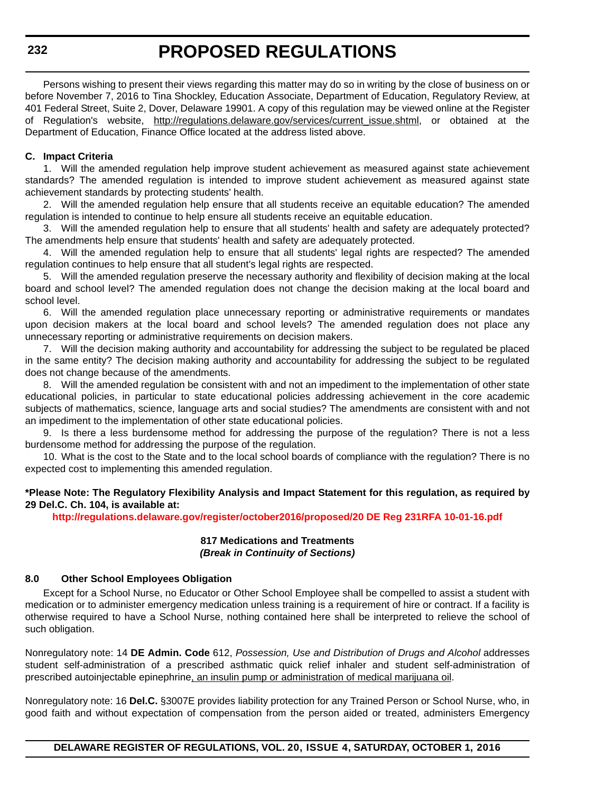Persons wishing to present their views regarding this matter may do so in writing by the close of business on or before November 7, 2016 to Tina Shockley, Education Associate, Department of Education, Regulatory Review, at 401 Federal Street, Suite 2, Dover, Delaware 19901. A copy of this regulation may be viewed online at the Register of Regulation's website, [http://regulations.delaware.gov/services/current\\_issue.shtml,](http://regulations.delaware.gov/services/current_issue.shtml) or obtained at the Department of Education, Finance Office located at the address listed above.

#### **C. Impact Criteria**

1. Will the amended regulation help improve student achievement as measured against state achievement standards? The amended regulation is intended to improve student achievement as measured against state achievement standards by protecting students' health.

2. Will the amended regulation help ensure that all students receive an equitable education? The amended regulation is intended to continue to help ensure all students receive an equitable education.

3. Will the amended regulation help to ensure that all students' health and safety are adequately protected? The amendments help ensure that students' health and safety are adequately protected.

4. Will the amended regulation help to ensure that all students' legal rights are respected? The amended regulation continues to help ensure that all student's legal rights are respected.

5. Will the amended regulation preserve the necessary authority and flexibility of decision making at the local board and school level? The amended regulation does not change the decision making at the local board and school level.

6. Will the amended regulation place unnecessary reporting or administrative requirements or mandates upon decision makers at the local board and school levels? The amended regulation does not place any unnecessary reporting or administrative requirements on decision makers.

7. Will the decision making authority and accountability for addressing the subject to be regulated be placed in the same entity? The decision making authority and accountability for addressing the subject to be regulated does not change because of the amendments.

8. Will the amended regulation be consistent with and not an impediment to the implementation of other state educational policies, in particular to state educational policies addressing achievement in the core academic subjects of mathematics, science, language arts and social studies? The amendments are consistent with and not an impediment to the implementation of other state educational policies.

9. Is there a less burdensome method for addressing the purpose of the regulation? There is not a less burdensome method for addressing the purpose of the regulation.

10. What is the cost to the State and to the local school boards of compliance with the regulation? There is no expected cost to implementing this amended regulation.

#### **\*Please Note: The Regulatory Flexibility Analysis and Impact Statement for this regulation, as required by 29 Del.C. Ch. 104, is available at:**

**<http://regulations.delaware.gov/register/october2016/proposed/20 DE Reg 231RFA 10-01-16.pdf>**

#### **817 Medications and Treatments** *(Break in Continuity of Sections)*

#### **8.0 Other School Employees Obligation**

Except for a School Nurse, no Educator or Other School Employee shall be compelled to assist a student with medication or to administer emergency medication unless training is a requirement of hire or contract. If a facility is otherwise required to have a School Nurse, nothing contained here shall be interpreted to relieve the school of such obligation.

Nonregulatory note: 14 **DE Admin. Code** 612, *Possession, Use and Distribution of Drugs and Alcohol* addresses student self-administration of a prescribed asthmatic quick relief inhaler and student self-administration of prescribed autoinjectable epinephrine, an insulin pump or administration of medical marijuana oil.

Nonregulatory note: 16 **Del.C.** §3007E provides liability protection for any Trained Person or School Nurse, who, in good faith and without expectation of compensation from the person aided or treated, administers Emergency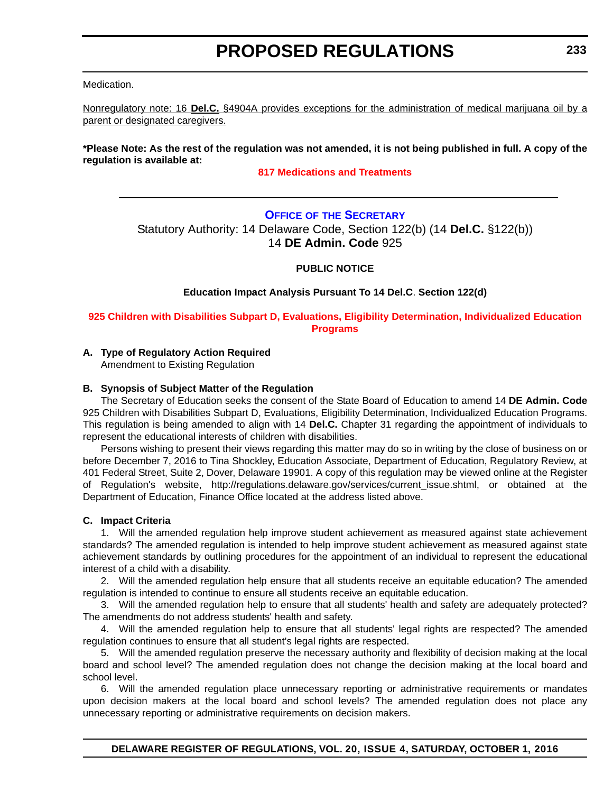<span id="page-27-0"></span>Medication.

Nonregulatory note: 16 **Del.C.** §4904A provides exceptions for the administration of medical marijuana oil by a parent or designated caregivers.

**\*Please Note: As the rest of the regulation was not amended, it is not being published in full. A copy of the regulation is available at:**

#### **[817 Medications and Treatments](http://regulations.delaware.gov/register/october2016/proposed/20 DE Reg 231 10-01-16.htm)**

#### **OFFICE OF THE SECRETARY** Statutory Authority: 14 Delaware Code, Section 122(b) (14 **Del.C.** §122(b)) 14 **DE Admin. Code** 925

#### **PUBLIC NOTICE**

#### **Education Impact Analysis Pursuant To 14 Del.C**. **Section 122(d)**

**[925 Children with Disabilities Subpart D, Evaluations, Eligibility Determination, Individualized Education](#page-3-0)  Programs**

#### **A. Type of Regulatory Action Required**

Amendment to Existing Regulation

#### **B. Synopsis of Subject Matter of the Regulation**

The Secretary of Education seeks the consent of the State Board of Education to amend 14 **DE Admin. Code** 925 Children with Disabilities Subpart D, Evaluations, Eligibility Determination, Individualized Education Programs. This regulation is being amended to align with 14 **Del.C.** Chapter 31 regarding the appointment of individuals to represent the educational interests of children with disabilities.

Persons wishing to present their views regarding this matter may do so in writing by the close of business on or before December 7, 2016 to Tina Shockley, Education Associate, Department of Education, Regulatory Review, at [401 Federal Street, Suite 2, Dover, Delaware 19901. A copy of this regulation may be viewed online at the Register](http://regulations.delaware.gov/services/current_issue.shtml) of Regulation's website, http://regulations.delaware.gov/services/current\_issue.shtml, or obtained at the Department of Education, Finance Office located at the address listed above.

#### **C. Impact Criteria**

1. Will the amended regulation help improve student achievement as measured against state achievement standards? The amended regulation is intended to help improve student achievement as measured against state achievement standards by outlining procedures for the appointment of an individual to represent the educational interest of a child with a disability.

2. Will the amended regulation help ensure that all students receive an equitable education? The amended regulation is intended to continue to ensure all students receive an equitable education.

3. Will the amended regulation help to ensure that all students' health and safety are adequately protected? The amendments do not address students' health and safety.

4. Will the amended regulation help to ensure that all students' legal rights are respected? The amended regulation continues to ensure that all student's legal rights are respected.

5. Will the amended regulation preserve the necessary authority and flexibility of decision making at the local board and school level? The amended regulation does not change the decision making at the local board and school level.

6. Will the amended regulation place unnecessary reporting or administrative requirements or mandates upon decision makers at the local board and school levels? The amended regulation does not place any unnecessary reporting or administrative requirements on decision makers.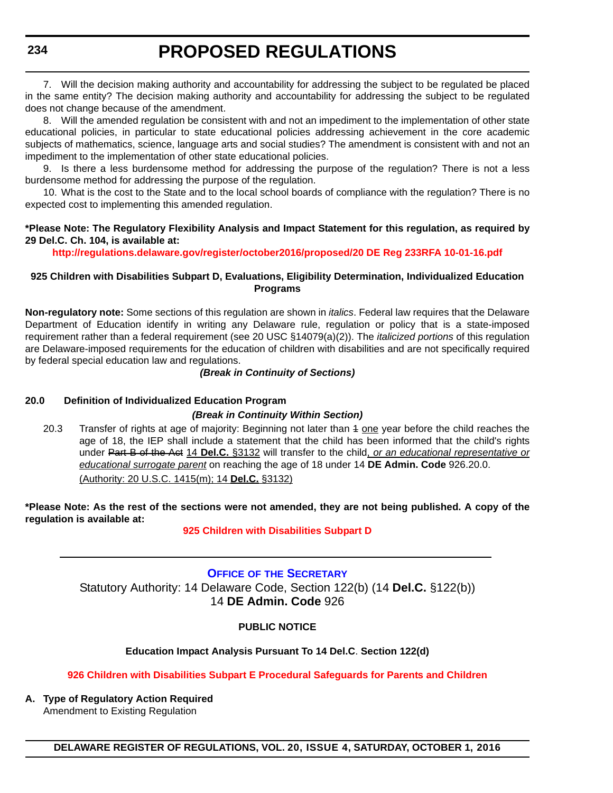<span id="page-28-0"></span>**234**

# **PROPOSED REGULATIONS**

7. Will the decision making authority and accountability for addressing the subject to be regulated be placed in the same entity? The decision making authority and accountability for addressing the subject to be regulated does not change because of the amendment.

8. Will the amended regulation be consistent with and not an impediment to the implementation of other state educational policies, in particular to state educational policies addressing achievement in the core academic subjects of mathematics, science, language arts and social studies? The amendment is consistent with and not an impediment to the implementation of other state educational policies.

9. Is there a less burdensome method for addressing the purpose of the regulation? There is not a less burdensome method for addressing the purpose of the regulation.

10. What is the cost to the State and to the local school boards of compliance with the regulation? There is no expected cost to implementing this amended regulation.

#### **\*Please Note: The Regulatory Flexibility Analysis and Impact Statement for this regulation, as required by 29 Del.C. Ch. 104, is available at:**

**<http://regulations.delaware.gov/register/october2016/proposed/20 DE Reg 233RFA 10-01-16.pdf>**

#### **925 Children with Disabilities Subpart D, Evaluations, Eligibility Determination, Individualized Education Programs**

**Non-regulatory note:** Some sections of this regulation are shown in *italics*. Federal law requires that the Delaware Department of Education identify in writing any Delaware rule, regulation or policy that is a state-imposed requirement rather than a federal requirement (see 20 USC §14079(a)(2)). The *italicized portions* of this regulation are Delaware-imposed requirements for the education of children with disabilities and are not specifically required by federal special education law and regulations.

#### *(Break in Continuity of Sections)*

#### **20.0 Definition of Individualized Education Program**

#### *(Break in Continuity Within Section)*

20.3 Transfer of rights at age of majority: Beginning not later than 4 one year before the child reaches the age of 18, the IEP shall include a statement that the child has been informed that the child's rights under Part B of the Act 14 **Del.C.** §3132 will transfer to the child, *or an educational representative or educational surrogate parent* on reaching the age of 18 under 14 **DE Admin. Code** 926.20.0. (Authority: 20 U.S.C. 1415(m); 14 **Del.C.** §3132)

**\*Please Note: As the rest of the sections were not amended, they are not being published. A copy of the regulation is available at:**

#### **[925 Children with Disabilities Subpart D](http://regulations.delaware.gov/register/october2016/proposed/20 DE Reg 233 10-01-16.htm)**

### **OFFICE OF THE SECRETARY**

Statutory Authority: 14 Delaware Code, Section 122(b) (14 **Del.C.** §122(b)) 14 **DE Admin. Code** 926

#### **PUBLIC NOTICE**

#### **Education Impact Analysis Pursuant To 14 Del.C**. **Section 122(d)**

#### **[926 Children with Disabilities Subpart E Procedural Safeguards for Parents and Children](#page-3-0)**

**A. Type of Regulatory Action Required** Amendment to Existing Regulation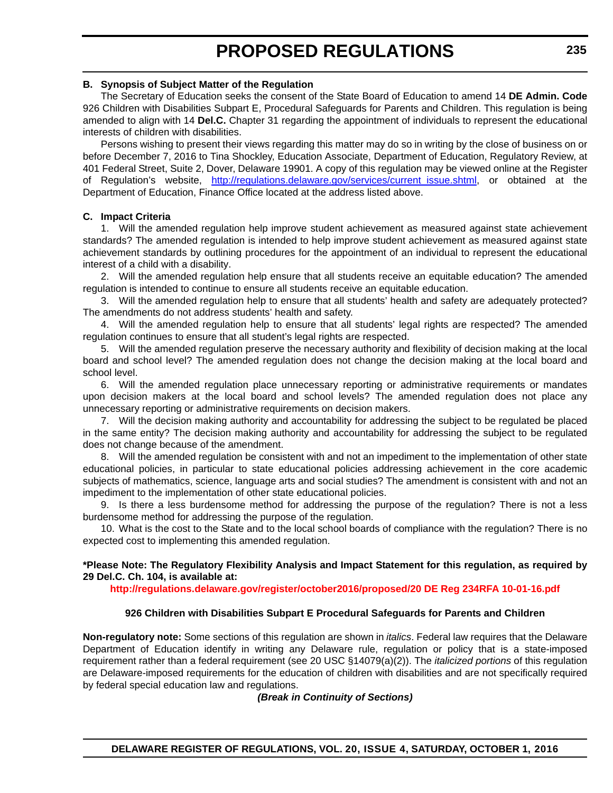#### **B. Synopsis of Subject Matter of the Regulation**

The Secretary of Education seeks the consent of the State Board of Education to amend 14 **DE Admin. Code** 926 Children with Disabilities Subpart E, Procedural Safeguards for Parents and Children. This regulation is being amended to align with 14 **Del.C.** Chapter 31 regarding the appointment of individuals to represent the educational interests of children with disabilities.

Persons wishing to present their views regarding this matter may do so in writing by the close of business on or before December 7, 2016 to Tina Shockley, Education Associate, Department of Education, Regulatory Review, at 401 Federal Street, Suite 2, Dover, Delaware 19901. A copy of this regulation may be viewed online at the Register of Regulation's website, [http://regulations.delaware.gov/services/current\\_issue.shtml](http://regulations.delaware.gov/services/current_issue.shtml), or obtained at the Department of Education, Finance Office located at the address listed above.

#### **C. Impact Criteria**

1. Will the amended regulation help improve student achievement as measured against state achievement standards? The amended regulation is intended to help improve student achievement as measured against state achievement standards by outlining procedures for the appointment of an individual to represent the educational interest of a child with a disability.

2. Will the amended regulation help ensure that all students receive an equitable education? The amended regulation is intended to continue to ensure all students receive an equitable education.

3. Will the amended regulation help to ensure that all students' health and safety are adequately protected? The amendments do not address students' health and safety.

4. Will the amended regulation help to ensure that all students' legal rights are respected? The amended regulation continues to ensure that all student's legal rights are respected.

5. Will the amended regulation preserve the necessary authority and flexibility of decision making at the local board and school level? The amended regulation does not change the decision making at the local board and school level.

6. Will the amended regulation place unnecessary reporting or administrative requirements or mandates upon decision makers at the local board and school levels? The amended regulation does not place any unnecessary reporting or administrative requirements on decision makers.

7. Will the decision making authority and accountability for addressing the subject to be regulated be placed in the same entity? The decision making authority and accountability for addressing the subject to be regulated does not change because of the amendment.

8. Will the amended regulation be consistent with and not an impediment to the implementation of other state educational policies, in particular to state educational policies addressing achievement in the core academic subjects of mathematics, science, language arts and social studies? The amendment is consistent with and not an impediment to the implementation of other state educational policies.

9. Is there a less burdensome method for addressing the purpose of the regulation? There is not a less burdensome method for addressing the purpose of the regulation.

10. What is the cost to the State and to the local school boards of compliance with the regulation? There is no expected cost to implementing this amended regulation.

#### **\*Please Note: The Regulatory Flexibility Analysis and Impact Statement for this regulation, as required by 29 Del.C. Ch. 104, is available at:**

**<http://regulations.delaware.gov/register/october2016/proposed/20 DE Reg 234RFA 10-01-16.pdf>**

#### **926 Children with Disabilities Subpart E Procedural Safeguards for Parents and Children**

**Non-regulatory note:** Some sections of this regulation are shown in *italics*. Federal law requires that the Delaware Department of Education identify in writing any Delaware rule, regulation or policy that is a state-imposed requirement rather than a federal requirement (see 20 USC §14079(a)(2)). The *italicized portions* of this regulation are Delaware-imposed requirements for the education of children with disabilities and are not specifically required by federal special education law and regulations.

*(Break in Continuity of Sections)*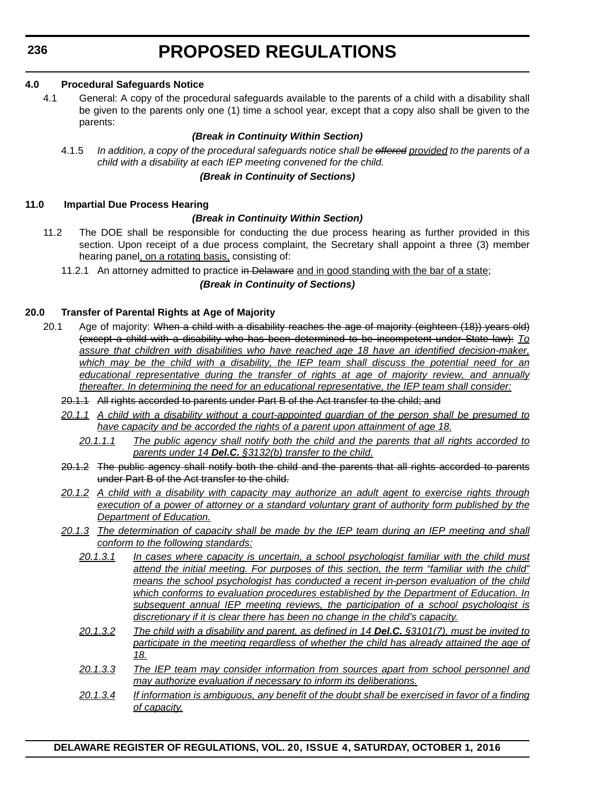**236**

# **PROPOSED REGULATIONS**

#### **4.0 Procedural Safeguards Notice**

4.1 General: A copy of the procedural safeguards available to the parents of a child with a disability shall be given to the parents only one (1) time a school year, except that a copy also shall be given to the parents:

#### *(Break in Continuity Within Section)*

4.1.5 *In addition, a copy of the procedural safeguards notice shall be offered provided to the parents of a child with a disability at each IEP meeting convened for the child.* 

#### *(Break in Continuity of Sections)*

#### **11.0 Impartial Due Process Hearing**

#### *(Break in Continuity Within Section)*

- 11.2 The DOE shall be responsible for conducting the due process hearing as further provided in this section. Upon receipt of a due process complaint, the Secretary shall appoint a three (3) member hearing panel, on a rotating basis, consisting of:
	- 11.2.1 An attorney admitted to practice in Delaware and in good standing with the bar of a state;

#### *(Break in Continuity of Sections)*

#### **20.0 Transfer of Parental Rights at Age of Majority**

- 20.1 Age of majority: When a child with a disability reaches the age of majority (eighteen (18)) years old) (except a child with a disability who has been determined to be incompetent under State law): *To assure that children with disabilities who have reached age 18 have an identified decision-maker, which may be the child with a disability, the IEP team shall discuss the potential need for an educational representative during the transfer of rights at age of majority review, and annually thereafter. In determining the need for an educational representative, the IEP team shall consider:*
	- 20.1.1 All rights accorded to parents under Part B of the Act transfer to the child; and
	- *20.1.1 A child with a disability without a court-appointed guardian of the person shall be presumed to have capacity and be accorded the rights of a parent upon attainment of age 18.*
		- *20.1.1.1 The public agency shall notify both the child and the parents that all rights accorded to parents under 14 Del.C. §3132(b) transfer to the child.*
	- 20.1.2 The public agency shall notify both the child and the parents that all rights accorded to parents under Part B of the Act transfer to the child.
	- *20.1.2 A child with a disability with capacity may authorize an adult agent to exercise rights through execution of a power of attorney or a standard voluntary grant of authority form published by the Department of Education.*
	- *20.1.3 The determination of capacity shall be made by the IEP team during an IEP meeting and shall conform to the following standards:*
		- *20.1.3.1 In cases where capacity is uncertain, a school psychologist familiar with the child must attend the initial meeting. For purposes of this section, the term "familiar with the child" means the school psychologist has conducted a recent in-person evaluation of the child which conforms to evaluation procedures established by the Department of Education. In subsequent annual IEP meeting reviews, the participation of a school psychologist is discretionary if it is clear there has been no change in the child's capacity.*
		- *20.1.3.2 The child with a disability and parent, as defined in 14 Del.C. §3101(7), must be invited to participate in the meeting regardless of whether the child has already attained the age of 18.*
		- *20.1.3.3 The IEP team may consider information from sources apart from school personnel and may authorize evaluation if necessary to inform its deliberations.*
		- *20.1.3.4 If information is ambiguous, any benefit of the doubt shall be exercised in favor of a finding of capacity.*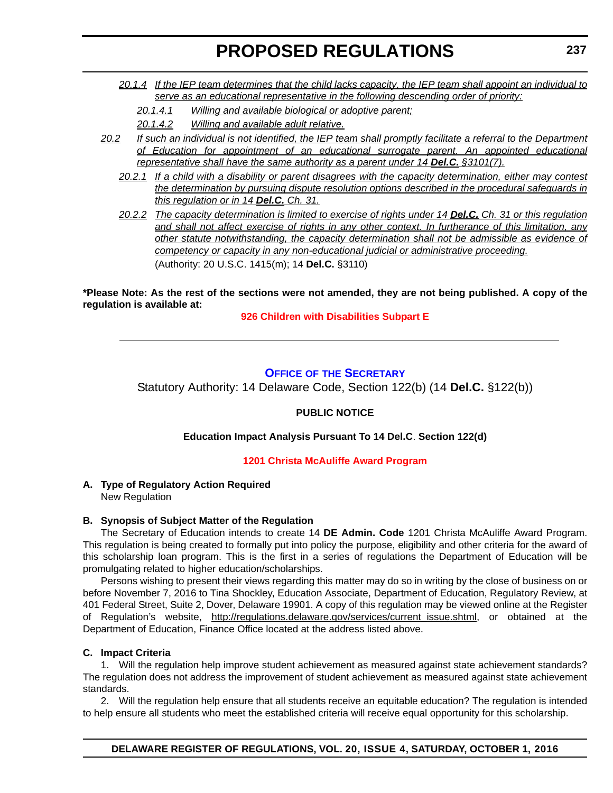- <span id="page-31-0"></span>*20.1.4 If the IEP team determines that the child lacks capacity, the IEP team shall appoint an individual to serve as an educational representative in the following descending order of priority:*
	- *20.1.4.1 Willing and available biological or adoptive parent;*
	- *20.1.4.2 Willing and available adult relative.*
- *20.2 If such an individual is not identified, the IEP team shall promptly facilitate a referral to the Department of Education for appointment of an educational surrogate parent. An appointed educational representative shall have the same authority as a parent under 14 Del.C.* §3101(7).
	- *20.2.1 If a child with a disability or parent disagrees with the capacity determination, either may contest the determination by pursuing dispute resolution options described in the procedural safeguards in this regulation or in 14 Del.C. Ch. 31.*

*20.2.2 The capacity determination is limited to exercise of rights under 14 Del.C. Ch. 31 or this regulation and shall not affect exercise of rights in any other context. In furtherance of this limitation, any other statute notwithstanding, the capacity determination shall not be admissible as evidence of competency or capacity in any non-educational judicial or administrative proceeding.* (Authority: 20 U.S.C. 1415(m); 14 **Del.C.** §3110)

**\*Please Note: As the rest of the sections were not amended, they are not being published. A copy of the regulation is available at:**

**[926 Children with Disabilities Subpart E](http://regulations.delaware.gov/register/october2016/proposed/20 DE Reg 234 10-01-16.htm)**

#### **OFFICE OF THE SECRETARY**

Statutory Authority: 14 Delaware Code, Section 122(b) (14 **Del.C.** §122(b))

#### **PUBLIC NOTICE**

**Education Impact Analysis Pursuant To 14 Del.C**. **Section 122(d)**

#### **[1201 Christa McAuliffe Award Program](#page-3-0)**

#### **A. Type of Regulatory Action Required** New Regulation

### **B. Synopsis of Subject Matter of the Regulation**

The Secretary of Education intends to create 14 **DE Admin. Code** 1201 Christa McAuliffe Award Program. This regulation is being created to formally put into policy the purpose, eligibility and other criteria for the award of this scholarship loan program. This is the first in a series of regulations the Department of Education will be promulgating related to higher education/scholarships.

Persons wishing to present their views regarding this matter may do so in writing by the close of business on or before November 7, 2016 to Tina Shockley, Education Associate, Department of Education, Regulatory Review, at 401 Federal Street, Suite 2, Dover, Delaware 19901. A copy of this regulation may be viewed online at the Register of Regulation's website, [http://regulations.delaware.gov/services/current\\_issue.shtml](http://regulations.delaware.gov/services/current_issue.shtml), or obtained at the Department of Education, Finance Office located at the address listed above.

#### **C. Impact Criteria**

1. Will the regulation help improve student achievement as measured against state achievement standards? The regulation does not address the improvement of student achievement as measured against state achievement standards.

2. Will the regulation help ensure that all students receive an equitable education? The regulation is intended to help ensure all students who meet the established criteria will receive equal opportunity for this scholarship.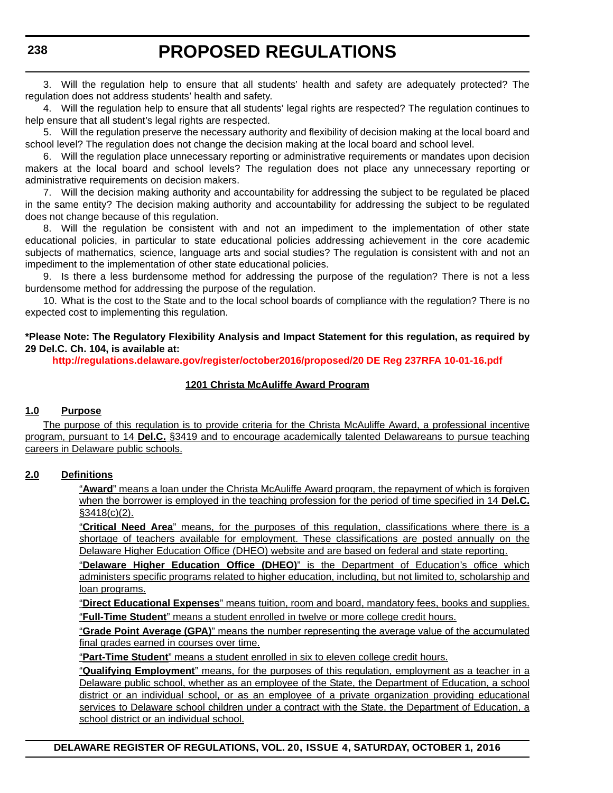3. Will the regulation help to ensure that all students' health and safety are adequately protected? The regulation does not address students' health and safety.

4. Will the regulation help to ensure that all students' legal rights are respected? The regulation continues to help ensure that all student's legal rights are respected.

5. Will the regulation preserve the necessary authority and flexibility of decision making at the local board and school level? The regulation does not change the decision making at the local board and school level.

6. Will the regulation place unnecessary reporting or administrative requirements or mandates upon decision makers at the local board and school levels? The regulation does not place any unnecessary reporting or administrative requirements on decision makers.

7. Will the decision making authority and accountability for addressing the subject to be regulated be placed in the same entity? The decision making authority and accountability for addressing the subject to be regulated does not change because of this regulation.

8. Will the regulation be consistent with and not an impediment to the implementation of other state educational policies, in particular to state educational policies addressing achievement in the core academic subjects of mathematics, science, language arts and social studies? The regulation is consistent with and not an impediment to the implementation of other state educational policies.

9. Is there a less burdensome method for addressing the purpose of the regulation? There is not a less burdensome method for addressing the purpose of the regulation.

10. What is the cost to the State and to the local school boards of compliance with the regulation? There is no expected cost to implementing this regulation.

#### **\*Please Note: The Regulatory Flexibility Analysis and Impact Statement for this regulation, as required by 29 Del.C. Ch. 104, is available at:**

**<http://regulations.delaware.gov/register/october2016/proposed/20 DE Reg 237RFA 10-01-16.pdf>**

#### **1201 Christa McAuliffe Award Program**

#### **1.0 Purpose**

The purpose of this regulation is to provide criteria for the Christa McAuliffe Award, a professional incentive program, pursuant to 14 **Del.C.** §3419 and to encourage academically talented Delawareans to pursue teaching careers in Delaware public schools.

#### **2.0 Definitions**

"**Award**" means a loan under the Christa McAuliffe Award program, the repayment of which is forgiven when the borrower is employed in the teaching profession for the period of time specified in 14 **Del.C.**  $$3418(c)(2)$ .

"**Critical Need Area**" means, for the purposes of this regulation, classifications where there is a shortage of teachers available for employment. These classifications are posted annually on the Delaware Higher Education Office (DHEO) website and are based on federal and state reporting.

"**Delaware Higher Education Office (DHEO)**" is the Department of Education's office which administers specific programs related to higher education, including, but not limited to, scholarship and loan programs.

"**Direct Educational Expenses**" means tuition, room and board, mandatory fees, books and supplies. "**Full-Time Student**" means a student enrolled in twelve or more college credit hours.

"**Grade Point Average (GPA)**" means the number representing the average value of the accumulated final grades earned in courses over time.

"**Part-Time Student**" means a student enrolled in six to eleven college credit hours.

"**Qualifying Employment**" means, for the purposes of this regulation, employment as a teacher in a Delaware public school, whether as an employee of the State, the Department of Education, a school district or an individual school, or as an employee of a private organization providing educational services to Delaware school children under a contract with the State, the Department of Education, a school district or an individual school.

**DELAWARE REGISTER OF REGULATIONS, VOL. 20, ISSUE 4, SATURDAY, OCTOBER 1, 2016**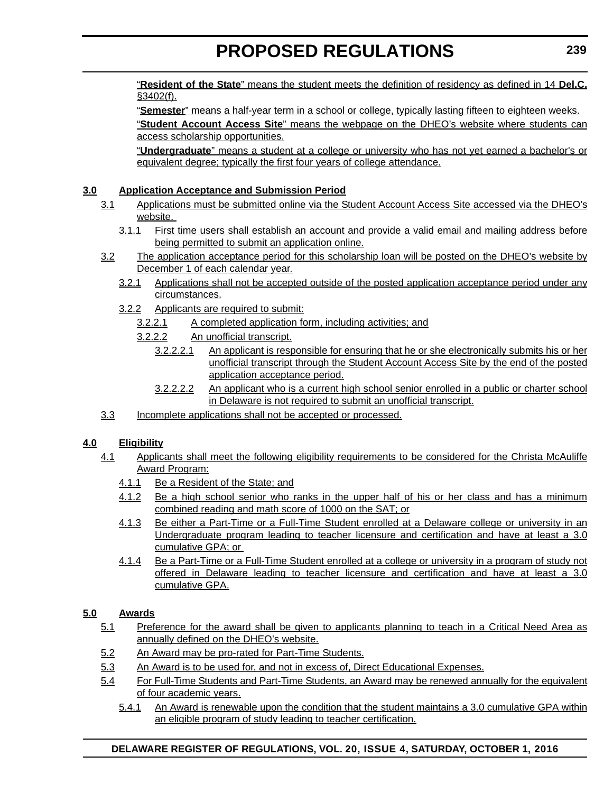"**Resident of the State**" means the student meets the definition of residency as defined in 14 **Del.C.** §3402(f).

"**Semester**" means a half-year term in a school or college, typically lasting fifteen to eighteen weeks. "**Student Account Access Site**" means the webpage on the DHEO's website where students can access scholarship opportunities.

"**Undergraduate**" means a student at a college or university who has not yet earned a bachelor's or equivalent degree; typically the first four years of college attendance.

#### **3.0 Application Acceptance and Submission Period**

- 3.1 Applications must be submitted online via the Student Account Access Site accessed via the DHEO's website.
	- 3.1.1 First time users shall establish an account and provide a valid email and mailing address before being permitted to submit an application online.
- 3.2 The application acceptance period for this scholarship loan will be posted on the DHEO's website by December 1 of each calendar year.
	- 3.2.1 Applications shall not be accepted outside of the posted application acceptance period under any circumstances.
	- 3.2.2 Applicants are required to submit:
		- 3.2.2.1 A completed application form, including activities; and
		- 3.2.2.2 An unofficial transcript.
			- 3.2.2.2.1 An applicant is responsible for ensuring that he or she electronically submits his or her unofficial transcript through the Student Account Access Site by the end of the posted application acceptance period.
			- 3.2.2.2.2 An applicant who is a current high school senior enrolled in a public or charter school in Delaware is not required to submit an unofficial transcript.
- 3.3 Incomplete applications shall not be accepted or processed.

### **4.0 Eligibility**

- 4.1 Applicants shall meet the following eligibility requirements to be considered for the Christa McAuliffe Award Program:
	- 4.1.1 Be a Resident of the State; and
	- 4.1.2 Be a high school senior who ranks in the upper half of his or her class and has a minimum combined reading and math score of 1000 on the SAT; or
	- 4.1.3 Be either a Part-Time or a Full-Time Student enrolled at a Delaware college or university in an Undergraduate program leading to teacher licensure and certification and have at least a 3.0 cumulative GPA; or
	- 4.1.4 Be a Part-Time or a Full-Time Student enrolled at a college or university in a program of study not offered in Delaware leading to teacher licensure and certification and have at least a 3.0 cumulative GPA.

#### **5.0 Awards**

- 5.1 Preference for the award shall be given to applicants planning to teach in a Critical Need Area as annually defined on the DHEO's website.
- 5.2 An Award may be pro-rated for Part-Time Students.
- 5.3 An Award is to be used for, and not in excess of, Direct Educational Expenses.
- 5.4 For Full-Time Students and Part-Time Students, an Award may be renewed annually for the equivalent of four academic years.
	- 5.4.1 An Award is renewable upon the condition that the student maintains a 3.0 cumulative GPA within an eligible program of study leading to teacher certification.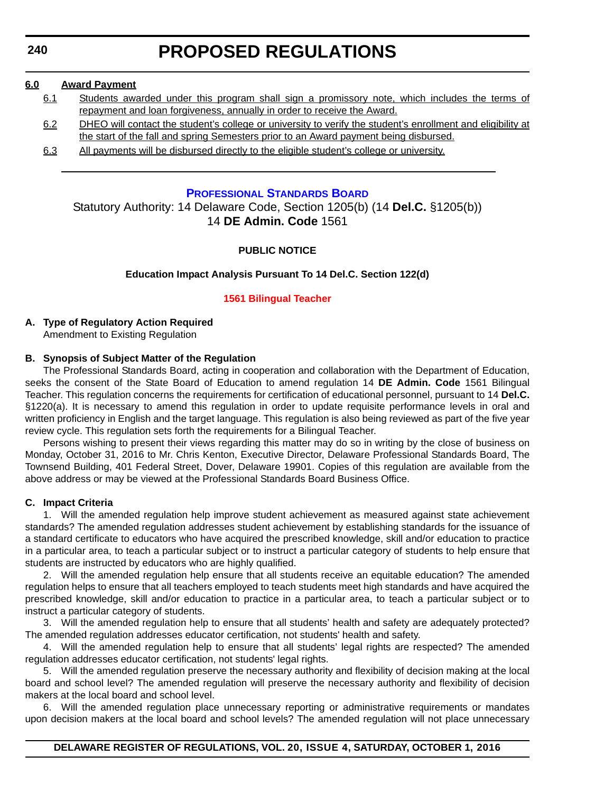<span id="page-34-0"></span>**240**

# **PROPOSED REGULATIONS**

#### **6.0 Award Payment**

- 6.1 Students awarded under this program shall sign a promissory note, which includes the terms of repayment and loan forgiveness, annually in order to receive the Award.
- 6.2 DHEO will contact the student's college or university to verify the student's enrollment and eligibility at the start of the fall and spring Semesters prior to an Award payment being disbursed.
- 6.3 All payments will be disbursed directly to the eligible student's college or university.

#### **PROFESSIONAL STANDARDS BOARD**

Statutory Authority: 14 Delaware Code, Section 1205(b) (14 **Del.C.** §1205(b)) 14 **DE Admin. Code** 1561

#### **PUBLIC NOTICE**

#### **Education Impact Analysis Pursuant To 14 Del.C. Section 122(d)**

#### **[1561 Bilingual Teacher](#page-3-0)**

#### **A. Type of Regulatory Action Required** Amendment to Existing Regulation

#### **B. Synopsis of Subject Matter of the Regulation**

The Professional Standards Board, acting in cooperation and collaboration with the Department of Education, seeks the consent of the State Board of Education to amend regulation 14 **DE Admin. Code** 1561 Bilingual Teacher. This regulation concerns the requirements for certification of educational personnel, pursuant to 14 **Del.C.** §1220(a). It is necessary to amend this regulation in order to update requisite performance levels in oral and written proficiency in English and the target language. This regulation is also being reviewed as part of the five year review cycle. This regulation sets forth the requirements for a Bilingual Teacher.

Persons wishing to present their views regarding this matter may do so in writing by the close of business on Monday, October 31, 2016 to Mr. Chris Kenton, Executive Director, Delaware Professional Standards Board, The Townsend Building, 401 Federal Street, Dover, Delaware 19901. Copies of this regulation are available from the above address or may be viewed at the Professional Standards Board Business Office.

#### **C. Impact Criteria**

1. Will the amended regulation help improve student achievement as measured against state achievement standards? The amended regulation addresses student achievement by establishing standards for the issuance of a standard certificate to educators who have acquired the prescribed knowledge, skill and/or education to practice in a particular area, to teach a particular subject or to instruct a particular category of students to help ensure that students are instructed by educators who are highly qualified.

2. Will the amended regulation help ensure that all students receive an equitable education? The amended regulation helps to ensure that all teachers employed to teach students meet high standards and have acquired the prescribed knowledge, skill and/or education to practice in a particular area, to teach a particular subject or to instruct a particular category of students.

3. Will the amended regulation help to ensure that all students' health and safety are adequately protected? The amended regulation addresses educator certification, not students' health and safety.

4. Will the amended regulation help to ensure that all students' legal rights are respected? The amended regulation addresses educator certification, not students' legal rights.

5. Will the amended regulation preserve the necessary authority and flexibility of decision making at the local board and school level? The amended regulation will preserve the necessary authority and flexibility of decision makers at the local board and school level.

6. Will the amended regulation place unnecessary reporting or administrative requirements or mandates upon decision makers at the local board and school levels? The amended regulation will not place unnecessary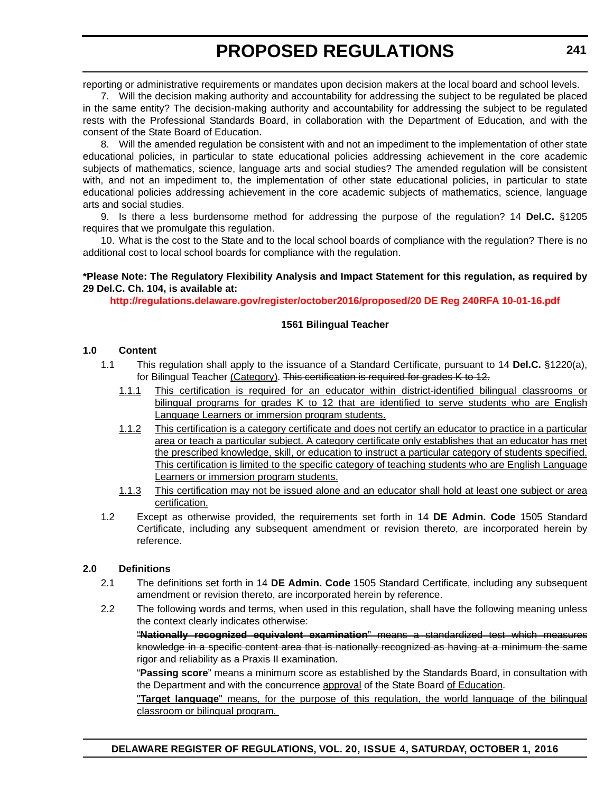reporting or administrative requirements or mandates upon decision makers at the local board and school levels.

7. Will the decision making authority and accountability for addressing the subject to be regulated be placed in the same entity? The decision-making authority and accountability for addressing the subject to be regulated rests with the Professional Standards Board, in collaboration with the Department of Education, and with the consent of the State Board of Education.

8. Will the amended regulation be consistent with and not an impediment to the implementation of other state educational policies, in particular to state educational policies addressing achievement in the core academic subjects of mathematics, science, language arts and social studies? The amended regulation will be consistent with, and not an impediment to, the implementation of other state educational policies, in particular to state educational policies addressing achievement in the core academic subjects of mathematics, science, language arts and social studies.

9. Is there a less burdensome method for addressing the purpose of the regulation? 14 **Del.C.** §1205 requires that we promulgate this regulation.

10. What is the cost to the State and to the local school boards of compliance with the regulation? There is no additional cost to local school boards for compliance with the regulation.

#### **\*Please Note: The Regulatory Flexibility Analysis and Impact Statement for this regulation, as required by 29 Del.C. Ch. 104, is available at:**

**<http://regulations.delaware.gov/register/october2016/proposed/20 DE Reg 240RFA 10-01-16.pdf>**

#### **1561 Bilingual Teacher**

#### **1.0 Content**

- 1.1 This regulation shall apply to the issuance of a Standard Certificate, pursuant to 14 **Del.C.** §1220(a), for Bilingual Teacher (Category). This certification is required for grades K to 12.
	- 1.1.1 This certification is required for an educator within district-identified bilingual classrooms or bilingual programs for grades K to 12 that are identified to serve students who are English Language Learners or immersion program students.
	- 1.1.2 This certification is a category certificate and does not certify an educator to practice in a particular area or teach a particular subject. A category certificate only establishes that an educator has met the prescribed knowledge, skill, or education to instruct a particular category of students specified. This certification is limited to the specific category of teaching students who are English Language Learners or immersion program students.
	- 1.1.3 This certification may not be issued alone and an educator shall hold at least one subject or area certification.
- 1.2 Except as otherwise provided, the requirements set forth in 14 **DE Admin. Code** 1505 Standard Certificate, including any subsequent amendment or revision thereto, are incorporated herein by reference.

#### **2.0 Definitions**

- 2.1 The definitions set forth in 14 **DE Admin. Code** 1505 Standard Certificate, including any subsequent amendment or revision thereto, are incorporated herein by reference.
- 2.2 The following words and terms, when used in this regulation, shall have the following meaning unless the context clearly indicates otherwise: "**Nationally recognized equivalent examination**" means a standardized test which measures

knowledge in a specific content area that is nationally recognized as having at a minimum the same rigor and reliability as a Praxis II examination.

"**Passing score**" means a minimum score as established by the Standards Board, in consultation with the Department and with the concurrence approval of the State Board of Education.

"**Target language**" means, for the purpose of this regulation, the world language of the bilingual classroom or bilingual program.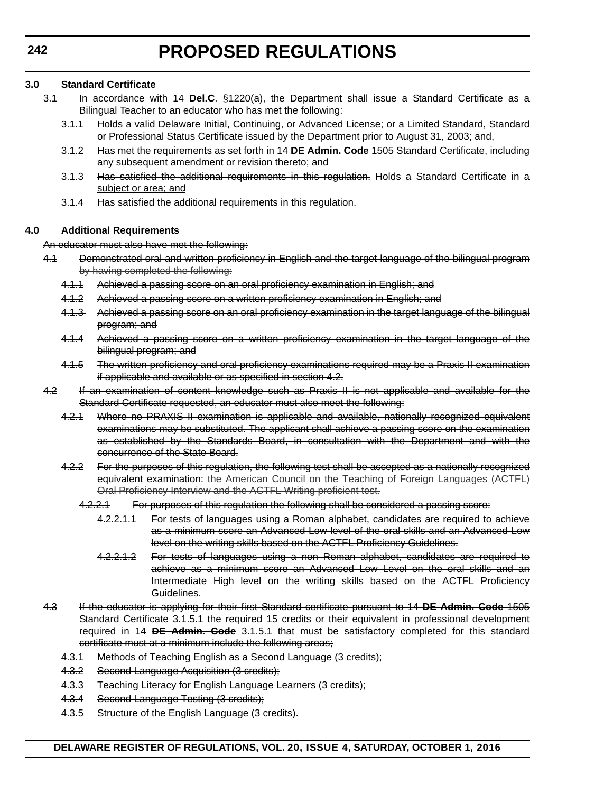## **3.0 Standard Certificate**

- 3.1 In accordance with 14 **Del.C**. §1220(a), the Department shall issue a Standard Certificate as a Bilingual Teacher to an educator who has met the following:
	- 3.1.1 Holds a valid Delaware Initial, Continuing, or Advanced License; or a Limited Standard, Standard or Professional Status Certificate issued by the Department prior to August 31, 2003; and,
	- 3.1.2 Has met the requirements as set forth in 14 **DE Admin. Code** 1505 Standard Certificate, including any subsequent amendment or revision thereto; and
	- 3.1.3 Has satisfied the additional requirements in this regulation. Holds a Standard Certificate in a subject or area; and
	- 3.1.4 Has satisfied the additional requirements in this regulation.

# **4.0 Additional Requirements**

### An educator must also have met the following:

- 4.1 Demonstrated oral and written proficiency in English and the target language of the bilingual program by having completed the following:
	- 4.1.1 Achieved a passing score on an oral proficiency examination in English; and
	- 4.1.2 Achieved a passing score on a written proficiency examination in English; and
	- 4.1.3 Achieved a passing score on an oral proficiency examination in the target language of the bilingual program; and
	- 4.1.4 Achieved a passing score on a written proficiency examination in the target language of the bilingual program; and
	- 4.1.5 The written proficiency and oral proficiency examinations required may be a Praxis II examination if applicable and available or as specified in section 4.2.
- 4.2 If an examination of content knowledge such as Praxis II is not applicable and available for the Standard Certificate requested, an educator must also meet the following:
	- 4.2.1 Where no PRAXIS II examination is applicable and available, nationally recognized equivalent examinations may be substituted. The applicant shall achieve a passing score on the examination as established by the Standards Board, in consultation with the Department and with the concurrence of the State Board.
	- 4.2.2 For the purposes of this regulation, the following test shall be accepted as a nationally recognized equivalent examination: the American Council on the Teaching of Foreign Languages (ACTFL) Oral Proficiency Interview and the ACTFL Writing proficient test.
		- 4.2.2.1 For purposes of this regulation the following shall be considered a passing score:
			- 4.2.2.1.1 For tests of languages using a Roman alphabet, candidates are required to achieve as a minimum score an Advanced Low level of the oral skills and an Advanced Low level on the writing skills based on the ACTFL Proficiency Guidelines.
			- 4.2.2.1.2 For tests of languages using a non Roman alphabet, candidates are required to achieve as a minimum score an Advanced Low Level on the oral skills and an Intermediate High level on the writing skills based on the ACTFL Proficiency Guidelines.
- 4.3 If the educator is applying for their first Standard certificate pursuant to 14 **DE Admin. Code** 1505 Standard Certificate 3.1.5.1 the required 15 credits or their equivalent in professional development required in 14 **DE Admin. Code** 3.1.5.1 that must be satisfactory completed for this standard certificate must at a minimum include the following areas;
	- 4.3.1 Methods of Teaching English as a Second Language (3 credits);
	- 4.3.2 Second Language Acquisition (3 credits);
	- 4.3.3 Teaching Literacy for English Language Learners (3 credits);
	- 4.3.4 Second Language Testing (3 credits);
	- 4.3.5 Structure of the English Language (3 credits).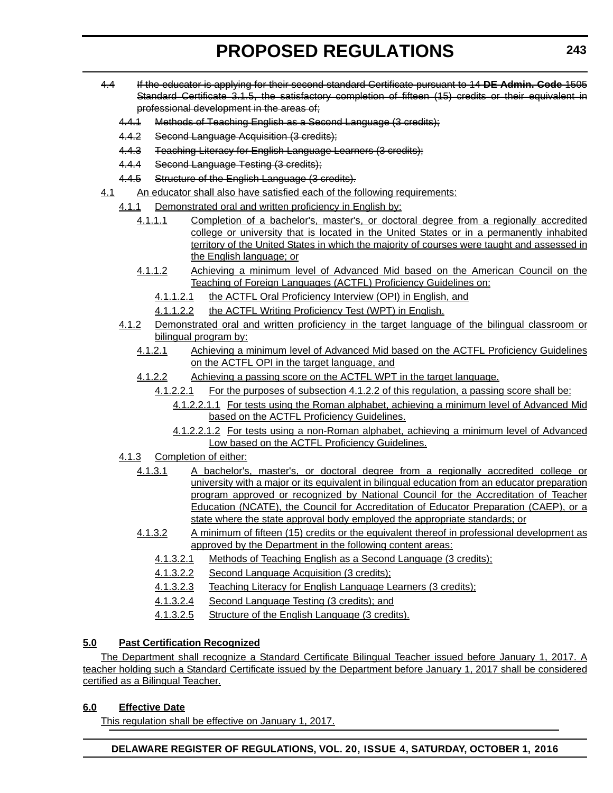- 4.4 If the educator is applying for their second standard Certificate pursuant to 14 **DE Admin. Code** 1505 Standard Certificate 3.1.5, the satisfactory completion of fifteen (15) credits or their equivalent in professional development in the areas of;
	- 4.4.1 Methods of Teaching English as a Second Language (3 credits);
	- 4.4.2 Second Language Acquisition (3 credits);
	- 4.4.3 Teaching Literacy for English Language Learners (3 credits):
	- 4.4.4 Second Language Testing (3 credits);
	- 4.4.5 Structure of the English Language (3 credits).
- 4.1 An educator shall also have satisfied each of the following requirements:
	- 4.1.1 Demonstrated oral and written proficiency in English by:
		- 4.1.1.1 Completion of a bachelor's, master's, or doctoral degree from a regionally accredited college or university that is located in the United States or in a permanently inhabited territory of the United States in which the majority of courses were taught and assessed in the English language; or
		- 4.1.1.2 Achieving a minimum level of Advanced Mid based on the American Council on the Teaching of Foreign Languages (ACTFL) Proficiency Guidelines on:
			- 4.1.1.2.1 the ACTFL Oral Proficiency Interview (OPI) in English, and
			- 4.1.1.2.2 the ACTFL Writing Proficiency Test (WPT) in English.
	- 4.1.2 Demonstrated oral and written proficiency in the target language of the bilingual classroom or bilingual program by:
		- 4.1.2.1 Achieving a minimum level of Advanced Mid based on the ACTFL Proficiency Guidelines on the ACTFL OPI in the target language, and
		- 4.1.2.2 Achieving a passing score on the ACTFL WPT in the target language.
			- 4.1.2.2.1 For the purposes of subsection 4.1.2.2 of this regulation, a passing score shall be:
				- 4.1.2.2.1.1 For tests using the Roman alphabet, achieving a minimum level of Advanced Mid based on the ACTFL Proficiency Guidelines.
				- 4.1.2.2.1.2 For tests using a non-Roman alphabet, achieving a minimum level of Advanced Low based on the ACTFL Proficiency Guidelines.
	- 4.1.3 Completion of either:
		- 4.1.3.1 A bachelor's, master's, or doctoral degree from a regionally accredited college or university with a major or its equivalent in bilingual education from an educator preparation program approved or recognized by National Council for the Accreditation of Teacher Education (NCATE), the Council for Accreditation of Educator Preparation (CAEP), or a state where the state approval body employed the appropriate standards; or
		- 4.1.3.2 A minimum of fifteen (15) credits or the equivalent thereof in professional development as approved by the Department in the following content areas:
			- 4.1.3.2.1 Methods of Teaching English as a Second Language (3 credits);
			- 4.1.3.2.2 Second Language Acquisition (3 credits);
			- 4.1.3.2.3 Teaching Literacy for English Language Learners (3 credits);
			- 4.1.3.2.4 Second Language Testing (3 credits); and
			- 4.1.3.2.5 Structure of the English Language (3 credits).

# **5.0 Past Certification Recognized**

The Department shall recognize a Standard Certificate Bilingual Teacher issued before January 1, 2017. A teacher holding such a Standard Certificate issued by the Department before January 1, 2017 shall be considered certified as a Bilingual Teacher.

# **6.0 Effective Date**

This regulation shall be effective on January 1, 2017.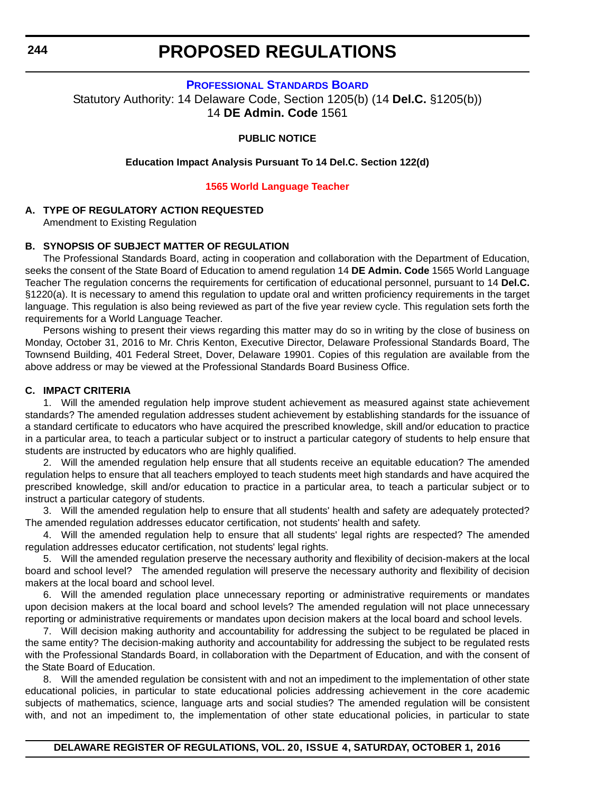**PROFESSIONAL STANDARDS BOARD**

Statutory Authority: 14 Delaware Code, Section 1205(b) (14 **Del.C.** §1205(b)) 14 **DE Admin. Code** 1561

**PUBLIC NOTICE**

**Education Impact Analysis Pursuant To 14 Del.C. Section 122(d)**

**[1565 World Language Teacher](#page-3-0)**

### **A. TYPE OF REGULATORY ACTION REQUESTED**

Amendment to Existing Regulation

#### **B. SYNOPSIS OF SUBJECT MATTER OF REGULATION**

The Professional Standards Board, acting in cooperation and collaboration with the Department of Education, seeks the consent of the State Board of Education to amend regulation 14 **DE Admin. Code** 1565 World Language Teacher The regulation concerns the requirements for certification of educational personnel, pursuant to 14 **Del.C.** §1220(a). It is necessary to amend this regulation to update oral and written proficiency requirements in the target language. This regulation is also being reviewed as part of the five year review cycle. This regulation sets forth the requirements for a World Language Teacher.

Persons wishing to present their views regarding this matter may do so in writing by the close of business on Monday, October 31, 2016 to Mr. Chris Kenton, Executive Director, Delaware Professional Standards Board, The Townsend Building, 401 Federal Street, Dover, Delaware 19901. Copies of this regulation are available from the above address or may be viewed at the Professional Standards Board Business Office.

### **C. IMPACT CRITERIA**

1. Will the amended regulation help improve student achievement as measured against state achievement standards? The amended regulation addresses student achievement by establishing standards for the issuance of a standard certificate to educators who have acquired the prescribed knowledge, skill and/or education to practice in a particular area, to teach a particular subject or to instruct a particular category of students to help ensure that students are instructed by educators who are highly qualified.

2. Will the amended regulation help ensure that all students receive an equitable education? The amended regulation helps to ensure that all teachers employed to teach students meet high standards and have acquired the prescribed knowledge, skill and/or education to practice in a particular area, to teach a particular subject or to instruct a particular category of students.

3. Will the amended regulation help to ensure that all students' health and safety are adequately protected? The amended regulation addresses educator certification, not students' health and safety.

4. Will the amended regulation help to ensure that all students' legal rights are respected? The amended regulation addresses educator certification, not students' legal rights.

5. Will the amended regulation preserve the necessary authority and flexibility of decision-makers at the local board and school level? The amended regulation will preserve the necessary authority and flexibility of decision makers at the local board and school level.

6. Will the amended regulation place unnecessary reporting or administrative requirements or mandates upon decision makers at the local board and school levels? The amended regulation will not place unnecessary reporting or administrative requirements or mandates upon decision makers at the local board and school levels.

7. Will decision making authority and accountability for addressing the subject to be regulated be placed in the same entity? The decision-making authority and accountability for addressing the subject to be regulated rests with the Professional Standards Board, in collaboration with the Department of Education, and with the consent of the State Board of Education.

8. Will the amended regulation be consistent with and not an impediment to the implementation of other state educational policies, in particular to state educational policies addressing achievement in the core academic subjects of mathematics, science, language arts and social studies? The amended regulation will be consistent with, and not an impediment to, the implementation of other state educational policies, in particular to state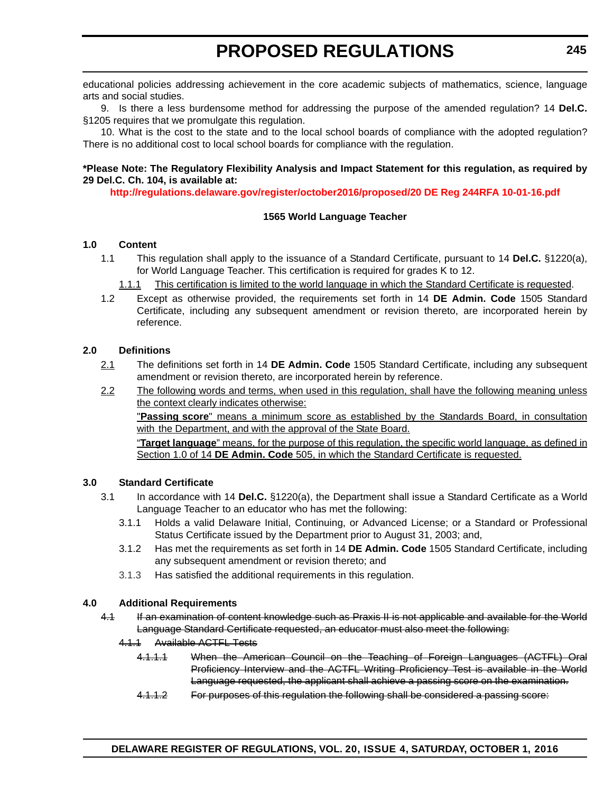educational policies addressing achievement in the core academic subjects of mathematics, science, language arts and social studies.

9. Is there a less burdensome method for addressing the purpose of the amended regulation? 14 **Del.C.** §1205 requires that we promulgate this regulation.

10. What is the cost to the state and to the local school boards of compliance with the adopted regulation? There is no additional cost to local school boards for compliance with the regulation.

### **\*Please Note: The Regulatory Flexibility Analysis and Impact Statement for this regulation, as required by 29 Del.C. Ch. 104, is available at:**

**<http://regulations.delaware.gov/register/october2016/proposed/20 DE Reg 244RFA 10-01-16.pdf>**

### **1565 World Language Teacher**

### **1.0 Content**

- 1.1 This regulation shall apply to the issuance of a Standard Certificate, pursuant to 14 **Del.C.** §1220(a), for World Language Teacher. This certification is required for grades K to 12.
	- 1.1.1 This certification is limited to the world language in which the Standard Certificate is requested.
- 1.2 Except as otherwise provided, the requirements set forth in 14 **DE Admin. Code** 1505 Standard Certificate, including any subsequent amendment or revision thereto, are incorporated herein by reference.

#### **2.0 Definitions**

- 2.1 The definitions set forth in 14 **DE Admin. Code** 1505 Standard Certificate, including any subsequent amendment or revision thereto, are incorporated herein by reference.
- 2.2 The following words and terms, when used in this regulation, shall have the following meaning unless the context clearly indicates otherwise:

"**Passing score**" means a minimum score as established by the Standards Board, in consultation with the Department, and with the approval of the State Board.

"**Target language**" means, for the purpose of this regulation, the specific world language, as defined in Section 1.0 of 14 **DE Admin. Code** 505, in which the Standard Certificate is requested.

#### **3.0 Standard Certificate**

- 3.1 In accordance with 14 **Del.C.** §1220(a), the Department shall issue a Standard Certificate as a World Language Teacher to an educator who has met the following:
	- 3.1.1 Holds a valid Delaware Initial, Continuing, or Advanced License; or a Standard or Professional Status Certificate issued by the Department prior to August 31, 2003; and,
	- 3.1.2 Has met the requirements as set forth in 14 **DE Admin. Code** 1505 Standard Certificate, including any subsequent amendment or revision thereto; and
	- 3.1.3 Has satisfied the additional requirements in this regulation.

### **4.0 Additional Requirements**

- 4.1 If an examination of content knowledge such as Praxis II is not applicable and available for the World Language Standard Certificate requested, an educator must also meet the following:
	- 4.1.1 Available ACTFL Tests
		- 4.1.1.1 When the American Council on the Teaching of Foreign Languages (ACTFL) Oral Proficiency Interview and the ACTFL Writing Proficiency Test is available in the World Language requested, the applicant shall achieve a passing score on the examination.
		- 4.1.1.2 For purposes of this regulation the following shall be considered a passing score: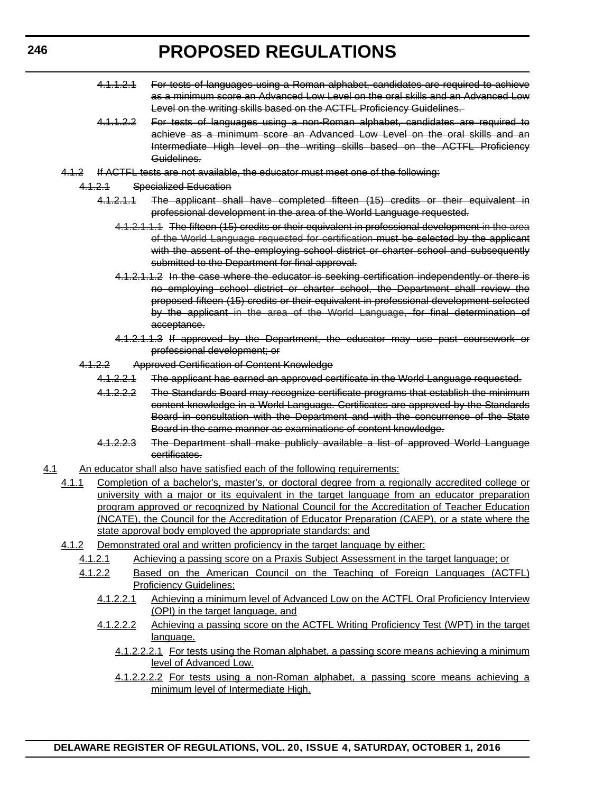- 4.1.1.2.1 For tests of languages using a Roman alphabet, candidates are required to achieve as a minimum score an Advanced Low Level on the oral skills and an Advanced Low Level on the writing skills based on the ACTFL Proficiency Guidelines.
- 4.1.1.2.2 For tests of languages using a non-Roman alphabet, candidates are required to achieve as a minimum score an Advanced Low Level on the oral skills and an Intermediate High level on the writing skills based on the ACTFL Proficiency Guidelines.
- 4.1.2 If ACTFL tests are not available, the educator must meet one of the following:
	- 4.1.2.1 Specialized Education
		- 4.1.2.1.1 The applicant shall have completed fifteen (15) credits or their equivalent in professional development in the area of the World Language requested.
			- 4.1.2.1.1.1 The fifteen (15) credits or their equivalent in professional development in the area of the World Language requested for certification must be selected by the applicant with the assent of the employing school district or charter school and subsequently submitted to the Department for final approval.
			- 4.1.2.1.1.2 In the case where the educator is seeking certification independently or there is no employing school district or charter school, the Department shall review the proposed fifteen (15) credits or their equivalent in professional development selected by the applicant in the area of the World Language, for final determination of acceptance.
			- 4.1.2.1.1.3 If approved by the Department, the educator may use past coursework or professional development; or
	- 4.1.2.2 Approved Certification of Content Knowledge
		- 4.1.2.2.1 The applicant has earned an approved certificate in the World Language requested.
		- 4.1.2.2.2 The Standards Board may recognize certificate programs that establish the minimum content knowledge in a World Language. Certificates are approved by the Standards Board in consultation with the Department and with the concurrence of the State Board in the same manner as examinations of content knowledge.
		- 4.1.2.2.3 The Department shall make publicly available a list of approved World Language certificates.
- 4.1 An educator shall also have satisfied each of the following requirements:
	- 4.1.1 Completion of a bachelor's, master's, or doctoral degree from a regionally accredited college or university with a major or its equivalent in the target language from an educator preparation program approved or recognized by National Council for the Accreditation of Teacher Education (NCATE), the Council for the Accreditation of Educator Preparation (CAEP), or a state where the state approval body employed the appropriate standards; and
	- 4.1.2 Demonstrated oral and written proficiency in the target language by either:
		- 4.1.2.1 Achieving a passing score on a Praxis Subject Assessment in the target language; or
		- 4.1.2.2 Based on the American Council on the Teaching of Foreign Languages (ACTFL) **Proficiency Guidelines:** 
			- 4.1.2.2.1 Achieving a minimum level of Advanced Low on the ACTFL Oral Proficiency Interview (OPI) in the target language, and
			- 4.1.2.2.2 Achieving a passing score on the ACTFL Writing Proficiency Test (WPT) in the target language.
				- 4.1.2.2.2.1 For tests using the Roman alphabet, a passing score means achieving a minimum level of Advanced Low.
				- 4.1.2.2.2.2 For tests using a non-Roman alphabet, a passing score means achieving a minimum level of Intermediate High.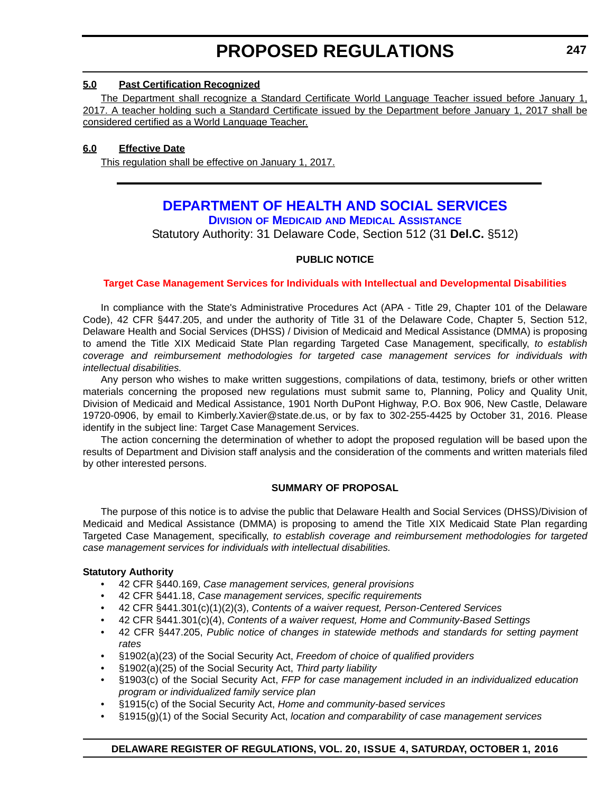### **5.0 Past Certification Recognized**

The Department shall recognize a Standard Certificate World Language Teacher issued before January 1, 2017. A teacher holding such a Standard Certificate issued by the Department before January 1, 2017 shall be considered certified as a World Language Teacher.

# **6.0 Effective Date**

This regulation shall be effective on January 1, 2017.

# **DEPARTMENT OF HEALTH AND SOCIAL SERVICES**

**DIVISION OF MEDICAID AND MEDICAL ASSISTANCE**

Statutory Authority: 31 Delaware Code, Section 512 (31 **Del.C.** §512)

# **PUBLIC NOTICE**

### **[Target Case Management Services for Individuals with Intellectual and Developmental Disabilities](#page-3-0)**

In compliance with the State's Administrative Procedures Act (APA - Title 29, Chapter 101 of the Delaware Code), 42 CFR §447.205, and under the authority of Title 31 of the Delaware Code, Chapter 5, Section 512, Delaware Health and Social Services (DHSS) / Division of Medicaid and Medical Assistance (DMMA) is proposing to amend the Title XIX Medicaid State Plan regarding Targeted Case Management, specifically, *to establish coverage and reimbursement methodologies for targeted case management services for individuals with intellectual disabilities.*

Any person who wishes to make written suggestions, compilations of data, testimony, briefs or other written materials concerning the proposed new regulations must submit same to, Planning, Policy and Quality Unit, Division of Medicaid and Medical Assistance, 1901 North DuPont Highway, P.O. Box 906, New Castle, Delaware 19720-0906, by email to Kimberly.Xavier@state.de.us, or by fax to 302-255-4425 by October 31, 2016. Please identify in the subject line: Target Case Management Services.

The action concerning the determination of whether to adopt the proposed regulation will be based upon the results of Department and Division staff analysis and the consideration of the comments and written materials filed by other interested persons.

# **SUMMARY OF PROPOSAL**

The purpose of this notice is to advise the public that Delaware Health and Social Services (DHSS)/Division of Medicaid and Medical Assistance (DMMA) is proposing to amend the Title XIX Medicaid State Plan regarding Targeted Case Management, specifically, *to establish coverage and reimbursement methodologies for targeted case management services for individuals with intellectual disabilities.*

### **Statutory Authority**

- 42 CFR §440.169, *Case management services, general provisions*
- 42 CFR §441.18, *Case management services, specific requirements*
- 42 CFR §441.301(c)(1)(2)(3), *Contents of a waiver request, Person-Centered Services*
- 42 CFR §441.301(c)(4), *Contents of a waiver request, Home and Community-Based Settings*
- 42 CFR §447.205, *Public notice of changes in statewide methods and standards for setting payment rates*
- §1902(a)(23) of the Social Security Act, *Freedom of choice of qualified providers*
- §1902(a)(25) of the Social Security Act, *Third party liability*
- §1903(c) of the Social Security Act, *FFP for case management included in an individualized education program or individualized family service plan*
- §1915(c) of the Social Security Act, *Home and community-based services*
- §1915(g)(1) of the Social Security Act, *location and comparability of case management services*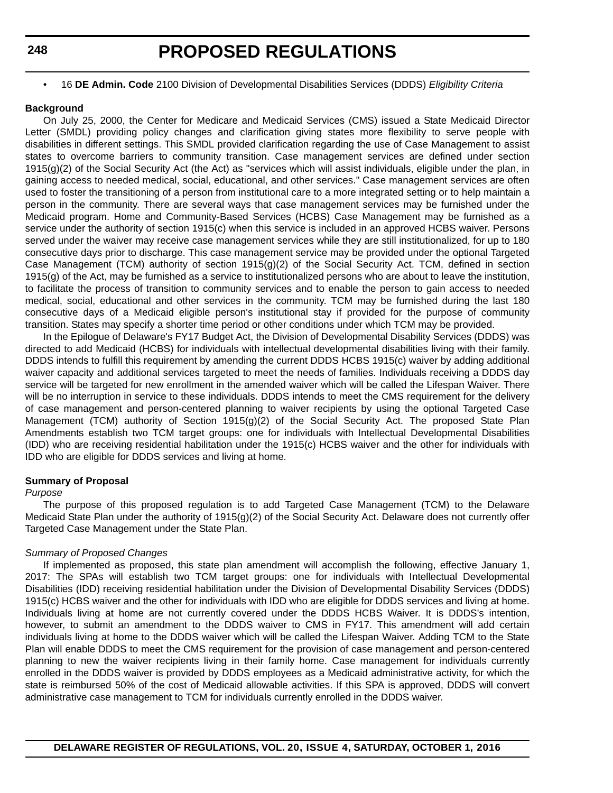### **248**

# **PROPOSED REGULATIONS**

• 16 **DE Admin. Code** 2100 Division of Developmental Disabilities Services (DDDS) *Eligibility Criteria*

#### **Background**

On July 25, 2000, the Center for Medicare and Medicaid Services (CMS) issued a State Medicaid Director Letter (SMDL) providing policy changes and clarification giving states more flexibility to serve people with disabilities in different settings. This SMDL provided clarification regarding the use of Case Management to assist states to overcome barriers to community transition. Case management services are defined under section 1915(g)(2) of the Social Security Act (the Act) as "services which will assist individuals, eligible under the plan, in gaining access to needed medical, social, educational, and other services." Case management services are often used to foster the transitioning of a person from institutional care to a more integrated setting or to help maintain a person in the community. There are several ways that case management services may be furnished under the Medicaid program. Home and Community-Based Services (HCBS) Case Management may be furnished as a service under the authority of section 1915(c) when this service is included in an approved HCBS waiver. Persons served under the waiver may receive case management services while they are still institutionalized, for up to 180 consecutive days prior to discharge. This case management service may be provided under the optional Targeted Case Management (TCM) authority of section 1915(g)(2) of the Social Security Act. TCM, defined in section 1915(g) of the Act, may be furnished as a service to institutionalized persons who are about to leave the institution, to facilitate the process of transition to community services and to enable the person to gain access to needed medical, social, educational and other services in the community. TCM may be furnished during the last 180 consecutive days of a Medicaid eligible person's institutional stay if provided for the purpose of community transition. States may specify a shorter time period or other conditions under which TCM may be provided.

In the Epilogue of Delaware's FY17 Budget Act, the Division of Developmental Disability Services (DDDS) was directed to add Medicaid (HCBS) for individuals with intellectual developmental disabilities living with their family. DDDS intends to fulfill this requirement by amending the current DDDS HCBS 1915(c) waiver by adding additional waiver capacity and additional services targeted to meet the needs of families. Individuals receiving a DDDS day service will be targeted for new enrollment in the amended waiver which will be called the Lifespan Waiver. There will be no interruption in service to these individuals. DDDS intends to meet the CMS requirement for the delivery of case management and person-centered planning to waiver recipients by using the optional Targeted Case Management (TCM) authority of Section 1915(g)(2) of the Social Security Act. The proposed State Plan Amendments establish two TCM target groups: one for individuals with Intellectual Developmental Disabilities (IDD) who are receiving residential habilitation under the 1915(c) HCBS waiver and the other for individuals with IDD who are eligible for DDDS services and living at home.

#### **Summary of Proposal**

#### *Purpose*

The purpose of this proposed regulation is to add Targeted Case Management (TCM) to the Delaware Medicaid State Plan under the authority of 1915(g)(2) of the Social Security Act. Delaware does not currently offer Targeted Case Management under the State Plan.

#### *Summary of Proposed Changes*

If implemented as proposed, this state plan amendment will accomplish the following, effective January 1, 2017: The SPAs will establish two TCM target groups: one for individuals with Intellectual Developmental Disabilities (IDD) receiving residential habilitation under the Division of Developmental Disability Services (DDDS) 1915(c) HCBS waiver and the other for individuals with IDD who are eligible for DDDS services and living at home. Individuals living at home are not currently covered under the DDDS HCBS Waiver. It is DDDS's intention, however, to submit an amendment to the DDDS waiver to CMS in FY17. This amendment will add certain individuals living at home to the DDDS waiver which will be called the Lifespan Waiver. Adding TCM to the State Plan will enable DDDS to meet the CMS requirement for the provision of case management and person-centered planning to new the waiver recipients living in their family home. Case management for individuals currently enrolled in the DDDS waiver is provided by DDDS employees as a Medicaid administrative activity, for which the state is reimbursed 50% of the cost of Medicaid allowable activities. If this SPA is approved, DDDS will convert administrative case management to TCM for individuals currently enrolled in the DDDS waiver.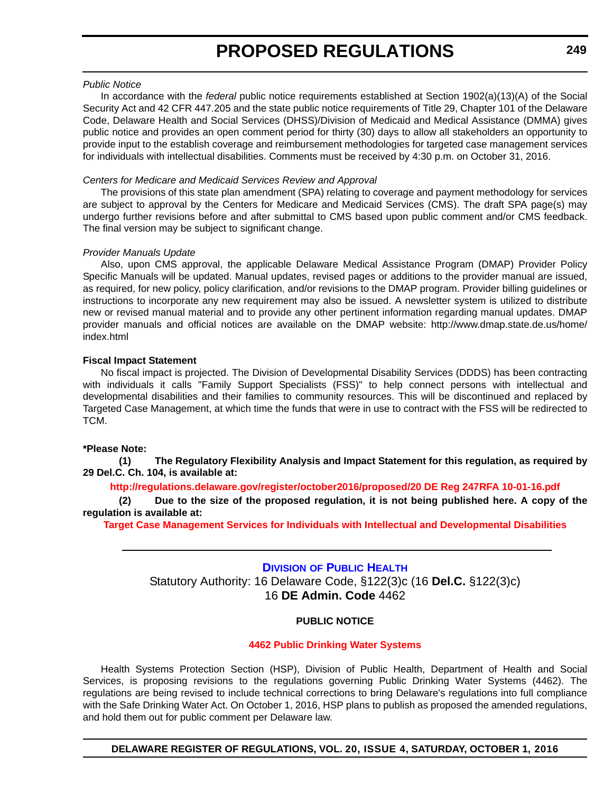### *Public Notice*

In accordance with the *federal* public notice requirements established at Section 1902(a)(13)(A) of the Social Security Act and 42 CFR 447.205 and the state public notice requirements of Title 29, Chapter 101 of the Delaware Code, Delaware Health and Social Services (DHSS)/Division of Medicaid and Medical Assistance (DMMA) gives public notice and provides an open comment period for thirty (30) days to allow all stakeholders an opportunity to provide input to the establish coverage and reimbursement methodologies for targeted case management services for individuals with intellectual disabilities. Comments must be received by 4:30 p.m. on October 31, 2016.

### *Centers for Medicare and Medicaid Services Review and Approval*

The provisions of this state plan amendment (SPA) relating to coverage and payment methodology for services are subject to approval by the Centers for Medicare and Medicaid Services (CMS). The draft SPA page(s) may undergo further revisions before and after submittal to CMS based upon public comment and/or CMS feedback. The final version may be subject to significant change.

### *Provider Manuals Update*

Also, upon CMS approval, the applicable Delaware Medical Assistance Program (DMAP) Provider Policy Specific Manuals will be updated. Manual updates, revised pages or additions to the provider manual are issued, as required, for new policy, policy clarification, and/or revisions to the DMAP program. Provider billing guidelines or instructions to incorporate any new requirement may also be issued. A newsletter system is utilized to distribute new or revised manual material and to provide any other pertinent information regarding manual updates. DMAP provider manuals and official notices are available on the DMAP website: http://www.dmap.state.de.us/home/ index.html

### **Fiscal Impact Statement**

No fiscal impact is projected. The Division of Developmental Disability Services (DDDS) has been contracting with individuals it calls "Family Support Specialists (FSS)" to help connect persons with intellectual and developmental disabilities and their families to community resources. This will be discontinued and replaced by Targeted Case Management, at which time the funds that were in use to contract with the FSS will be redirected to TCM.

### **\*Please Note:**

**(1) The Regulatory Flexibility Analysis and Impact Statement for this regulation, as required by 29 Del.C. Ch. 104, is available at:**

#### **<http://regulations.delaware.gov/register/october2016/proposed/20 DE Reg 247RFA 10-01-16.pdf>**

**(2) Due to the size of the proposed regulation, it is not being published here. A copy of the regulation is available at:**

**[Target Case Management Services for Individuals with Intellectual and Developmental Disabilities](http://regulations.delaware.gov/register/october2016/proposed/20 DE Reg 247 10-01-16.htm)**

# **DIVISION OF PUBLIC HEALTH** Statutory Authority: 16 Delaware Code, §122(3)c (16 **Del.C.** §122(3)c) 16 **DE Admin. Code** 4462

### **PUBLIC NOTICE**

#### **[4462 Public Drinking Water Systems](#page-3-0)**

Health Systems Protection Section (HSP), Division of Public Health, Department of Health and Social Services, is proposing revisions to the regulations governing Public Drinking Water Systems (4462). The regulations are being revised to include technical corrections to bring Delaware's regulations into full compliance with the Safe Drinking Water Act. On October 1, 2016, HSP plans to publish as proposed the amended regulations, and hold them out for public comment per Delaware law.

**249**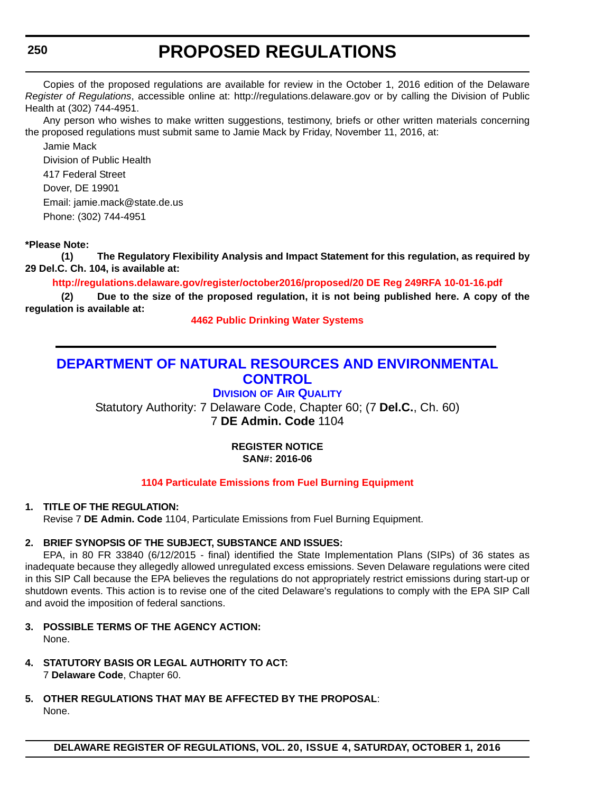# **250**

# **PROPOSED REGULATIONS**

Copies of the proposed regulations are available for review in the October 1, 2016 edition of the Delaware *Register of Regulations*, accessible online at: http://regulations.delaware.gov or by calling the Division of Public Health at (302) 744-4951.

Any person who wishes to make written suggestions, testimony, briefs or other written materials concerning the proposed regulations must submit same to Jamie Mack by Friday, November 11, 2016, at:

Jamie Mack Division of Public Health 417 Federal Street Dover, DE 19901 Email: jamie.mack@state.de.us Phone: (302) 744-4951

## **\*Please Note:**

**(1) The Regulatory Flexibility Analysis and Impact Statement for this regulation, as required by 29 Del.C. Ch. 104, is available at:**

**<http://regulations.delaware.gov/register/october2016/proposed/20 DE Reg 249RFA 10-01-16.pdf>**

**(2) Due to the size of the proposed regulation, it is not being published here. A copy of the regulation is available at:**

**[4462 Public Drinking Water Systems](http://regulations.delaware.gov/register/october2016/proposed/20 DE Reg 249 10-01-16.htm)**

# **DEPARTMENT OF NATURAL RESOURCES AND ENVIRONMENTAL CONTROL**

# **DIVISION OF AIR QUALITY**

Statutory Authority: 7 Delaware Code, Chapter 60; (7 **Del.C.**, Ch. 60) 7 **DE Admin. Code** 1104

# **REGISTER NOTICE SAN#: 2016-06**

### **[1104 Particulate Emissions from Fuel Burning Equipment](#page-3-0)**

### **1. TITLE OF THE REGULATION:**

Revise 7 **DE Admin. Code** 1104, Particulate Emissions from Fuel Burning Equipment.

### **2. BRIEF SYNOPSIS OF THE SUBJECT, SUBSTANCE AND ISSUES:**

EPA, in 80 FR 33840 (6/12/2015 - final) identified the State Implementation Plans (SIPs) of 36 states as inadequate because they allegedly allowed unregulated excess emissions. Seven Delaware regulations were cited in this SIP Call because the EPA believes the regulations do not appropriately restrict emissions during start-up or shutdown events. This action is to revise one of the cited Delaware's regulations to comply with the EPA SIP Call and avoid the imposition of federal sanctions.

- **3. POSSIBLE TERMS OF THE AGENCY ACTION:** None.
- **4. STATUTORY BASIS OR LEGAL AUTHORITY TO ACT:** 7 **Delaware Code**, Chapter 60.
- **5. OTHER REGULATIONS THAT MAY BE AFFECTED BY THE PROPOSAL**: None.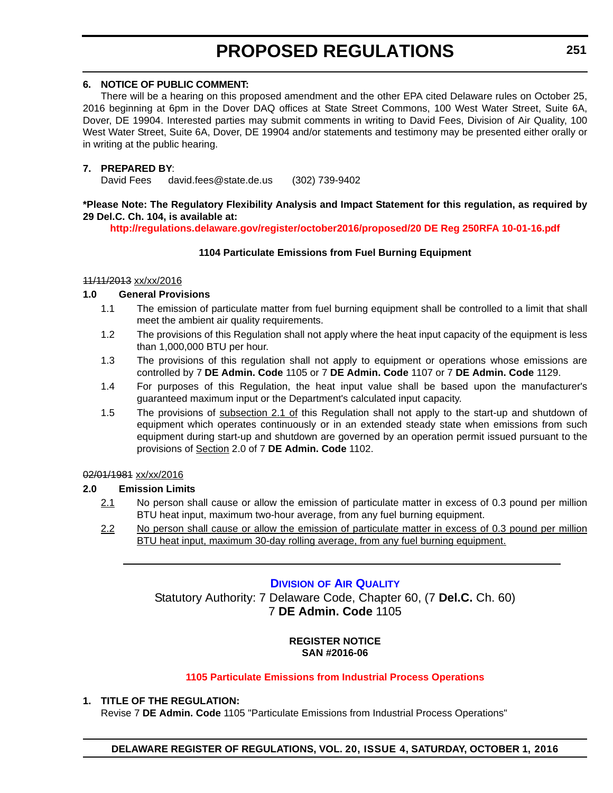### **6. NOTICE OF PUBLIC COMMENT:**

There will be a hearing on this proposed amendment and the other EPA cited Delaware rules on October 25, 2016 beginning at 6pm in the Dover DAQ offices at State Street Commons, 100 West Water Street, Suite 6A, Dover, DE 19904. Interested parties may submit comments in writing to David Fees, Division of Air Quality, 100 West Water Street, Suite 6A, Dover, DE 19904 and/or statements and testimony may be presented either orally or in writing at the public hearing.

### **7. PREPARED BY**:

David Fees david.fees@state.de.us (302) 739-9402

### **\*Please Note: The Regulatory Flexibility Analysis and Impact Statement for this regulation, as required by 29 Del.C. Ch. 104, is available at:**

**<http://regulations.delaware.gov/register/october2016/proposed/20 DE Reg 250RFA 10-01-16.pdf>**

### **1104 Particulate Emissions from Fuel Burning Equipment**

### 11/11/2013 xx/xx/2016

### **1.0 General Provisions**

- 1.1 The emission of particulate matter from fuel burning equipment shall be controlled to a limit that shall meet the ambient air quality requirements.
- 1.2 The provisions of this Regulation shall not apply where the heat input capacity of the equipment is less than 1,000,000 BTU per hour.
- 1.3 The provisions of this regulation shall not apply to equipment or operations whose emissions are controlled by 7 **DE Admin. Code** 1105 or 7 **DE Admin. Code** 1107 or 7 **DE Admin. Code** 1129.
- 1.4 For purposes of this Regulation, the heat input value shall be based upon the manufacturer's guaranteed maximum input or the Department's calculated input capacity.
- 1.5 The provisions of subsection 2.1 of this Regulation shall not apply to the start-up and shutdown of equipment which operates continuously or in an extended steady state when emissions from such equipment during start-up and shutdown are governed by an operation permit issued pursuant to the provisions of Section 2.0 of 7 **DE Admin. Code** 1102.

### 02/01/1981 xx/xx/2016

### **2.0 Emission Limits**

- 2.1 No person shall cause or allow the emission of particulate matter in excess of 0.3 pound per million BTU heat input, maximum two-hour average, from any fuel burning equipment.
- 2.2 No person shall cause or allow the emission of particulate matter in excess of 0.3 pound per million BTU heat input, maximum 30-day rolling average, from any fuel burning equipment.

### **DIVISION OF AIR QUALITY**

Statutory Authority: 7 Delaware Code, Chapter 60, (7 **Del.C.** Ch. 60) 7 **DE Admin. Code** 1105

### **REGISTER NOTICE SAN #2016-06**

### **[1105 Particulate Emissions from Industrial Process Operations](#page-3-0)**

### **1. TITLE OF THE REGULATION:**

Revise 7 **DE Admin. Code** 1105 "Particulate Emissions from Industrial Process Operations"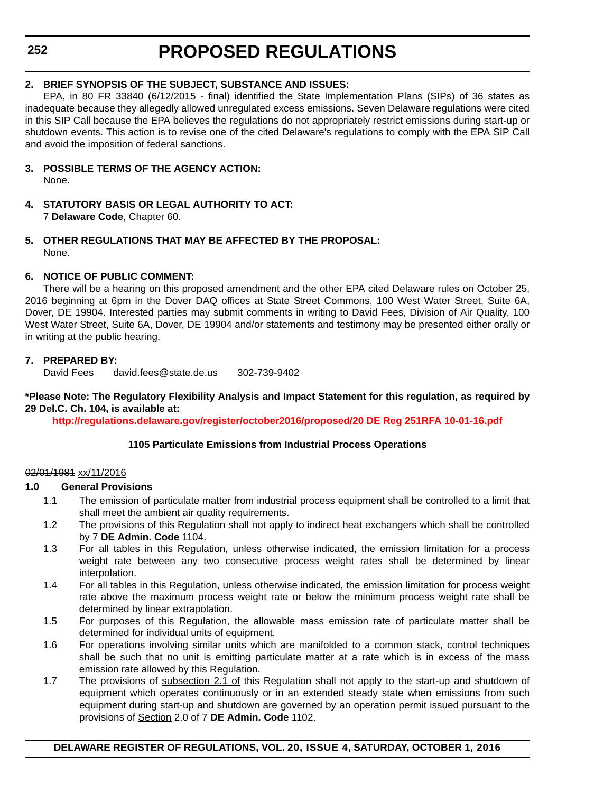# **2. BRIEF SYNOPSIS OF THE SUBJECT, SUBSTANCE AND ISSUES:**

EPA, in 80 FR 33840 (6/12/2015 - final) identified the State Implementation Plans (SIPs) of 36 states as inadequate because they allegedly allowed unregulated excess emissions. Seven Delaware regulations were cited in this SIP Call because the EPA believes the regulations do not appropriately restrict emissions during start-up or shutdown events. This action is to revise one of the cited Delaware's regulations to comply with the EPA SIP Call and avoid the imposition of federal sanctions.

- **3. POSSIBLE TERMS OF THE AGENCY ACTION:** None.
- **4. STATUTORY BASIS OR LEGAL AUTHORITY TO ACT:** 7 **Delaware Code**, Chapter 60.
- **5. OTHER REGULATIONS THAT MAY BE AFFECTED BY THE PROPOSAL:** None.

# **6. NOTICE OF PUBLIC COMMENT:**

There will be a hearing on this proposed amendment and the other EPA cited Delaware rules on October 25, 2016 beginning at 6pm in the Dover DAQ offices at State Street Commons, 100 West Water Street, Suite 6A, Dover, DE 19904. Interested parties may submit comments in writing to David Fees, Division of Air Quality, 100 West Water Street, Suite 6A, Dover, DE 19904 and/or statements and testimony may be presented either orally or in writing at the public hearing.

# **7. PREPARED BY:**

David Fees david.fees@state.de.us 302-739-9402

### **\*Please Note: The Regulatory Flexibility Analysis and Impact Statement for this regulation, as required by 29 Del.C. Ch. 104, is available at:**

**<http://regulations.delaware.gov/register/october2016/proposed/20 DE Reg 251RFA 10-01-16.pdf>**

### **1105 Particulate Emissions from Industrial Process Operations**

### 02/01/1981 xx/11/2016

### **1.0 General Provisions**

- 1.1 The emission of particulate matter from industrial process equipment shall be controlled to a limit that shall meet the ambient air quality requirements.
- 1.2 The provisions of this Regulation shall not apply to indirect heat exchangers which shall be controlled by 7 **DE Admin. Code** 1104.
- 1.3 For all tables in this Regulation, unless otherwise indicated, the emission limitation for a process weight rate between any two consecutive process weight rates shall be determined by linear interpolation.
- 1.4 For all tables in this Regulation, unless otherwise indicated, the emission limitation for process weight rate above the maximum process weight rate or below the minimum process weight rate shall be determined by linear extrapolation.
- 1.5 For purposes of this Regulation, the allowable mass emission rate of particulate matter shall be determined for individual units of equipment.
- 1.6 For operations involving similar units which are manifolded to a common stack, control techniques shall be such that no unit is emitting particulate matter at a rate which is in excess of the mass emission rate allowed by this Regulation.
- 1.7 The provisions of subsection 2.1 of this Regulation shall not apply to the start-up and shutdown of equipment which operates continuously or in an extended steady state when emissions from such equipment during start-up and shutdown are governed by an operation permit issued pursuant to the provisions of Section 2.0 of 7 **DE Admin. Code** 1102.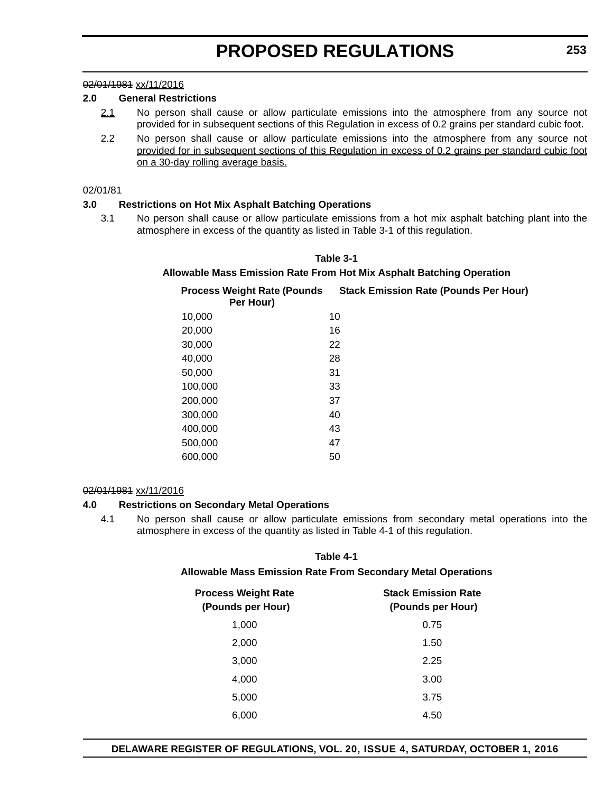### 02/01/1981 xx/11/2016

### **2.0 General Restrictions**

- 2.1 No person shall cause or allow particulate emissions into the atmosphere from any source not provided for in subsequent sections of this Regulation in excess of 0.2 grains per standard cubic foot.
- 2.2 No person shall cause or allow particulate emissions into the atmosphere from any source not provided for in subsequent sections of this Regulation in excess of 0.2 grains per standard cubic foot on a 30-day rolling average basis.

#### 02/01/81

### **3.0 Restrictions on Hot Mix Asphalt Batching Operations**

3.1 No person shall cause or allow particulate emissions from a hot mix asphalt batching plant into the atmosphere in excess of the quantity as listed in Table 3-1 of this regulation.

## **Table 3-1**

### **Allowable Mass Emission Rate From Hot Mix Asphalt Batching Operation**

| <b>Process Weight Rate (Pounds)</b><br>Per Hour) | <b>Stack Emission Rate (Pounds Per Hour)</b> |
|--------------------------------------------------|----------------------------------------------|
| 10,000                                           | 10                                           |
| 20,000                                           | 16                                           |
| 30,000                                           | 22                                           |
| 40,000                                           | 28                                           |
| 50,000                                           | 31                                           |
| 100,000                                          | 33                                           |
| 200,000                                          | 37                                           |
| 300,000                                          | 40                                           |
| 400,000                                          | 43                                           |
| 500,000                                          | 47                                           |
| 600,000                                          | 50                                           |

#### 02/01/1981 xx/11/2016

#### **4.0 Restrictions on Secondary Metal Operations**

4.1 No person shall cause or allow particulate emissions from secondary metal operations into the atmosphere in excess of the quantity as listed in Table 4-1 of this regulation.

### **Table 4-1**

#### **Allowable Mass Emission Rate From Secondary Metal Operations**

| <b>Process Weight Rate</b><br>(Pounds per Hour) | <b>Stack Emission Rate</b><br>(Pounds per Hour) |  |
|-------------------------------------------------|-------------------------------------------------|--|
| 1,000                                           | 0.75                                            |  |
| 2,000                                           | 1.50                                            |  |
| 3,000                                           | 2.25                                            |  |
| 4,000                                           | 3.00                                            |  |
| 5,000                                           | 3.75                                            |  |
| 6,000                                           | 4.50                                            |  |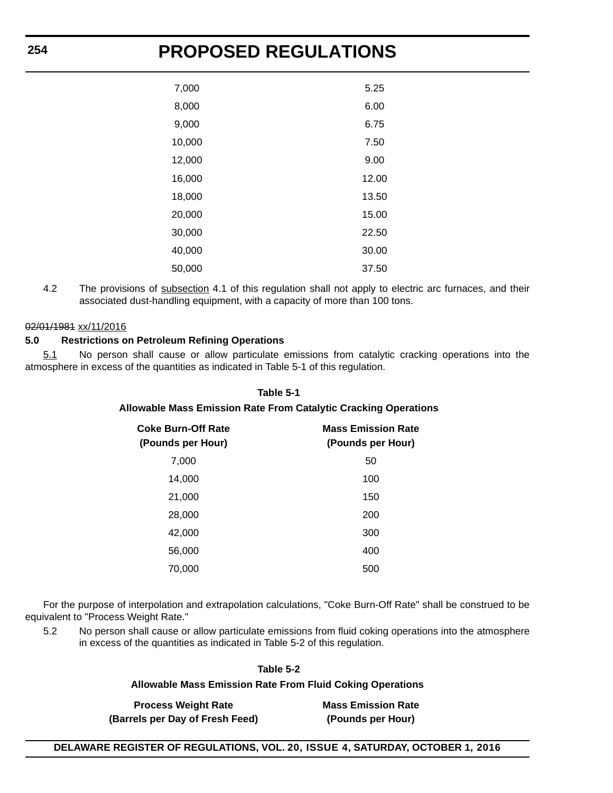| 7,000  | 5.25  |
|--------|-------|
| 8,000  | 6.00  |
| 9,000  | 6.75  |
| 10,000 | 7.50  |
| 12,000 | 9.00  |
| 16,000 | 12.00 |
| 18,000 | 13.50 |
| 20,000 | 15.00 |
| 30,000 | 22.50 |
| 40,000 | 30.00 |
| 50,000 | 37.50 |

4.2 The provisions of subsection 4.1 of this regulation shall not apply to electric arc furnaces, and their associated dust-handling equipment, with a capacity of more than 100 tons.

# 02/01/1981 xx/11/2016

### **5.0 Restrictions on Petroleum Refining Operations**

5.1 No person shall cause or allow particulate emissions from catalytic cracking operations into the atmosphere in excess of the quantities as indicated in Table 5-1 of this regulation.

#### **Table 5-1**

### **Allowable Mass Emission Rate From Catalytic Cracking Operations**

| Coke Burn-Off Rate<br>(Pounds per Hour) | <b>Mass Emission Rate</b><br>(Pounds per Hour) |  |
|-----------------------------------------|------------------------------------------------|--|
| 7,000                                   | 50                                             |  |
| 14,000                                  | 100                                            |  |
| 21,000                                  | 150                                            |  |
| 28,000                                  | 200                                            |  |
| 42,000                                  | 300                                            |  |
| 56,000                                  | 400                                            |  |
| 70,000                                  | 500                                            |  |

For the purpose of interpolation and extrapolation calculations, "Coke Burn-Off Rate" shall be construed to be equivalent to "Process Weight Rate."

5.2 No person shall cause or allow particulate emissions from fluid coking operations into the atmosphere in excess of the quantities as indicated in Table 5-2 of this regulation.

| Table 5-2                                                        |                           |
|------------------------------------------------------------------|---------------------------|
| <b>Allowable Mass Emission Rate From Fluid Coking Operations</b> |                           |
| <b>Process Weight Rate</b>                                       | <b>Mass Emission Rate</b> |
| (Barrels per Day of Fresh Feed)                                  | (Pounds per Hour)         |
|                                                                  |                           |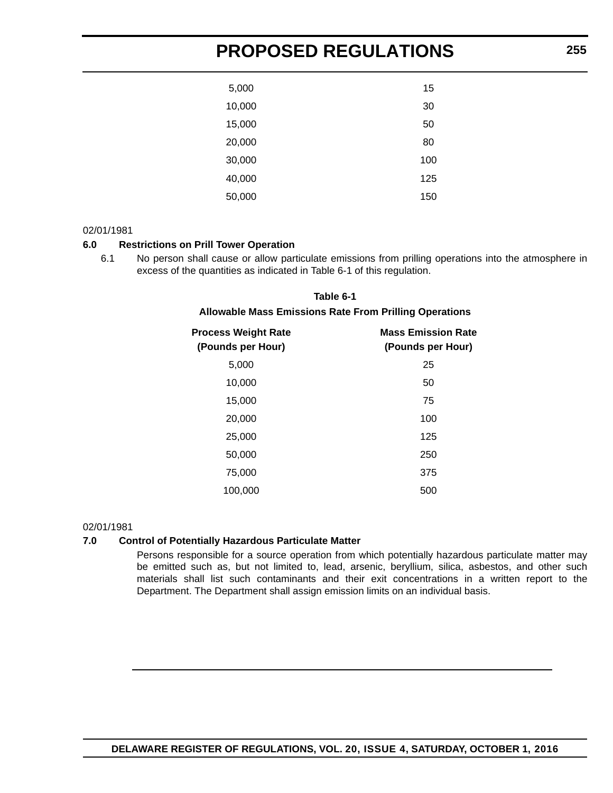| 5,000  | 15  |  |
|--------|-----|--|
| 10,000 | 30  |  |
| 15,000 | 50  |  |
| 20,000 | 80  |  |
| 30,000 | 100 |  |
| 40,000 | 125 |  |
| 50,000 | 150 |  |

### 02/01/1981

### **6.0 Restrictions on Prill Tower Operation**

6.1 No person shall cause or allow particulate emissions from prilling operations into the atmosphere in excess of the quantities as indicated in Table 6-1 of this regulation.

# **Table 6-1 Allowable Mass Emissions Rate From Prilling Operations**

| <b>Process Weight Rate</b><br>(Pounds per Hour) | <b>Mass Emission Rate</b><br>(Pounds per Hour) |  |
|-------------------------------------------------|------------------------------------------------|--|
| 5,000                                           | 25                                             |  |
| 10,000                                          | 50                                             |  |
| 15,000                                          | 75                                             |  |
| 20,000                                          | 100                                            |  |
| 25,000                                          | 125                                            |  |
| 50,000                                          | 250                                            |  |
| 75,000                                          | 375                                            |  |
| 100,000                                         | 500                                            |  |

#### 02/01/1981

#### **7.0 Control of Potentially Hazardous Particulate Matter**

Persons responsible for a source operation from which potentially hazardous particulate matter may be emitted such as, but not limited to, lead, arsenic, beryllium, silica, asbestos, and other such materials shall list such contaminants and their exit concentrations in a written report to the Department. The Department shall assign emission limits on an individual basis.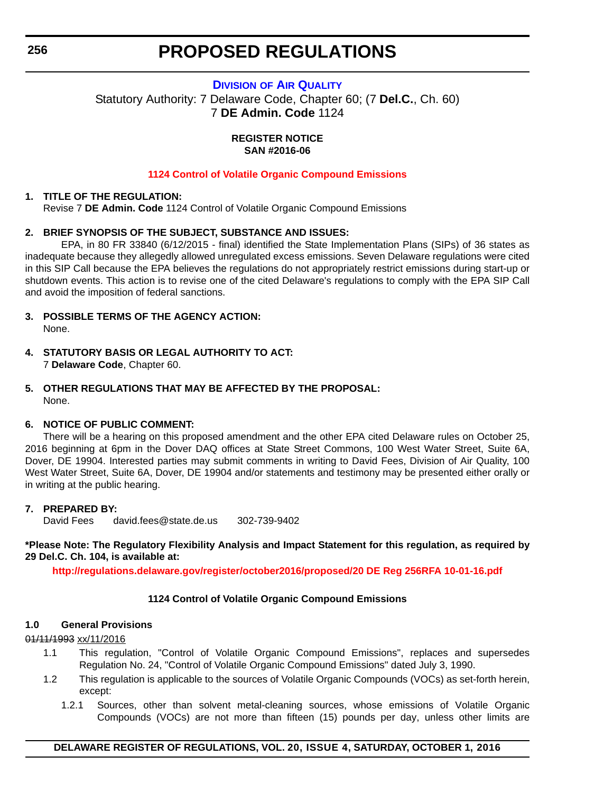### **DIVISION OF AIR QUALITY**

Statutory Authority: 7 Delaware Code, Chapter 60; (7 **Del.C.**, Ch. 60) 7 **DE Admin. Code** 1124

> **REGISTER NOTICE SAN #2016-06**

### **[1124 Control of Volatile Organic Compound Emissions](#page-3-0)**

### **1. TITLE OF THE REGULATION:**

Revise 7 **DE Admin. Code** 1124 Control of Volatile Organic Compound Emissions

### **2. BRIEF SYNOPSIS OF THE SUBJECT, SUBSTANCE AND ISSUES:**

EPA, in 80 FR 33840 (6/12/2015 - final) identified the State Implementation Plans (SIPs) of 36 states as inadequate because they allegedly allowed unregulated excess emissions. Seven Delaware regulations were cited in this SIP Call because the EPA believes the regulations do not appropriately restrict emissions during start-up or shutdown events. This action is to revise one of the cited Delaware's regulations to comply with the EPA SIP Call and avoid the imposition of federal sanctions.

- **3. POSSIBLE TERMS OF THE AGENCY ACTION:** None.
- **4. STATUTORY BASIS OR LEGAL AUTHORITY TO ACT:** 7 **Delaware Code**, Chapter 60.
- **5. OTHER REGULATIONS THAT MAY BE AFFECTED BY THE PROPOSAL:** None.

### **6. NOTICE OF PUBLIC COMMENT:**

There will be a hearing on this proposed amendment and the other EPA cited Delaware rules on October 25, 2016 beginning at 6pm in the Dover DAQ offices at State Street Commons, 100 West Water Street, Suite 6A, Dover, DE 19904. Interested parties may submit comments in writing to David Fees, Division of Air Quality, 100 West Water Street, Suite 6A, Dover, DE 19904 and/or statements and testimony may be presented either orally or in writing at the public hearing.

### **7. PREPARED BY:**

David Fees david.fees@state.de.us 302-739-9402

**\*Please Note: The Regulatory Flexibility Analysis and Impact Statement for this regulation, as required by 29 Del.C. Ch. 104, is available at:**

**<http://regulations.delaware.gov/register/october2016/proposed/20 DE Reg 256RFA 10-01-16.pdf>**

### **1124 Control of Volatile Organic Compound Emissions**

#### **1.0 General Provisions**

### 01/11/1993 xx/11/2016

- 1.1 This regulation, "Control of Volatile Organic Compound Emissions", replaces and supersedes Regulation No. 24, "Control of Volatile Organic Compound Emissions" dated July 3, 1990.
- 1.2 This regulation is applicable to the sources of Volatile Organic Compounds (VOCs) as set-forth herein, except:
	- 1.2.1 Sources, other than solvent metal-cleaning sources, whose emissions of Volatile Organic Compounds (VOCs) are not more than fifteen (15) pounds per day, unless other limits are

# **DELAWARE REGISTER OF REGULATIONS, VOL. 20, ISSUE 4, SATURDAY, OCTOBER 1, 2016**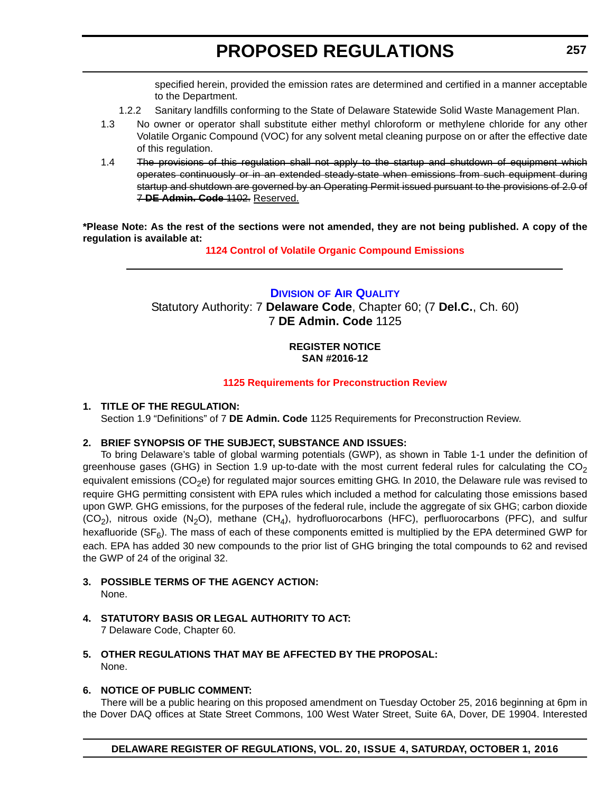specified herein, provided the emission rates are determined and certified in a manner acceptable to the Department.

- 1.2.2 Sanitary landfills conforming to the State of Delaware Statewide Solid Waste Management Plan.
- 1.3 No owner or operator shall substitute either methyl chloroform or methylene chloride for any other Volatile Organic Compound (VOC) for any solvent metal cleaning purpose on or after the effective date of this regulation.
- 1.4 The provisions of this regulation shall not apply to the startup and shutdown of equipment which operates continuously or in an extended steady-state when emissions from such equipment during startup and shutdown are governed by an Operating Permit issued pursuant to the provisions of 2.0 of 7 **DE Admin. Code** 1102. Reserved.

**\*Please Note: As the rest of the sections were not amended, they are not being published. A copy of the regulation is available at:**

**[1124 Control of Volatile Organic Compound Emissions](http://regulations.delaware.gov/register/october2016/proposed/20 DE Reg 256 10-01-16.htm)**

# **DIVISION OF AIR QUALITY**

Statutory Authority: 7 **Delaware Code**, Chapter 60; (7 **Del.C.**, Ch. 60) 7 **DE Admin. Code** 1125

### **REGISTER NOTICE SAN #2016-12**

### **[1125 Requirements for Preconstruction Review](#page-3-0)**

### **1. TITLE OF THE REGULATION:**

Section 1.9 "Definitions" of 7 **DE Admin. Code** 1125 Requirements for Preconstruction Review.

### **2. BRIEF SYNOPSIS OF THE SUBJECT, SUBSTANCE AND ISSUES:**

To bring Delaware's table of global warming potentials (GWP), as shown in Table 1-1 under the definition of greenhouse gases (GHG) in Section 1.9 up-to-date with the most current federal rules for calculating the  $CO<sub>2</sub>$ equivalent emissions ( $CO<sub>2</sub>e$ ) for regulated major sources emitting GHG. In 2010, the Delaware rule was revised to require GHG permitting consistent with EPA rules which included a method for calculating those emissions based upon GWP. GHG emissions, for the purposes of the federal rule, include the aggregate of six GHG; carbon dioxide  $(CO<sub>2</sub>)$ , nitrous oxide  $(N<sub>2</sub>O)$ , methane  $(CH<sub>4</sub>)$ , hydrofluorocarbons (HFC), perfluorocarbons (PFC), and sulfur hexafluoride ( $SF<sub>6</sub>$ ). The mass of each of these components emitted is multiplied by the EPA determined GWP for each. EPA has added 30 new compounds to the prior list of GHG bringing the total compounds to 62 and revised the GWP of 24 of the original 32.

- **3. POSSIBLE TERMS OF THE AGENCY ACTION:** None.
- **4. STATUTORY BASIS OR LEGAL AUTHORITY TO ACT:** 7 Delaware Code, Chapter 60.
- **5. OTHER REGULATIONS THAT MAY BE AFFECTED BY THE PROPOSAL:** None.

### **6. NOTICE OF PUBLIC COMMENT:**

There will be a public hearing on this proposed amendment on Tuesday October 25, 2016 beginning at 6pm in the Dover DAQ offices at State Street Commons, 100 West Water Street, Suite 6A, Dover, DE 19904. Interested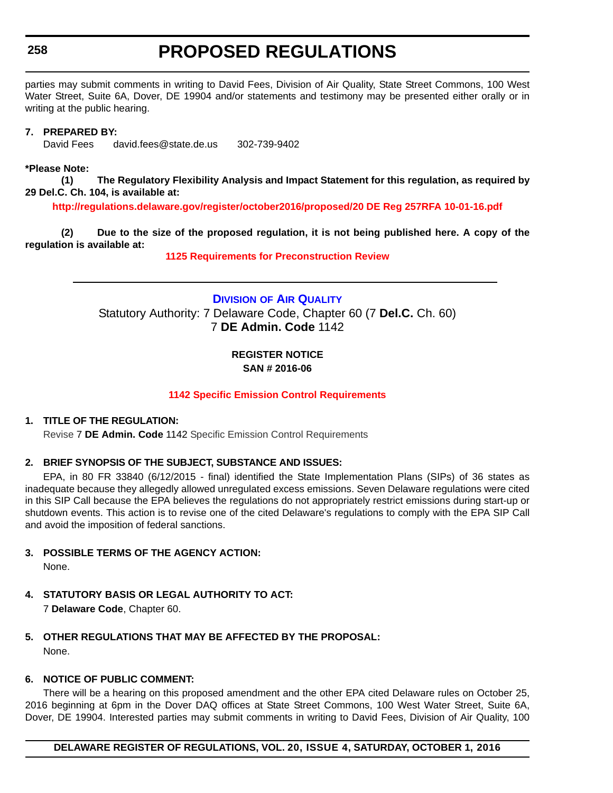# **258**

# **PROPOSED REGULATIONS**

parties may submit comments in writing to David Fees, Division of Air Quality, State Street Commons, 100 West Water Street, Suite 6A, Dover, DE 19904 and/or statements and testimony may be presented either orally or in writing at the public hearing.

### **7. PREPARED BY:**

[David Fees david.fees@state.de.us 302-739-9402](david.fees@state.de.us)

### **\*Please Note:**

**(1) The Regulatory Flexibility Analysis and Impact Statement for this regulation, as required by 29 Del.C. Ch. 104, is available at:**

**<http://regulations.delaware.gov/register/october2016/proposed/20 DE Reg 257RFA 10-01-16.pdf>**

**(2) Due to the size of the proposed regulation, it is not being published here. A copy of the regulation is available at:**

**[1125 Requirements for Preconstruction Review](http://regulations.delaware.gov/register/october2016/proposed/20 DE Reg 257 10-01-16.htm)**

**DIVISION OF AIR QUALITY** Statutory Authority: 7 Delaware Code, Chapter 60 (7 **Del.C.** Ch. 60) 7 **DE Admin. Code** 1142

### **REGISTER NOTICE SAN # 2016-06**

# **[1142 Specific Emission Control Requirements](#page-3-0)**

### **1. TITLE OF THE REGULATION:**

Revise 7 **DE Admin. Code** 1142 Specific Emission Control Requirements

### **2. BRIEF SYNOPSIS OF THE SUBJECT, SUBSTANCE AND ISSUES:**

EPA, in 80 FR 33840 (6/12/2015 - final) identified the State Implementation Plans (SIPs) of 36 states as inadequate because they allegedly allowed unregulated excess emissions. Seven Delaware regulations were cited in this SIP Call because the EPA believes the regulations do not appropriately restrict emissions during start-up or shutdown events. This action is to revise one of the cited Delaware's regulations to comply with the EPA SIP Call and avoid the imposition of federal sanctions.

**3. POSSIBLE TERMS OF THE AGENCY ACTION:**

None.

- **4. STATUTORY BASIS OR LEGAL AUTHORITY TO ACT:** 7 **Delaware Code**, Chapter 60.
- **5. OTHER REGULATIONS THAT MAY BE AFFECTED BY THE PROPOSAL:** None.

### **6. NOTICE OF PUBLIC COMMENT:**

There will be a hearing on this proposed amendment and the other EPA cited Delaware rules on October 25, 2016 beginning at 6pm in the Dover DAQ offices at State Street Commons, 100 West Water Street, Suite 6A, Dover, DE 19904. Interested parties may submit comments in writing to David Fees, Division of Air Quality, 100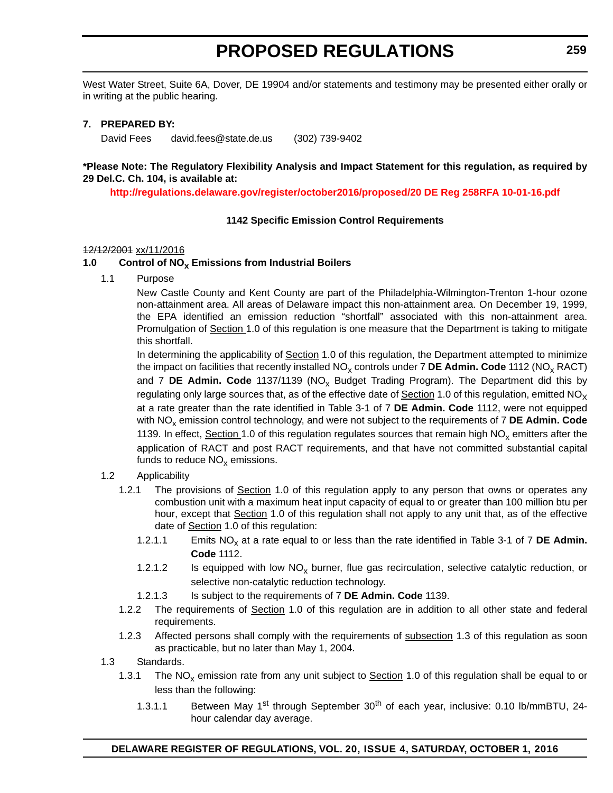West Water Street, Suite 6A, Dover, DE 19904 and/or statements and testimony may be presented either orally or in writing at the public hearing.

### **7. PREPARED BY:**

David Fees david.fees@state.de.us (302) 739-9402

### **\*Please Note: The Regulatory Flexibility Analysis and Impact Statement for this regulation, as required by 29 Del.C. Ch. 104, is available at:**

**<http://regulations.delaware.gov/register/october2016/proposed/20 DE Reg 258RFA 10-01-16.pdf>**

### **1142 Specific Emission Control Requirements**

#### 12/12/2001 xx/11/2016

### 1.0 Control of NO<sub>x</sub> Emissions from Industrial Boilers

1.1 Purpose

New Castle County and Kent County are part of the Philadelphia-Wilmington-Trenton 1-hour ozone non-attainment area. All areas of Delaware impact this non-attainment area. On December 19, 1999, the EPA identified an emission reduction "shortfall" associated with this non-attainment area. Promulgation of Section 1.0 of this regulation is one measure that the Department is taking to mitigate this shortfall.

In determining the applicability of Section 1.0 of this regulation, the Department attempted to minimize the impact on facilities that recently installed NO<sub>x</sub> controls under 7 DE Admin. Code 1112 (NO<sub>x</sub> RACT) and 7 **DE Admin. Code** 1137/1139 (NO<sub>x</sub> Budget Trading Program). The Department did this by regulating only large sources that, as of the effective date of  $Section 1.0$  of this regulation, emitted  $NO<sub>X</sub>$ at a rate greater than the rate identified in Table 3-1 of 7 **DE Admin. Code** 1112, were not equipped with NO<sub>x</sub> emission control technology, and were not subject to the requirements of 7 DE Admin. Code 1139. In effect, Section 1.0 of this regulation regulates sources that remain high  $NO<sub>x</sub>$  emitters after the application of RACT and post RACT requirements, and that have not committed substantial capital funds to reduce  $NO<sub>x</sub>$  emissions.

- 1.2 Applicability
	- 1.2.1 The provisions of Section 1.0 of this regulation apply to any person that owns or operates any combustion unit with a maximum heat input capacity of equal to or greater than 100 million btu per hour, except that Section 1.0 of this regulation shall not apply to any unit that, as of the effective date of Section 1.0 of this regulation:
		- 1.2.1.1 Emits NO<sub>x</sub> at a rate equal to or less than the rate identified in Table 3-1 of 7 **DE Admin. Code** 1112.
		- 1.2.1.2 Is equipped with low  $NO_x$  burner, flue gas recirculation, selective catalytic reduction, or selective non-catalytic reduction technology.
		- 1.2.1.3 Is subject to the requirements of 7 **DE Admin. Code** 1139.
	- 1.2.2 The requirements of Section 1.0 of this regulation are in addition to all other state and federal requirements.
	- 1.2.3 Affected persons shall comply with the requirements of subsection 1.3 of this regulation as soon as practicable, but no later than May 1, 2004.
- 1.3 Standards.
	- 1.3.1 The NO<sub>x</sub> emission rate from any unit subject to **Section** 1.0 of this regulation shall be equal to or less than the following:
		- 1.3.1.1 Between May 1<sup>st</sup> through September 30<sup>th</sup> of each year, inclusive: 0.10 lb/mmBTU, 24hour calendar day average.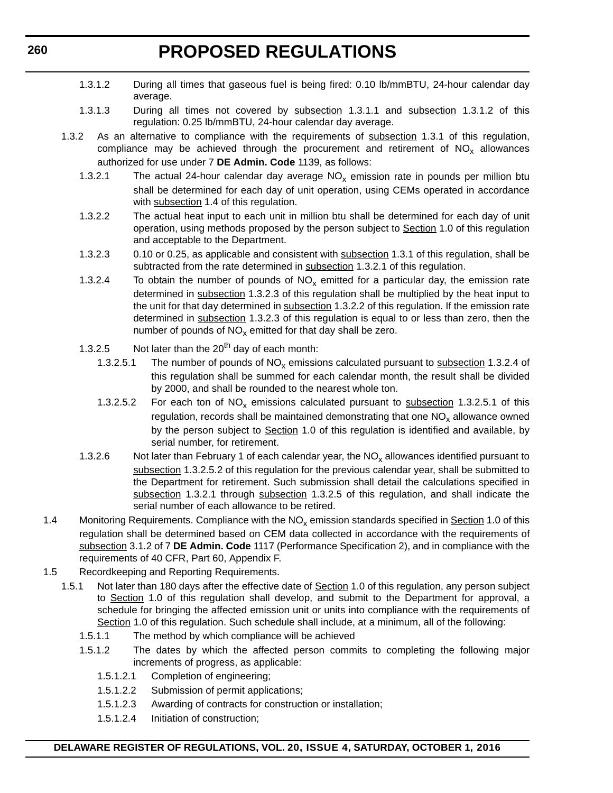- 1.3.1.2 During all times that gaseous fuel is being fired: 0.10 lb/mmBTU, 24-hour calendar day average.
- 1.3.1.3 During all times not covered by subsection 1.3.1.1 and subsection 1.3.1.2 of this regulation: 0.25 lb/mmBTU, 24-hour calendar day average.
- 1.3.2 As an alternative to compliance with the requirements of subsection 1.3.1 of this regulation, compliance may be achieved through the procurement and retirement of  $NO<sub>x</sub>$  allowances authorized for use under 7 **DE Admin. Code** 1139, as follows:
	- 1.3.2.1 The actual 24-hour calendar day average  $NO<sub>x</sub>$  emission rate in pounds per million btu shall be determined for each day of unit operation, using CEMs operated in accordance with subsection 1.4 of this regulation.
	- 1.3.2.2 The actual heat input to each unit in million btu shall be determined for each day of unit operation, using methods proposed by the person subject to Section 1.0 of this regulation and acceptable to the Department.
	- 1.3.2.3 0.10 or 0.25, as applicable and consistent with subsection 1.3.1 of this regulation, shall be subtracted from the rate determined in subsection 1.3.2.1 of this regulation.
	- 1.3.2.4 To obtain the number of pounds of  $NO<sub>x</sub>$  emitted for a particular day, the emission rate determined in subsection 1.3.2.3 of this regulation shall be multiplied by the heat input to the unit for that day determined in subsection 1.3.2.2 of this regulation. If the emission rate determined in subsection 1.3.2.3 of this regulation is equal to or less than zero, then the number of pounds of  $NO<sub>x</sub>$  emitted for that day shall be zero.
	- 1.3.2.5 Not later than the  $20^{th}$  day of each month:
		- 1.3.2.5.1 The number of pounds of  $NO<sub>x</sub>$  emissions calculated pursuant to subsection 1.3.2.4 of this regulation shall be summed for each calendar month, the result shall be divided by 2000, and shall be rounded to the nearest whole ton.
		- 1.3.2.5.2 For each ton of  $NO_x$  emissions calculated pursuant to subsection 1.3.2.5.1 of this regulation, records shall be maintained demonstrating that one  $NO<sub>x</sub>$  allowance owned by the person subject to Section 1.0 of this regulation is identified and available, by serial number, for retirement.
	- 1.3.2.6 Not later than February 1 of each calendar year, the  $NO_x$  allowances identified pursuant to subsection 1.3.2.5.2 of this regulation for the previous calendar year, shall be submitted to the Department for retirement. Such submission shall detail the calculations specified in subsection 1.3.2.1 through subsection 1.3.2.5 of this regulation, and shall indicate the serial number of each allowance to be retired.
- 1.4 Monitoring Requirements. Compliance with the NO<sub>x</sub> emission standards specified in **Section** 1.0 of this regulation shall be determined based on CEM data collected in accordance with the requirements of subsection 3.1.2 of 7 **DE Admin. Code** 1117 (Performance Specification 2), and in compliance with the requirements of 40 CFR, Part 60, Appendix F.
- 1.5 Recordkeeping and Reporting Requirements.
	- 1.5.1 Not later than 180 days after the effective date of Section 1.0 of this regulation, any person subject to Section 1.0 of this regulation shall develop, and submit to the Department for approval, a schedule for bringing the affected emission unit or units into compliance with the requirements of Section 1.0 of this regulation. Such schedule shall include, at a minimum, all of the following:
		- 1.5.1.1 The method by which compliance will be achieved
		- 1.5.1.2 The dates by which the affected person commits to completing the following major increments of progress, as applicable:
			- 1.5.1.2.1 Completion of engineering;
			- 1.5.1.2.2 Submission of permit applications;
			- 1.5.1.2.3 Awarding of contracts for construction or installation;
			- 1.5.1.2.4 Initiation of construction;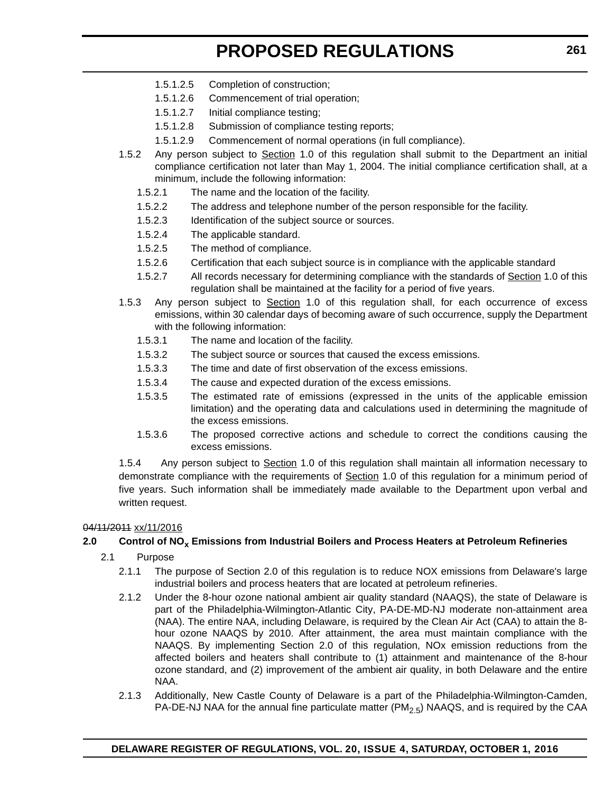- 1.5.1.2.5 Completion of construction;
- 1.5.1.2.6 Commencement of trial operation;
- 1.5.1.2.7 Initial compliance testing;
- 1.5.1.2.8 Submission of compliance testing reports;
- 1.5.1.2.9 Commencement of normal operations (in full compliance).
- 1.5.2 Any person subject to Section 1.0 of this regulation shall submit to the Department an initial compliance certification not later than May 1, 2004. The initial compliance certification shall, at a minimum, include the following information:
	- 1.5.2.1 The name and the location of the facility.
	- 1.5.2.2 The address and telephone number of the person responsible for the facility.
	- 1.5.2.3 Identification of the subject source or sources.
	- 1.5.2.4 The applicable standard.
	- 1.5.2.5 The method of compliance.
	- 1.5.2.6 Certification that each subject source is in compliance with the applicable standard
	- 1.5.2.7 All records necessary for determining compliance with the standards of Section 1.0 of this regulation shall be maintained at the facility for a period of five years.
- 1.5.3 Any person subject to Section 1.0 of this regulation shall, for each occurrence of excess emissions, within 30 calendar days of becoming aware of such occurrence, supply the Department with the following information:
	- 1.5.3.1 The name and location of the facility.
	- 1.5.3.2 The subject source or sources that caused the excess emissions.
	- 1.5.3.3 The time and date of first observation of the excess emissions.
	- 1.5.3.4 The cause and expected duration of the excess emissions.
	- 1.5.3.5 The estimated rate of emissions (expressed in the units of the applicable emission limitation) and the operating data and calculations used in determining the magnitude of the excess emissions.
	- 1.5.3.6 The proposed corrective actions and schedule to correct the conditions causing the excess emissions.

1.5.4 Any person subject to Section 1.0 of this regulation shall maintain all information necessary to demonstrate compliance with the requirements of Section 1.0 of this regulation for a minimum period of five years. Such information shall be immediately made available to the Department upon verbal and written request.

#### 04/11/2011 xx/11/2016

### **2.0 Control of NOx Emissions from Industrial Boilers and Process Heaters at Petroleum Refineries**

- 2.1 Purpose
	- 2.1.1 The purpose of Section 2.0 of this regulation is to reduce NOX emissions from Delaware's large industrial boilers and process heaters that are located at petroleum refineries.
	- 2.1.2 Under the 8-hour ozone national ambient air quality standard (NAAQS), the state of Delaware is part of the Philadelphia-Wilmington-Atlantic City, PA-DE-MD-NJ moderate non-attainment area (NAA). The entire NAA, including Delaware, is required by the Clean Air Act (CAA) to attain the 8 hour ozone NAAQS by 2010. After attainment, the area must maintain compliance with the NAAQS. By implementing Section 2.0 of this regulation, NOx emission reductions from the affected boilers and heaters shall contribute to (1) attainment and maintenance of the 8-hour ozone standard, and (2) improvement of the ambient air quality, in both Delaware and the entire NAA.
	- 2.1.3 Additionally, New Castle County of Delaware is a part of the Philadelphia-Wilmington-Camden, PA-DE-NJ NAA for the annual fine particulate matter  $(PM_{2.5})$  NAAQS, and is required by the CAA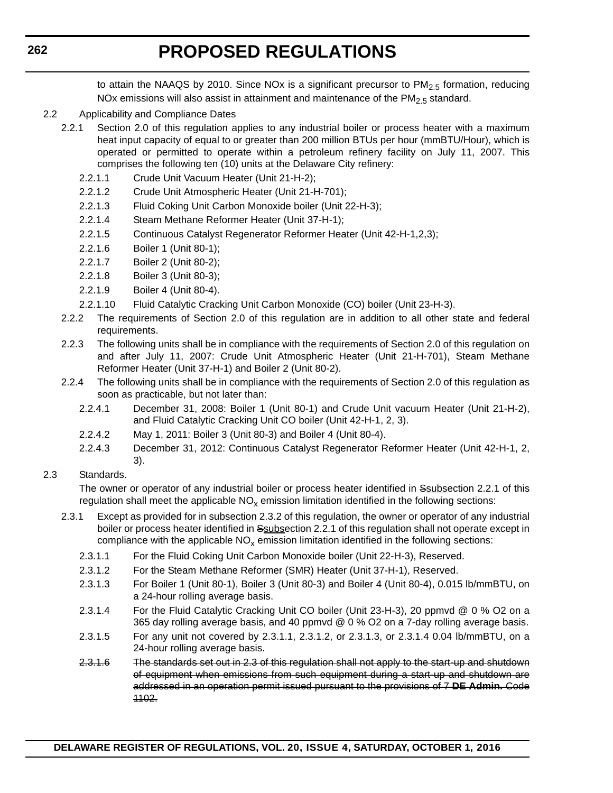to attain the NAAQS by 2010. Since NOx is a significant precursor to PM<sub>2.5</sub> formation, reducing NOx emissions will also assist in attainment and maintenance of the  $PM<sub>2.5</sub>$  standard.

- 2.2 Applicability and Compliance Dates
	- 2.2.1 Section 2.0 of this regulation applies to any industrial boiler or process heater with a maximum heat input capacity of equal to or greater than 200 million BTUs per hour (mmBTU/Hour), which is operated or permitted to operate within a petroleum refinery facility on July 11, 2007. This comprises the following ten (10) units at the Delaware City refinery:
		- 2.2.1.1 Crude Unit Vacuum Heater (Unit 21-H-2);
		- 2.2.1.2 Crude Unit Atmospheric Heater (Unit 21-H-701);
		- 2.2.1.3 Fluid Coking Unit Carbon Monoxide boiler (Unit 22-H-3);
		- 2.2.1.4 Steam Methane Reformer Heater (Unit 37-H-1);
		- 2.2.1.5 Continuous Catalyst Regenerator Reformer Heater (Unit 42-H-1,2,3);
		- 2.2.1.6 Boiler 1 (Unit 80-1);
		- 2.2.1.7 Boiler 2 (Unit 80-2);
		- 2.2.1.8 Boiler 3 (Unit 80-3);
		- 2.2.1.9 Boiler 4 (Unit 80-4).
		- 2.2.1.10 Fluid Catalytic Cracking Unit Carbon Monoxide (CO) boiler (Unit 23-H-3).
	- 2.2.2 The requirements of Section 2.0 of this regulation are in addition to all other state and federal requirements.
	- 2.2.3 The following units shall be in compliance with the requirements of Section 2.0 of this regulation on and after July 11, 2007: Crude Unit Atmospheric Heater (Unit 21-H-701), Steam Methane Reformer Heater (Unit 37-H-1) and Boiler 2 (Unit 80-2).
	- 2.2.4 The following units shall be in compliance with the requirements of Section 2.0 of this regulation as soon as practicable, but not later than:
		- 2.2.4.1 December 31, 2008: Boiler 1 (Unit 80-1) and Crude Unit vacuum Heater (Unit 21-H-2), and Fluid Catalytic Cracking Unit CO boiler (Unit 42-H-1, 2, 3).
		- 2.2.4.2 May 1, 2011: Boiler 3 (Unit 80-3) and Boiler 4 (Unit 80-4).
		- 2.2.4.3 December 31, 2012: Continuous Catalyst Regenerator Reformer Heater (Unit 42-H-1, 2, 3).

#### 2.3 Standards.

The owner or operator of any industrial boiler or process heater identified in Ssubsection 2.2.1 of this regulation shall meet the applicable  $NO<sub>x</sub>$  emission limitation identified in the following sections:

- 2.3.1 Except as provided for in subsection 2.3.2 of this regulation, the owner or operator of any industrial boiler or process heater identified in Ssubsection 2.2.1 of this regulation shall not operate except in compliance with the applicable  $NO<sub>x</sub>$  emission limitation identified in the following sections:
	- 2.3.1.1 For the Fluid Coking Unit Carbon Monoxide boiler (Unit 22-H-3), Reserved.
	- 2.3.1.2 For the Steam Methane Reformer (SMR) Heater (Unit 37-H-1), Reserved.
	- 2.3.1.3 For Boiler 1 (Unit 80-1), Boiler 3 (Unit 80-3) and Boiler 4 (Unit 80-4), 0.015 lb/mmBTU, on a 24-hour rolling average basis.
	- 2.3.1.4 For the Fluid Catalytic Cracking Unit CO boiler (Unit 23-H-3), 20 ppmvd @ 0 % O2 on a 365 day rolling average basis, and 40 ppmvd @ 0 % O2 on a 7-day rolling average basis.
	- 2.3.1.5 For any unit not covered by 2.3.1.1, 2.3.1.2, or 2.3.1.3, or 2.3.1.4 0.04 lb/mmBTU, on a 24-hour rolling average basis.
	- 2.3.1.6 The standards set out in 2.3 of this regulation shall not apply to the start-up and shutdown of equipment when emissions from such equipment during a start-up and shutdown are addressed in an operation permit issued pursuant to the provisions of 7 **DE Admin.** Code 1102.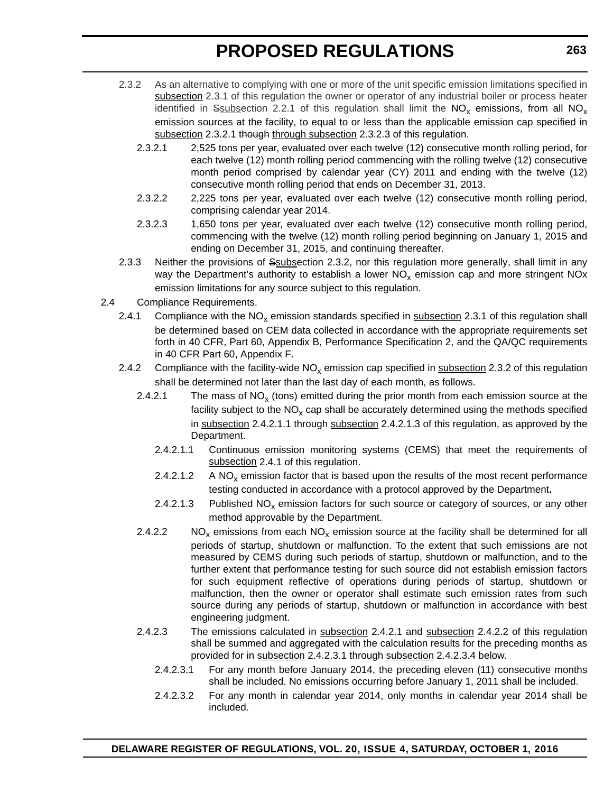- 2.3.2 As an alternative to complying with one or more of the unit specific emission limitations specified in subsection 2.3.1 of this regulation the owner or operator of any industrial boiler or process heater identified in Ssubsection 2.2.1 of this regulation shall limit the  $NO_x$  emissions, from all  $NO_x$ emission sources at the facility, to equal to or less than the applicable emission cap specified in subsection 2.3.2.1 though through subsection 2.3.2.3 of this regulation.
	- 2.3.2.1 2,525 tons per year, evaluated over each twelve (12) consecutive month rolling period, for each twelve (12) month rolling period commencing with the rolling twelve (12) consecutive month period comprised by calendar year (CY) 2011 and ending with the twelve (12) consecutive month rolling period that ends on December 31, 2013.
	- 2.3.2.2 2,225 tons per year, evaluated over each twelve (12) consecutive month rolling period, comprising calendar year 2014.
	- 2.3.2.3 1,650 tons per year, evaluated over each twelve (12) consecutive month rolling period, commencing with the twelve (12) month rolling period beginning on January 1, 2015 and ending on December 31, 2015, and continuing thereafter.
- 2.3.3 Neither the provisions of Ssubsection 2.3.2, nor this regulation more generally, shall limit in any way the Department's authority to establish a lower  $NO<sub>x</sub>$  emission cap and more stringent NOx emission limitations for any source subject to this regulation.
- 2.4 Compliance Requirements.
	- 2.4.1 Compliance with the  $NO<sub>x</sub>$  emission standards specified in subsection 2.3.1 of this regulation shall be determined based on CEM data collected in accordance with the appropriate requirements set forth in 40 CFR, Part 60, Appendix B, Performance Specification 2, and the QA/QC requirements in 40 CFR Part 60, Appendix F.
	- 2.4.2 Compliance with the facility-wide  $NO<sub>x</sub>$  emission cap specified in subsection 2.3.2 of this regulation shall be determined not later than the last day of each month, as follows.
		- 2.4.2.1 The mass of  $NO_x$  (tons) emitted during the prior month from each emission source at the facility subject to the  $NO<sub>x</sub>$  cap shall be accurately determined using the methods specified in subsection 2.4.2.1.1 through subsection 2.4.2.1.3 of this regulation, as approved by the Department.
			- 2.4.2.1.1 Continuous emission monitoring systems (CEMS) that meet the requirements of subsection 2.4.1 of this regulation.
			- 2.4.2.1.2 A NO<sub>y</sub> emission factor that is based upon the results of the most recent performance testing conducted in accordance with a protocol approved by the Department**.**
			- 2.4.2.1.3 Published  $NO_x$  emission factors for such source or category of sources, or any other method approvable by the Department.
		- 2.4.2.2  $N O_x$  emissions from each  $N O_x$  emission source at the facility shall be determined for all periods of startup, shutdown or malfunction. To the extent that such emissions are not measured by CEMS during such periods of startup, shutdown or malfunction, and to the further extent that performance testing for such source did not establish emission factors for such equipment reflective of operations during periods of startup, shutdown or malfunction, then the owner or operator shall estimate such emission rates from such source during any periods of startup, shutdown or malfunction in accordance with best engineering judgment.
		- 2.4.2.3 The emissions calculated in subsection 2.4.2.1 and subsection 2.4.2.2 of this regulation shall be summed and aggregated with the calculation results for the preceding months as provided for in subsection 2.4.2.3.1 through subsection 2.4.2.3.4 below.
			- 2.4.2.3.1 For any month before January 2014, the preceding eleven (11) consecutive months shall be included. No emissions occurring before January 1, 2011 shall be included.
			- 2.4.2.3.2 For any month in calendar year 2014, only months in calendar year 2014 shall be included.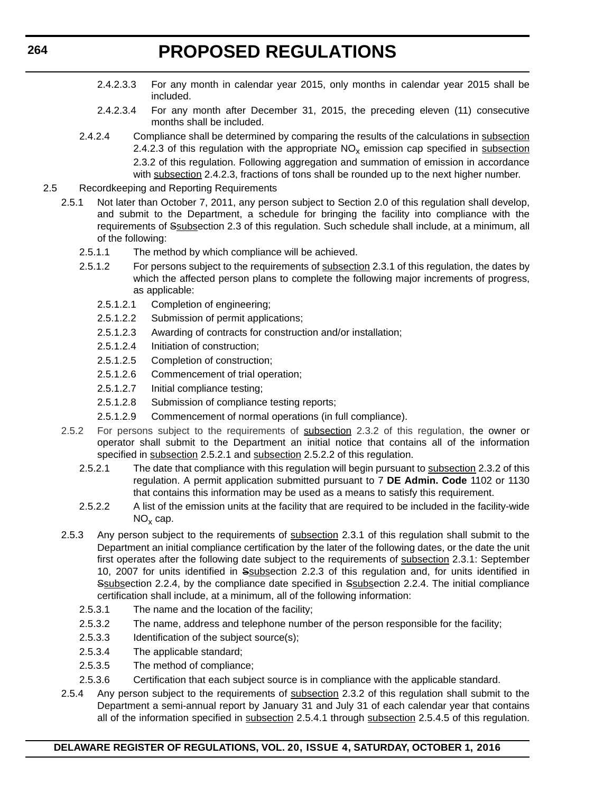- 2.4.2.3.3 For any month in calendar year 2015, only months in calendar year 2015 shall be included.
- 2.4.2.3.4 For any month after December 31, 2015, the preceding eleven (11) consecutive months shall be included.
- 2.4.2.4 Compliance shall be determined by comparing the results of the calculations in subsection 2.4.2.3 of this regulation with the appropriate  $NO<sub>x</sub>$  emission cap specified in subsection 2.3.2 of this regulation. Following aggregation and summation of emission in accordance with subsection 2.4.2.3, fractions of tons shall be rounded up to the next higher number.
- 2.5 Recordkeeping and Reporting Requirements
	- 2.5.1 Not later than October 7, 2011, any person subject to Section 2.0 of this regulation shall develop, and submit to the Department, a schedule for bringing the facility into compliance with the requirements of Ssubsection 2.3 of this regulation. Such schedule shall include, at a minimum, all of the following:
		- 2.5.1.1 The method by which compliance will be achieved.
		- 2.5.1.2 For persons subject to the requirements of subsection 2.3.1 of this regulation, the dates by which the affected person plans to complete the following major increments of progress, as applicable:
			- 2.5.1.2.1 Completion of engineering;
			- 2.5.1.2.2 Submission of permit applications;
			- 2.5.1.2.3 Awarding of contracts for construction and/or installation;
			- 2.5.1.2.4 Initiation of construction;
			- 2.5.1.2.5 Completion of construction;
			- 2.5.1.2.6 Commencement of trial operation;
			- 2.5.1.2.7 Initial compliance testing;
			- 2.5.1.2.8 Submission of compliance testing reports;
			- 2.5.1.2.9 Commencement of normal operations (in full compliance).
	- 2.5.2 For persons subject to the requirements of subsection 2.3.2 of this regulation, the owner or operator shall submit to the Department an initial notice that contains all of the information specified in subsection 2.5.2.1 and subsection 2.5.2.2 of this regulation.
		- 2.5.2.1 The date that compliance with this regulation will begin pursuant to subsection 2.3.2 of this regulation. A permit application submitted pursuant to 7 **DE Admin. Code** 1102 or 1130 that contains this information may be used as a means to satisfy this requirement.
		- 2.5.2.2 A list of the emission units at the facility that are required to be included in the facility-wide  $NO<sub>x</sub>$  cap.
	- 2.5.3 Any person subject to the requirements of subsection 2.3.1 of this regulation shall submit to the Department an initial compliance certification by the later of the following dates, or the date the unit first operates after the following date subject to the requirements of subsection 2.3.1: September 10, 2007 for units identified in Ssubsection 2.2.3 of this regulation and, for units identified in Ssubsection 2.2.4, by the compliance date specified in Ssubsection 2.2.4. The initial compliance certification shall include, at a minimum, all of the following information:
		- 2.5.3.1 The name and the location of the facility;
		- 2.5.3.2 The name, address and telephone number of the person responsible for the facility;
		- 2.5.3.3 Identification of the subject source(s);
		- 2.5.3.4 The applicable standard;
		- 2.5.3.5 The method of compliance;
		- 2.5.3.6 Certification that each subject source is in compliance with the applicable standard.
	- 2.5.4 Any person subject to the requirements of subsection 2.3.2 of this regulation shall submit to the Department a semi-annual report by January 31 and July 31 of each calendar year that contains all of the information specified in subsection 2.5.4.1 through subsection 2.5.4.5 of this regulation.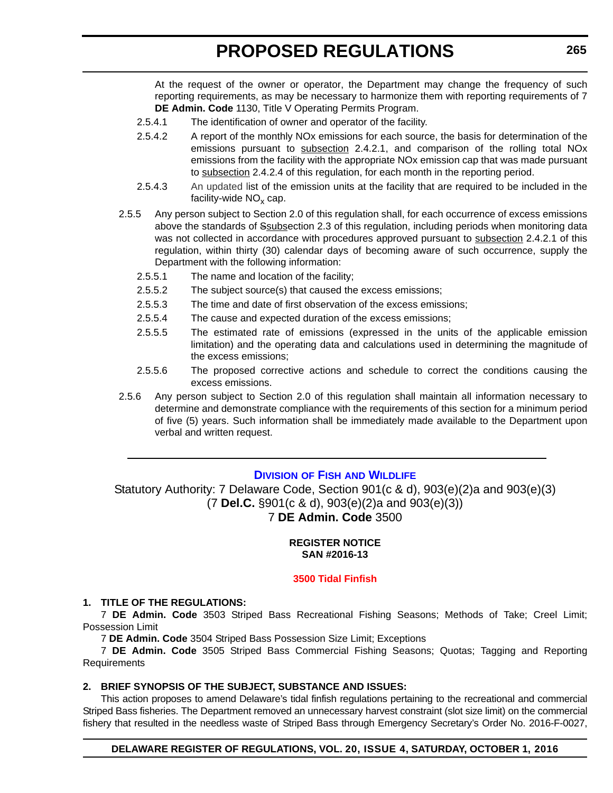At the request of the owner or operator, the Department may change the frequency of such reporting requirements, as may be necessary to harmonize them with reporting requirements of 7 **DE Admin. Code** 1130, Title V Operating Permits Program.

- 2.5.4.1 The identification of owner and operator of the facility.
- 2.5.4.2 A report of the monthly NOx emissions for each source, the basis for determination of the emissions pursuant to subsection 2.4.2.1, and comparison of the rolling total NOx emissions from the facility with the appropriate NOx emission cap that was made pursuant to subsection 2.4.2.4 of this regulation, for each month in the reporting period.
- 2.5.4.3 An updated list of the emission units at the facility that are required to be included in the facility-wide  $NO<sub>x</sub>$  cap.
- 2.5.5 Any person subject to Section 2.0 of this regulation shall, for each occurrence of excess emissions above the standards of Ssubsection 2.3 of this regulation, including periods when monitoring data was not collected in accordance with procedures approved pursuant to subsection 2.4.2.1 of this regulation, within thirty (30) calendar days of becoming aware of such occurrence, supply the Department with the following information:
	- 2.5.5.1 The name and location of the facility;
	- 2.5.5.2 The subject source(s) that caused the excess emissions;
	- 2.5.5.3 The time and date of first observation of the excess emissions;
	- 2.5.5.4 The cause and expected duration of the excess emissions;
	- 2.5.5.5 The estimated rate of emissions (expressed in the units of the applicable emission limitation) and the operating data and calculations used in determining the magnitude of the excess emissions;
	- 2.5.5.6 The proposed corrective actions and schedule to correct the conditions causing the excess emissions.
- 2.5.6 Any person subject to Section 2.0 of this regulation shall maintain all information necessary to determine and demonstrate compliance with the requirements of this section for a minimum period of five (5) years. Such information shall be immediately made available to the Department upon verbal and written request.

# **DIVISION OF FISH AND WILDLIFE**

Statutory Authority: 7 Delaware Code, Section 901(c & d), 903(e)(2)a and 903(e)(3) (7 **Del.C.** §901(c & d), 903(e)(2)a and 903(e)(3)) 7 **DE Admin. Code** 3500

### **REGISTER NOTICE SAN #2016-13**

#### **[3500 Tidal Finfish](#page-3-0)**

#### **1. TITLE OF THE REGULATIONS:**

7 **DE Admin. Code** 3503 Striped Bass Recreational Fishing Seasons; Methods of Take; Creel Limit; Possession Limit

7 **DE Admin. Code** 3504 Striped Bass Possession Size Limit; Exceptions

7 **DE Admin. Code** 3505 Striped Bass Commercial Fishing Seasons; Quotas; Tagging and Reporting Requirements

### **2. BRIEF SYNOPSIS OF THE SUBJECT, SUBSTANCE AND ISSUES:**

This action proposes to amend Delaware's tidal finfish regulations pertaining to the recreational and commercial Striped Bass fisheries. The Department removed an unnecessary harvest constraint (slot size limit) on the commercial fishery that resulted in the needless waste of Striped Bass through Emergency Secretary's Order No. 2016-F-0027,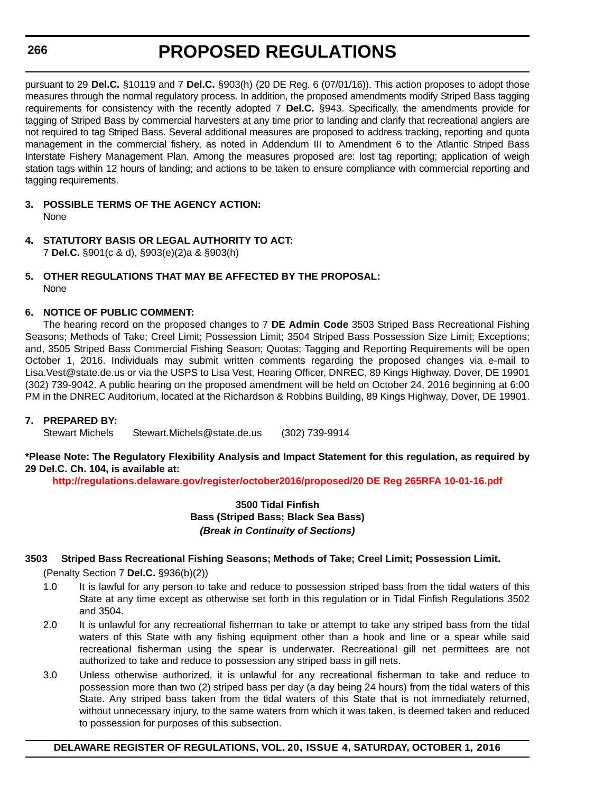# **266**

# **PROPOSED REGULATIONS**

pursuant to 29 **Del.C.** §10119 and 7 **Del.C.** §903(h) (20 DE Reg. 6 (07/01/16)). This action proposes to adopt those measures through the normal regulatory process. In addition, the proposed amendments modify Striped Bass tagging requirements for consistency with the recently adopted 7 **Del.C.** §943. Specifically, the amendments provide for tagging of Striped Bass by commercial harvesters at any time prior to landing and clarify that recreational anglers are not required to tag Striped Bass. Several additional measures are proposed to address tracking, reporting and quota management in the commercial fishery, as noted in Addendum III to Amendment 6 to the Atlantic Striped Bass Interstate Fishery Management Plan. Among the measures proposed are: lost tag reporting; application of weigh station tags within 12 hours of landing; and actions to be taken to ensure compliance with commercial reporting and tagging requirements.

- **3. POSSIBLE TERMS OF THE AGENCY ACTION:** None
- **4. STATUTORY BASIS OR LEGAL AUTHORITY TO ACT:** 7 **Del.C.** §901(c & d), §903(e)(2)a & §903(h)
- **5. OTHER REGULATIONS THAT MAY BE AFFECTED BY THE PROPOSAL:** None

### **6. NOTICE OF PUBLIC COMMENT:**

The hearing record on the proposed changes to 7 **DE Admin Code** 3503 Striped Bass Recreational Fishing Seasons; Methods of Take; Creel Limit; Possession Limit; 3504 Striped Bass Possession Size Limit; Exceptions; and, 3505 Striped Bass Commercial Fishing Season; Quotas; Tagging and Reporting Requirements will be open October 1, 2016. Individuals may submit written comments regarding the proposed changes via e-mail to Lisa.Vest@state.de.us or via the USPS to Lisa Vest, Hearing Officer, DNREC, 89 Kings Highway, Dover, DE 19901 (302) 739-9042. A public hearing on the proposed amendment will be held on October 24, 2016 beginning at 6:00 PM in the DNREC Auditorium, located at the Richardson & Robbins Building, 89 Kings Highway, Dover, DE 19901.

#### **7. PREPARED BY:**

Stewart Michels Stewart.Michels@state.de.us (302) 739-9914

### **\*Please Note: The Regulatory Flexibility Analysis and Impact Statement for this regulation, as required by 29 Del.C. Ch. 104, is available at:**

**<http://regulations.delaware.gov/register/october2016/proposed/20 DE Reg 265RFA 10-01-16.pdf>**

### **3500 Tidal Finfish Bass (Striped Bass; Black Sea Bass)** *(Break in Continuity of Sections)*

### **3503 Striped Bass Recreational Fishing Seasons; Methods of Take; Creel Limit; Possession Limit.**

(Penalty Section 7 **Del.C.** §936(b)(2))

- 1.0 It is lawful for any person to take and reduce to possession striped bass from the tidal waters of this State at any time except as otherwise set forth in this regulation or in Tidal Finfish Regulations 3502 and 3504.
- 2.0 It is unlawful for any recreational fisherman to take or attempt to take any striped bass from the tidal waters of this State with any fishing equipment other than a hook and line or a spear while said recreational fisherman using the spear is underwater. Recreational gill net permittees are not authorized to take and reduce to possession any striped bass in gill nets.
- 3.0 Unless otherwise authorized, it is unlawful for any recreational fisherman to take and reduce to possession more than two (2) striped bass per day (a day being 24 hours) from the tidal waters of this State. Any striped bass taken from the tidal waters of this State that is not immediately returned, without unnecessary injury, to the same waters from which it was taken, is deemed taken and reduced to possession for purposes of this subsection.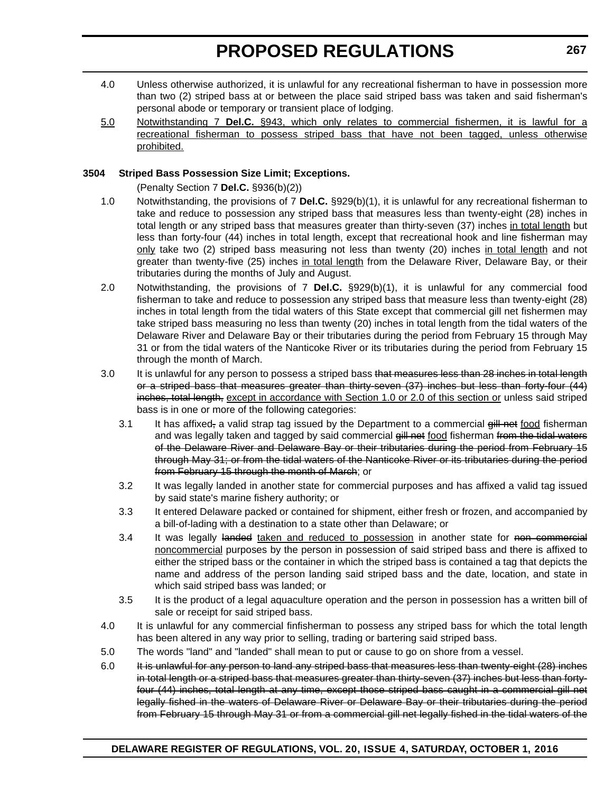- 4.0 Unless otherwise authorized, it is unlawful for any recreational fisherman to have in possession more than two (2) striped bass at or between the place said striped bass was taken and said fisherman's personal abode or temporary or transient place of lodging.
- 5.0 Notwithstanding 7 **Del.C.** §943, which only relates to commercial fishermen, it is lawful for a recreational fisherman to possess striped bass that have not been tagged, unless otherwise prohibited.

# **3504 Striped Bass Possession Size Limit; Exceptions.**

(Penalty Section 7 **Del.C.** §936(b)(2))

- 1.0 Notwithstanding, the provisions of 7 **Del.C.** §929(b)(1), it is unlawful for any recreational fisherman to take and reduce to possession any striped bass that measures less than twenty-eight (28) inches in total length or any striped bass that measures greater than thirty-seven (37) inches in total length but less than forty-four (44) inches in total length, except that recreational hook and line fisherman may only take two (2) striped bass measuring not less than twenty (20) inches in total length and not greater than twenty-five (25) inches in total length from the Delaware River, Delaware Bay, or their tributaries during the months of July and August.
- 2.0 Notwithstanding, the provisions of 7 **Del.C.** §929(b)(1), it is unlawful for any commercial food fisherman to take and reduce to possession any striped bass that measure less than twenty-eight (28) inches in total length from the tidal waters of this State except that commercial gill net fishermen may take striped bass measuring no less than twenty (20) inches in total length from the tidal waters of the Delaware River and Delaware Bay or their tributaries during the period from February 15 through May 31 or from the tidal waters of the Nanticoke River or its tributaries during the period from February 15 through the month of March.
- 3.0 It is unlawful for any person to possess a striped bass that measures less than 28 inches in total length or a striped bass that measures greater than thirty-seven (37) inches but less than forty-four (44) inches, total length, except in accordance with Section 1.0 or 2.0 of this section or unless said striped bass is in one or more of the following categories:
	- 3.1 It has affixed, a valid strap tag issued by the Department to a commercial  $g\ddot{u}$  net food fisherman and was legally taken and tagged by said commercial gill net food fisherman from the tidal waters of the Delaware River and Delaware Bay or their tributaries during the period from February 15 through May 31; or from the tidal waters of the Nanticoke River or its tributaries during the period from February 15 through the month of March; or
	- 3.2 It was legally landed in another state for commercial purposes and has affixed a valid tag issued by said state's marine fishery authority; or
	- 3.3 It entered Delaware packed or contained for shipment, either fresh or frozen, and accompanied by a bill-of-lading with a destination to a state other than Delaware; or
	- 3.4 It was legally landed taken and reduced to possession in another state for non commercial noncommercial purposes by the person in possession of said striped bass and there is affixed to either the striped bass or the container in which the striped bass is contained a tag that depicts the name and address of the person landing said striped bass and the date, location, and state in which said striped bass was landed; or
	- 3.5 It is the product of a legal aquaculture operation and the person in possession has a written bill of sale or receipt for said striped bass.
- 4.0 It is unlawful for any commercial finfisherman to possess any striped bass for which the total length has been altered in any way prior to selling, trading or bartering said striped bass.
- 5.0 The words "land" and "landed" shall mean to put or cause to go on shore from a vessel.
- 6.0 It is unlawful for any person to land any striped bass that measures less than twenty-eight (28) inches in total length or a striped bass that measures greater than thirty-seven (37) inches but less than fortyfour (44) inches, total length at any time, except those striped bass caught in a commercial gill net legally fished in the waters of Delaware River or Delaware Bay or their tributaries during the period from February 15 through May 31 or from a commercial gill net legally fished in the tidal waters of the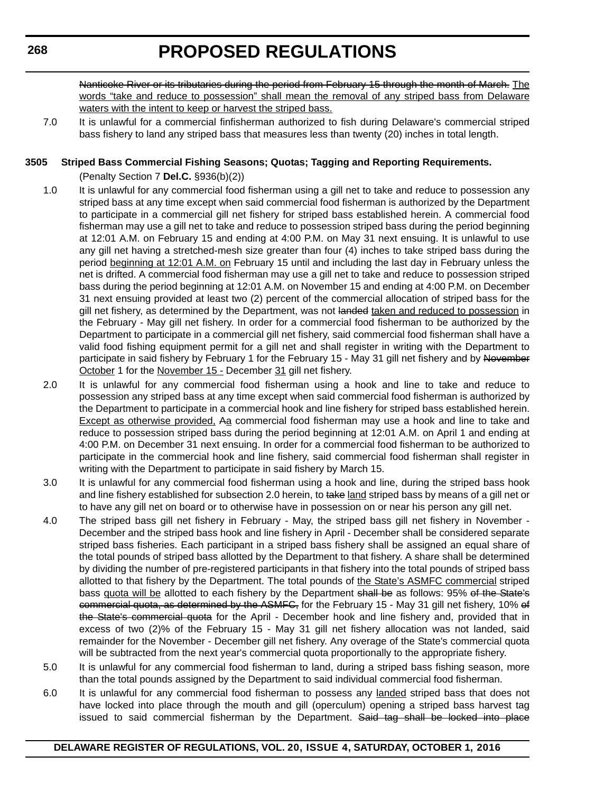Nanticoke River or its tributaries during the period from February 15 through the month of March. The words "take and reduce to possession" shall mean the removal of any striped bass from Delaware waters with the intent to keep or harvest the striped bass.

7.0 It is unlawful for a commercial finfisherman authorized to fish during Delaware's commercial striped bass fishery to land any striped bass that measures less than twenty (20) inches in total length.

### **3505 Striped Bass Commercial Fishing Seasons; Quotas; Tagging and Reporting Requirements.**

(Penalty Section 7 **Del.C.** §936(b)(2))

- 1.0 It is unlawful for any commercial food fisherman using a gill net to take and reduce to possession any striped bass at any time except when said commercial food fisherman is authorized by the Department to participate in a commercial gill net fishery for striped bass established herein. A commercial food fisherman may use a gill net to take and reduce to possession striped bass during the period beginning at 12:01 A.M. on February 15 and ending at 4:00 P.M. on May 31 next ensuing. It is unlawful to use any gill net having a stretched-mesh size greater than four (4) inches to take striped bass during the period beginning at 12:01 A.M. on February 15 until and including the last day in February unless the net is drifted. A commercial food fisherman may use a gill net to take and reduce to possession striped bass during the period beginning at 12:01 A.M. on November 15 and ending at 4:00 P.M. on December 31 next ensuing provided at least two (2) percent of the commercial allocation of striped bass for the gill net fishery, as determined by the Department, was not landed taken and reduced to possession in the February - May gill net fishery. In order for a commercial food fisherman to be authorized by the Department to participate in a commercial gill net fishery, said commercial food fisherman shall have a valid food fishing equipment permit for a gill net and shall register in writing with the Department to participate in said fishery by February 1 for the February 15 - May 31 gill net fishery and by November October 1 for the November 15 - December 31 gill net fishery.
- 2.0 It is unlawful for any commercial food fisherman using a hook and line to take and reduce to possession any striped bass at any time except when said commercial food fisherman is authorized by the Department to participate in a commercial hook and line fishery for striped bass established herein. Except as otherwise provided, Aa commercial food fisherman may use a hook and line to take and reduce to possession striped bass during the period beginning at 12:01 A.M. on April 1 and ending at 4:00 P.M. on December 31 next ensuing. In order for a commercial food fisherman to be authorized to participate in the commercial hook and line fishery, said commercial food fisherman shall register in writing with the Department to participate in said fishery by March 15.
- 3.0 It is unlawful for any commercial food fisherman using a hook and line, during the striped bass hook and line fishery established for subsection 2.0 herein, to take land striped bass by means of a gill net or to have any gill net on board or to otherwise have in possession on or near his person any gill net.
- 4.0 The striped bass gill net fishery in February May, the striped bass gill net fishery in November December and the striped bass hook and line fishery in April - December shall be considered separate striped bass fisheries. Each participant in a striped bass fishery shall be assigned an equal share of the total pounds of striped bass allotted by the Department to that fishery. A share shall be determined by dividing the number of pre-registered participants in that fishery into the total pounds of striped bass allotted to that fishery by the Department. The total pounds of the State's ASMFC commercial striped bass quota will be allotted to each fishery by the Department shall be as follows: 95% of the State's commercial quota, as determined by the ASMFC, for the February 15 - May 31 gill net fishery, 10% of the State's commercial quota for the April - December hook and line fishery and, provided that in excess of two (2)% of the February 15 - May 31 gill net fishery allocation was not landed, said remainder for the November - December gill net fishery. Any overage of the State's commercial quota will be subtracted from the next year's commercial quota proportionally to the appropriate fishery.
- 5.0 It is unlawful for any commercial food fisherman to land, during a striped bass fishing season, more than the total pounds assigned by the Department to said individual commercial food fisherman.
- 6.0 It is unlawful for any commercial food fisherman to possess any landed striped bass that does not have locked into place through the mouth and gill (operculum) opening a striped bass harvest tag issued to said commercial fisherman by the Department. Said tag shall be locked into place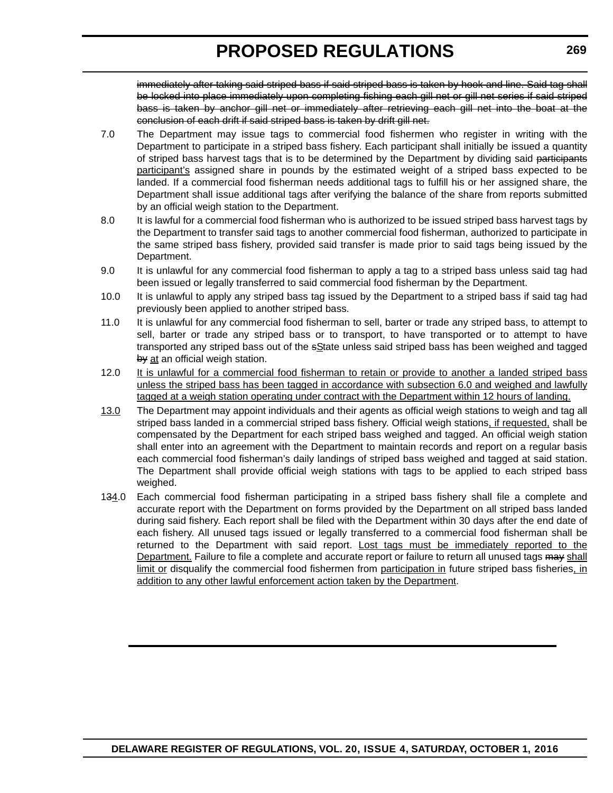immediately after taking said striped bass if said striped bass is taken by hook and line. Said tag shall be locked into place immediately upon completing fishing each gill net or gill net series if said striped bass is taken by anchor gill net or immediately after retrieving each gill net into the boat at the conclusion of each drift if said striped bass is taken by drift gill net.

- 7.0 The Department may issue tags to commercial food fishermen who register in writing with the Department to participate in a striped bass fishery. Each participant shall initially be issued a quantity of striped bass harvest tags that is to be determined by the Department by dividing said participants participant's assigned share in pounds by the estimated weight of a striped bass expected to be landed. If a commercial food fisherman needs additional tags to fulfill his or her assigned share, the Department shall issue additional tags after verifying the balance of the share from reports submitted by an official weigh station to the Department.
- 8.0 It is lawful for a commercial food fisherman who is authorized to be issued striped bass harvest tags by the Department to transfer said tags to another commercial food fisherman, authorized to participate in the same striped bass fishery, provided said transfer is made prior to said tags being issued by the Department.
- 9.0 It is unlawful for any commercial food fisherman to apply a tag to a striped bass unless said tag had been issued or legally transferred to said commercial food fisherman by the Department.
- 10.0 It is unlawful to apply any striped bass tag issued by the Department to a striped bass if said tag had previously been applied to another striped bass.
- 11.0 It is unlawful for any commercial food fisherman to sell, barter or trade any striped bass, to attempt to sell, barter or trade any striped bass or to transport, to have transported or to attempt to have transported any striped bass out of the sState unless said striped bass has been weighed and tagged by at an official weigh station.
- 12.0 It is unlawful for a commercial food fisherman to retain or provide to another a landed striped bass unless the striped bass has been tagged in accordance with subsection 6.0 and weighed and lawfully tagged at a weigh station operating under contract with the Department within 12 hours of landing.
- 13.0 The Department may appoint individuals and their agents as official weigh stations to weigh and tag all striped bass landed in a commercial striped bass fishery. Official weigh stations, if requested, shall be compensated by the Department for each striped bass weighed and tagged. An official weigh station shall enter into an agreement with the Department to maintain records and report on a regular basis each commercial food fisherman's daily landings of striped bass weighed and tagged at said station. The Department shall provide official weigh stations with tags to be applied to each striped bass weighed.
- 134.0 Each commercial food fisherman participating in a striped bass fishery shall file a complete and accurate report with the Department on forms provided by the Department on all striped bass landed during said fishery. Each report shall be filed with the Department within 30 days after the end date of each fishery. All unused tags issued or legally transferred to a commercial food fisherman shall be returned to the Department with said report. Lost tags must be immediately reported to the Department. Failure to file a complete and accurate report or failure to return all unused tags may shall limit or disqualify the commercial food fishermen from participation in future striped bass fisheries, in addition to any other lawful enforcement action taken by the Department.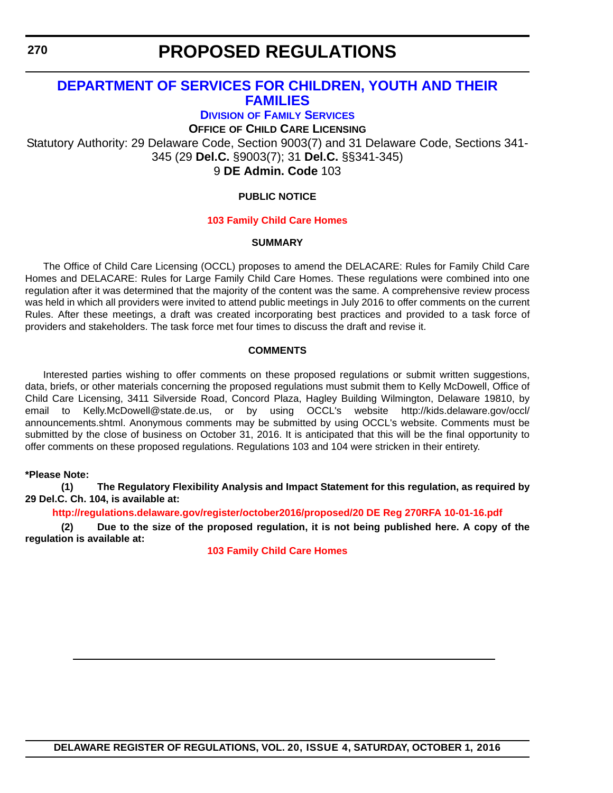**270**

# **PROPOSED REGULATIONS**

# **DEPARTMENT OF SERVICES FOR CHILDREN, YOUTH AND THEIR FAMILIES**

**DIVISION OF FAMILY SERVICES**

**OFFICE OF CHILD CARE LICENSING**

Statutory Authority: 29 Delaware Code, Section 9003(7) and 31 Delaware Code, Sections 341- 345 (29 **Del.C.** §9003(7); 31 **Del.C.** §§341-345) 9 **DE Admin. Code** 103

## **PUBLIC NOTICE**

### **[103 Family Child Care Homes](#page-3-0)**

### **SUMMARY**

The Office of Child Care Licensing (OCCL) proposes to amend the DELACARE: Rules for Family Child Care Homes and DELACARE: Rules for Large Family Child Care Homes. These regulations were combined into one regulation after it was determined that the majority of the content was the same. A comprehensive review process was held in which all providers were invited to attend public meetings in July 2016 to offer comments on the current Rules. After these meetings, a draft was created incorporating best practices and provided to a task force of providers and stakeholders. The task force met four times to discuss the draft and revise it.

### **COMMENTS**

Interested parties wishing to offer comments on these proposed regulations or submit written suggestions, data, briefs, or other materials concerning the proposed regulations must submit them to Kelly McDowell, Office of Child Care Licensing, 3411 Silverside Road, Concord Plaza, Hagley Building Wilmington, Delaware 19810, by email to Kelly.McDowell@state.de.us, or by using OCCL's website http://kids.delaware.gov/occl/ announcements.shtml. Anonymous comments may be submitted by using OCCL's website. Comments must be submitted by the close of business on October 31, 2016. It is anticipated that this will be the final opportunity to offer comments on these proposed regulations. Regulations 103 and 104 were stricken in their entirety.

### **\*Please Note:**

**(1) The Regulatory Flexibility Analysis and Impact Statement for this regulation, as required by 29 Del.C. Ch. 104, is available at:**

**<http://regulations.delaware.gov/register/october2016/proposed/20 DE Reg 270RFA 10-01-16.pdf>**

**(2) Due to the size of the proposed regulation, it is not being published here. A copy of the regulation is available at:**

**[103 Family Child Care Homes](http://regulations.delaware.gov/register/october2016/proposed/20 DE Reg 270 10-01-16.htm)**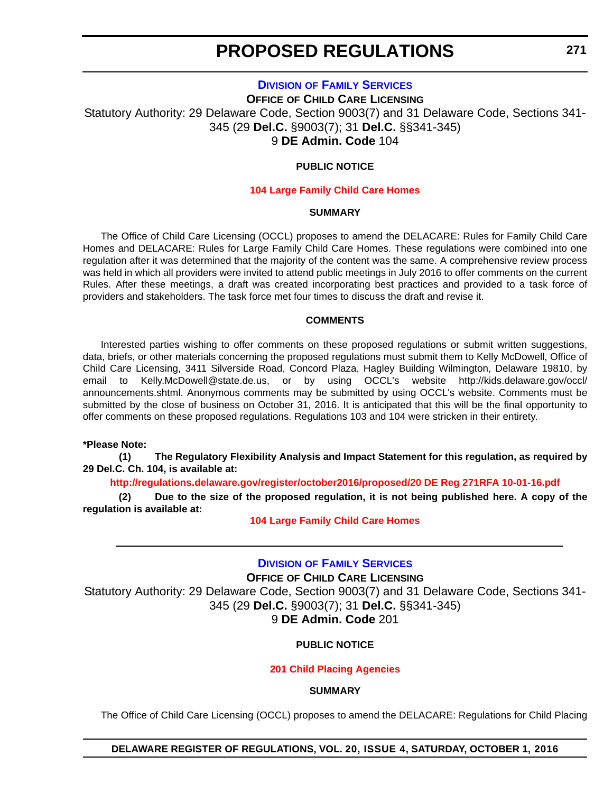# **DIVISION OF FAMILY SERVICES**

**OFFICE OF CHILD CARE LICENSING** Statutory Authority: 29 Delaware Code, Section 9003(7) and 31 Delaware Code, Sections 341- 345 (29 **Del.C.** §9003(7); 31 **Del.C.** §§341-345) 9 **DE Admin. Code** 104

# **PUBLIC NOTICE**

#### **[104 Large Family Child Care Homes](#page-3-0)**

#### **SUMMARY**

The Office of Child Care Licensing (OCCL) proposes to amend the DELACARE: Rules for Family Child Care Homes and DELACARE: Rules for Large Family Child Care Homes. These regulations were combined into one regulation after it was determined that the majority of the content was the same. A comprehensive review process was held in which all providers were invited to attend public meetings in July 2016 to offer comments on the current Rules. After these meetings, a draft was created incorporating best practices and provided to a task force of providers and stakeholders. The task force met four times to discuss the draft and revise it.

### **COMMENTS**

Interested parties wishing to offer comments on these proposed regulations or submit written suggestions, data, briefs, or other materials concerning the proposed regulations must submit them to Kelly McDowell, Office of Child Care Licensing, 3411 Silverside Road, Concord Plaza, Hagley Building Wilmington, Delaware 19810, by email to Kelly.McDowell@state.de.us, or by using OCCL's website http://kids.delaware.gov/occl/ announcements.shtml. Anonymous comments may be submitted by using OCCL's website. Comments must be submitted by the close of business on October 31, 2016. It is anticipated that this will be the final opportunity to offer comments on these proposed regulations. Regulations 103 and 104 were stricken in their entirety.

#### **\*Please Note:**

**(1) The Regulatory Flexibility Analysis and Impact Statement for this regulation, as required by 29 Del.C. Ch. 104, is available at:**

**<http://regulations.delaware.gov/register/october2016/proposed/20 DE Reg 271RFA 10-01-16.pdf>**

**(2) Due to the size of the proposed regulation, it is not being published here. A copy of the regulation is available at:**

**[104 Large Family Child Care Homes](http://regulations.delaware.gov/register/october2016/proposed/20 DE Reg 271 10-01-16.htm)**

# **DIVISION OF FAMILY SERVICES**

**OFFICE OF CHILD CARE LICENSING** Statutory Authority: 29 Delaware Code, Section 9003(7) and 31 Delaware Code, Sections 341- 345 (29 **Del.C.** §9003(7); 31 **Del.C.** §§341-345) 9 **DE Admin. Code** 201

### **PUBLIC NOTICE**

### **[201 Child Placing Agencies](#page-3-0)**

#### **SUMMARY**

The Office of Child Care Licensing (OCCL) proposes to amend the DELACARE: Regulations for Child Placing

### **DELAWARE REGISTER OF REGULATIONS, VOL. 20, ISSUE 4, SATURDAY, OCTOBER 1, 2016**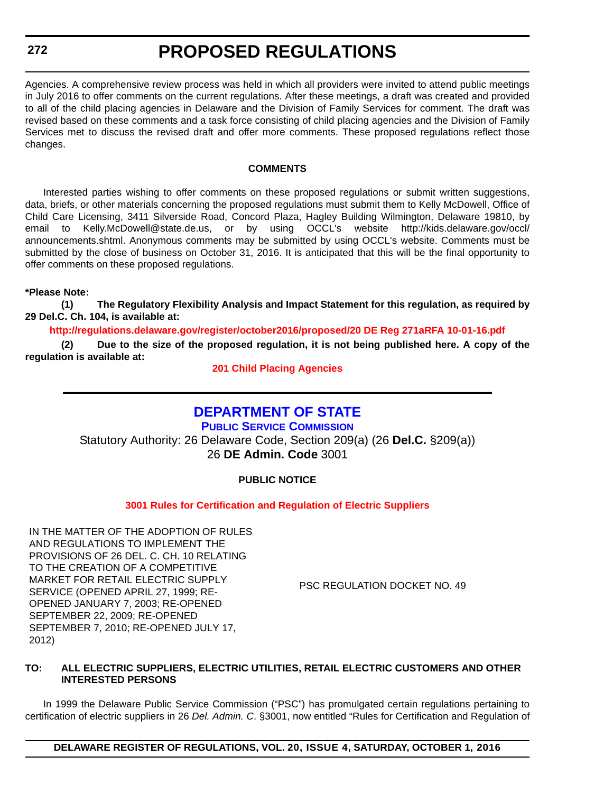# **272**

# **PROPOSED REGULATIONS**

Agencies. A comprehensive review process was held in which all providers were invited to attend public meetings in July 2016 to offer comments on the current regulations. After these meetings, a draft was created and provided to all of the child placing agencies in Delaware and the Division of Family Services for comment. The draft was revised based on these comments and a task force consisting of child placing agencies and the Division of Family Services met to discuss the revised draft and offer more comments. These proposed regulations reflect those changes.

### **COMMENTS**

Interested parties wishing to offer comments on these proposed regulations or submit written suggestions, data, briefs, or other materials concerning the proposed regulations must submit them to Kelly McDowell, Office of Child Care Licensing, 3411 Silverside Road, Concord Plaza, Hagley Building Wilmington, Delaware 19810, by email to Kelly.McDowell@state.de.us, or by using OCCL's website http://kids.delaware.gov/occl/ announcements.shtml. Anonymous comments may be submitted by using OCCL's website. Comments must be submitted by the close of business on October 31, 2016. It is anticipated that this will be the final opportunity to offer comments on these proposed regulations.

### **\*Please Note:**

**(1) The Regulatory Flexibility Analysis and Impact Statement for this regulation, as required by 29 Del.C. Ch. 104, is available at:**

**<http://regulations.delaware.gov/register/october2016/proposed/20 DE Reg 271aRFA 10-01-16.pdf>**

**(2) Due to the size of the proposed regulation, it is not being published here. A copy of the regulation is available at:**

**[201 Child Placing Agencies](http://regulations.delaware.gov/register/october2016/proposed/20 DE Reg 271a 10-01-16.htm)**

# **DEPARTMENT OF STATE**

**PUBLIC SERVICE COMMISSION** Statutory Authority: 26 Delaware Code, Section 209(a) (26 **Del.C.** §209(a)) 26 **DE Admin. Code** 3001

# **PUBLIC NOTICE**

**[3001 Rules for Certification and Regulation of Electric Suppliers](#page-3-0)**

IN THE MATTER OF THE ADOPTION OF RULES AND REGULATIONS TO IMPLEMENT THE PROVISIONS OF 26 DEL. C. CH. 10 RELATING TO THE CREATION OF A COMPETITIVE MARKET FOR RETAIL ELECTRIC SUPPLY SERVICE (OPENED APRIL 27, 1999; RE-OPENED JANUARY 7, 2003; RE-OPENED SEPTEMBER 22, 2009; RE-OPENED SEPTEMBER 7, 2010; RE-OPENED JULY 17, 2012)

PSC REGULATION DOCKET NO. 49

### **TO: ALL ELECTRIC SUPPLIERS, ELECTRIC UTILITIES, RETAIL ELECTRIC CUSTOMERS AND OTHER INTERESTED PERSONS**

In 1999 the Delaware Public Service Commission ("PSC") has promulgated certain regulations pertaining to certification of electric suppliers in 26 *Del. Admin. C*. §3001, now entitled "Rules for Certification and Regulation of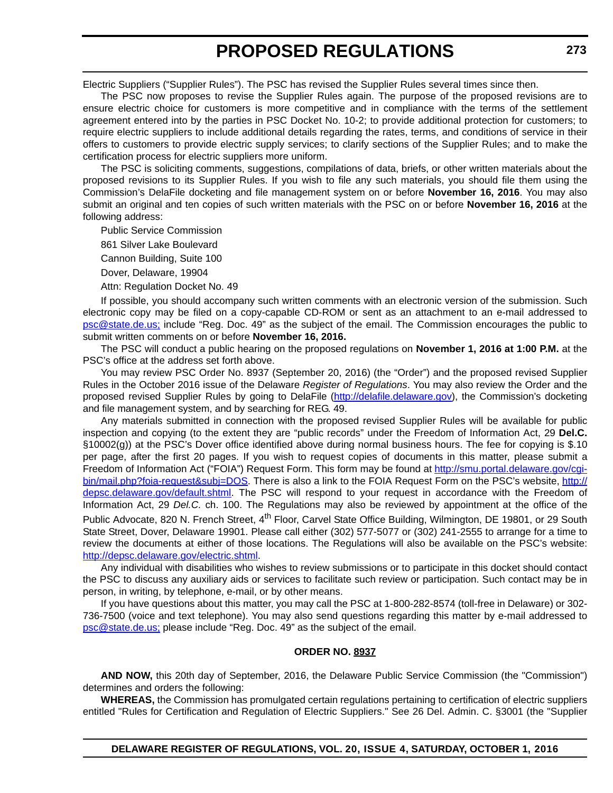Electric Suppliers ("Supplier Rules"). The PSC has revised the Supplier Rules several times since then.

The PSC now proposes to revise the Supplier Rules again. The purpose of the proposed revisions are to ensure electric choice for customers is more competitive and in compliance with the terms of the settlement agreement entered into by the parties in PSC Docket No. 10-2; to provide additional protection for customers; to require electric suppliers to include additional details regarding the rates, terms, and conditions of service in their offers to customers to provide electric supply services; to clarify sections of the Supplier Rules; and to make the certification process for electric suppliers more uniform.

The PSC is soliciting comments, suggestions, compilations of data, briefs, or other written materials about the proposed revisions to its Supplier Rules. If you wish to file any such materials, you should file them using the Commission's DelaFile docketing and file management system on or before **November 16, 2016**. You may also submit an original and ten copies of such written materials with the PSC on or before **November 16, 2016** at the following address:

Public Service Commission

861 Silver Lake Boulevard

Cannon Building, Suite 100

Dover, Delaware, 19904

Attn: Regulation Docket No. 49

If possible, you should accompany such written comments with an electronic version of the submission. Such electronic copy may be filed on a copy-capable CD-ROM or sent as an attachment to an e-mail addressed to [psc@state.de.us;](mailto:psc@state.de.us) include "Reg. Doc. 49" as the subject of the email. The Commission encourages the public to submit written comments on or before **November 16, 2016.**

The PSC will conduct a public hearing on the proposed regulations on **November 1, 2016 at 1:00 P.M.** at the PSC's office at the address set forth above.

You may review PSC Order No. 8937 (September 20, 2016) (the "Order") and the proposed revised Supplier Rules in the October 2016 issue of the Delaware *Register of Regulations*. You may also review the Order and the proposed revised Supplier Rules by going to DelaFile (<http://delafile.delaware.gov>), the Commission's docketing and file management system, and by searching for REG. 49.

Any materials submitted in connection with the proposed revised Supplier Rules will be available for public inspection and copying (to the extent they are "public records" under the Freedom of Information Act, 29 **Del.C.** §10002(g)) at the PSC's Dover office identified above during normal business hours. The fee for copying is \$.10 per page, after the first 20 pages. If you wish to request copies of documents in this matter, please submit a Freedom of Information Act ("FOIA") Request Form. This form may be found at [http://smu.portal.delaware.gov/cgi](http://smu.portal.delaware.gov/cgi-bin/mail.php?foia-request&subj=DOS)[bin/mail.php?foia-request&subj=DOS.](http://smu.portal.delaware.gov/cgi-bin/mail.php?foia-request&subj=DOS) There is also a link to the FOIA Request Form on the PSC's website, [http://](http://depsc.delaware.gov/default.shtml) [depsc.delaware.gov/default.shtml](http://depsc.delaware.gov/default.shtml). The PSC will respond to your request in accordance with the Freedom of Information Act, 29 *Del.C.* ch. 100. The Regulations may also be reviewed by appointment at the office of the Public Advocate, 820 N. French Street, 4<sup>th</sup> Floor, Carvel State Office Building, Wilmington, DE 19801, or 29 South State Street, Dover, Delaware 19901. Please call either (302) 577-5077 or (302) 241-2555 to arrange for a time to review the documents at either of those locations. The Regulations will also be available on the PSC's website: [http://depsc.delaware.gov/electric.shtml.](http://depsc.delaware.gov/electric.shtml)

Any individual with disabilities who wishes to review submissions or to participate in this docket should contact the PSC to discuss any auxiliary aids or services to facilitate such review or participation. Such contact may be in person, in writing, by telephone, e-mail, or by other means.

If you have questions about this matter, you may call the PSC at 1-800-282-8574 (toll-free in Delaware) or 302- 736-7500 (voice and text telephone). You may also send questions regarding this matter by e-mail addressed to [psc@state.de.us;](mailto:psc@state.de.us) please include "Reg. Doc. 49" as the subject of the email.

### **ORDER NO. 8937**

**AND NOW,** this 20th day of September, 2016, the Delaware Public Service Commission (the "Commission") determines and orders the following:

**WHEREAS,** the Commission has promulgated certain regulations pertaining to certification of electric suppliers entitled "Rules for Certification and Regulation of Electric Suppliers." See 26 Del. Admin. C. §3001 (the "Supplier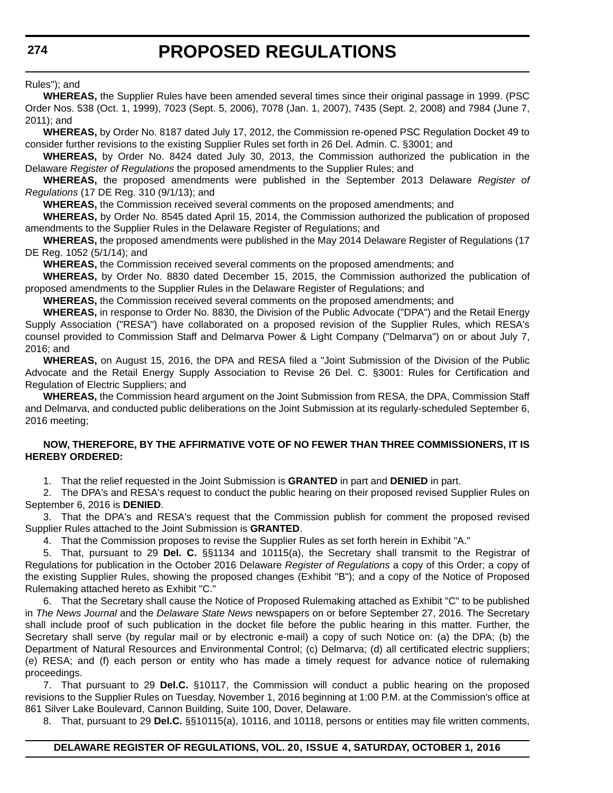Rules"); and

**WHEREAS,** the Supplier Rules have been amended several times since their original passage in 1999. (PSC Order Nos. 538 (Oct. 1, 1999), 7023 (Sept. 5, 2006), 7078 (Jan. 1, 2007), 7435 (Sept. 2, 2008) and 7984 (June 7, 2011); and

**WHEREAS,** by Order No. 8187 dated July 17, 2012, the Commission re-opened PSC Regulation Docket 49 to consider further revisions to the existing Supplier Rules set forth in 26 Del. Admin. C. §3001; and

**WHEREAS,** by Order No. 8424 dated July 30, 2013, the Commission authorized the publication in the Delaware *Register of Regulations* the proposed amendments to the Supplier Rules; and

**WHEREAS,** the proposed amendments were published in the September 2013 Delaware *Register of Regulations* (17 DE Reg. 310 (9/1/13); and

**WHEREAS,** the Commission received several comments on the proposed amendments; and

**WHEREAS,** by Order No. 8545 dated April 15, 2014, the Commission authorized the publication of proposed amendments to the Supplier Rules in the Delaware Register of Regulations; and

**WHEREAS,** the proposed amendments were published in the May 2014 Delaware Register of Regulations (17 DE Reg. 1052 (5/1/14); and

**WHEREAS,** the Commission received several comments on the proposed amendments; and

**WHEREAS,** by Order No. 8830 dated December 15, 2015, the Commission authorized the publication of proposed amendments to the Supplier Rules in the Delaware Register of Regulations; and

**WHEREAS,** the Commission received several comments on the proposed amendments; and

**WHEREAS,** in response to Order No. 8830, the Division of the Public Advocate ("DPA") and the Retail Energy Supply Association ("RESA") have collaborated on a proposed revision of the Supplier Rules, which RESA's counsel provided to Commission Staff and Delmarva Power & Light Company ("Delmarva") on or about July 7, 2016; and

**WHEREAS,** on August 15, 2016, the DPA and RESA filed a "Joint Submission of the Division of the Public Advocate and the Retail Energy Supply Association to Revise 26 Del. C. §3001: Rules for Certification and Regulation of Electric Suppliers; and

**WHEREAS,** the Commission heard argument on the Joint Submission from RESA, the DPA, Commission Staff and Delmarva, and conducted public deliberations on the Joint Submission at its regularly-scheduled September 6, 2016 meeting;

### **NOW, THEREFORE, BY THE AFFIRMATIVE VOTE OF NO FEWER THAN THREE COMMISSIONERS, IT IS HEREBY ORDERED:**

1. That the relief requested in the Joint Submission is **GRANTED** in part and **DENIED** in part.

2. The DPA's and RESA's request to conduct the public hearing on their proposed revised Supplier Rules on September 6, 2016 is **DENIED**.

3. That the DPA's and RESA's request that the Commission publish for comment the proposed revised Supplier Rules attached to the Joint Submission is **GRANTED**.

4. That the Commission proposes to revise the Supplier Rules as set forth herein in Exhibit "A."

5. That, pursuant to 29 **Del. C.** §§1134 and 10115(a), the Secretary shall transmit to the Registrar of Regulations for publication in the October 2016 Delaware *Register of Regulations* a copy of this Order; a copy of the existing Supplier Rules, showing the proposed changes (Exhibit "B"); and a copy of the Notice of Proposed Rulemaking attached hereto as Exhibit "C."

6. That the Secretary shall cause the Notice of Proposed Rulemaking attached as Exhibit "C" to be published in *The News Journal* and the *Delaware State News* newspapers on or before September 27, 2016. The Secretary shall include proof of such publication in the docket file before the public hearing in this matter. Further, the Secretary shall serve (by regular mail or by electronic e-mail) a copy of such Notice on: (a) the DPA; (b) the Department of Natural Resources and Environmental Control; (c) Delmarva; (d) all certificated electric suppliers; (e) RESA; and (f) each person or entity who has made a timely request for advance notice of rulemaking proceedings.

7. That pursuant to 29 **Del.C.** §10117, the Commission will conduct a public hearing on the proposed revisions to the Supplier Rules on Tuesday, November 1, 2016 beginning at 1:00 P.M. at the Commission's office at 861 Silver Lake Boulevard, Cannon Building, Suite 100, Dover, Delaware.

8. That, pursuant to 29 **Del.C.** §§10115(a), 10116, and 10118, persons or entities may file written comments,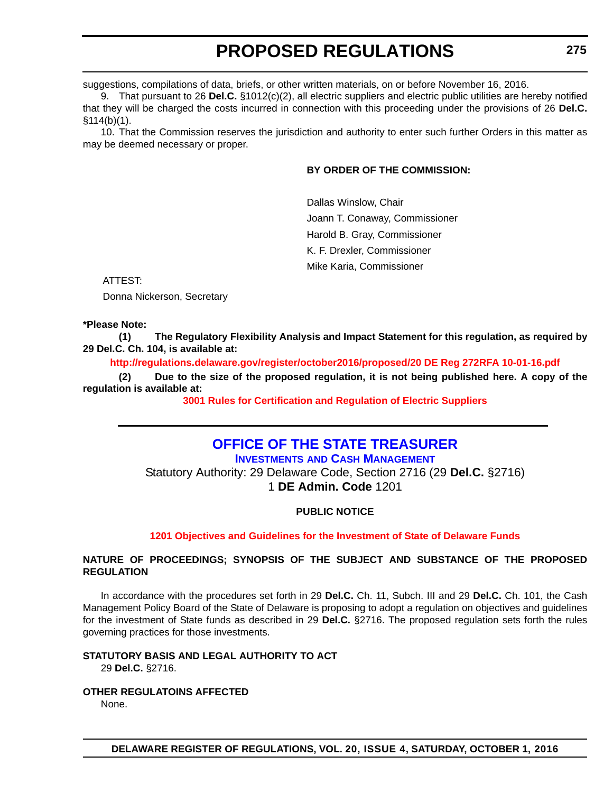suggestions, compilations of data, briefs, or other written materials, on or before November 16, 2016.

9. That pursuant to 26 **Del.C.** §1012(c)(2), all electric suppliers and electric public utilities are hereby notified that they will be charged the costs incurred in connection with this proceeding under the provisions of 26 **Del.C.** §114(b)(1).

10. That the Commission reserves the jurisdiction and authority to enter such further Orders in this matter as may be deemed necessary or proper.

# **BY ORDER OF THE COMMISSION:**

Dallas Winslow, Chair Joann T. Conaway, Commissioner Harold B. Gray, Commissioner K. F. Drexler, Commissioner Mike Karia, Commissioner

ATTEST:

Donna Nickerson, Secretary

### **\*Please Note:**

**(1) The Regulatory Flexibility Analysis and Impact Statement for this regulation, as required by 29 Del.C. Ch. 104, is available at:**

**<http://regulations.delaware.gov/register/october2016/proposed/20 DE Reg 272RFA 10-01-16.pdf>**

**(2) Due to the size of the proposed regulation, it is not being published here. A copy of the regulation is available at:**

**[3001 Rules for Certification and Regulation of Electric Suppliers](http://regulations.delaware.gov/register/october2016/proposed/20 DE Reg 272 10-01-16.htm)**

# **OFFICE OF THE STATE TREASURER**

**INVESTMENTS AND CASH MANAGEMENT**

Statutory Authority: 29 Delaware Code, Section 2716 (29 **Del.C.** §2716) 1 **DE Admin. Code** 1201

### **PUBLIC NOTICE**

### **[1201 Objectives and Guidelines for the Investment of State of Delaware Funds](#page-3-0)**

### **NATURE OF PROCEEDINGS; SYNOPSIS OF THE SUBJECT AND SUBSTANCE OF THE PROPOSED REGULATION**

In accordance with the procedures set forth in 29 **Del.C.** Ch. 11, Subch. III and 29 **Del.C.** Ch. 101, the Cash Management Policy Board of the State of Delaware is proposing to adopt a regulation on objectives and guidelines for the investment of State funds as described in 29 **Del.C.** §2716. The proposed regulation sets forth the rules governing practices for those investments.

### **STATUTORY BASIS AND LEGAL AUTHORITY TO ACT**

29 **Del.C.** §2716.

**OTHER REGULATOINS AFFECTED**

None.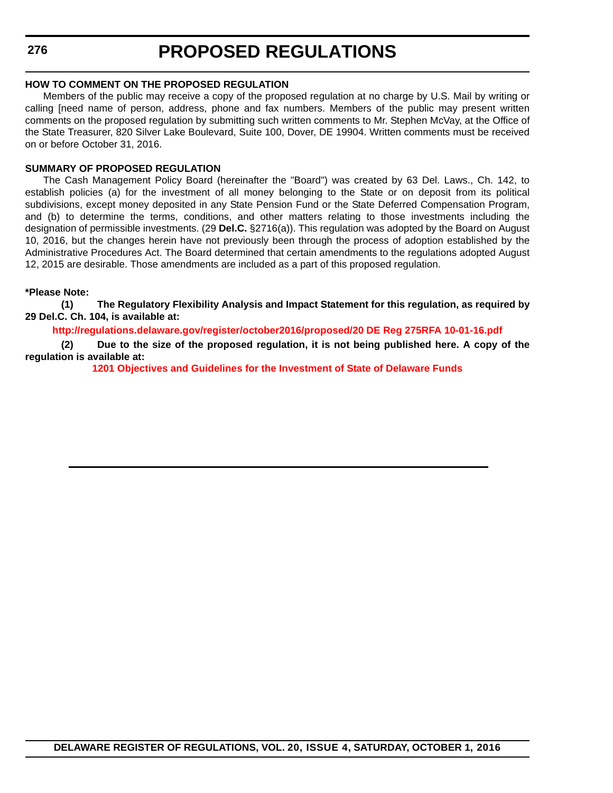### **HOW TO COMMENT ON THE PROPOSED REGULATION**

Members of the public may receive a copy of the proposed regulation at no charge by U.S. Mail by writing or calling [need name of person, address, phone and fax numbers. Members of the public may present written comments on the proposed regulation by submitting such written comments to Mr. Stephen McVay, at the Office of the State Treasurer, 820 Silver Lake Boulevard, Suite 100, Dover, DE 19904. Written comments must be received on or before October 31, 2016.

### **SUMMARY OF PROPOSED REGULATION**

The Cash Management Policy Board (hereinafter the "Board") was created by 63 Del. Laws., Ch. 142, to establish policies (a) for the investment of all money belonging to the State or on deposit from its political subdivisions, except money deposited in any State Pension Fund or the State Deferred Compensation Program, and (b) to determine the terms, conditions, and other matters relating to those investments including the designation of permissible investments. (29 **Del.C.** §2716(a)). This regulation was adopted by the Board on August 10, 2016, but the changes herein have not previously been through the process of adoption established by the Administrative Procedures Act. The Board determined that certain amendments to the regulations adopted August 12, 2015 are desirable. Those amendments are included as a part of this proposed regulation.

### **\*Please Note:**

**(1) The Regulatory Flexibility Analysis and Impact Statement for this regulation, as required by 29 Del.C. Ch. 104, is available at:**

**<http://regulations.delaware.gov/register/october2016/proposed/20 DE Reg 275RFA 10-01-16.pdf>**

**(2) Due to the size of the proposed regulation, it is not being published here. A copy of the regulation is available at:**

**[1201 Objectives and Guidelines for the Investment of State of Delaware Funds](http://regulations.delaware.gov/register/october2016/proposed/20 DE Reg 275 10-01-16.htm)**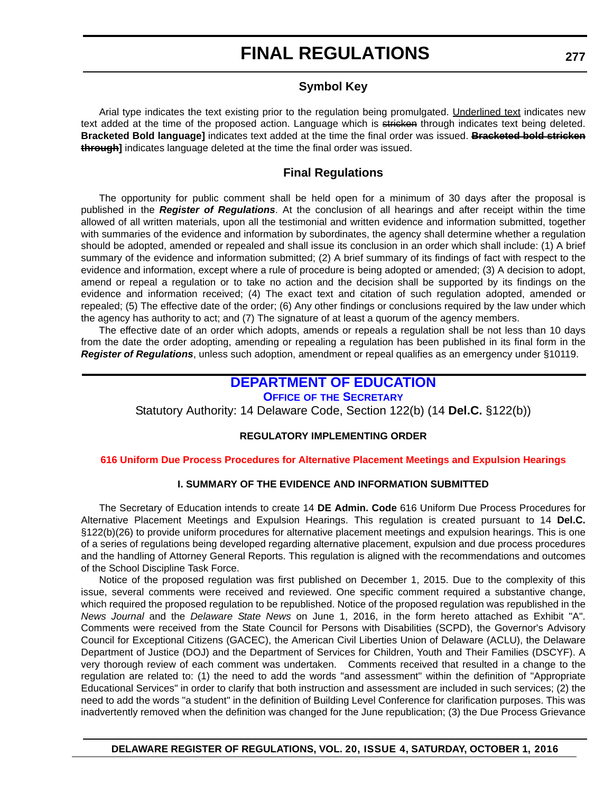# **FINAL REGULATIONS**

# **Symbol Key**

Arial type indicates the text existing prior to the regulation being promulgated. Underlined text indicates new text added at the time of the proposed action. Language which is stricken through indicates text being deleted. **Bracketed Bold language]** indicates text added at the time the final order was issued. **Bracketed bold stricken through]** indicates language deleted at the time the final order was issued.

# **Final Regulations**

The opportunity for public comment shall be held open for a minimum of 30 days after the proposal is published in the *Register of Regulations*. At the conclusion of all hearings and after receipt within the time allowed of all written materials, upon all the testimonial and written evidence and information submitted, together with summaries of the evidence and information by subordinates, the agency shall determine whether a regulation should be adopted, amended or repealed and shall issue its conclusion in an order which shall include: (1) A brief summary of the evidence and information submitted; (2) A brief summary of its findings of fact with respect to the evidence and information, except where a rule of procedure is being adopted or amended; (3) A decision to adopt, amend or repeal a regulation or to take no action and the decision shall be supported by its findings on the evidence and information received; (4) The exact text and citation of such regulation adopted, amended or repealed; (5) The effective date of the order; (6) Any other findings or conclusions required by the law under which the agency has authority to act; and (7) The signature of at least a quorum of the agency members.

The effective date of an order which adopts, amends or repeals a regulation shall be not less than 10 days from the date the order adopting, amending or repealing a regulation has been published in its final form in the *Register of Regulations*, unless such adoption, amendment or repeal qualifies as an emergency under §10119.

# **DEPARTMENT OF EDUCATION**

### **OFFICE OF THE SECRETARY**

Statutory Authority: 14 Delaware Code, Section 122(b) (14 **Del.C.** §122(b))

# **REGULATORY IMPLEMENTING ORDER**

#### **[616 Uniform Due Process Procedures for Alternative Placement Meetings and Expulsion Hearings](#page-4-0)**

### **I. SUMMARY OF THE EVIDENCE AND INFORMATION SUBMITTED**

The Secretary of Education intends to create 14 **DE Admin. Code** 616 Uniform Due Process Procedures for Alternative Placement Meetings and Expulsion Hearings. This regulation is created pursuant to 14 **Del.C.** §122(b)(26) to provide uniform procedures for alternative placement meetings and expulsion hearings. This is one of a series of regulations being developed regarding alternative placement, expulsion and due process procedures and the handling of Attorney General Reports. This regulation is aligned with the recommendations and outcomes of the School Discipline Task Force.

Notice of the proposed regulation was first published on December 1, 2015. Due to the complexity of this issue, several comments were received and reviewed. One specific comment required a substantive change, which required the proposed regulation to be republished. Notice of the proposed regulation was republished in the *News Journal* and the *Delaware State News* on June 1, 2016, in the form hereto attached as Exhibit "A". Comments were received from the State Council for Persons with Disabilities (SCPD), the Governor's Advisory Council for Exceptional Citizens (GACEC), the American Civil Liberties Union of Delaware (ACLU), the Delaware Department of Justice (DOJ) and the Department of Services for Children, Youth and Their Families (DSCYF). A very thorough review of each comment was undertaken. Comments received that resulted in a change to the regulation are related to: (1) the need to add the words "and assessment" within the definition of "Appropriate Educational Services" in order to clarify that both instruction and assessment are included in such services; (2) the need to add the words "a student" in the definition of Building Level Conference for clarification purposes. This was inadvertently removed when the definition was changed for the June republication; (3) the Due Process Grievance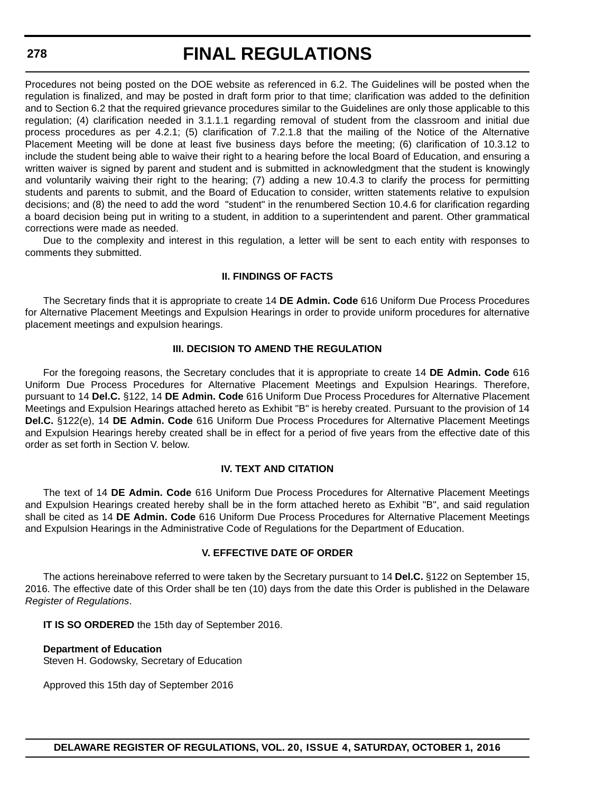# **FINAL REGULATIONS**

Procedures not being posted on the DOE website as referenced in 6.2. The Guidelines will be posted when the regulation is finalized, and may be posted in draft form prior to that time; clarification was added to the definition and to Section 6.2 that the required grievance procedures similar to the Guidelines are only those applicable to this regulation; (4) clarification needed in 3.1.1.1 regarding removal of student from the classroom and initial due process procedures as per 4.2.1; (5) clarification of 7.2.1.8 that the mailing of the Notice of the Alternative Placement Meeting will be done at least five business days before the meeting; (6) clarification of 10.3.12 to include the student being able to waive their right to a hearing before the local Board of Education, and ensuring a written waiver is signed by parent and student and is submitted in acknowledgment that the student is knowingly and voluntarily waiving their right to the hearing; (7) adding a new 10.4.3 to clarify the process for permitting students and parents to submit, and the Board of Education to consider, written statements relative to expulsion decisions; and (8) the need to add the word "student" in the renumbered Section 10.4.6 for clarification regarding a board decision being put in writing to a student, in addition to a superintendent and parent. Other grammatical corrections were made as needed.

Due to the complexity and interest in this regulation, a letter will be sent to each entity with responses to comments they submitted.

## **II. FINDINGS OF FACTS**

The Secretary finds that it is appropriate to create 14 **DE Admin. Code** 616 Uniform Due Process Procedures for Alternative Placement Meetings and Expulsion Hearings in order to provide uniform procedures for alternative placement meetings and expulsion hearings.

## **III. DECISION TO AMEND THE REGULATION**

For the foregoing reasons, the Secretary concludes that it is appropriate to create 14 **DE Admin. Code** 616 Uniform Due Process Procedures for Alternative Placement Meetings and Expulsion Hearings. Therefore, pursuant to 14 **Del.C.** §122, 14 **DE Admin. Code** 616 Uniform Due Process Procedures for Alternative Placement Meetings and Expulsion Hearings attached hereto as Exhibit "B" is hereby created. Pursuant to the provision of 14 **Del.C.** §122(e), 14 **DE Admin. Code** 616 Uniform Due Process Procedures for Alternative Placement Meetings and Expulsion Hearings hereby created shall be in effect for a period of five years from the effective date of this order as set forth in Section V. below.

## **IV. TEXT AND CITATION**

The text of 14 **DE Admin. Code** 616 Uniform Due Process Procedures for Alternative Placement Meetings and Expulsion Hearings created hereby shall be in the form attached hereto as Exhibit "B", and said regulation shall be cited as 14 **DE Admin. Code** 616 Uniform Due Process Procedures for Alternative Placement Meetings and Expulsion Hearings in the Administrative Code of Regulations for the Department of Education.

## **V. EFFECTIVE DATE OF ORDER**

The actions hereinabove referred to were taken by the Secretary pursuant to 14 **Del.C.** §122 on September 15, 2016. The effective date of this Order shall be ten (10) days from the date this Order is published in the Delaware *Register of Regulations*.

**IT IS SO ORDERED** the 15th day of September 2016.

## **Department of Education**

Steven H. Godowsky, Secretary of Education

Approved this 15th day of September 2016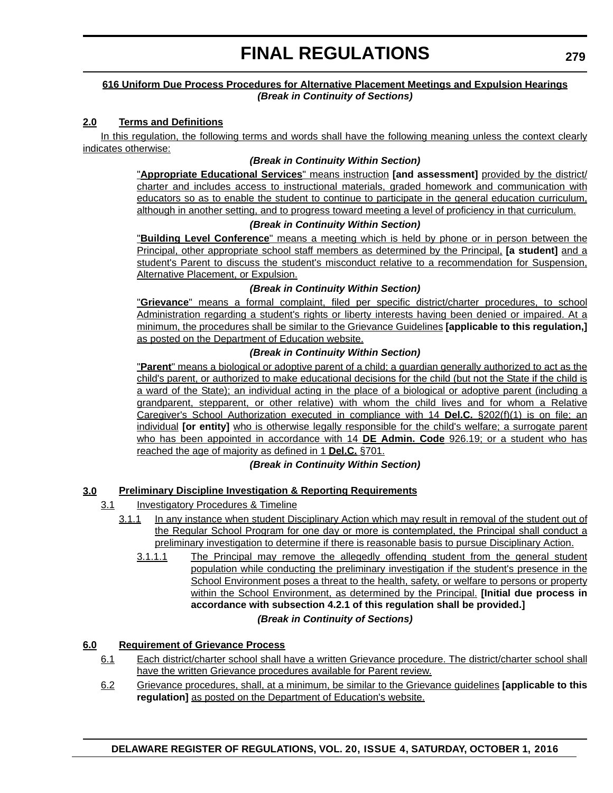## **616 Uniform Due Process Procedures for Alternative Placement Meetings and Expulsion Hearings** *(Break in Continuity of Sections)*

## **2.0 Terms and Definitions**

In this regulation, the following terms and words shall have the following meaning unless the context clearly indicates otherwise:

## *(Break in Continuity Within Section)*

"**Appropriate Educational Services**" means instruction **[and assessment]** provided by the district/ charter and includes access to instructional materials, graded homework and communication with educators so as to enable the student to continue to participate in the general education curriculum, although in another setting, and to progress toward meeting a level of proficiency in that curriculum.

## *(Break in Continuity Within Section)*

"**Building Level Conference**" means a meeting which is held by phone or in person between the Principal, other appropriate school staff members as determined by the Principal, **[a student]** and a student's Parent to discuss the student's misconduct relative to a recommendation for Suspension, Alternative Placement, or Expulsion.

## *(Break in Continuity Within Section)*

"**Grievance**" means a formal complaint, filed per specific district/charter procedures, to school Administration regarding a student's rights or liberty interests having been denied or impaired. At a minimum, the procedures shall be similar to the Grievance Guidelines **[applicable to this regulation,]** as posted on the Department of Education website.

## *(Break in Continuity Within Section)*

"**Parent**" means a biological or adoptive parent of a child; a guardian generally authorized to act as the child's parent, or authorized to make educational decisions for the child (but not the State if the child is a ward of the State); an individual acting in the place of a biological or adoptive parent (including a grandparent, stepparent, or other relative) with whom the child lives and for whom a Relative Caregiver's School Authorization executed in compliance with 14 **Del.C.** §202(f)(1) is on file; an individual **[or entity]** who is otherwise legally responsible for the child's welfare; a surrogate parent who has been appointed in accordance with 14 **DE Admin. Code** 926.19; or a student who has reached the age of majority as defined in 1 **Del.C.** §701.

## *(Break in Continuity Within Section)*

## **3.0 Preliminary Discipline Investigation & Reporting Requirements**

- 3.1 Investigatory Procedures & Timeline
	- 3.1.1 In any instance when student Disciplinary Action which may result in removal of the student out of the Regular School Program for one day or more is contemplated, the Principal shall conduct a preliminary investigation to determine if there is reasonable basis to pursue Disciplinary Action.
		- 3.1.1.1 The Principal may remove the allegedly offending student from the general student population while conducting the preliminary investigation if the student's presence in the School Environment poses a threat to the health, safety, or welfare to persons or property within the School Environment, as determined by the Principal. **[Initial due process in accordance with subsection 4.2.1 of this regulation shall be provided.]** *(Break in Continuity of Sections)*

## **6.0 Requirement of Grievance Process**

- 6.1 Each district/charter school shall have a written Grievance procedure. The district/charter school shall have the written Grievance procedures available for Parent review.
- 6.2 Grievance procedures, shall, at a minimum, be similar to the Grievance guidelines **[applicable to this regulation]** as posted on the Department of Education's website.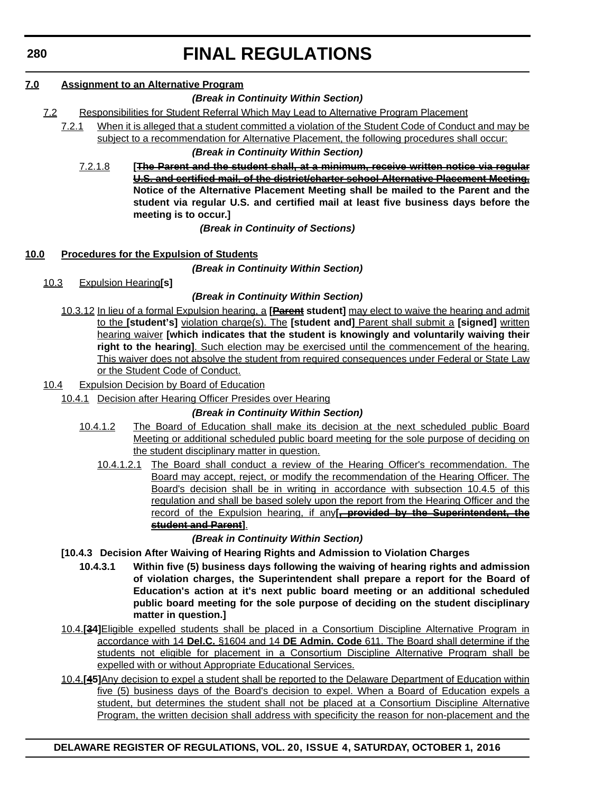# **FINAL REGULATIONS**

## **7.0 Assignment to an Alternative Program**

## *(Break in Continuity Within Section)*

- 7.2 Responsibilities for Student Referral Which May Lead to Alternative Program Placement
	- 7.2.1 When it is alleged that a student committed a violation of the Student Code of Conduct and may be subject to a recommendation for Alternative Placement, the following procedures shall occur:

## *(Break in Continuity Within Section)*

7.2.1.8 **[The Parent and the student shall, at a minimum, receive written notice via regular U.S. and certified mail, of the district/charter school Alternative Placement Meeting. Notice of the Alternative Placement Meeting shall be mailed to the Parent and the student via regular U.S. and certified mail at least five business days before the meeting is to occur.]**

## *(Break in Continuity of Sections)*

## **10.0 Procedures for the Expulsion of Students**

*(Break in Continuity Within Section)*

10.3 Expulsion Hearing**[s]**

## *(Break in Continuity Within Section)*

10.3.12 In lieu of a formal Expulsion hearing, a **[Parent student]** may elect to waive the hearing and admit to the **[student's]** violation charge(s). The **[student and]** Parent shall submit a **[signed]** written hearing waiver **[which indicates that the student is knowingly and voluntarily waiving their right to the hearing]**. Such election may be exercised until the commencement of the hearing. This waiver does not absolve the student from required consequences under Federal or State Law or the Student Code of Conduct.

## 10.4 Expulsion Decision by Board of Education

10.4.1 Decision after Hearing Officer Presides over Hearing

## *(Break in Continuity Within Section)*

- 10.4.1.2 The Board of Education shall make its decision at the next scheduled public Board Meeting or additional scheduled public board meeting for the sole purpose of deciding on the student disciplinary matter in question.
	- 10.4.1.2.1 The Board shall conduct a review of the Hearing Officer's recommendation. The Board may accept, reject, or modify the recommendation of the Hearing Officer. The Board's decision shall be in writing in accordance with subsection 10.4.5 of this regulation and shall be based solely upon the report from the Hearing Officer and the record of the Expulsion hearing, if any**[, provided by the Superintendent, the student and Parent]**.

## *(Break in Continuity Within Section)*

- **[10.4.3 Decision After Waiving of Hearing Rights and Admission to Violation Charges**
	- **10.4.3.1 Within five (5) business days following the waiving of hearing rights and admission of violation charges, the Superintendent shall prepare a report for the Board of Education's action at it's next public board meeting or an additional scheduled public board meeting for the sole purpose of deciding on the student disciplinary matter in question.]**
- 10.4.**[34]**Eligible expelled students shall be placed in a Consortium Discipline Alternative Program in accordance with 14 **Del.C.** §1604 and 14 **DE Admin. Code** 611. The Board shall determine if the students not eligible for placement in a Consortium Discipline Alternative Program shall be expelled with or without Appropriate Educational Services.
- 10.4.**[45]**Any decision to expel a student shall be reported to the Delaware Department of Education within five (5) business days of the Board's decision to expel. When a Board of Education expels a student, but determines the student shall not be placed at a Consortium Discipline Alternative Program, the written decision shall address with specificity the reason for non-placement and the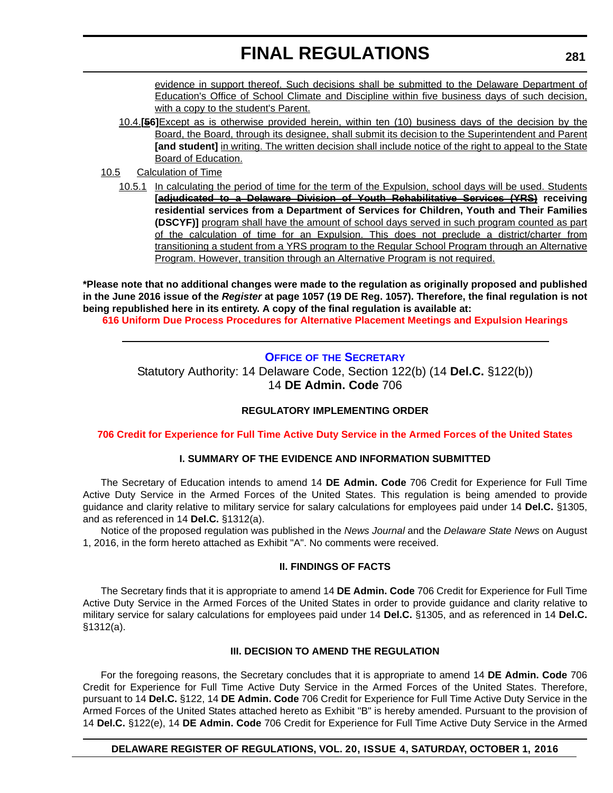evidence in support thereof. Such decisions shall be submitted to the Delaware Department of Education's Office of School Climate and Discipline within five business days of such decision, with a copy to the student's Parent.

- 10.4.**[56]**Except as is otherwise provided herein, within ten (10) business days of the decision by the Board, the Board, through its designee, shall submit its decision to the Superintendent and Parent **[and student]** in writing. The written decision shall include notice of the right to appeal to the State Board of Education.
- 10.5 Calculation of Time
	- 10.5.1 In calculating the period of time for the term of the Expulsion, school days will be used. Students **[adjudicated to a Delaware Division of Youth Rehabilitative Services (YRS) receiving residential services from a Department of Services for Children, Youth and Their Families (DSCYF)]** program shall have the amount of school days served in such program counted as part of the calculation of time for an Expulsion. This does not preclude a district/charter from transitioning a student from a YRS program to the Regular School Program through an Alternative Program. However, transition through an Alternative Program is not required.

**\*Please note that no additional changes were made to the regulation as originally proposed and published in the June 2016 issue of the** *Register* **at page 1057 (19 DE Reg. 1057). Therefore, the final regulation is not being republished here in its entirety. A copy of the final regulation is available at: [616 Uniform Due Process Procedures for Alternative Placement Meetings and Expulsion Hearings](http://regulations.delaware.gov/register/october2016/final/20 DE Reg 277 10-01-16.htm)**

## **OFFICE OF THE SECRETARY**

Statutory Authority: 14 Delaware Code, Section 122(b) (14 **Del.C.** §122(b)) 14 **DE Admin. Code** 706

## **REGULATORY IMPLEMENTING ORDER**

**[706 Credit for Experience for Full Time Active Duty Service in the Armed Forces of the United States](#page-4-0)**

## **I. SUMMARY OF THE EVIDENCE AND INFORMATION SUBMITTED**

The Secretary of Education intends to amend 14 **DE Admin. Code** 706 Credit for Experience for Full Time Active Duty Service in the Armed Forces of the United States. This regulation is being amended to provide guidance and clarity relative to military service for salary calculations for employees paid under 14 **Del.C.** §1305, and as referenced in 14 **Del.C.** §1312(a).

Notice of the proposed regulation was published in the *News Journal* and the *Delaware State News* on August 1, 2016, in the form hereto attached as Exhibit "A". No comments were received.

## **II. FINDINGS OF FACTS**

The Secretary finds that it is appropriate to amend 14 **DE Admin. Code** 706 Credit for Experience for Full Time Active Duty Service in the Armed Forces of the United States in order to provide guidance and clarity relative to military service for salary calculations for employees paid under 14 **Del.C.** §1305, and as referenced in 14 **Del.C.** §1312(a).

## **III. DECISION TO AMEND THE REGULATION**

For the foregoing reasons, the Secretary concludes that it is appropriate to amend 14 **DE Admin. Code** 706 Credit for Experience for Full Time Active Duty Service in the Armed Forces of the United States. Therefore, pursuant to 14 **Del.C.** §122, 14 **DE Admin. Code** 706 Credit for Experience for Full Time Active Duty Service in the Armed Forces of the United States attached hereto as Exhibit "B" is hereby amended. Pursuant to the provision of 14 **Del.C.** §122(e), 14 **DE Admin. Code** 706 Credit for Experience for Full Time Active Duty Service in the Armed

## **DELAWARE REGISTER OF REGULATIONS, VOL. 20, ISSUE 4, SATURDAY, OCTOBER 1, 2016**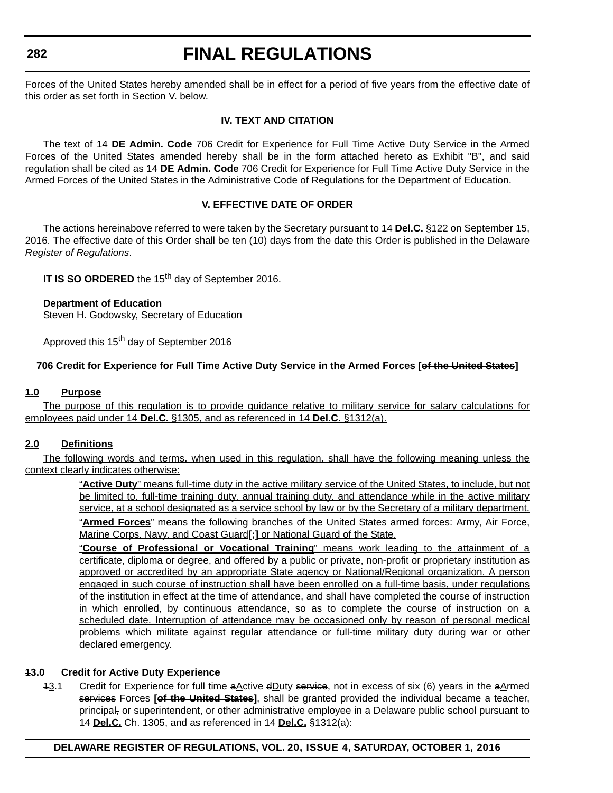# **FINAL REGULATIONS**

Forces of the United States hereby amended shall be in effect for a period of five years from the effective date of this order as set forth in Section V. below.

## **IV. TEXT AND CITATION**

The text of 14 **DE Admin. Code** 706 Credit for Experience for Full Time Active Duty Service in the Armed Forces of the United States amended hereby shall be in the form attached hereto as Exhibit "B", and said regulation shall be cited as 14 **DE Admin. Code** 706 Credit for Experience for Full Time Active Duty Service in the Armed Forces of the United States in the Administrative Code of Regulations for the Department of Education.

## **V. EFFECTIVE DATE OF ORDER**

The actions hereinabove referred to were taken by the Secretary pursuant to 14 **Del.C.** §122 on September 15, 2016. The effective date of this Order shall be ten (10) days from the date this Order is published in the Delaware *Register of Regulations*.

**IT IS SO ORDERED** the 15<sup>th</sup> day of September 2016.

## **Department of Education**

Steven H. Godowsky, Secretary of Education

Approved this 15<sup>th</sup> day of September 2016

## **706 Credit for Experience for Full Time Active Duty Service in the Armed Forces [of the United States]**

## **1.0 Purpose**

The purpose of this regulation is to provide guidance relative to military service for salary calculations for employees paid under 14 **Del.C.** §1305, and as referenced in 14 **Del.C.** §1312(a).

## **2.0 Definitions**

The following words and terms, when used in this regulation, shall have the following meaning unless the context clearly indicates otherwise:

> "**Active Duty**" means full-time duty in the active military service of the United States, to include, but not be limited to, full-time training duty, annual training duty, and attendance while in the active military service, at a school designated as a service school by law or by the Secretary of a military department.

> "**Armed Forces**" means the following branches of the United States armed forces: Army, Air Force, Marine Corps, Navy, and Coast Guard**[;]** or National Guard of the State.

> "**Course of Professional or Vocational Training**" means work leading to the attainment of a certificate, diploma or degree, and offered by a public or private, non-profit or proprietary institution as approved or accredited by an appropriate State agency or National/Regional organization. A person engaged in such course of instruction shall have been enrolled on a full-time basis, under regulations of the institution in effect at the time of attendance, and shall have completed the course of instruction in which enrolled, by continuous attendance, so as to complete the course of instruction on a scheduled date. Interruption of attendance may be occasioned only by reason of personal medical problems which militate against regular attendance or full-time military duty during war or other declared emergency.

## **13.0 Credit for Active Duty Experience**

 $13.1$  Credit for Experience for full time a Active d Duty service, not in excess of six (6) years in the a Armed services Forces **[of the United States]**, shall be granted provided the individual became a teacher, principal, or superintendent, or other administrative employee in a Delaware public school pursuant to 14 **Del.C.** Ch. 1305, and as referenced in 14 **Del.C.** §1312(a):

## **DELAWARE REGISTER OF REGULATIONS, VOL. 20, ISSUE 4, SATURDAY, OCTOBER 1, 2016**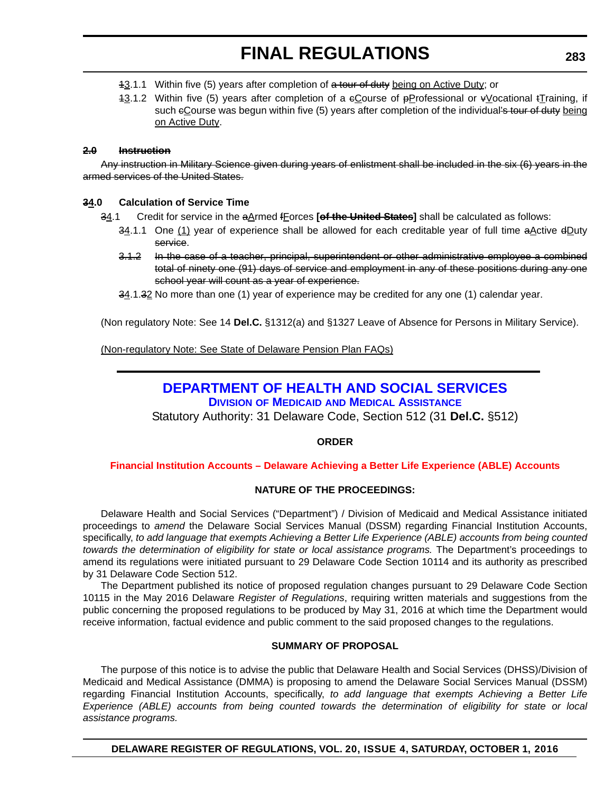- 13.1.1 Within five (5) years after completion of a tour of duty being on Active Duty; or
- 13.1.2 Within five (5) years after completion of a eCourse of pProfessional or  $\frac{1}{2}$  coational  $\frac{1}{2}$  raining, if such eCourse was begun within five (5) years after completion of the individual's tour of duty being on Active Duty.

## **2.0 Instruction**

Any instruction in Military Science given during years of enlistment shall be included in the six (6) years in the armed services of the United States.

## **34.0 Calculation of Service Time**

- 34.1 Credit for service in the aArmed fForces **[of the United States]** shall be calculated as follows:
	- $34.1.1$  One  $(1)$  year of experience shall be allowed for each creditable year of full time a Active dDuty service.
	- 3.1.2 In the case of a teacher, principal, superintendent or other administrative employee a combined total of ninety one (91) days of service and employment in any of these positions during any one school year will count as a year of experience.
	- 34.1.32 No more than one (1) year of experience may be credited for any one (1) calendar year.

(Non regulatory Note: See 14 **Del.C.** §1312(a) and §1327 Leave of Absence for Persons in Military Service).

(Non-regulatory Note: See State of Delaware Pension Plan FAQs)

# **DEPARTMENT OF HEALTH AND SOCIAL SERVICES**

**DIVISION OF MEDICAID AND MEDICAL ASSISTANCE**

Statutory Authority: 31 Delaware Code, Section 512 (31 **Del.C.** §512)

## **ORDER**

## **[Financial Institution Accounts – Delaware Achieving a Better Life Experience \(ABLE\) Accounts](#page-4-0)**

## **NATURE OF THE PROCEEDINGS:**

Delaware Health and Social Services ("Department") / Division of Medicaid and Medical Assistance initiated proceedings to *amend* the Delaware Social Services Manual (DSSM) regarding Financial Institution Accounts, specifically, *to add language that exempts Achieving a Better Life Experience (ABLE) accounts from being counted towards the determination of eligibility for state or local assistance programs.* The Department's proceedings to amend its regulations were initiated pursuant to 29 Delaware Code Section 10114 and its authority as prescribed by 31 Delaware Code Section 512.

The Department published its notice of proposed regulation changes pursuant to 29 Delaware Code Section 10115 in the May 2016 Delaware *Register of Regulations*, requiring written materials and suggestions from the public concerning the proposed regulations to be produced by May 31, 2016 at which time the Department would receive information, factual evidence and public comment to the said proposed changes to the regulations.

## **SUMMARY OF PROPOSAL**

The purpose of this notice is to advise the public that Delaware Health and Social Services (DHSS)/Division of Medicaid and Medical Assistance (DMMA) is proposing to amend the Delaware Social Services Manual (DSSM) regarding Financial Institution Accounts, specifically, *to add language that exempts Achieving a Better Life Experience (ABLE) accounts from being counted towards the determination of eligibility for state or local assistance programs.*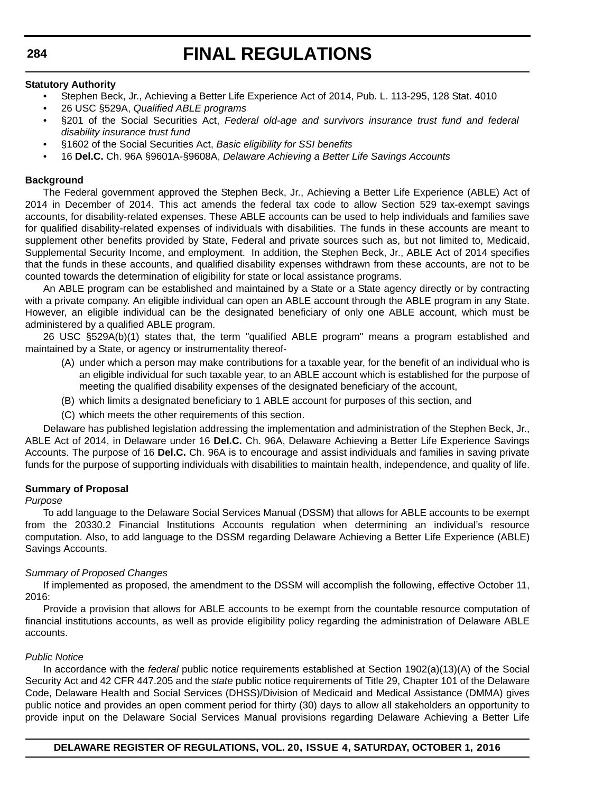## **Statutory Authority**

- Stephen Beck, Jr., Achieving a Better Life Experience Act of 2014, Pub. L. 113-295, 128 Stat. 4010
- 26 USC §529A, *Qualified ABLE programs*
- §201 of the Social Securities Act, *Federal old-age and survivors insurance trust fund and federal disability insurance trust fund*
- §1602 of the Social Securities Act, *Basic eligibility for SSI benefits*
- 16 **Del.C.** Ch. 96A §9601A-§9608A, *Delaware Achieving a Better Life Savings Accounts*

## **Background**

The Federal government approved the Stephen Beck, Jr., Achieving a Better Life Experience (ABLE) Act of 2014 in December of 2014. This act amends the federal tax code to allow Section 529 tax-exempt savings accounts, for disability-related expenses. These ABLE accounts can be used to help individuals and families save for qualified disability-related expenses of individuals with disabilities. The funds in these accounts are meant to supplement other benefits provided by State, Federal and private sources such as, but not limited to, Medicaid, Supplemental Security Income, and employment. In addition, the Stephen Beck, Jr., ABLE Act of 2014 specifies that the funds in these accounts, and qualified disability expenses withdrawn from these accounts, are not to be counted towards the determination of eligibility for state or local assistance programs.

An ABLE program can be established and maintained by a State or a State agency directly or by contracting with a private company. An eligible individual can open an ABLE account through the ABLE program in any State. However, an eligible individual can be the designated beneficiary of only one ABLE account, which must be administered by a qualified ABLE program.

26 USC §529A(b)(1) states that, the term "qualified ABLE program" means a program established and maintained by a State, or agency or instrumentality thereof-

- (A) under which a person may make contributions for a taxable year, for the benefit of an individual who is an eligible individual for such taxable year, to an ABLE account which is established for the purpose of meeting the qualified disability expenses of the designated beneficiary of the account,
- (B) which limits a designated beneficiary to 1 ABLE account for purposes of this section, and
- (C) which meets the other requirements of this section.

Delaware has published legislation addressing the implementation and administration of the Stephen Beck, Jr., ABLE Act of 2014, in Delaware under 16 **Del.C.** Ch. 96A, Delaware Achieving a Better Life Experience Savings Accounts. The purpose of 16 **Del.C.** Ch. 96A is to encourage and assist individuals and families in saving private funds for the purpose of supporting individuals with disabilities to maintain health, independence, and quality of life.

## **Summary of Proposal**

## *Purpose*

To add language to the Delaware Social Services Manual (DSSM) that allows for ABLE accounts to be exempt from the 20330.2 Financial Institutions Accounts regulation when determining an individual's resource computation. Also, to add language to the DSSM regarding Delaware Achieving a Better Life Experience (ABLE) Savings Accounts.

## *Summary of Proposed Changes*

If implemented as proposed, the amendment to the DSSM will accomplish the following, effective October 11, 2016:

Provide a provision that allows for ABLE accounts to be exempt from the countable resource computation of financial institutions accounts, as well as provide eligibility policy regarding the administration of Delaware ABLE accounts.

## *Public Notice*

In accordance with the *federal* public notice requirements established at Section 1902(a)(13)(A) of the Social Security Act and 42 CFR 447.205 and the *state* public notice requirements of Title 29, Chapter 101 of the Delaware Code, Delaware Health and Social Services (DHSS)/Division of Medicaid and Medical Assistance (DMMA) gives public notice and provides an open comment period for thirty (30) days to allow all stakeholders an opportunity to provide input on the Delaware Social Services Manual provisions regarding Delaware Achieving a Better Life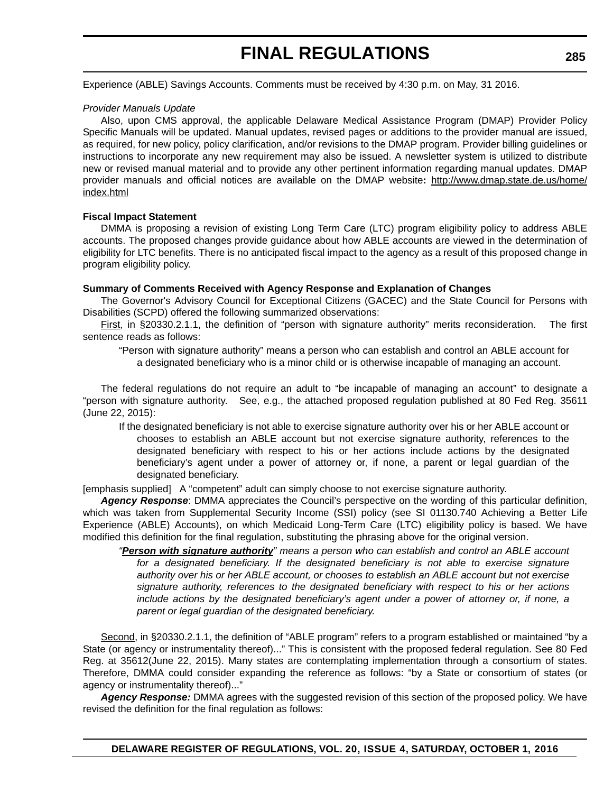Experience (ABLE) Savings Accounts. Comments must be received by 4:30 p.m. on May, 31 2016.

### *Provider Manuals Update*

Also, upon CMS approval, the applicable Delaware Medical Assistance Program (DMAP) Provider Policy Specific Manuals will be updated. Manual updates, revised pages or additions to the provider manual are issued, as required, for new policy, policy clarification, and/or revisions to the DMAP program. Provider billing guidelines or instructions to incorporate any new requirement may also be issued. A newsletter system is utilized to distribute new or revised manual material and to provide any other pertinent information regarding manual updates. DMAP provider manuals and official notices are available on the DMAP website**:** http://www.dmap.state.de.us/home/ index.html

### **Fiscal Impact Statement**

DMMA is proposing a revision of existing Long Term Care (LTC) program eligibility policy to address ABLE accounts. The proposed changes provide guidance about how ABLE accounts are viewed in the determination of eligibility for LTC benefits. There is no anticipated fiscal impact to the agency as a result of this proposed change in program eligibility policy.

## **Summary of Comments Received with Agency Response and Explanation of Changes**

The Governor's Advisory Council for Exceptional Citizens (GACEC) and the State Council for Persons with Disabilities (SCPD) offered the following summarized observations:

First, in §20330.2.1.1, the definition of "person with signature authority" merits reconsideration. The first sentence reads as follows:

"Person with signature authority" means a person who can establish and control an ABLE account for a designated beneficiary who is a minor child or is otherwise incapable of managing an account.

The federal regulations do not require an adult to "be incapable of managing an account" to designate a "person with signature authority. See, e.g., the attached proposed regulation published at 80 Fed Reg. 35611 (June 22, 2015):

If the designated beneficiary is not able to exercise signature authority over his or her ABLE account or chooses to establish an ABLE account but not exercise signature authority, references to the designated beneficiary with respect to his or her actions include actions by the designated beneficiary's agent under a power of attorney or, if none, a parent or legal guardian of the designated beneficiary.

[emphasis supplied] A "competent" adult can simply choose to not exercise signature authority.

*Agency Response*: DMMA appreciates the Council's perspective on the wording of this particular definition, which was taken from Supplemental Security Income (SSI) policy (see SI 01130.740 Achieving a Better Life Experience (ABLE) Accounts), on which Medicaid Long-Term Care (LTC) eligibility policy is based. We have modified this definition for the final regulation, substituting the phrasing above for the original version.

*"Person with signature authority" means a person who can establish and control an ABLE account for a designated beneficiary. If the designated beneficiary is not able to exercise signature authority over his or her ABLE account, or chooses to establish an ABLE account but not exercise signature authority, references to the designated beneficiary with respect to his or her actions include actions by the designated beneficiary's agent under a power of attorney or, if none, a parent or legal guardian of the designated beneficiary.* 

Second, in §20330.2.1.1, the definition of "ABLE program" refers to a program established or maintained "by a State (or agency or instrumentality thereof)..." This is consistent with the proposed federal regulation. See 80 Fed Reg. at 35612(June 22, 2015). Many states are contemplating implementation through a consortium of states. Therefore, DMMA could consider expanding the reference as follows: "by a State or consortium of states (or agency or instrumentality thereof)..."

*Agency Response:* DMMA agrees with the suggested revision of this section of the proposed policy. We have revised the definition for the final regulation as follows: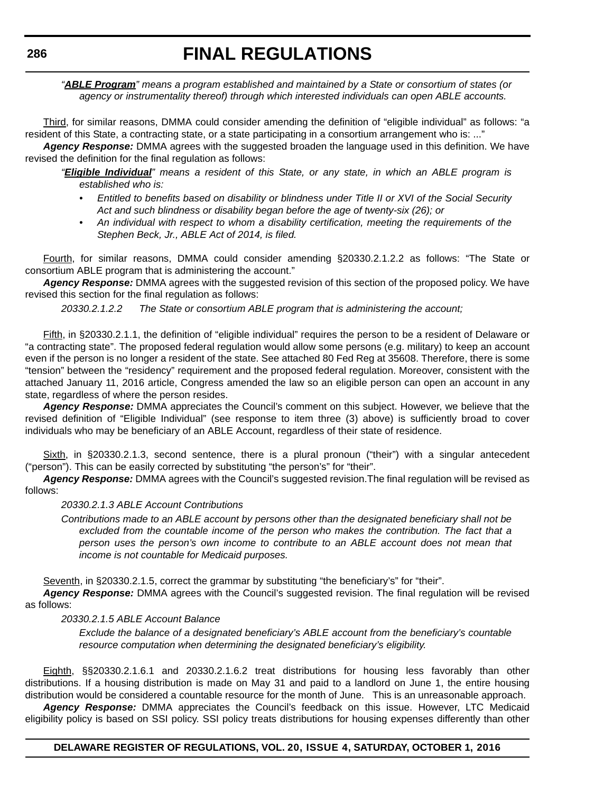*"ABLE Program" means a program established and maintained by a State or consortium of states (or agency or instrumentality thereof) through which interested individuals can open ABLE accounts.*

Third, for similar reasons, DMMA could consider amending the definition of "eligible individual" as follows: "a resident of this State, a contracting state, or a state participating in a consortium arrangement who is: ..."

*Agency Response:* DMMA agrees with the suggested broaden the language used in this definition. We have revised the definition for the final regulation as follows:

*"Eligible Individual" means a resident of this State, or any state, in which an ABLE program is established who is:*

- *Entitled to benefits based on disability or blindness under Title II or XVI of the Social Security Act and such blindness or disability began before the age of twenty-six (26); or*
- *An individual with respect to whom a disability certification, meeting the requirements of the Stephen Beck, Jr., ABLE Act of 2014, is filed.*

Fourth, for similar reasons, DMMA could consider amending §20330.2.1.2.2 as follows: "The State or consortium ABLE program that is administering the account."

*Agency Response:* DMMA agrees with the suggested revision of this section of the proposed policy. We have revised this section for the final regulation as follows:

*20330.2.1.2.2 The State or consortium ABLE program that is administering the account;*

Fifth, in §20330.2.1.1, the definition of "eligible individual" requires the person to be a resident of Delaware or "a contracting state". The proposed federal regulation would allow some persons (e.g. military) to keep an account even if the person is no longer a resident of the state. See attached 80 Fed Reg at 35608. Therefore, there is some "tension" between the "residency" requirement and the proposed federal regulation. Moreover, consistent with the attached January 11, 2016 article, Congress amended the law so an eligible person can open an account in any state, regardless of where the person resides.

*Agency Response:* DMMA appreciates the Council's comment on this subject. However, we believe that the revised definition of "Eligible Individual" (see response to item three (3) above) is sufficiently broad to cover individuals who may be beneficiary of an ABLE Account, regardless of their state of residence.

Sixth, in §20330.2.1.3, second sentence, there is a plural pronoun ("their") with a singular antecedent ("person"). This can be easily corrected by substituting "the person's" for "their".

*Agency Response:* DMMA agrees with the Council's suggested revision.The final regulation will be revised as follows:

## *20330.2.1.3 ABLE Account Contributions*

*Contributions made to an ABLE account by persons other than the designated beneficiary shall not be excluded from the countable income of the person who makes the contribution. The fact that a person uses the person's own income to contribute to an ABLE account does not mean that income is not countable for Medicaid purposes.*

Seventh, in §20330.2.1.5, correct the grammar by substituting "the beneficiary's" for "their".

*Agency Response:* DMMA agrees with the Council's suggested revision. The final regulation will be revised as follows:

## *20330.2.1.5 ABLE Account Balance*

*Exclude the balance of a designated beneficiary's ABLE account from the beneficiary's countable resource computation when determining the designated beneficiary's eligibility.*

Eighth, §§20330.2.1.6.1 and 20330.2.1.6.2 treat distributions for housing less favorably than other distributions. If a housing distribution is made on May 31 and paid to a landlord on June 1, the entire housing distribution would be considered a countable resource for the month of June. This is an unreasonable approach.

*Agency Response:* DMMA appreciates the Council's feedback on this issue. However, LTC Medicaid eligibility policy is based on SSI policy. SSI policy treats distributions for housing expenses differently than other

## **DELAWARE REGISTER OF REGULATIONS, VOL. 20, ISSUE 4, SATURDAY, OCTOBER 1, 2016**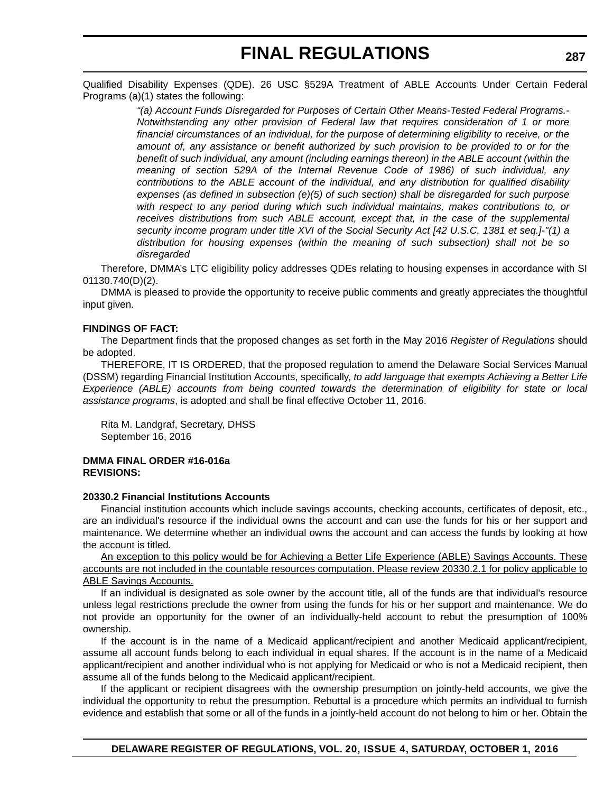Qualified Disability Expenses (QDE). 26 USC §529A Treatment of ABLE Accounts Under Certain Federal Programs (a)(1) states the following:

> *"(a) Account Funds Disregarded for Purposes of Certain Other Means-Tested Federal Programs.- Notwithstanding any other provision of Federal law that requires consideration of 1 or more financial circumstances of an individual, for the purpose of determining eligibility to receive, or the amount of, any assistance or benefit authorized by such provision to be provided to or for the benefit of such individual, any amount (including earnings thereon) in the ABLE account (within the meaning of section 529A of the Internal Revenue Code of 1986) of such individual, any contributions to the ABLE account of the individual, and any distribution for qualified disability expenses (as defined in subsection (e)(5) of such section) shall be disregarded for such purpose with respect to any period during which such individual maintains, makes contributions to, or receives distributions from such ABLE account, except that, in the case of the supplemental security income program under title XVI of the Social Security Act [42 U.S.C. 1381 et seq.]-"(1) a distribution for housing expenses (within the meaning of such subsection) shall not be so disregarded*

Therefore, DMMA's LTC eligibility policy addresses QDEs relating to housing expenses in accordance with SI 01130.740(D)(2).

DMMA is pleased to provide the opportunity to receive public comments and greatly appreciates the thoughtful input given.

## **FINDINGS OF FACT:**

The Department finds that the proposed changes as set forth in the May 2016 *Register of Regulations* should be adopted.

THEREFORE, IT IS ORDERED, that the proposed regulation to amend the Delaware Social Services Manual (DSSM) regarding Financial Institution Accounts, specifically, *to add language that exempts Achieving a Better Life Experience (ABLE) accounts from being counted towards the determination of eligibility for state or local assistance programs*, is adopted and shall be final effective October 11, 2016.

Rita M. Landgraf, Secretary, DHSS September 16, 2016

## **DMMA FINAL ORDER #16-016a REVISIONS:**

## **20330.2 Financial Institutions Accounts**

Financial institution accounts which include savings accounts, checking accounts, certificates of deposit, etc., are an individual's resource if the individual owns the account and can use the funds for his or her support and maintenance. We determine whether an individual owns the account and can access the funds by looking at how the account is titled.

An exception to this policy would be for Achieving a Better Life Experience (ABLE) Savings Accounts. These accounts are not included in the countable resources computation. Please review 20330.2.1 for policy applicable to ABLE Savings Accounts.

If an individual is designated as sole owner by the account title, all of the funds are that individual's resource unless legal restrictions preclude the owner from using the funds for his or her support and maintenance. We do not provide an opportunity for the owner of an individually-held account to rebut the presumption of 100% ownership.

If the account is in the name of a Medicaid applicant/recipient and another Medicaid applicant/recipient, assume all account funds belong to each individual in equal shares. If the account is in the name of a Medicaid applicant/recipient and another individual who is not applying for Medicaid or who is not a Medicaid recipient, then assume all of the funds belong to the Medicaid applicant/recipient.

If the applicant or recipient disagrees with the ownership presumption on jointly-held accounts, we give the individual the opportunity to rebut the presumption. Rebuttal is a procedure which permits an individual to furnish evidence and establish that some or all of the funds in a jointly-held account do not belong to him or her. Obtain the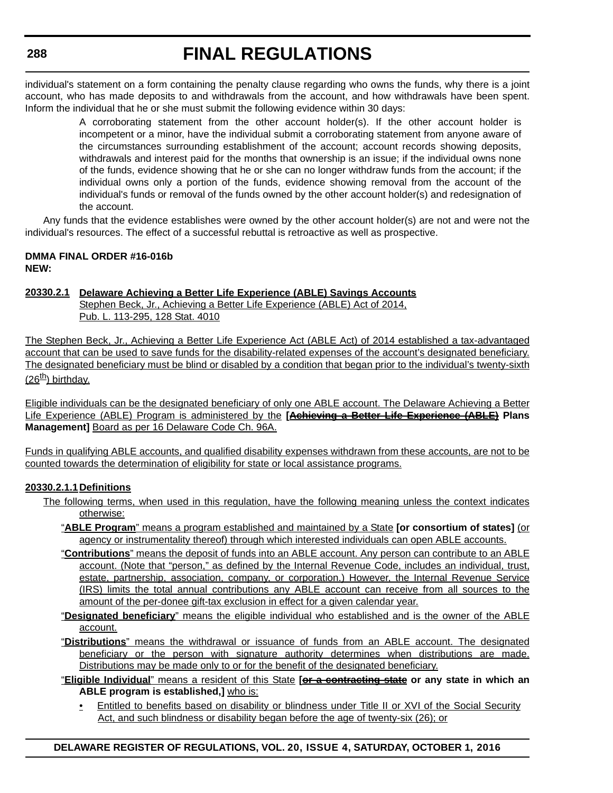individual's statement on a form containing the penalty clause regarding who owns the funds, why there is a joint account, who has made deposits to and withdrawals from the account, and how withdrawals have been spent. Inform the individual that he or she must submit the following evidence within 30 days:

> A corroborating statement from the other account holder(s). If the other account holder is incompetent or a minor, have the individual submit a corroborating statement from anyone aware of the circumstances surrounding establishment of the account; account records showing deposits, withdrawals and interest paid for the months that ownership is an issue; if the individual owns none of the funds, evidence showing that he or she can no longer withdraw funds from the account; if the individual owns only a portion of the funds, evidence showing removal from the account of the individual's funds or removal of the funds owned by the other account holder(s) and redesignation of the account.

Any funds that the evidence establishes were owned by the other account holder(s) are not and were not the individual's resources. The effect of a successful rebuttal is retroactive as well as prospective.

## **DMMA FINAL ORDER #16-016b NEW:**

## **20330.2.1 Delaware Achieving a Better Life Experience (ABLE) Savings Accounts**

Stephen Beck, Jr., Achieving a Better Life Experience (ABLE) Act of 2014, Pub. L. 113-295, 128 Stat. 4010

The Stephen Beck, Jr., Achieving a Better Life Experience Act (ABLE Act) of 2014 established a tax-advantaged account that can be used to save funds for the disability-related expenses of the account's designated beneficiary. The designated beneficiary must be blind or disabled by a condition that began prior to the individual's twenty-sixth  $(26<sup>th</sup>)$  birthday.

Eligible individuals can be the designated beneficiary of only one ABLE account. The Delaware Achieving a Better Life Experience (ABLE) Program is administered by the **[Achieving a Better Life Experience (ABLE) Plans Management]** Board as per 16 Delaware Code Ch. 96A.

Funds in qualifying ABLE accounts, and qualified disability expenses withdrawn from these accounts, are not to be counted towards the determination of eligibility for state or local assistance programs.

## **20330.2.1.1Definitions**

- The following terms, when used in this regulation, have the following meaning unless the context indicates otherwise:
	- "**ABLE Program**" means a program established and maintained by a State **[or consortium of states]** (or agency or instrumentality thereof) through which interested individuals can open ABLE accounts.
	- "**Contributions**" means the deposit of funds into an ABLE account. Any person can contribute to an ABLE account. (Note that "person," as defined by the Internal Revenue Code, includes an individual, trust, estate, partnership, association, company, or corporation.) However, the Internal Revenue Service (IRS) limits the total annual contributions any ABLE account can receive from all sources to the amount of the per-donee gift-tax exclusion in effect for a given calendar year.
	- "**Designated beneficiary**" means the eligible individual who established and is the owner of the ABLE account.
	- "**Distributions**" means the withdrawal or issuance of funds from an ABLE account. The designated beneficiary or the person with signature authority determines when distributions are made. Distributions may be made only to or for the benefit of the designated beneficiary.

"**Eligible Individual**" means a resident of this State **[or a contracting state or any state in which an ABLE program is established,]** who is:

• Entitled to benefits based on disability or blindness under Title II or XVI of the Social Security Act, and such blindness or disability began before the age of twenty-six (26); or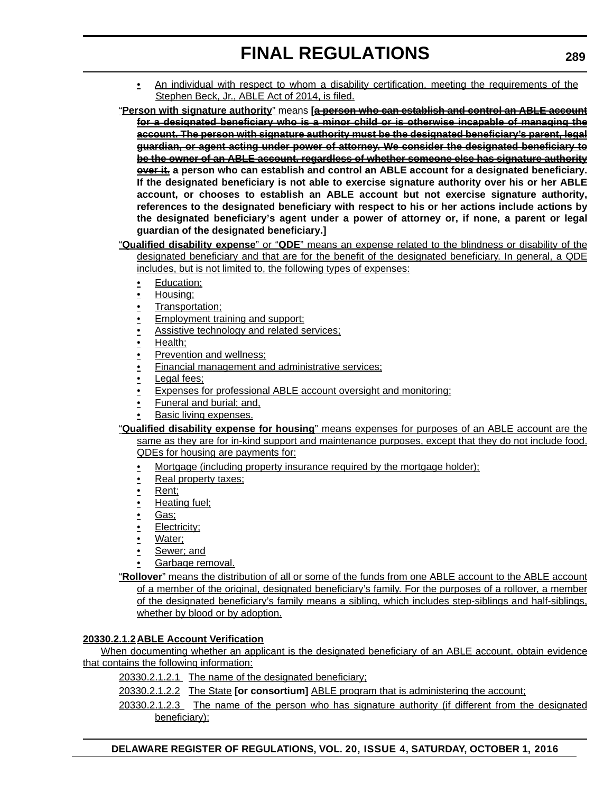• An individual with respect to whom a disability certification, meeting the requirements of the Stephen Beck, Jr., ABLE Act of 2014, is filed.

"**Person with signature authority**" means **[a person who can establish and control an ABLE account for a designated beneficiary who is a minor child or is otherwise incapable of managing the account. The person with signature authority must be the designated beneficiary's parent, legal guardian, or agent acting under power of attorney. We consider the designated beneficiary to be the owner of an ABLE account, regardless of whether someone else has signature authority over it. a person who can establish and control an ABLE account for a designated beneficiary. If the designated beneficiary is not able to exercise signature authority over his or her ABLE account, or chooses to establish an ABLE account but not exercise signature authority, references to the designated beneficiary with respect to his or her actions include actions by the designated beneficiary's agent under a power of attorney or, if none, a parent or legal guardian of the designated beneficiary.]**

- "**Qualified disability expense**" or "**QDE**" means an expense related to the blindness or disability of the designated beneficiary and that are for the benefit of the designated beneficiary. In general, a QDE includes, but is not limited to, the following types of expenses:
	- Education;
	- Housing;
	- Transportation;
	- Employment training and support;
	- Assistive technology and related services;
	- Health;
	- Prevention and wellness;
	- Financial management and administrative services;
	- Legal fees;
	- Expenses for professional ABLE account oversight and monitoring;
	- Funeral and burial; and,
	- Basic living expenses.
- "**Qualified disability expense for housing**" means expenses for purposes of an ABLE account are the same as they are for in-kind support and maintenance purposes, except that they do not include food. QDEs for housing are payments for:
	- Mortgage (including property insurance required by the mortgage holder);
	- Real property taxes;
	- Rent;
	- Heating fuel;
	- Gas;
	- Electricity;
	- Water;
	- Sewer; and
	- Garbage removal.

"**Rollover**" means the distribution of all or some of the funds from one ABLE account to the ABLE account of a member of the original, designated beneficiary's family. For the purposes of a rollover, a member of the designated beneficiary's family means a sibling, which includes step-siblings and half-siblings, whether by blood or by adoption.

## **20330.2.1.2ABLE Account Verification**

When documenting whether an applicant is the designated beneficiary of an ABLE account, obtain evidence that contains the following information:

20330.2.1.2.1 The name of the designated beneficiary;

20330.2.1.2.2 The State **[or consortium]** ABLE program that is administering the account;

20330.2.1.2.3 The name of the person who has signature authority (if different from the designated beneficiary);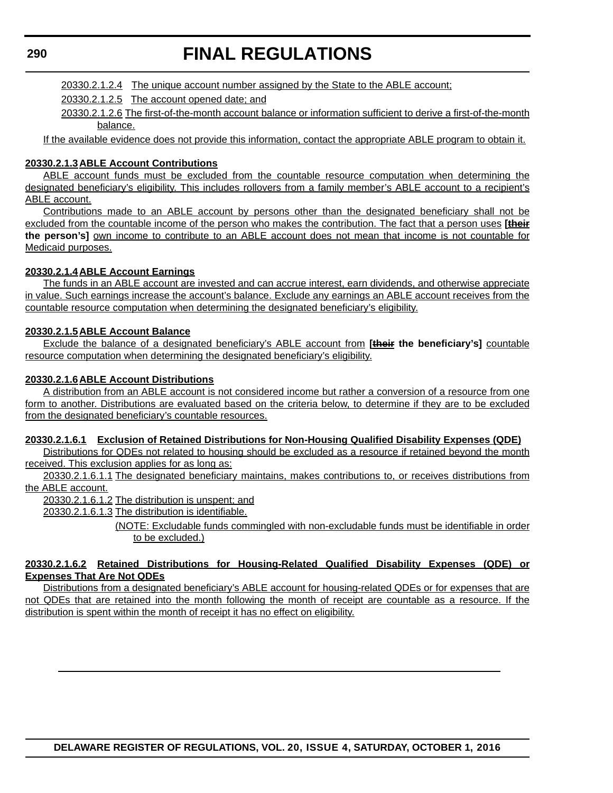# **FINAL REGULATIONS**

20330.2.1.2.4 The unique account number assigned by the State to the ABLE account;

20330.2.1.2.5 The account opened date; and

20330.2.1.2.6 The first-of-the-month account balance or information sufficient to derive a first-of-the-month balance.

If the available evidence does not provide this information, contact the appropriate ABLE program to obtain it.

## **20330.2.1.3ABLE Account Contributions**

ABLE account funds must be excluded from the countable resource computation when determining the designated beneficiary's eligibility. This includes rollovers from a family member's ABLE account to a recipient's ABLE account.

Contributions made to an ABLE account by persons other than the designated beneficiary shall not be excluded from the countable income of the person who makes the contribution. The fact that a person uses **[their the person's]** own income to contribute to an ABLE account does not mean that income is not countable for Medicaid purposes.

## **20330.2.1.4ABLE Account Earnings**

The funds in an ABLE account are invested and can accrue interest, earn dividends, and otherwise appreciate in value. Such earnings increase the account's balance. Exclude any earnings an ABLE account receives from the countable resource computation when determining the designated beneficiary's eligibility.

## **20330.2.1.5ABLE Account Balance**

Exclude the balance of a designated beneficiary's ABLE account from **[their the beneficiary's]** countable resource computation when determining the designated beneficiary's eligibility.

## **20330.2.1.6ABLE Account Distributions**

A distribution from an ABLE account is not considered income but rather a conversion of a resource from one form to another. Distributions are evaluated based on the criteria below, to determine if they are to be excluded from the designated beneficiary's countable resources.

## **20330.2.1.6.1 Exclusion of Retained Distributions for Non-Housing Qualified Disability Expenses (QDE)**

Distributions for QDEs not related to housing should be excluded as a resource if retained beyond the month received. This exclusion applies for as long as:

20330.2.1.6.1.1 The designated beneficiary maintains, makes contributions to, or receives distributions from the ABLE account.

20330.2.1.6.1.2 The distribution is unspent; and

20330.2.1.6.1.3 The distribution is identifiable.

(NOTE: Excludable funds commingled with non-excludable funds must be identifiable in order to be excluded.)

## **20330.2.1.6.2 Retained Distributions for Housing-Related Qualified Disability Expenses (QDE) or Expenses That Are Not QDEs**

Distributions from a designated beneficiary's ABLE account for housing-related QDEs or for expenses that are not QDEs that are retained into the month following the month of receipt are countable as a resource. If the distribution is spent within the month of receipt it has no effect on eligibility.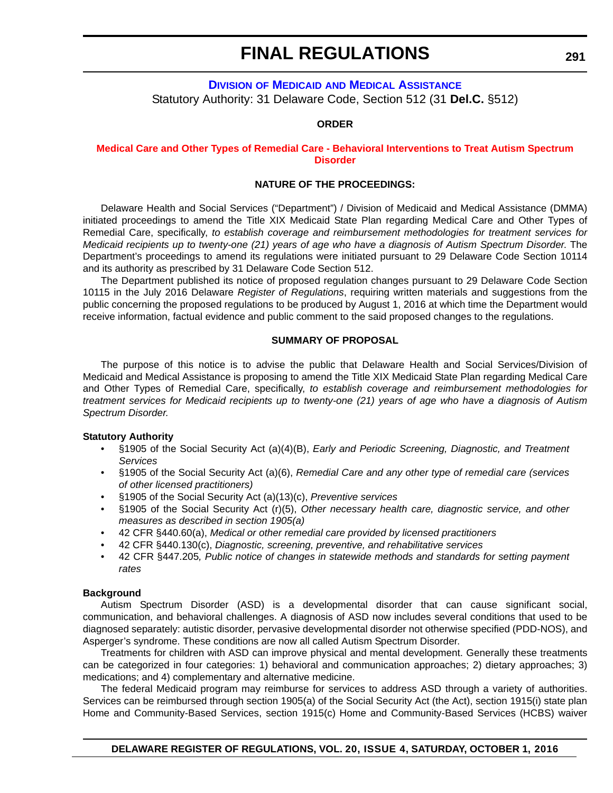## **DIVISION OF MEDICAID AND MEDICAL ASSISTANCE** Statutory Authority: 31 Delaware Code, Section 512 (31 **Del.C.** §512)

## **ORDER**

## **[Medical Care and Other Types of Remedial Care - Behavioral Interventions to Treat Autism Spectrum](#page-4-0)  Disorder**

## **NATURE OF THE PROCEEDINGS:**

Delaware Health and Social Services ("Department") / Division of Medicaid and Medical Assistance (DMMA) initiated proceedings to amend the Title XIX Medicaid State Plan regarding Medical Care and Other Types of Remedial Care, specifically, *to establish coverage and reimbursement methodologies for treatment services for Medicaid recipients up to twenty-one (21) years of age who have a diagnosis of Autism Spectrum Disorder*. The Department's proceedings to amend its regulations were initiated pursuant to 29 Delaware Code Section 10114 and its authority as prescribed by 31 Delaware Code Section 512.

The Department published its notice of proposed regulation changes pursuant to 29 Delaware Code Section 10115 in the July 2016 Delaware *Register of Regulations*, requiring written materials and suggestions from the public concerning the proposed regulations to be produced by August 1, 2016 at which time the Department would receive information, factual evidence and public comment to the said proposed changes to the regulations.

#### **SUMMARY OF PROPOSAL**

The purpose of this notice is to advise the public that Delaware Health and Social Services/Division of Medicaid and Medical Assistance is proposing to amend the Title XIX Medicaid State Plan regarding Medical Care and Other Types of Remedial Care, specifically, *to establish coverage and reimbursement methodologies for treatment services for Medicaid recipients up to twenty-one (21) years of age who have a diagnosis of Autism Spectrum Disorder.*

## **Statutory Authority**

- §1905 of the Social Security Act (a)(4)(B), *Early and Periodic Screening, Diagnostic, and Treatment Services*
- §1905 of the Social Security Act (a)(6), *Remedial Care and any other type of remedial care (services of other licensed practitioners)*
- §1905 of the Social Security Act (a)(13)(c), *Preventive services*
- §1905 of the Social Security Act (r)(5), *Other necessary health care, diagnostic service, and other measures as described in section 1905(a)*
- 42 CFR §440.60(a), *Medical or other remedial care provided by licensed practitioners*
- 42 CFR §440.130(c), *Diagnostic, screening, preventive, and rehabilitative services*
- 42 CFR §447.205*, Public notice of changes in statewide methods and standards for setting payment rates*

#### **Background**

Autism Spectrum Disorder (ASD) is a developmental disorder that can cause significant social, communication, and behavioral challenges. A diagnosis of ASD now includes several conditions that used to be diagnosed separately: autistic disorder, pervasive developmental disorder not otherwise specified (PDD-NOS), and Asperger's syndrome. These conditions are now all called Autism Spectrum Disorder.

Treatments for children with ASD can improve physical and mental development. Generally these treatments can be categorized in four categories: 1) behavioral and communication approaches; 2) dietary approaches; 3) medications; and 4) complementary and alternative medicine.

The federal Medicaid program may reimburse for services to address ASD through a variety of authorities. Services can be reimbursed through section 1905(a) of the Social Security Act (the Act), section 1915(i) state plan Home and Community-Based Services, section 1915(c) Home and Community-Based Services (HCBS) waiver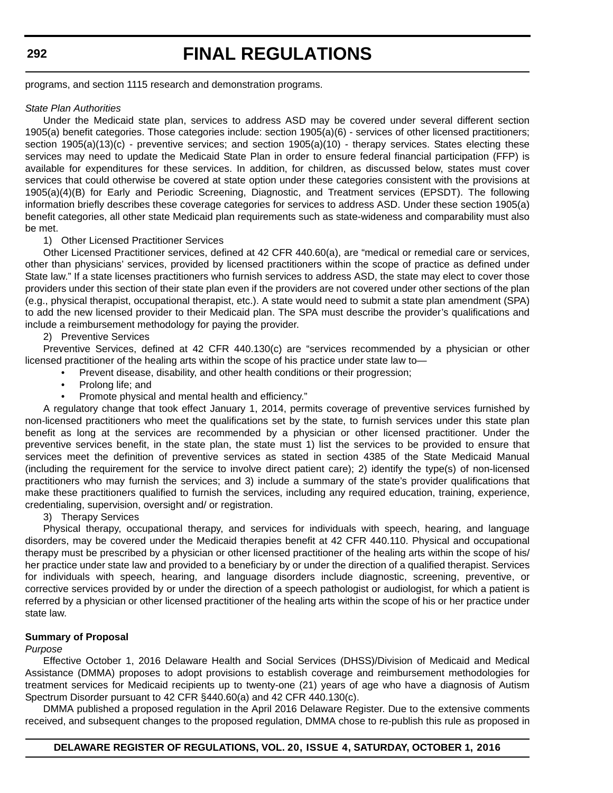programs, and section 1115 research and demonstration programs.

### *State Plan Authorities*

Under the Medicaid state plan, services to address ASD may be covered under several different section 1905(a) benefit categories. Those categories include: section 1905(a)(6) - services of other licensed practitioners; section 1905(a)(13)(c) - preventive services; and section 1905(a)(10) - therapy services. States electing these services may need to update the Medicaid State Plan in order to ensure federal financial participation (FFP) is available for expenditures for these services. In addition, for children, as discussed below, states must cover services that could otherwise be covered at state option under these categories consistent with the provisions at 1905(a)(4)(B) for Early and Periodic Screening, Diagnostic, and Treatment services (EPSDT). The following information briefly describes these coverage categories for services to address ASD. Under these section 1905(a) benefit categories, all other state Medicaid plan requirements such as state-wideness and comparability must also be met.

### 1) Other Licensed Practitioner Services

Other Licensed Practitioner services, defined at 42 CFR 440.60(a), are "medical or remedial care or services, other than physicians' services, provided by licensed practitioners within the scope of practice as defined under State law." If a state licenses practitioners who furnish services to address ASD, the state may elect to cover those providers under this section of their state plan even if the providers are not covered under other sections of the plan (e.g., physical therapist, occupational therapist, etc.). A state would need to submit a state plan amendment (SPA) to add the new licensed provider to their Medicaid plan. The SPA must describe the provider's qualifications and include a reimbursement methodology for paying the provider.

2) Preventive Services

Preventive Services, defined at 42 CFR 440.130(c) are "services recommended by a physician or other licensed practitioner of the healing arts within the scope of his practice under state law to—

- Prevent disease, disability, and other health conditions or their progression;
- Prolong life; and
- Promote physical and mental health and efficiency."

A regulatory change that took effect January 1, 2014, permits coverage of preventive services furnished by non-licensed practitioners who meet the qualifications set by the state, to furnish services under this state plan benefit as long at the services are recommended by a physician or other licensed practitioner. Under the preventive services benefit, in the state plan, the state must 1) list the services to be provided to ensure that services meet the definition of preventive services as stated in section 4385 of the State Medicaid Manual (including the requirement for the service to involve direct patient care); 2) identify the type(s) of non-licensed practitioners who may furnish the services; and 3) include a summary of the state's provider qualifications that make these practitioners qualified to furnish the services, including any required education, training, experience, credentialing, supervision, oversight and/ or registration.

## 3) Therapy Services

Physical therapy, occupational therapy, and services for individuals with speech, hearing, and language disorders, may be covered under the Medicaid therapies benefit at 42 CFR 440.110. Physical and occupational therapy must be prescribed by a physician or other licensed practitioner of the healing arts within the scope of his/ her practice under state law and provided to a beneficiary by or under the direction of a qualified therapist. Services for individuals with speech, hearing, and language disorders include diagnostic, screening, preventive, or corrective services provided by or under the direction of a speech pathologist or audiologist, for which a patient is referred by a physician or other licensed practitioner of the healing arts within the scope of his or her practice under state law.

## **Summary of Proposal**

## *Purpose*

Effective October 1, 2016 Delaware Health and Social Services (DHSS)/Division of Medicaid and Medical Assistance (DMMA) proposes to adopt provisions to establish coverage and reimbursement methodologies for treatment services for Medicaid recipients up to twenty-one (21) years of age who have a diagnosis of Autism Spectrum Disorder pursuant to 42 CFR §440.60(a) and 42 CFR 440.130(c).

DMMA published a proposed regulation in the April 2016 Delaware Register. Due to the extensive comments received, and subsequent changes to the proposed regulation, DMMA chose to re-publish this rule as proposed in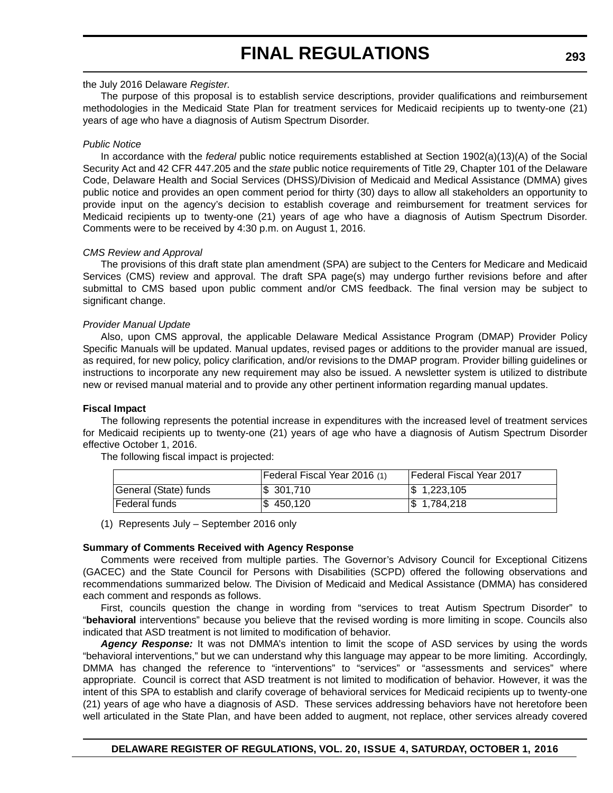## the July 2016 Delaware *Register*.

The purpose of this proposal is to establish service descriptions, provider qualifications and reimbursement methodologies in the Medicaid State Plan for treatment services for Medicaid recipients up to twenty-one (21) years of age who have a diagnosis of Autism Spectrum Disorder.

## *Public Notice*

In accordance with the *federal* public notice requirements established at Section 1902(a)(13)(A) of the Social Security Act and 42 CFR 447.205 and the *state* public notice requirements of Title 29, Chapter 101 of the Delaware Code, Delaware Health and Social Services (DHSS)/Division of Medicaid and Medical Assistance (DMMA) gives public notice and provides an open comment period for thirty (30) days to allow all stakeholders an opportunity to provide input on the agency's decision to establish coverage and reimbursement for treatment services for Medicaid recipients up to twenty-one (21) years of age who have a diagnosis of Autism Spectrum Disorder. Comments were to be received by 4:30 p.m. on August 1, 2016.

## *CMS Review and Approval*

The provisions of this draft state plan amendment (SPA) are subject to the Centers for Medicare and Medicaid Services (CMS) review and approval. The draft SPA page(s) may undergo further revisions before and after submittal to CMS based upon public comment and/or CMS feedback. The final version may be subject to significant change.

## *Provider Manual Update*

Also, upon CMS approval, the applicable Delaware Medical Assistance Program (DMAP) Provider Policy Specific Manuals will be updated. Manual updates, revised pages or additions to the provider manual are issued, as required, for new policy, policy clarification, and/or revisions to the DMAP program. Provider billing guidelines or instructions to incorporate any new requirement may also be issued. A newsletter system is utilized to distribute new or revised manual material and to provide any other pertinent information regarding manual updates.

## **Fiscal Impact**

The following represents the potential increase in expenditures with the increased level of treatment services for Medicaid recipients up to twenty-one (21) years of age who have a diagnosis of Autism Spectrum Disorder effective October 1, 2016.

|                       | [Federal Fiscal Year 2016 (1) | Federal Fiscal Year 2017 |
|-----------------------|-------------------------------|--------------------------|
| General (State) funds | $\frac{1}{3}$ 301,710         | $\$\,1,223,105$          |
| Federal funds         | \$450,120                     | $\frac{1}{3}$ 1,784,218  |

The following fiscal impact is projected:

(1) Represents July – September 2016 only

## **Summary of Comments Received with Agency Response**

Comments were received from multiple parties. The Governor's Advisory Council for Exceptional Citizens (GACEC) and the State Council for Persons with Disabilities (SCPD) offered the following observations and recommendations summarized below. The Division of Medicaid and Medical Assistance (DMMA) has considered each comment and responds as follows.

First, councils question the change in wording from "services to treat Autism Spectrum Disorder" to "**behavioral** interventions" because you believe that the revised wording is more limiting in scope. Councils also indicated that ASD treatment is not limited to modification of behavior.

Agency Response: It was not DMMA's intention to limit the scope of ASD services by using the words "behavioral interventions," but we can understand why this language may appear to be more limiting. Accordingly, DMMA has changed the reference to "interventions" to "services" or "assessments and services" where appropriate. Council is correct that ASD treatment is not limited to modification of behavior. However, it was the intent of this SPA to establish and clarify coverage of behavioral services for Medicaid recipients up to twenty-one (21) years of age who have a diagnosis of ASD. These services addressing behaviors have not heretofore been well articulated in the State Plan, and have been added to augment, not replace, other services already covered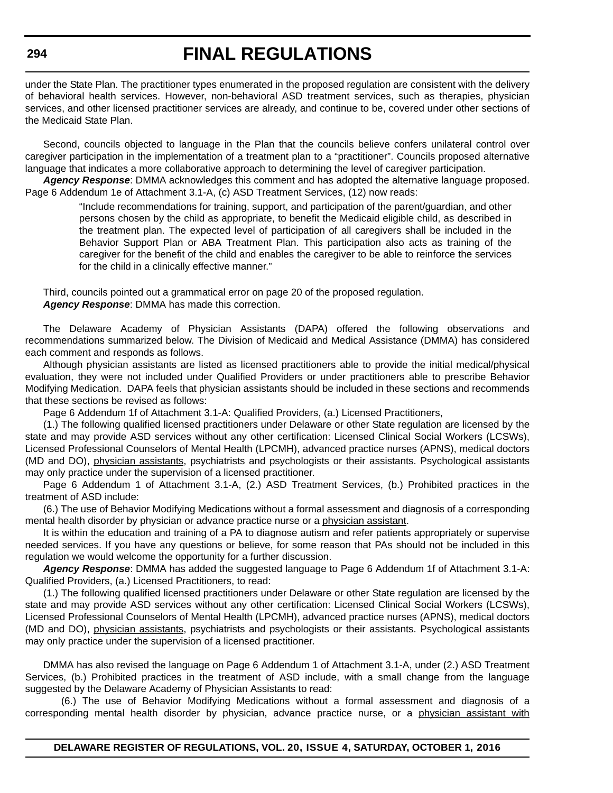# **FINAL REGULATIONS**

under the State Plan. The practitioner types enumerated in the proposed regulation are consistent with the delivery of behavioral health services. However, non-behavioral ASD treatment services, such as therapies, physician services, and other licensed practitioner services are already, and continue to be, covered under other sections of the Medicaid State Plan.

Second, councils objected to language in the Plan that the councils believe confers unilateral control over caregiver participation in the implementation of a treatment plan to a "practitioner". Councils proposed alternative language that indicates a more collaborative approach to determining the level of caregiver participation.

*Agency Response*: DMMA acknowledges this comment and has adopted the alternative language proposed. Page 6 Addendum 1e of Attachment 3.1-A, (c) ASD Treatment Services, (12) now reads:

> "Include recommendations for training, support, and participation of the parent/guardian, and other persons chosen by the child as appropriate, to benefit the Medicaid eligible child, as described in the treatment plan. The expected level of participation of all caregivers shall be included in the Behavior Support Plan or ABA Treatment Plan. This participation also acts as training of the caregiver for the benefit of the child and enables the caregiver to be able to reinforce the services for the child in a clinically effective manner."

Third, councils pointed out a grammatical error on page 20 of the proposed regulation. *Agency Response*: DMMA has made this correction.

The Delaware Academy of Physician Assistants (DAPA) offered the following observations and recommendations summarized below. The Division of Medicaid and Medical Assistance (DMMA) has considered each comment and responds as follows.

Although physician assistants are listed as licensed practitioners able to provide the initial medical/physical evaluation, they were not included under Qualified Providers or under practitioners able to prescribe Behavior Modifying Medication. DAPA feels that physician assistants should be included in these sections and recommends that these sections be revised as follows:

Page 6 Addendum 1f of Attachment 3.1-A: Qualified Providers, (a.) Licensed Practitioners,

(1.) The following qualified licensed practitioners under Delaware or other State regulation are licensed by the state and may provide ASD services without any other certification: Licensed Clinical Social Workers (LCSWs), Licensed Professional Counselors of Mental Health (LPCMH), advanced practice nurses (APNS), medical doctors (MD and DO), physician assistants, psychiatrists and psychologists or their assistants. Psychological assistants may only practice under the supervision of a licensed practitioner.

Page 6 Addendum 1 of Attachment 3.1-A, (2.) ASD Treatment Services, (b.) Prohibited practices in the treatment of ASD include:

(6.) The use of Behavior Modifying Medications without a formal assessment and diagnosis of a corresponding mental health disorder by physician or advance practice nurse or a physician assistant.

It is within the education and training of a PA to diagnose autism and refer patients appropriately or supervise needed services. If you have any questions or believe, for some reason that PAs should not be included in this regulation we would welcome the opportunity for a further discussion.

*Agency Response*: DMMA has added the suggested language to Page 6 Addendum 1f of Attachment 3.1-A: Qualified Providers, (a.) Licensed Practitioners, to read:

(1.) The following qualified licensed practitioners under Delaware or other State regulation are licensed by the state and may provide ASD services without any other certification: Licensed Clinical Social Workers (LCSWs), Licensed Professional Counselors of Mental Health (LPCMH), advanced practice nurses (APNS), medical doctors (MD and DO), physician assistants, psychiatrists and psychologists or their assistants. Psychological assistants may only practice under the supervision of a licensed practitioner.

DMMA has also revised the language on Page 6 Addendum 1 of Attachment 3.1-A, under (2.) ASD Treatment Services, (b.) Prohibited practices in the treatment of ASD include, with a small change from the language suggested by the Delaware Academy of Physician Assistants to read:

(6.) The use of Behavior Modifying Medications without a formal assessment and diagnosis of a corresponding mental health disorder by physician, advance practice nurse, or a physician assistant with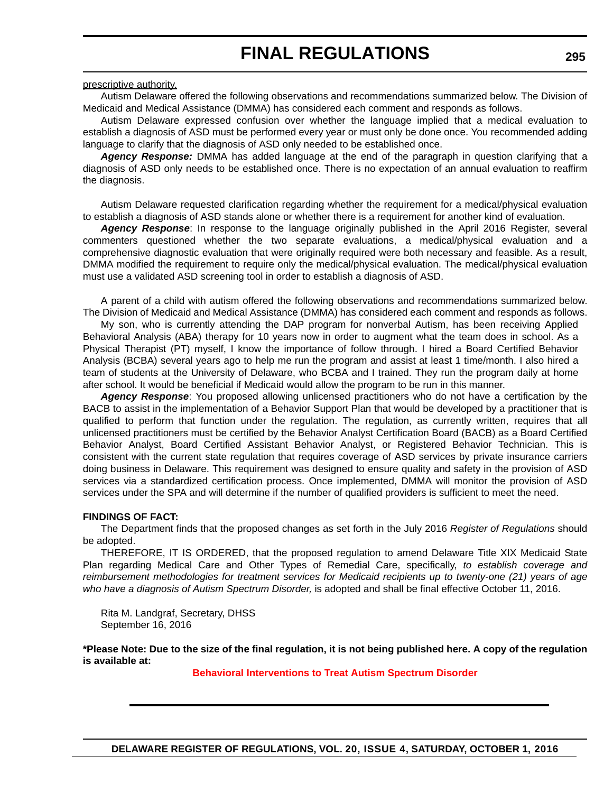### prescriptive authority.

Autism Delaware offered the following observations and recommendations summarized below. The Division of Medicaid and Medical Assistance (DMMA) has considered each comment and responds as follows.

Autism Delaware expressed confusion over whether the language implied that a medical evaluation to establish a diagnosis of ASD must be performed every year or must only be done once. You recommended adding language to clarify that the diagnosis of ASD only needed to be established once.

*Agency Response:* DMMA has added language at the end of the paragraph in question clarifying that a diagnosis of ASD only needs to be established once. There is no expectation of an annual evaluation to reaffirm the diagnosis.

Autism Delaware requested clarification regarding whether the requirement for a medical/physical evaluation to establish a diagnosis of ASD stands alone or whether there is a requirement for another kind of evaluation.

*Agency Response*: In response to the language originally published in the April 2016 Register, several commenters questioned whether the two separate evaluations, a medical/physical evaluation and a comprehensive diagnostic evaluation that were originally required were both necessary and feasible. As a result, DMMA modified the requirement to require only the medical/physical evaluation. The medical/physical evaluation must use a validated ASD screening tool in order to establish a diagnosis of ASD.

A parent of a child with autism offered the following observations and recommendations summarized below. The Division of Medicaid and Medical Assistance (DMMA) has considered each comment and responds as follows.

My son, who is currently attending the DAP program for nonverbal Autism, has been receiving Applied Behavioral Analysis (ABA) therapy for 10 years now in order to augment what the team does in school. As a Physical Therapist (PT) myself, I know the importance of follow through. I hired a Board Certified Behavior Analysis (BCBA) several years ago to help me run the program and assist at least 1 time/month. I also hired a team of students at the University of Delaware, who BCBA and I trained. They run the program daily at home after school. It would be beneficial if Medicaid would allow the program to be run in this manner.

*Agency Response*: You proposed allowing unlicensed practitioners who do not have a certification by the BACB to assist in the implementation of a Behavior Support Plan that would be developed by a practitioner that is qualified to perform that function under the regulation. The regulation, as currently written, requires that all unlicensed practitioners must be certified by the Behavior Analyst Certification Board (BACB) as a Board Certified Behavior Analyst, Board Certified Assistant Behavior Analyst, or Registered Behavior Technician. This is consistent with the current state regulation that requires coverage of ASD services by private insurance carriers doing business in Delaware. This requirement was designed to ensure quality and safety in the provision of ASD services via a standardized certification process. Once implemented, DMMA will monitor the provision of ASD services under the SPA and will determine if the number of qualified providers is sufficient to meet the need.

## **FINDINGS OF FACT:**

The Department finds that the proposed changes as set forth in the July 2016 *Register of Regulations* should be adopted.

THEREFORE, IT IS ORDERED, that the proposed regulation to amend Delaware Title XIX Medicaid State Plan regarding Medical Care and Other Types of Remedial Care, specifically, *to establish coverage and reimbursement methodologies for treatment services for Medicaid recipients up to twenty-one (21) years of age who have a diagnosis of Autism Spectrum Disorder,* is adopted and shall be final effective October 11, 2016.

Rita M. Landgraf, Secretary, DHSS September 16, 2016

**\*Please Note: Due to the size of the final regulation, it is not being published here. A copy of the regulation is available at:**

**[Behavioral Interventions to Treat Autism Spectrum Disorder](http://regulations.delaware.gov/register/october2016/final/20 DE Reg 291 10-01-16.htm)**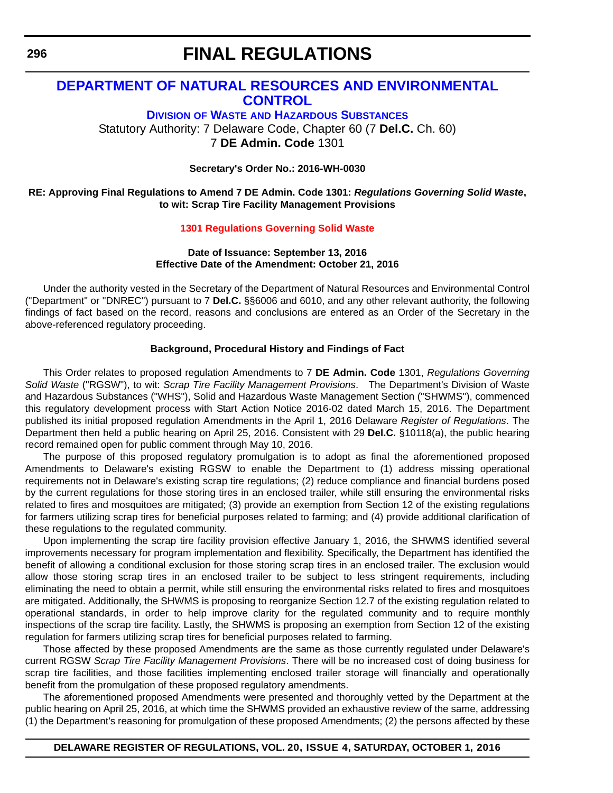# **DEPARTMENT OF NATURAL RESOURCES AND ENVIRONMENTAL CONTROL**

**DIVISION OF WASTE AND HAZARDOUS SUBSTANCES** Statutory Authority: 7 Delaware Code, Chapter 60 (7 **Del.C.** Ch. 60) 7 **DE Admin. Code** 1301

**Secretary's Order No.: 2016-WH-0030**

## **RE: Approving Final Regulations to Amend 7 DE Admin. Code 1301:** *Regulations Governing Solid Waste***, to wit: Scrap Tire Facility Management Provisions**

## **[1301 Regulations Governing Solid Waste](#page-4-0)**

## **Date of Issuance: September 13, 2016 Effective Date of the Amendment: October 21, 2016**

Under the authority vested in the Secretary of the Department of Natural Resources and Environmental Control ("Department" or "DNREC") pursuant to 7 **Del.C.** §§6006 and 6010, and any other relevant authority, the following findings of fact based on the record, reasons and conclusions are entered as an Order of the Secretary in the above-referenced regulatory proceeding.

## **Background, Procedural History and Findings of Fact**

This Order relates to proposed regulation Amendments to 7 **DE Admin. Code** 1301, *Regulations Governing Solid Waste* ("RGSW"), to wit: *Scrap Tire Facility Management Provisions*. The Department's Division of Waste and Hazardous Substances ("WHS"), Solid and Hazardous Waste Management Section ("SHWMS"), commenced this regulatory development process with Start Action Notice 2016-02 dated March 15, 2016. The Department published its initial proposed regulation Amendments in the April 1, 2016 Delaware *Register of Regulations*. The Department then held a public hearing on April 25, 2016. Consistent with 29 **Del.C.** §10118(a), the public hearing record remained open for public comment through May 10, 2016.

The purpose of this proposed regulatory promulgation is to adopt as final the aforementioned proposed Amendments to Delaware's existing RGSW to enable the Department to (1) address missing operational requirements not in Delaware's existing scrap tire regulations; (2) reduce compliance and financial burdens posed by the current regulations for those storing tires in an enclosed trailer, while still ensuring the environmental risks related to fires and mosquitoes are mitigated; (3) provide an exemption from Section 12 of the existing regulations for farmers utilizing scrap tires for beneficial purposes related to farming; and (4) provide additional clarification of these regulations to the regulated community.

Upon implementing the scrap tire facility provision effective January 1, 2016, the SHWMS identified several improvements necessary for program implementation and flexibility. Specifically, the Department has identified the benefit of allowing a conditional exclusion for those storing scrap tires in an enclosed trailer. The exclusion would allow those storing scrap tires in an enclosed trailer to be subject to less stringent requirements, including eliminating the need to obtain a permit, while still ensuring the environmental risks related to fires and mosquitoes are mitigated. Additionally, the SHWMS is proposing to reorganize Section 12.7 of the existing regulation related to operational standards, in order to help improve clarity for the regulated community and to require monthly inspections of the scrap tire facility. Lastly, the SHWMS is proposing an exemption from Section 12 of the existing regulation for farmers utilizing scrap tires for beneficial purposes related to farming.

Those affected by these proposed Amendments are the same as those currently regulated under Delaware's current RGSW *Scrap Tire Facility Management Provisions*. There will be no increased cost of doing business for scrap tire facilities, and those facilities implementing enclosed trailer storage will financially and operationally benefit from the promulgation of these proposed regulatory amendments.

The aforementioned proposed Amendments were presented and thoroughly vetted by the Department at the public hearing on April 25, 2016, at which time the SHWMS provided an exhaustive review of the same, addressing (1) the Department's reasoning for promulgation of these proposed Amendments; (2) the persons affected by these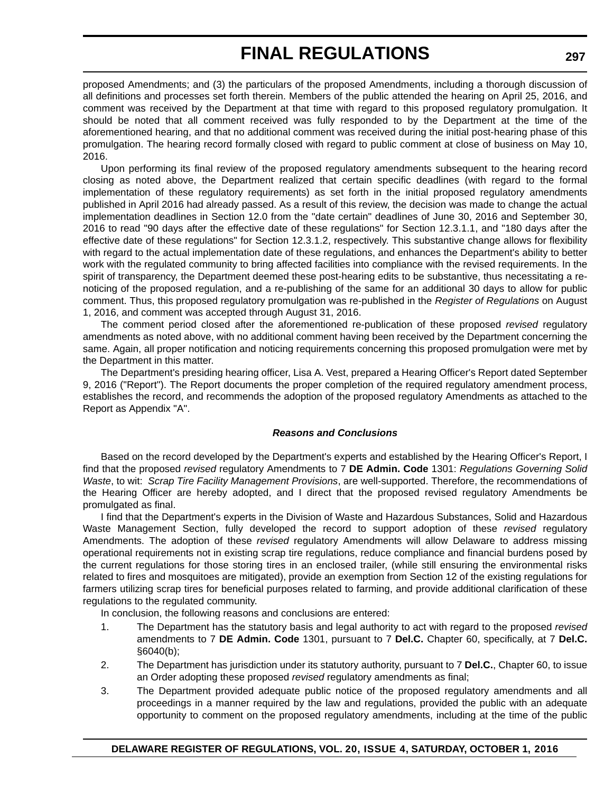proposed Amendments; and (3) the particulars of the proposed Amendments, including a thorough discussion of all definitions and processes set forth therein. Members of the public attended the hearing on April 25, 2016, and comment was received by the Department at that time with regard to this proposed regulatory promulgation. It should be noted that all comment received was fully responded to by the Department at the time of the aforementioned hearing, and that no additional comment was received during the initial post-hearing phase of this promulgation. The hearing record formally closed with regard to public comment at close of business on May 10, 2016.

Upon performing its final review of the proposed regulatory amendments subsequent to the hearing record closing as noted above, the Department realized that certain specific deadlines (with regard to the formal implementation of these regulatory requirements) as set forth in the initial proposed regulatory amendments published in April 2016 had already passed. As a result of this review, the decision was made to change the actual implementation deadlines in Section 12.0 from the "date certain" deadlines of June 30, 2016 and September 30, 2016 to read "90 days after the effective date of these regulations" for Section 12.3.1.1, and "180 days after the effective date of these regulations" for Section 12.3.1.2, respectively. This substantive change allows for flexibility with regard to the actual implementation date of these regulations, and enhances the Department's ability to better work with the regulated community to bring affected facilities into compliance with the revised requirements. In the spirit of transparency, the Department deemed these post-hearing edits to be substantive, thus necessitating a renoticing of the proposed regulation, and a re-publishing of the same for an additional 30 days to allow for public comment. Thus, this proposed regulatory promulgation was re-published in the *Register of Regulations* on August 1, 2016, and comment was accepted through August 31, 2016.

The comment period closed after the aforementioned re-publication of these proposed *revised* regulatory amendments as noted above, with no additional comment having been received by the Department concerning the same. Again, all proper notification and noticing requirements concerning this proposed promulgation were met by the Department in this matter.

The Department's presiding hearing officer, Lisa A. Vest, prepared a Hearing Officer's Report dated September 9, 2016 ("Report"). The Report documents the proper completion of the required regulatory amendment process, establishes the record, and recommends the adoption of the proposed regulatory Amendments as attached to the Report as Appendix "A".

## *Reasons and Conclusions*

Based on the record developed by the Department's experts and established by the Hearing Officer's Report, I find that the proposed *revised* regulatory Amendments to 7 **DE Admin. Code** 1301: *Regulations Governing Solid Waste*, to wit: *Scrap Tire Facility Management Provisions*, are well-supported. Therefore, the recommendations of the Hearing Officer are hereby adopted, and I direct that the proposed revised regulatory Amendments be promulgated as final.

I find that the Department's experts in the Division of Waste and Hazardous Substances, Solid and Hazardous Waste Management Section, fully developed the record to support adoption of these *revised* regulatory Amendments. The adoption of these *revised* regulatory Amendments will allow Delaware to address missing operational requirements not in existing scrap tire regulations, reduce compliance and financial burdens posed by the current regulations for those storing tires in an enclosed trailer, (while still ensuring the environmental risks related to fires and mosquitoes are mitigated), provide an exemption from Section 12 of the existing regulations for farmers utilizing scrap tires for beneficial purposes related to farming, and provide additional clarification of these regulations to the regulated community.

In conclusion, the following reasons and conclusions are entered:

- 1. The Department has the statutory basis and legal authority to act with regard to the proposed *revised* amendments to 7 **DE Admin. Code** 1301, pursuant to 7 **Del.C.** Chapter 60, specifically, at 7 **Del.C.** §6040(b);
- 2. The Department has jurisdiction under its statutory authority, pursuant to 7 **Del.C.**, Chapter 60, to issue an Order adopting these proposed *revised* regulatory amendments as final;
- 3. The Department provided adequate public notice of the proposed regulatory amendments and all proceedings in a manner required by the law and regulations, provided the public with an adequate opportunity to comment on the proposed regulatory amendments, including at the time of the public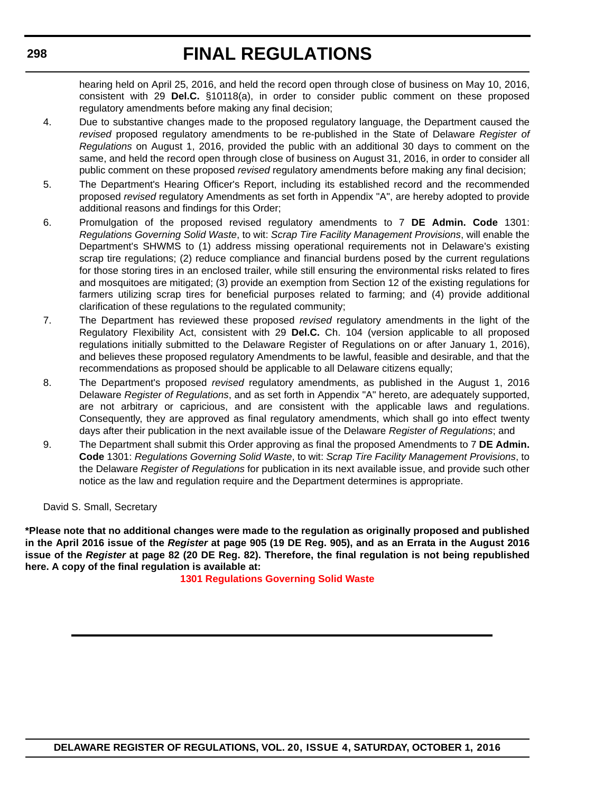hearing held on April 25, 2016, and held the record open through close of business on May 10, 2016, consistent with 29 **Del.C.** §10118(a), in order to consider public comment on these proposed regulatory amendments before making any final decision;

- 4. Due to substantive changes made to the proposed regulatory language, the Department caused the *revised* proposed regulatory amendments to be re-published in the State of Delaware *Register of Regulations* on August 1, 2016, provided the public with an additional 30 days to comment on the same, and held the record open through close of business on August 31, 2016, in order to consider all public comment on these proposed *revised* regulatory amendments before making any final decision;
- 5. The Department's Hearing Officer's Report, including its established record and the recommended proposed *revised* regulatory Amendments as set forth in Appendix "A", are hereby adopted to provide additional reasons and findings for this Order;
- 6. Promulgation of the proposed revised regulatory amendments to 7 **DE Admin. Code** 1301: *Regulations Governing Solid Waste*, to wit: *Scrap Tire Facility Management Provisions*, will enable the Department's SHWMS to (1) address missing operational requirements not in Delaware's existing scrap tire regulations; (2) reduce compliance and financial burdens posed by the current regulations for those storing tires in an enclosed trailer, while still ensuring the environmental risks related to fires and mosquitoes are mitigated; (3) provide an exemption from Section 12 of the existing regulations for farmers utilizing scrap tires for beneficial purposes related to farming; and (4) provide additional clarification of these regulations to the regulated community;
- 7. The Department has reviewed these proposed *revised* regulatory amendments in the light of the Regulatory Flexibility Act, consistent with 29 **Del.C.** Ch. 104 (version applicable to all proposed regulations initially submitted to the Delaware Register of Regulations on or after January 1, 2016), and believes these proposed regulatory Amendments to be lawful, feasible and desirable, and that the recommendations as proposed should be applicable to all Delaware citizens equally;
- 8. The Department's proposed *revised* regulatory amendments, as published in the August 1, 2016 Delaware *Register of Regulations*, and as set forth in Appendix "A" hereto, are adequately supported, are not arbitrary or capricious, and are consistent with the applicable laws and regulations. Consequently, they are approved as final regulatory amendments, which shall go into effect twenty days after their publication in the next available issue of the Delaware *Register of Regulations*; and
- 9. The Department shall submit this Order approving as final the proposed Amendments to 7 **DE Admin. Code** 1301: *Regulations Governing Solid Waste*, to wit: *Scrap Tire Facility Management Provisions*, to the Delaware *Register of Regulations* for publication in its next available issue, and provide such other notice as the law and regulation require and the Department determines is appropriate.

David S. Small, Secretary

**\*Please note that no additional changes were made to the regulation as originally proposed and published in the April 2016 issue of the** *Register* **at page 905 (19 DE Reg. 905), and as an Errata in the August 2016 issue of the** *Register* **at page 82 (20 DE Reg. 82). Therefore, the final regulation is not being republished here. A copy of the final regulation is available at:**

**[1301 Regulations Governing Solid Waste](http://regulations.delaware.gov/register/october2016/final/20 DE Reg 296 10-01-16.htm)**

# **DELAWARE REGISTER OF REGULATIONS, VOL. 20, ISSUE 4, SATURDAY, OCTOBER 1, 2016**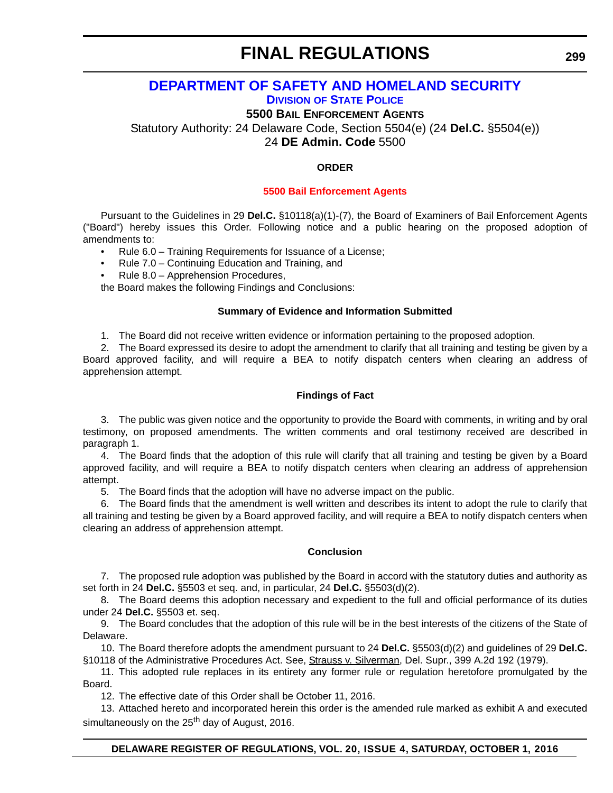## **DEPARTMENT OF SAFETY AND HOMELAND SECURITY DIVISION OF STATE POLICE**

**5500 BAIL ENFORCEMENT AGENTS**

Statutory Authority: 24 Delaware Code, Section 5504(e) (24 **Del.C.** §5504(e))

24 **DE Admin. Code** 5500

## **ORDER**

## **[5500 Bail Enforcement Agents](#page-4-0)**

Pursuant to the Guidelines in 29 **Del.C.** §10118(a)(1)-(7), the Board of Examiners of Bail Enforcement Agents ("Board") hereby issues this Order. Following notice and a public hearing on the proposed adoption of amendments to:

- Rule 6.0 Training Requirements for Issuance of a License;
- Rule 7.0 Continuing Education and Training, and
- Rule 8.0 Apprehension Procedures,

the Board makes the following Findings and Conclusions:

## **Summary of Evidence and Information Submitted**

1. The Board did not receive written evidence or information pertaining to the proposed adoption.

2. The Board expressed its desire to adopt the amendment to clarify that all training and testing be given by a Board approved facility, and will require a BEA to notify dispatch centers when clearing an address of apprehension attempt.

## **Findings of Fact**

3. The public was given notice and the opportunity to provide the Board with comments, in writing and by oral testimony, on proposed amendments. The written comments and oral testimony received are described in paragraph 1.

4. The Board finds that the adoption of this rule will clarify that all training and testing be given by a Board approved facility, and will require a BEA to notify dispatch centers when clearing an address of apprehension attempt.

5. The Board finds that the adoption will have no adverse impact on the public.

6. The Board finds that the amendment is well written and describes its intent to adopt the rule to clarify that all training and testing be given by a Board approved facility, and will require a BEA to notify dispatch centers when clearing an address of apprehension attempt.

## **Conclusion**

7. The proposed rule adoption was published by the Board in accord with the statutory duties and authority as set forth in 24 **Del.C.** §5503 et seq. and, in particular, 24 **Del.C.** §5503(d)(2).

8. The Board deems this adoption necessary and expedient to the full and official performance of its duties under 24 **Del.C.** §5503 et. seq.

9. The Board concludes that the adoption of this rule will be in the best interests of the citizens of the State of Delaware.

10. The Board therefore adopts the amendment pursuant to 24 **Del.C.** §5503(d)(2) and guidelines of 29 **Del.C.** §10118 of the Administrative Procedures Act. See, Strauss v. Silverman, Del. Supr., 399 A.2d 192 (1979).

11. This adopted rule replaces in its entirety any former rule or regulation heretofore promulgated by the Board.

12. The effective date of this Order shall be October 11, 2016.

13. Attached hereto and incorporated herein this order is the amended rule marked as exhibit A and executed simultaneously on the 25<sup>th</sup> day of August, 2016.

## **DELAWARE REGISTER OF REGULATIONS, VOL. 20, ISSUE 4, SATURDAY, OCTOBER 1, 2016**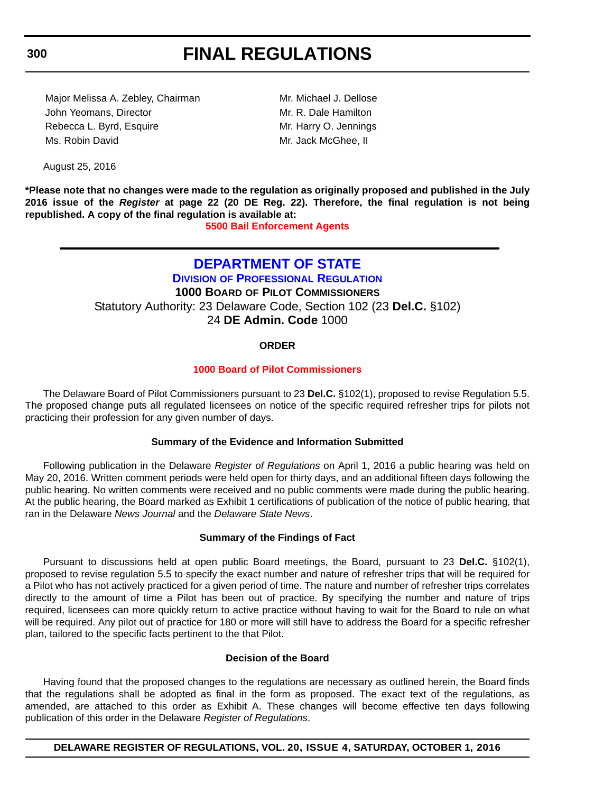Major Melissa A. Zebley, Chairman Mr. Michael J. Dellose John Yeomans, Director **Mr. R. Dale Hamilton** Rebecca L. Byrd, Esquire Mr. Harry O. Jennings Ms. Robin David **Mr. Jack McGhee, II** 

August 25, 2016

**\*Please note that no changes were made to the regulation as originally proposed and published in the July 2016 issue of the** *Register* **at page 22 (20 DE Reg. 22). Therefore, the final regulation is not being republished. A copy of the final regulation is available at:**

**[5500 Bail Enforcement Agents](http://regulations.delaware.gov/register/october2016/final/20 DE Reg 299 10-01-16.htm)**

## **DEPARTMENT OF STATE DIVISION OF PROFESSIONAL REGULATION 1000 BOARD OF PILOT COMMISSIONERS** Statutory Authority: 23 Delaware Code, Section 102 (23 **Del.C.** §102)

24 **DE Admin. Code** 1000

## **ORDER**

## **[1000 Board of Pilot Commissioners](#page-4-0)**

The Delaware Board of Pilot Commissioners pursuant to 23 **Del.C.** §102(1), proposed to revise Regulation 5.5. The proposed change puts all regulated licensees on notice of the specific required refresher trips for pilots not practicing their profession for any given number of days.

## **Summary of the Evidence and Information Submitted**

Following publication in the Delaware *Register of Regulations* on April 1, 2016 a public hearing was held on May 20, 2016. Written comment periods were held open for thirty days, and an additional fifteen days following the public hearing. No written comments were received and no public comments were made during the public hearing. At the public hearing, the Board marked as Exhibit 1 certifications of publication of the notice of public hearing, that ran in the Delaware *News Journal* and the *Delaware State News*.

## **Summary of the Findings of Fact**

Pursuant to discussions held at open public Board meetings, the Board, pursuant to 23 **Del.C.** §102(1), proposed to revise regulation 5.5 to specify the exact number and nature of refresher trips that will be required for a Pilot who has not actively practiced for a given period of time. The nature and number of refresher trips correlates directly to the amount of time a Pilot has been out of practice. By specifying the number and nature of trips required, licensees can more quickly return to active practice without having to wait for the Board to rule on what will be required. Any pilot out of practice for 180 or more will still have to address the Board for a specific refresher plan, tailored to the specific facts pertinent to the that Pilot.

## **Decision of the Board**

Having found that the proposed changes to the regulations are necessary as outlined herein, the Board finds that the regulations shall be adopted as final in the form as proposed. The exact text of the regulations, as amended, are attached to this order as Exhibit A. These changes will become effective ten days following publication of this order in the Delaware *Register of Regulations*.

**DELAWARE REGISTER OF REGULATIONS, VOL. 20, ISSUE 4, SATURDAY, OCTOBER 1, 2016**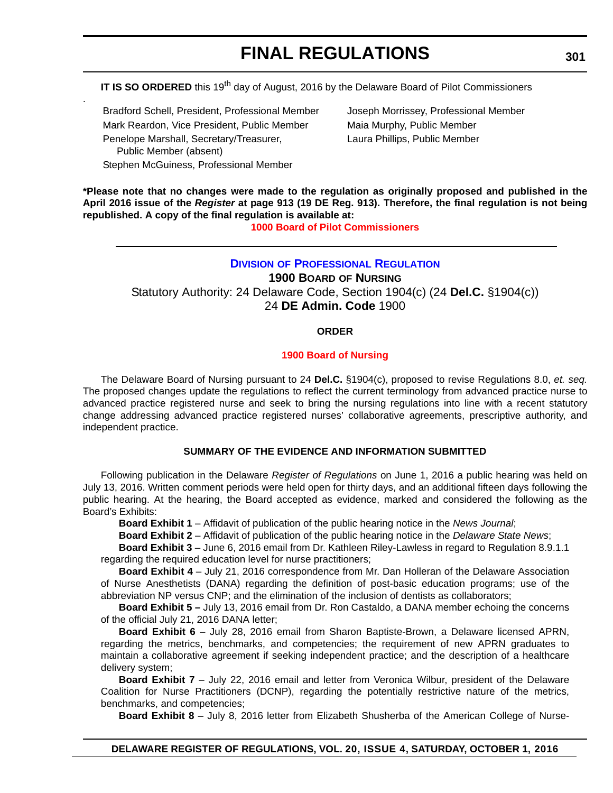**IT IS SO ORDERED** this 19<sup>th</sup> day of August, 2016 by the Delaware Board of Pilot Commissioners

Bradford Schell, President, Professional Member Joseph Morrissey, Professional Member Mark Reardon, Vice President, Public Member Maia Murphy, Public Member Penelope Marshall, Secretary/Treasurer, Public Member (absent) Stephen McGuiness, Professional Member

.

Laura Phillips, Public Member

**\*Please note that no changes were made to the regulation as originally proposed and published in the April 2016 issue of the** *Register* **at page 913 (19 DE Reg. 913). Therefore, the final regulation is not being republished. A copy of the final regulation is available at:**

**[1000 Board of Pilot Commissioners](http://regulations.delaware.gov/register/october2016/final/20 DE Reg 300 10-01-16.htm)**

## **DIVISION OF PROFESSIONAL REGULATION**

**1900 BOARD OF NURSING** Statutory Authority: 24 Delaware Code, Section 1904(c) (24 **Del.C.** §1904(c)) 24 **DE Admin. Code** 1900

## **ORDER**

## **[1900 Board of Nursing](#page-4-0)**

The Delaware Board of Nursing pursuant to 24 **Del.C.** §1904(c), proposed to revise Regulations 8.0, *et. seq.* The proposed changes update the regulations to reflect the current terminology from advanced practice nurse to advanced practice registered nurse and seek to bring the nursing regulations into line with a recent statutory change addressing advanced practice registered nurses' collaborative agreements, prescriptive authority, and independent practice.

## **SUMMARY OF THE EVIDENCE AND INFORMATION SUBMITTED**

Following publication in the Delaware *Register of Regulations* on June 1, 2016 a public hearing was held on July 13, 2016. Written comment periods were held open for thirty days, and an additional fifteen days following the public hearing. At the hearing, the Board accepted as evidence, marked and considered the following as the Board's Exhibits:

**Board Exhibit 1** – Affidavit of publication of the public hearing notice in the *News Journal*;

**Board Exhibit 2** – Affidavit of publication of the public hearing notice in the *Delaware State News*;

**Board Exhibit 3** – June 6, 2016 email from Dr. Kathleen Riley-Lawless in regard to Regulation 8.9.1.1 regarding the required education level for nurse practitioners;

**Board Exhibit 4** – July 21, 2016 correspondence from Mr. Dan Holleran of the Delaware Association of Nurse Anesthetists (DANA) regarding the definition of post-basic education programs; use of the abbreviation NP versus CNP; and the elimination of the inclusion of dentists as collaborators;

**Board Exhibit 5 –** July 13, 2016 email from Dr. Ron Castaldo, a DANA member echoing the concerns of the official July 21, 2016 DANA letter;

**Board Exhibit 6** – July 28, 2016 email from Sharon Baptiste-Brown, a Delaware licensed APRN, regarding the metrics, benchmarks, and competencies; the requirement of new APRN graduates to maintain a collaborative agreement if seeking independent practice; and the description of a healthcare delivery system;

**Board Exhibit 7** – July 22, 2016 email and letter from Veronica Wilbur, president of the Delaware Coalition for Nurse Practitioners (DCNP), regarding the potentially restrictive nature of the metrics, benchmarks, and competencies;

**Board Exhibit 8** – July 8, 2016 letter from Elizabeth Shusherba of the American College of Nurse-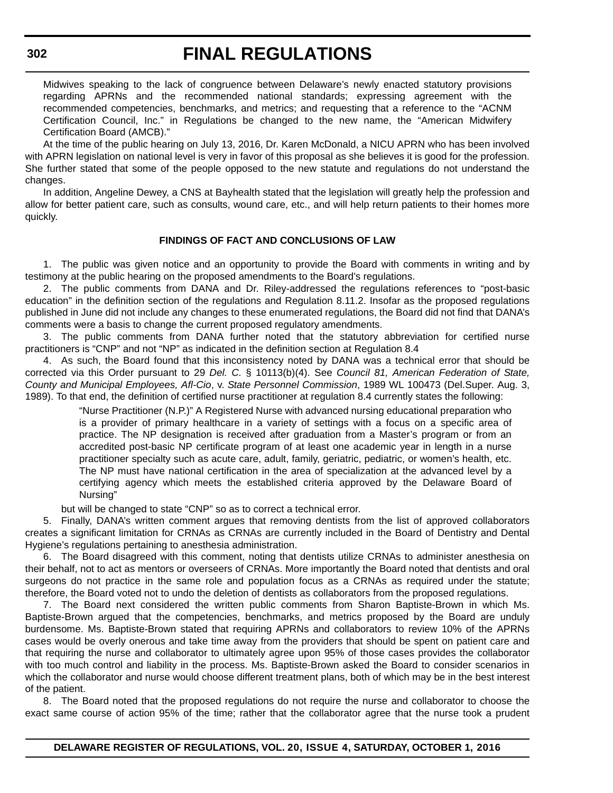# **FINAL REGULATIONS**

Midwives speaking to the lack of congruence between Delaware's newly enacted statutory provisions regarding APRNs and the recommended national standards; expressing agreement with the recommended competencies, benchmarks, and metrics; and requesting that a reference to the "ACNM Certification Council, Inc." in Regulations be changed to the new name, the "American Midwifery Certification Board (AMCB)."

At the time of the public hearing on July 13, 2016, Dr. Karen McDonald, a NICU APRN who has been involved with APRN legislation on national level is very in favor of this proposal as she believes it is good for the profession. She further stated that some of the people opposed to the new statute and regulations do not understand the changes.

In addition, Angeline Dewey, a CNS at Bayhealth stated that the legislation will greatly help the profession and allow for better patient care, such as consults, wound care, etc., and will help return patients to their homes more quickly.

## **FINDINGS OF FACT AND CONCLUSIONS OF LAW**

1. The public was given notice and an opportunity to provide the Board with comments in writing and by testimony at the public hearing on the proposed amendments to the Board's regulations.

2. The public comments from DANA and Dr. Riley-addressed the regulations references to "post-basic education" in the definition section of the regulations and Regulation 8.11.2. Insofar as the proposed regulations published in June did not include any changes to these enumerated regulations, the Board did not find that DANA's comments were a basis to change the current proposed regulatory amendments.

3. The public comments from DANA further noted that the statutory abbreviation for certified nurse practitioners is "CNP" and not "NP" as indicated in the definition section at Regulation 8.4

4. As such, the Board found that this inconsistency noted by DANA was a technical error that should be corrected via this Order pursuant to 29 *Del. C.* § 10113(b)(4). See *Council 81, American Federation of State, County and Municipal Employees, Afl-Cio*, v. *State Personnel Commission*, 1989 WL 100473 (Del.Super. Aug. 3, 1989). To that end, the definition of certified nurse practitioner at regulation 8.4 currently states the following:

> "Nurse Practitioner (N.P.)" A Registered Nurse with advanced nursing educational preparation who is a provider of primary healthcare in a variety of settings with a focus on a specific area of practice. The NP designation is received after graduation from a Master's program or from an accredited post-basic NP certificate program of at least one academic year in length in a nurse practitioner specialty such as acute care, adult, family, geriatric, pediatric, or women's health, etc. The NP must have national certification in the area of specialization at the advanced level by a certifying agency which meets the established criteria approved by the Delaware Board of Nursing"

but will be changed to state "CNP" so as to correct a technical error.

5. Finally, DANA's written comment argues that removing dentists from the list of approved collaborators creates a significant limitation for CRNAs as CRNAs are currently included in the Board of Dentistry and Dental Hygiene's regulations pertaining to anesthesia administration.

6. The Board disagreed with this comment, noting that dentists utilize CRNAs to administer anesthesia on their behalf, not to act as mentors or overseers of CRNAs. More importantly the Board noted that dentists and oral surgeons do not practice in the same role and population focus as a CRNAs as required under the statute; therefore, the Board voted not to undo the deletion of dentists as collaborators from the proposed regulations.

7. The Board next considered the written public comments from Sharon Baptiste-Brown in which Ms. Baptiste-Brown argued that the competencies, benchmarks, and metrics proposed by the Board are unduly burdensome. Ms. Baptiste-Brown stated that requiring APRNs and collaborators to review 10% of the APRNs cases would be overly onerous and take time away from the providers that should be spent on patient care and that requiring the nurse and collaborator to ultimately agree upon 95% of those cases provides the collaborator with too much control and liability in the process. Ms. Baptiste-Brown asked the Board to consider scenarios in which the collaborator and nurse would choose different treatment plans, both of which may be in the best interest of the patient.

8. The Board noted that the proposed regulations do not require the nurse and collaborator to choose the exact same course of action 95% of the time; rather that the collaborator agree that the nurse took a prudent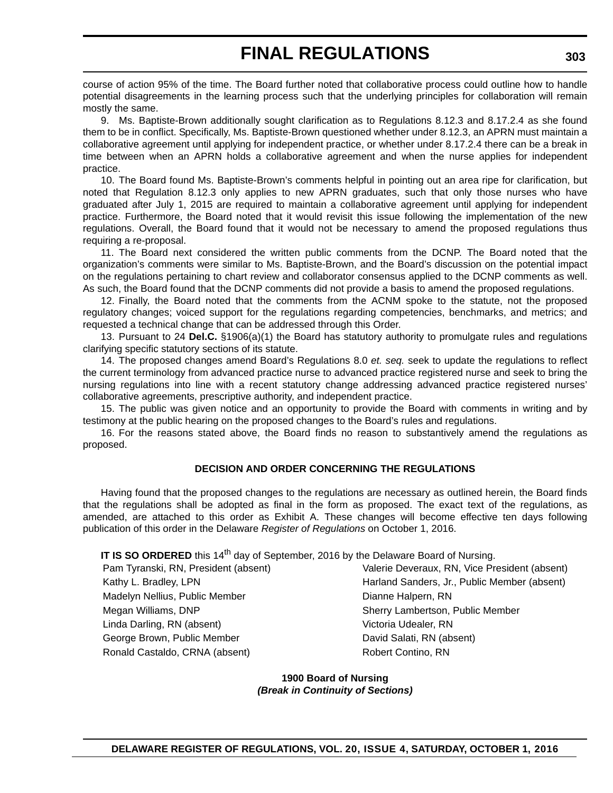course of action 95% of the time. The Board further noted that collaborative process could outline how to handle potential disagreements in the learning process such that the underlying principles for collaboration will remain mostly the same.

9. Ms. Baptiste-Brown additionally sought clarification as to Regulations 8.12.3 and 8.17.2.4 as she found them to be in conflict. Specifically, Ms. Baptiste-Brown questioned whether under 8.12.3, an APRN must maintain a collaborative agreement until applying for independent practice, or whether under 8.17.2.4 there can be a break in time between when an APRN holds a collaborative agreement and when the nurse applies for independent practice.

10. The Board found Ms. Baptiste-Brown's comments helpful in pointing out an area ripe for clarification, but noted that Regulation 8.12.3 only applies to new APRN graduates, such that only those nurses who have graduated after July 1, 2015 are required to maintain a collaborative agreement until applying for independent practice. Furthermore, the Board noted that it would revisit this issue following the implementation of the new regulations. Overall, the Board found that it would not be necessary to amend the proposed regulations thus requiring a re-proposal.

11. The Board next considered the written public comments from the DCNP. The Board noted that the organization's comments were similar to Ms. Baptiste-Brown, and the Board's discussion on the potential impact on the regulations pertaining to chart review and collaborator consensus applied to the DCNP comments as well. As such, the Board found that the DCNP comments did not provide a basis to amend the proposed regulations.

12. Finally, the Board noted that the comments from the ACNM spoke to the statute, not the proposed regulatory changes; voiced support for the regulations regarding competencies, benchmarks, and metrics; and requested a technical change that can be addressed through this Order.

13. Pursuant to 24 **Del.C.** §1906(a)(1) the Board has statutory authority to promulgate rules and regulations clarifying specific statutory sections of its statute.

14. The proposed changes amend Board's Regulations 8.0 *et. seq.* seek to update the regulations to reflect the current terminology from advanced practice nurse to advanced practice registered nurse and seek to bring the nursing regulations into line with a recent statutory change addressing advanced practice registered nurses' collaborative agreements, prescriptive authority, and independent practice.

15. The public was given notice and an opportunity to provide the Board with comments in writing and by testimony at the public hearing on the proposed changes to the Board's rules and regulations.

16. For the reasons stated above, the Board finds no reason to substantively amend the regulations as proposed.

## **DECISION AND ORDER CONCERNING THE REGULATIONS**

Having found that the proposed changes to the regulations are necessary as outlined herein, the Board finds that the regulations shall be adopted as final in the form as proposed. The exact text of the regulations, as amended, are attached to this order as Exhibit A. These changes will become effective ten days following publication of this order in the Delaware *Register of Regulations* on October 1, 2016.

**IT IS SO ORDERED** this 14<sup>th</sup> day of September, 2016 by the Delaware Board of Nursing.

Madelyn Nellius, Public Member **Dianne Halpern, RN** Megan Williams, DNP Sherry Lambertson, Public Member Linda Darling, RN (absent) Victoria Udealer, RN George Brown, Public Member **David Salati, RN** (absent) Ronald Castaldo, CRNA (absent) Robert Contino, RN

Pam Tyranski, RN, President (absent) Valerie Deveraux, RN, Vice President (absent) Kathy L. Bradley, LPN **Harland Sanders, Jr., Public Member (absent)** Harland Sanders, Jr., Public Member (absent)

> **1900 Board of Nursing** *(Break in Continuity of Sections)*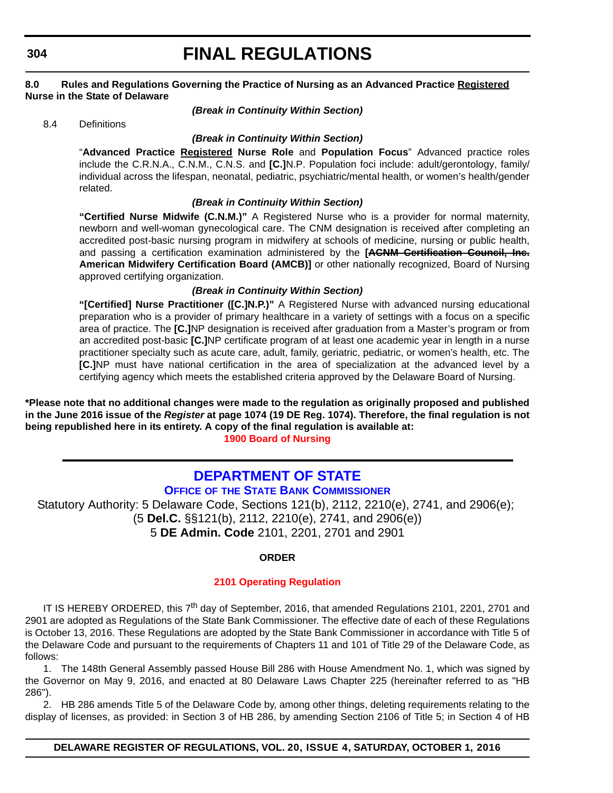# **FINAL REGULATIONS**

## **8.0 Rules and Regulations Governing the Practice of Nursing as an Advanced Practice Registered Nurse in the State of Delaware**

## *(Break in Continuity Within Section)*

8.4 Definitions

## *(Break in Continuity Within Section)*

"**Advanced Practice Registered Nurse Role** and **Population Focus**" Advanced practice roles include the C.R.N.A., C.N.M., C.N.S. and **[C.]**N.P. Population foci include: adult/gerontology, family/ individual across the lifespan, neonatal, pediatric, psychiatric/mental health, or women's health/gender related.

## *(Break in Continuity Within Section)*

**"Certified Nurse Midwife (C.N.M.)"** A Registered Nurse who is a provider for normal maternity, newborn and well-woman gynecological care. The CNM designation is received after completing an accredited post-basic nursing program in midwifery at schools of medicine, nursing or public health, and passing a certification examination administered by the **[ACNM Certification Council, Inc. American Midwifery Certification Board (AMCB)]** or other nationally recognized, Board of Nursing approved certifying organization.

## *(Break in Continuity Within Section)*

**"[Certified] Nurse Practitioner ([C.]N.P.)"** A Registered Nurse with advanced nursing educational preparation who is a provider of primary healthcare in a variety of settings with a focus on a specific area of practice. The **[C.]**NP designation is received after graduation from a Master's program or from an accredited post-basic **[C.]**NP certificate program of at least one academic year in length in a nurse practitioner specialty such as acute care, adult, family, geriatric, pediatric, or women's health, etc. The **[C.]**NP must have national certification in the area of specialization at the advanced level by a certifying agency which meets the established criteria approved by the Delaware Board of Nursing.

**\*Please note that no additional changes were made to the regulation as originally proposed and published in the June 2016 issue of the** *Register* **at page 1074 (19 DE Reg. 1074). Therefore, the final regulation is not being republished here in its entirety. A copy of the final regulation is available at: [1900 Board of Nursing](http://regulations.delaware.gov/register/october2016/final/20 DE Reg 301 10-01-16.htm)**

# **DEPARTMENT OF STATE**

## **OFFICE OF THE STATE BANK COMMISSIONER**

Statutory Authority: 5 Delaware Code, Sections 121(b), 2112, 2210(e), 2741, and 2906(e); (5 **Del.C.** §§121(b), 2112, 2210(e), 2741, and 2906(e)) 5 **DE Admin. Code** 2101, 2201, 2701 and 2901

## **ORDER**

## **[2101 Operating Regulation](#page-4-0)**

IT IS HEREBY ORDERED, this 7<sup>th</sup> day of September, 2016, that amended Regulations 2101, 2201, 2701 and 2901 are adopted as Regulations of the State Bank Commissioner. The effective date of each of these Regulations is October 13, 2016. These Regulations are adopted by the State Bank Commissioner in accordance with Title 5 of the Delaware Code and pursuant to the requirements of Chapters 11 and 101 of Title 29 of the Delaware Code, as follows:

1. The 148th General Assembly passed House Bill 286 with House Amendment No. 1, which was signed by the Governor on May 9, 2016, and enacted at 80 Delaware Laws Chapter 225 (hereinafter referred to as "HB 286").

2. HB 286 amends Title 5 of the Delaware Code by, among other things, deleting requirements relating to the display of licenses, as provided: in Section 3 of HB 286, by amending Section 2106 of Title 5; in Section 4 of HB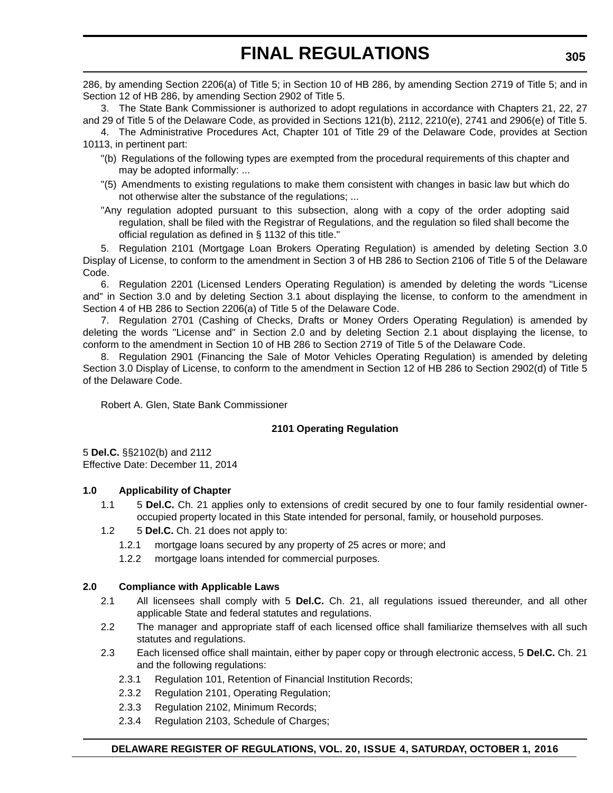286, by amending Section 2206(a) of Title 5; in Section 10 of HB 286, by amending Section 2719 of Title 5; and in Section 12 of HB 286, by amending Section 2902 of Title 5.

3. The State Bank Commissioner is authorized to adopt regulations in accordance with Chapters 21, 22, 27 and 29 of Title 5 of the Delaware Code, as provided in Sections 121(b), 2112, 2210(e), 2741 and 2906(e) of Title 5.

4. The Administrative Procedures Act, Chapter 101 of Title 29 of the Delaware Code, provides at Section 10113, in pertinent part:

- "(b) Regulations of the following types are exempted from the procedural requirements of this chapter and may be adopted informally: ...
- "(5) Amendments to existing regulations to make them consistent with changes in basic law but which do not otherwise alter the substance of the regulations; ...
- "Any regulation adopted pursuant to this subsection, along with a copy of the order adopting said regulation, shall be filed with the Registrar of Regulations, and the regulation so filed shall become the official regulation as defined in § 1132 of this title."

5. Regulation 2101 (Mortgage Loan Brokers Operating Regulation) is amended by deleting Section 3.0 Display of License, to conform to the amendment in Section 3 of HB 286 to Section 2106 of Title 5 of the Delaware Code.

6. Regulation 2201 (Licensed Lenders Operating Regulation) is amended by deleting the words "License and" in Section 3.0 and by deleting Section 3.1 about displaying the license, to conform to the amendment in Section 4 of HB 286 to Section 2206(a) of Title 5 of the Delaware Code.

7. Regulation 2701 (Cashing of Checks, Drafts or Money Orders Operating Regulation) is amended by deleting the words "License and" in Section 2.0 and by deleting Section 2.1 about displaying the license, to conform to the amendment in Section 10 of HB 286 to Section 2719 of Title 5 of the Delaware Code.

8. Regulation 2901 (Financing the Sale of Motor Vehicles Operating Regulation) is amended by deleting Section 3.0 Display of License, to conform to the amendment in Section 12 of HB 286 to Section 2902(d) of Title 5 of the Delaware Code.

Robert A. Glen, State Bank Commissioner

## **2101 Operating Regulation**

5 **Del.C.** §§2102(b) and 2112 Effective Date: December 11, 2014

## **1.0 Applicability of Chapter**

- 1.1 5 **Del.C.** Ch. 21 applies only to extensions of credit secured by one to four family residential owneroccupied property located in this State intended for personal, family, or household purposes.
- 1.2 5 **Del.C.** Ch. 21 does not apply to:
	- 1.2.1 mortgage loans secured by any property of 25 acres or more; and
	- 1.2.2 mortgage loans intended for commercial purposes.

## **2.0 Compliance with Applicable Laws**

- 2.1 All licensees shall comply with 5 **Del.C.** Ch. 21, all regulations issued thereunder, and all other applicable State and federal statutes and regulations.
- 2.2 The manager and appropriate staff of each licensed office shall familiarize themselves with all such statutes and regulations.
- 2.3 Each licensed office shall maintain, either by paper copy or through electronic access, 5 **Del.C.** Ch. 21 and the following regulations:
	- 2.3.1 Regulation 101, Retention of Financial Institution Records;
	- 2.3.2 Regulation 2101, Operating Regulation;
	- 2.3.3 Regulation 2102, Minimum Records;
	- 2.3.4 Regulation 2103, Schedule of Charges;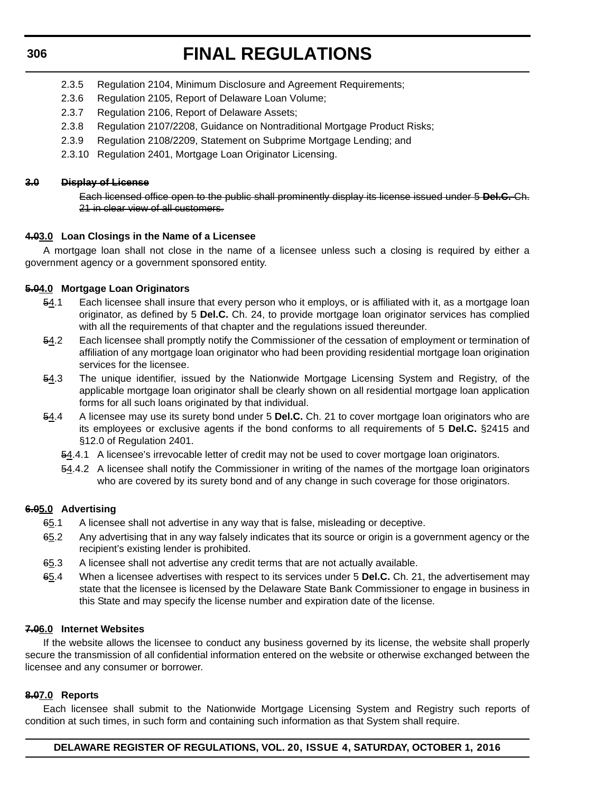# **FINAL REGULATIONS**

- 2.3.5 Regulation 2104, Minimum Disclosure and Agreement Requirements;
- 2.3.6 Regulation 2105, Report of Delaware Loan Volume;
- 2.3.7 Regulation 2106, Report of Delaware Assets;
- 2.3.8 Regulation 2107/2208, Guidance on Nontraditional Mortgage Product Risks;
- 2.3.9 Regulation 2108/2209, Statement on Subprime Mortgage Lending; and
- 2.3.10 Regulation 2401, Mortgage Loan Originator Licensing.

## **3.0 Display of License**

Each licensed office open to the public shall prominently display its license issued under 5 **Del.C.** Ch. 21 in clear view of all customers.

## **4.03.0 Loan Closings in the Name of a Licensee**

A mortgage loan shall not close in the name of a licensee unless such a closing is required by either a government agency or a government sponsored entity.

## **5.04.0 Mortgage Loan Originators**

- 54.1 Each licensee shall insure that every person who it employs, or is affiliated with it, as a mortgage loan originator, as defined by 5 **Del.C.** Ch. 24, to provide mortgage loan originator services has complied with all the requirements of that chapter and the regulations issued thereunder.
- 54.2 Each licensee shall promptly notify the Commissioner of the cessation of employment or termination of affiliation of any mortgage loan originator who had been providing residential mortgage loan origination services for the licensee.
- 54.3 The unique identifier, issued by the Nationwide Mortgage Licensing System and Registry, of the applicable mortgage loan originator shall be clearly shown on all residential mortgage loan application forms for all such loans originated by that individual.
- 54.4 A licensee may use its surety bond under 5 **Del.C.** Ch. 21 to cover mortgage loan originators who are its employees or exclusive agents if the bond conforms to all requirements of 5 **Del.C.** §2415 and §12.0 of Regulation 2401.
	- 54.4.1 A licensee's irrevocable letter of credit may not be used to cover mortgage loan originators.
	- 54.4.2 A licensee shall notify the Commissioner in writing of the names of the mortgage loan originators who are covered by its surety bond and of any change in such coverage for those originators.

## **6.05.0 Advertising**

- 65.1 A licensee shall not advertise in any way that is false, misleading or deceptive.
- 65.2 Any advertising that in any way falsely indicates that its source or origin is a government agency or the recipient's existing lender is prohibited.
- 65.3 A licensee shall not advertise any credit terms that are not actually available.
- 65.4 When a licensee advertises with respect to its services under 5 **Del.C.** Ch. 21, the advertisement may state that the licensee is licensed by the Delaware State Bank Commissioner to engage in business in this State and may specify the license number and expiration date of the license.

## **7.06.0 Internet Websites**

If the website allows the licensee to conduct any business governed by its license, the website shall properly secure the transmission of all confidential information entered on the website or otherwise exchanged between the licensee and any consumer or borrower.

## **8.07.0 Reports**

Each licensee shall submit to the Nationwide Mortgage Licensing System and Registry such reports of condition at such times, in such form and containing such information as that System shall require.

## **DELAWARE REGISTER OF REGULATIONS, VOL. 20, ISSUE 4, SATURDAY, OCTOBER 1, 2016**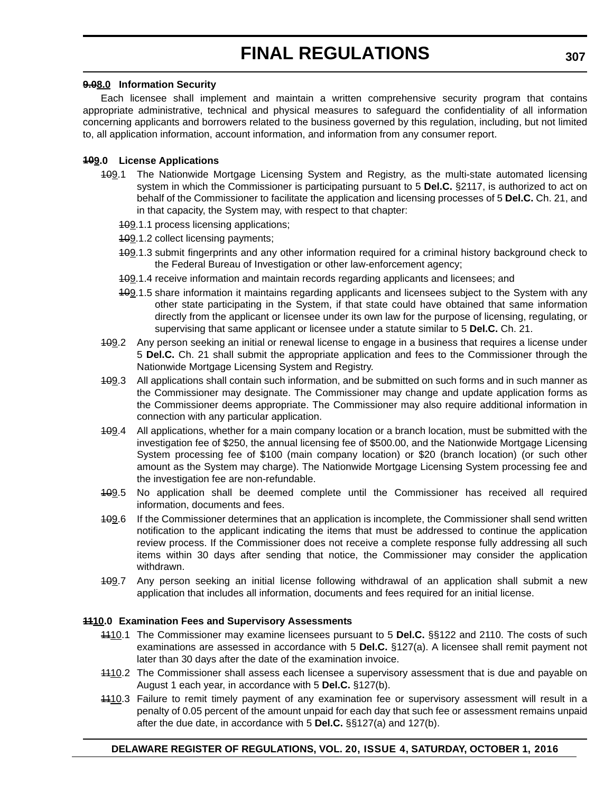## **9.08.0 Information Security**

Each licensee shall implement and maintain a written comprehensive security program that contains appropriate administrative, technical and physical measures to safeguard the confidentiality of all information concerning applicants and borrowers related to the business governed by this regulation, including, but not limited to, all application information, account information, and information from any consumer report.

## **109.0 License Applications**

- 409.1 The Nationwide Mortgage Licensing System and Registry, as the multi-state automated licensing system in which the Commissioner is participating pursuant to 5 **Del.C.** §2117, is authorized to act on behalf of the Commissioner to facilitate the application and licensing processes of 5 **Del.C.** Ch. 21, and in that capacity, the System may, with respect to that chapter:
	- 109.1.1 process licensing applications;
	- 109.1.2 collect licensing payments;
	- 409.1.3 submit fingerprints and any other information required for a criminal history background check to the Federal Bureau of Investigation or other law-enforcement agency;
	- 409.1.4 receive information and maintain records regarding applicants and licensees; and
	- 109.1.5 share information it maintains regarding applicants and licensees subject to the System with any other state participating in the System, if that state could have obtained that same information directly from the applicant or licensee under its own law for the purpose of licensing, regulating, or supervising that same applicant or licensee under a statute similar to 5 **Del.C.** Ch. 21.
- 109.2 Any person seeking an initial or renewal license to engage in a business that requires a license under 5 **Del.C.** Ch. 21 shall submit the appropriate application and fees to the Commissioner through the Nationwide Mortgage Licensing System and Registry.
- 109.3 All applications shall contain such information, and be submitted on such forms and in such manner as the Commissioner may designate. The Commissioner may change and update application forms as the Commissioner deems appropriate. The Commissioner may also require additional information in connection with any particular application.
- 109.4 All applications, whether for a main company location or a branch location, must be submitted with the investigation fee of \$250, the annual licensing fee of \$500.00, and the Nationwide Mortgage Licensing System processing fee of \$100 (main company location) or \$20 (branch location) (or such other amount as the System may charge). The Nationwide Mortgage Licensing System processing fee and the investigation fee are non-refundable.
- 409.5 No application shall be deemed complete until the Commissioner has received all required information, documents and fees.
- 409.6 If the Commissioner determines that an application is incomplete, the Commissioner shall send written notification to the applicant indicating the items that must be addressed to continue the application review process. If the Commissioner does not receive a complete response fully addressing all such items within 30 days after sending that notice, the Commissioner may consider the application withdrawn.
- 109.7 Any person seeking an initial license following withdrawal of an application shall submit a new application that includes all information, documents and fees required for an initial license.

### **1110.0 Examination Fees and Supervisory Assessments**

- 1110.1 The Commissioner may examine licensees pursuant to 5 **Del.C.** §§122 and 2110. The costs of such examinations are assessed in accordance with 5 **Del.C.** §127(a). A licensee shall remit payment not later than 30 days after the date of the examination invoice.
- 1110.2 The Commissioner shall assess each licensee a supervisory assessment that is due and payable on August 1 each year, in accordance with 5 **Del.C.** §127(b).
- 4410.3 Failure to remit timely payment of any examination fee or supervisory assessment will result in a penalty of 0.05 percent of the amount unpaid for each day that such fee or assessment remains unpaid after the due date, in accordance with 5 **Del.C.** §§127(a) and 127(b).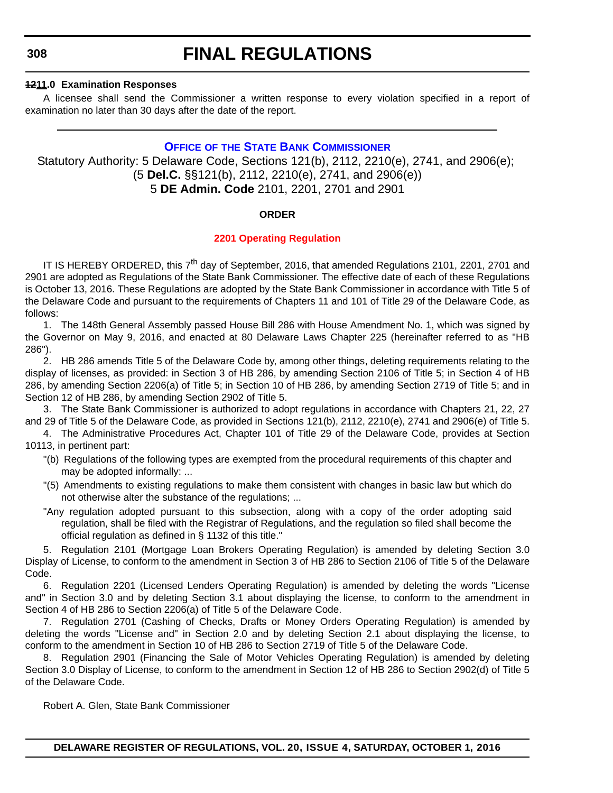## **1211.0 Examination Responses**

A licensee shall send the Commissioner a written response to every violation specified in a report of examination no later than 30 days after the date of the report.

## **OFFICE OF THE STATE BANK COMMISSIONER**

Statutory Authority: 5 Delaware Code, Sections 121(b), 2112, 2210(e), 2741, and 2906(e); (5 **Del.C.** §§121(b), 2112, 2210(e), 2741, and 2906(e)) 5 **DE Admin. Code** 2101, 2201, 2701 and 2901

## **ORDER**

## **[2201 Operating Regulation](#page-4-0)**

IT IS HEREBY ORDERED, this  $7<sup>th</sup>$  day of September, 2016, that amended Regulations 2101, 2201, 2701 and 2901 are adopted as Regulations of the State Bank Commissioner. The effective date of each of these Regulations is October 13, 2016. These Regulations are adopted by the State Bank Commissioner in accordance with Title 5 of the Delaware Code and pursuant to the requirements of Chapters 11 and 101 of Title 29 of the Delaware Code, as follows:

1. The 148th General Assembly passed House Bill 286 with House Amendment No. 1, which was signed by the Governor on May 9, 2016, and enacted at 80 Delaware Laws Chapter 225 (hereinafter referred to as "HB 286").

2. HB 286 amends Title 5 of the Delaware Code by, among other things, deleting requirements relating to the display of licenses, as provided: in Section 3 of HB 286, by amending Section 2106 of Title 5; in Section 4 of HB 286, by amending Section 2206(a) of Title 5; in Section 10 of HB 286, by amending Section 2719 of Title 5; and in Section 12 of HB 286, by amending Section 2902 of Title 5.

3. The State Bank Commissioner is authorized to adopt regulations in accordance with Chapters 21, 22, 27 and 29 of Title 5 of the Delaware Code, as provided in Sections 121(b), 2112, 2210(e), 2741 and 2906(e) of Title 5.

4. The Administrative Procedures Act, Chapter 101 of Title 29 of the Delaware Code, provides at Section 10113, in pertinent part:

- "(b) Regulations of the following types are exempted from the procedural requirements of this chapter and may be adopted informally: ...
- "(5) Amendments to existing regulations to make them consistent with changes in basic law but which do not otherwise alter the substance of the regulations; ...
- "Any regulation adopted pursuant to this subsection, along with a copy of the order adopting said regulation, shall be filed with the Registrar of Regulations, and the regulation so filed shall become the official regulation as defined in § 1132 of this title."

5. Regulation 2101 (Mortgage Loan Brokers Operating Regulation) is amended by deleting Section 3.0 Display of License, to conform to the amendment in Section 3 of HB 286 to Section 2106 of Title 5 of the Delaware Code.

6. Regulation 2201 (Licensed Lenders Operating Regulation) is amended by deleting the words "License and" in Section 3.0 and by deleting Section 3.1 about displaying the license, to conform to the amendment in Section 4 of HB 286 to Section 2206(a) of Title 5 of the Delaware Code.

7. Regulation 2701 (Cashing of Checks, Drafts or Money Orders Operating Regulation) is amended by deleting the words "License and" in Section 2.0 and by deleting Section 2.1 about displaying the license, to conform to the amendment in Section 10 of HB 286 to Section 2719 of Title 5 of the Delaware Code.

8. Regulation 2901 (Financing the Sale of Motor Vehicles Operating Regulation) is amended by deleting Section 3.0 Display of License, to conform to the amendment in Section 12 of HB 286 to Section 2902(d) of Title 5 of the Delaware Code.

Robert A. Glen, State Bank Commissioner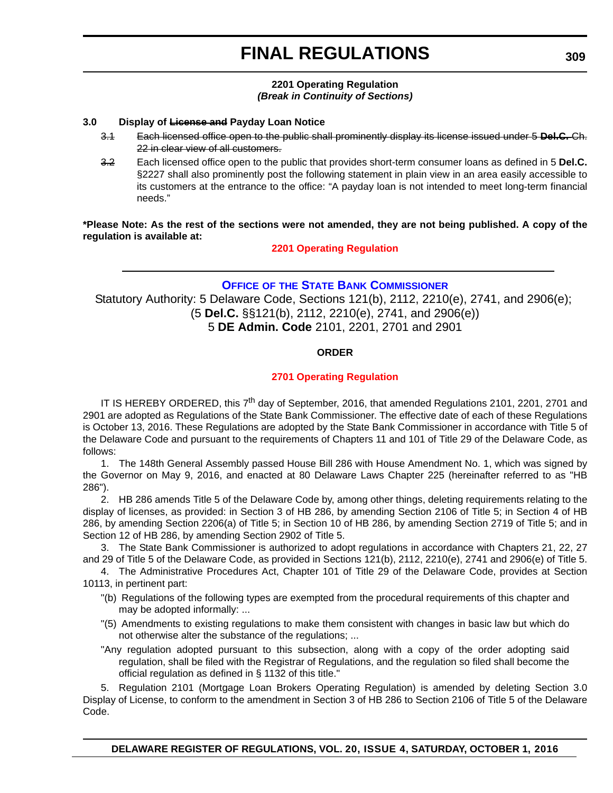## **2201 Operating Regulation** *(Break in Continuity of Sections)*

## **3.0 Display of License and Payday Loan Notice**

- 3.1 Each licensed office open to the public shall prominently display its license issued under 5 **Del.C.** Ch. 22 in clear view of all customers.
- 3.2 Each licensed office open to the public that provides short-term consumer loans as defined in 5 **Del.C.** §2227 shall also prominently post the following statement in plain view in an area easily accessible to its customers at the entrance to the office: "A payday loan is not intended to meet long-term financial needs."

**\*Please Note: As the rest of the sections were not amended, they are not being published. A copy of the regulation is available at:**

**[2201 Operating Regulation](http://regulations.delaware.gov/register/october2016/final/20 DE Reg 308 10-01-16.htm)**

## **OFFICE OF THE STATE BANK COMMISSIONER**

Statutory Authority: 5 Delaware Code, Sections 121(b), 2112, 2210(e), 2741, and 2906(e); (5 **Del.C.** §§121(b), 2112, 2210(e), 2741, and 2906(e)) 5 **DE Admin. Code** 2101, 2201, 2701 and 2901

## **ORDER**

## **[2701 Operating Regulation](#page-4-0)**

IT IS HEREBY ORDERED, this  $7<sup>th</sup>$  day of September, 2016, that amended Regulations 2101, 2201, 2701 and 2901 are adopted as Regulations of the State Bank Commissioner. The effective date of each of these Regulations is October 13, 2016. These Regulations are adopted by the State Bank Commissioner in accordance with Title 5 of the Delaware Code and pursuant to the requirements of Chapters 11 and 101 of Title 29 of the Delaware Code, as follows:

1. The 148th General Assembly passed House Bill 286 with House Amendment No. 1, which was signed by the Governor on May 9, 2016, and enacted at 80 Delaware Laws Chapter 225 (hereinafter referred to as "HB 286").

2. HB 286 amends Title 5 of the Delaware Code by, among other things, deleting requirements relating to the display of licenses, as provided: in Section 3 of HB 286, by amending Section 2106 of Title 5; in Section 4 of HB 286, by amending Section 2206(a) of Title 5; in Section 10 of HB 286, by amending Section 2719 of Title 5; and in Section 12 of HB 286, by amending Section 2902 of Title 5.

3. The State Bank Commissioner is authorized to adopt regulations in accordance with Chapters 21, 22, 27 and 29 of Title 5 of the Delaware Code, as provided in Sections 121(b), 2112, 2210(e), 2741 and 2906(e) of Title 5.

4. The Administrative Procedures Act, Chapter 101 of Title 29 of the Delaware Code, provides at Section 10113, in pertinent part:

- "(b) Regulations of the following types are exempted from the procedural requirements of this chapter and may be adopted informally: ...
- "(5) Amendments to existing regulations to make them consistent with changes in basic law but which do not otherwise alter the substance of the regulations; ...
- "Any regulation adopted pursuant to this subsection, along with a copy of the order adopting said regulation, shall be filed with the Registrar of Regulations, and the regulation so filed shall become the official regulation as defined in § 1132 of this title."

5. Regulation 2101 (Mortgage Loan Brokers Operating Regulation) is amended by deleting Section 3.0 Display of License, to conform to the amendment in Section 3 of HB 286 to Section 2106 of Title 5 of the Delaware Code.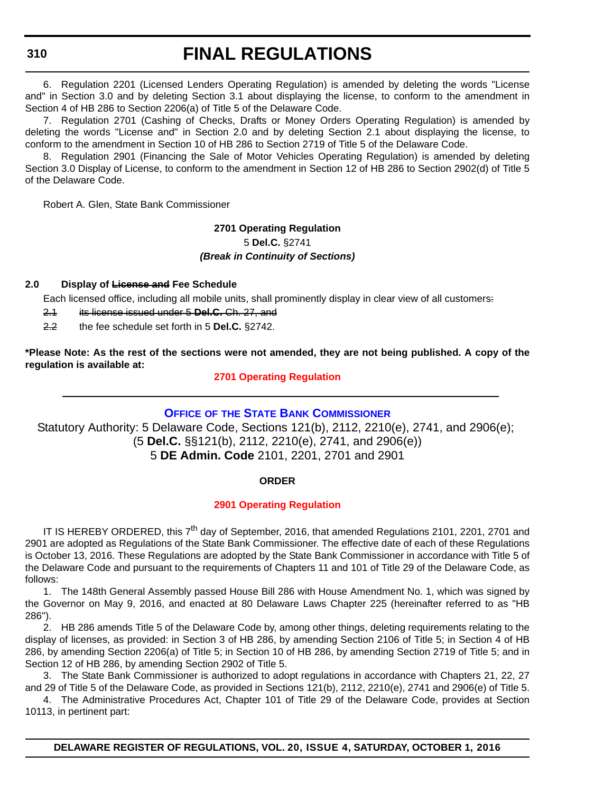# **FINAL REGULATIONS**

6. Regulation 2201 (Licensed Lenders Operating Regulation) is amended by deleting the words "License and" in Section 3.0 and by deleting Section 3.1 about displaying the license, to conform to the amendment in Section 4 of HB 286 to Section 2206(a) of Title 5 of the Delaware Code.

7. Regulation 2701 (Cashing of Checks, Drafts or Money Orders Operating Regulation) is amended by deleting the words "License and" in Section 2.0 and by deleting Section 2.1 about displaying the license, to conform to the amendment in Section 10 of HB 286 to Section 2719 of Title 5 of the Delaware Code.

8. Regulation 2901 (Financing the Sale of Motor Vehicles Operating Regulation) is amended by deleting Section 3.0 Display of License, to conform to the amendment in Section 12 of HB 286 to Section 2902(d) of Title 5 of the Delaware Code.

Robert A. Glen, State Bank Commissioner

## **2701 Operating Regulation** 5 **Del.C.** §2741 *(Break in Continuity of Sections)*

## **2.0 Display of License and Fee Schedule**

Each licensed office, including all mobile units, shall prominently display in clear view of all customers:

- 2.1 its license issued under 5 **Del.C.** Ch. 27, and
- 2.2 the fee schedule set forth in 5 **Del.C.** §2742.

**\*Please Note: As the rest of the sections were not amended, they are not being published. A copy of the regulation is available at:**

## **[2701 Operating Regulation](http://regulations.delaware.gov/register/october2016/final/20 DE Reg 309 10-01-16.htm)**

## **OFFICE OF THE STATE BANK COMMISSIONER**

Statutory Authority: 5 Delaware Code, Sections 121(b), 2112, 2210(e), 2741, and 2906(e); (5 **Del.C.** §§121(b), 2112, 2210(e), 2741, and 2906(e)) 5 **DE Admin. Code** 2101, 2201, 2701 and 2901

## **ORDER**

## **[2901 Operating Regulation](#page-4-0)**

IT IS HEREBY ORDERED, this  $7<sup>th</sup>$  day of September, 2016, that amended Regulations 2101, 2201, 2701 and 2901 are adopted as Regulations of the State Bank Commissioner. The effective date of each of these Regulations is October 13, 2016. These Regulations are adopted by the State Bank Commissioner in accordance with Title 5 of the Delaware Code and pursuant to the requirements of Chapters 11 and 101 of Title 29 of the Delaware Code, as follows:

1. The 148th General Assembly passed House Bill 286 with House Amendment No. 1, which was signed by the Governor on May 9, 2016, and enacted at 80 Delaware Laws Chapter 225 (hereinafter referred to as "HB 286").

2. HB 286 amends Title 5 of the Delaware Code by, among other things, deleting requirements relating to the display of licenses, as provided: in Section 3 of HB 286, by amending Section 2106 of Title 5; in Section 4 of HB 286, by amending Section 2206(a) of Title 5; in Section 10 of HB 286, by amending Section 2719 of Title 5; and in Section 12 of HB 286, by amending Section 2902 of Title 5.

3. The State Bank Commissioner is authorized to adopt regulations in accordance with Chapters 21, 22, 27 and 29 of Title 5 of the Delaware Code, as provided in Sections 121(b), 2112, 2210(e), 2741 and 2906(e) of Title 5.

4. The Administrative Procedures Act, Chapter 101 of Title 29 of the Delaware Code, provides at Section 10113, in pertinent part:

**DELAWARE REGISTER OF REGULATIONS, VOL. 20, ISSUE 4, SATURDAY, OCTOBER 1, 2016**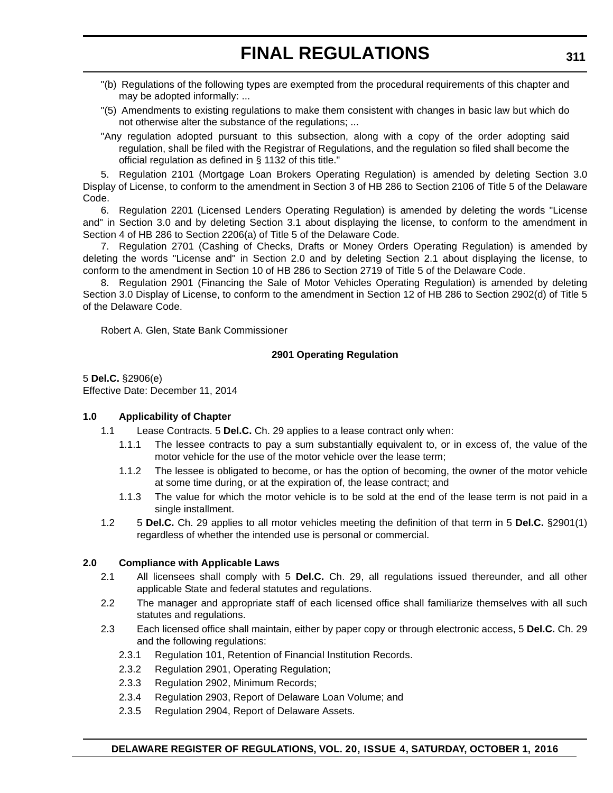- "(b) Regulations of the following types are exempted from the procedural requirements of this chapter and may be adopted informally: ...
- "(5) Amendments to existing regulations to make them consistent with changes in basic law but which do not otherwise alter the substance of the regulations; ...
- "Any regulation adopted pursuant to this subsection, along with a copy of the order adopting said regulation, shall be filed with the Registrar of Regulations, and the regulation so filed shall become the official regulation as defined in § 1132 of this title."

5. Regulation 2101 (Mortgage Loan Brokers Operating Regulation) is amended by deleting Section 3.0 Display of License, to conform to the amendment in Section 3 of HB 286 to Section 2106 of Title 5 of the Delaware Code.

6. Regulation 2201 (Licensed Lenders Operating Regulation) is amended by deleting the words "License and" in Section 3.0 and by deleting Section 3.1 about displaying the license, to conform to the amendment in Section 4 of HB 286 to Section 2206(a) of Title 5 of the Delaware Code.

7. Regulation 2701 (Cashing of Checks, Drafts or Money Orders Operating Regulation) is amended by deleting the words "License and" in Section 2.0 and by deleting Section 2.1 about displaying the license, to conform to the amendment in Section 10 of HB 286 to Section 2719 of Title 5 of the Delaware Code.

8. Regulation 2901 (Financing the Sale of Motor Vehicles Operating Regulation) is amended by deleting Section 3.0 Display of License, to conform to the amendment in Section 12 of HB 286 to Section 2902(d) of Title 5 of the Delaware Code.

Robert A. Glen, State Bank Commissioner

## **2901 Operating Regulation**

5 **Del.C.** §2906(e) Effective Date: December 11, 2014

## **1.0 Applicability of Chapter**

- 1.1 Lease Contracts. 5 **Del.C.** Ch. 29 applies to a lease contract only when:
	- 1.1.1 The lessee contracts to pay a sum substantially equivalent to, or in excess of, the value of the motor vehicle for the use of the motor vehicle over the lease term;
	- 1.1.2 The lessee is obligated to become, or has the option of becoming, the owner of the motor vehicle at some time during, or at the expiration of, the lease contract; and
	- 1.1.3 The value for which the motor vehicle is to be sold at the end of the lease term is not paid in a single installment.
- 1.2 5 **Del.C.** Ch. 29 applies to all motor vehicles meeting the definition of that term in 5 **Del.C.** §2901(1) regardless of whether the intended use is personal or commercial.

## **2.0 Compliance with Applicable Laws**

- 2.1 All licensees shall comply with 5 **Del.C.** Ch. 29, all regulations issued thereunder, and all other applicable State and federal statutes and regulations.
- 2.2 The manager and appropriate staff of each licensed office shall familiarize themselves with all such statutes and regulations.
- 2.3 Each licensed office shall maintain, either by paper copy or through electronic access, 5 **Del.C.** Ch. 29 and the following regulations:
	- 2.3.1 Regulation 101, Retention of Financial Institution Records.
	- 2.3.2 Regulation 2901, Operating Regulation;
	- 2.3.3 Regulation 2902, Minimum Records;
	- 2.3.4 Regulation 2903, Report of Delaware Loan Volume; and
	- 2.3.5 Regulation 2904, Report of Delaware Assets.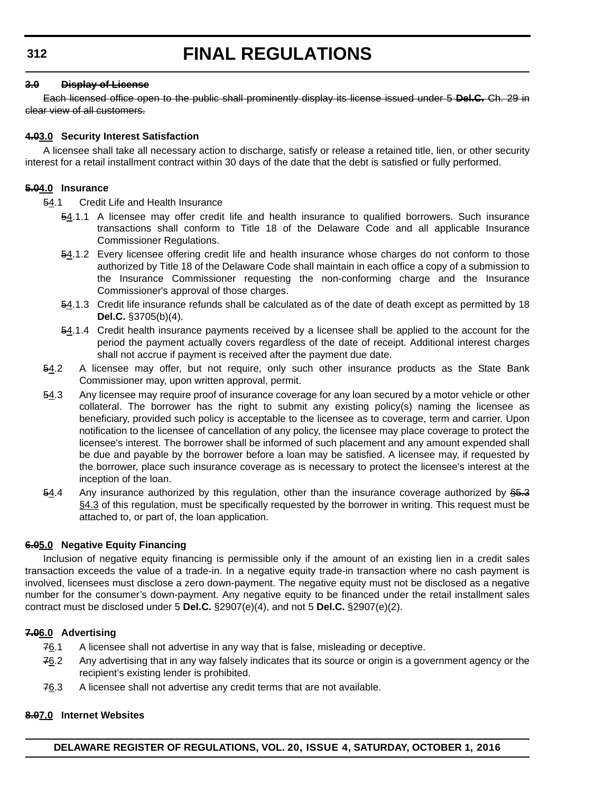## **3.0 Display of License**

Each licensed office open to the public shall prominently display its license issued under 5 **Del.C.** Ch. 29 in clear view of all customers.

## **4.03.0 Security Interest Satisfaction**

A licensee shall take all necessary action to discharge, satisfy or release a retained title, lien, or other security interest for a retail installment contract within 30 days of the date that the debt is satisfied or fully performed.

## **5.04.0 Insurance**

54.1 Credit Life and Health Insurance

- 54.1.1 A licensee may offer credit life and health insurance to qualified borrowers. Such insurance transactions shall conform to Title 18 of the Delaware Code and all applicable Insurance Commissioner Regulations.
- 54.1.2 Every licensee offering credit life and health insurance whose charges do not conform to those authorized by Title 18 of the Delaware Code shall maintain in each office a copy of a submission to the Insurance Commissioner requesting the non-conforming charge and the Insurance Commissioner's approval of those charges.
- 54.1.3 Credit life insurance refunds shall be calculated as of the date of death except as permitted by 18 **Del.C.** §3705(b)(4).
- 54.1.4 Credit health insurance payments received by a licensee shall be applied to the account for the period the payment actually covers regardless of the date of receipt. Additional interest charges shall not accrue if payment is received after the payment due date.
- $54.2$  A licensee may offer, but not require, only such other insurance products as the State Bank Commissioner may, upon written approval, permit.
- 54.3 Any licensee may require proof of insurance coverage for any loan secured by a motor vehicle or other collateral. The borrower has the right to submit any existing policy(s) naming the licensee as beneficiary, provided such policy is acceptable to the licensee as to coverage, term and carrier. Upon notification to the licensee of cancellation of any policy, the licensee may place coverage to protect the licensee's interest. The borrower shall be informed of such placement and any amount expended shall be due and payable by the borrower before a loan may be satisfied. A licensee may, if requested by the borrower, place such insurance coverage as is necessary to protect the licensee's interest at the inception of the loan.
- $-54.4$  Any insurance authorized by this regulation, other than the insurance coverage authorized by  $\frac{25.3}{20}$ §4.3 of this regulation, must be specifically requested by the borrower in writing. This request must be attached to, or part of, the loan application.

## **6.05.0 Negative Equity Financing**

Inclusion of negative equity financing is permissible only if the amount of an existing lien in a credit sales transaction exceeds the value of a trade-in. In a negative equity trade-in transaction where no cash payment is involved, licensees must disclose a zero down-payment. The negative equity must not be disclosed as a negative number for the consumer's down-payment. Any negative equity to be financed under the retail installment sales contract must be disclosed under 5 **Del.C.** §2907(e)(4), and not 5 **Del.C.** §2907(e)(2).

## **7.06.0 Advertising**

- 76.1 A licensee shall not advertise in any way that is false, misleading or deceptive.
- $76.2$  Any advertising that in any way falsely indicates that its source or origin is a government agency or the recipient's existing lender is prohibited.
- $76.3$  A licensee shall not advertise any credit terms that are not available.

## **8.07.0 Internet Websites**

**DELAWARE REGISTER OF REGULATIONS, VOL. 20, ISSUE 4, SATURDAY, OCTOBER 1, 2016**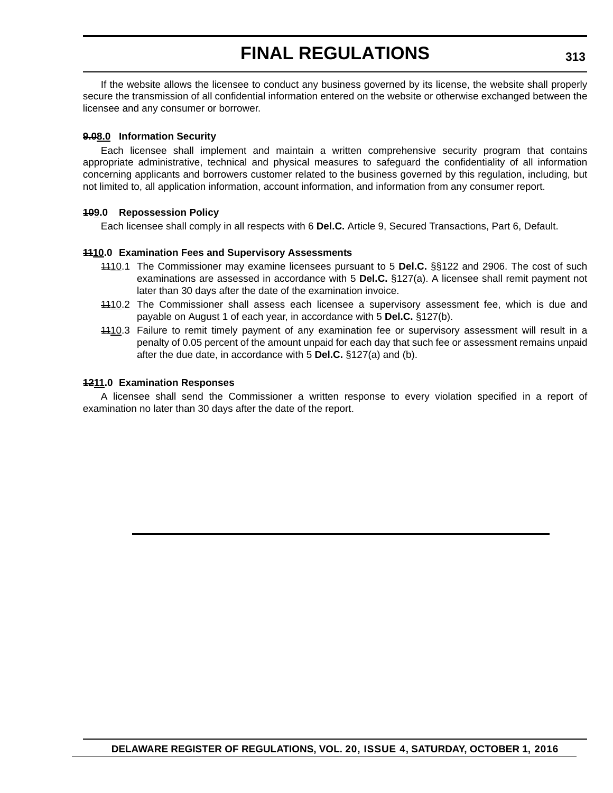If the website allows the licensee to conduct any business governed by its license, the website shall properly secure the transmission of all confidential information entered on the website or otherwise exchanged between the licensee and any consumer or borrower.

## **9.08.0 Information Security**

Each licensee shall implement and maintain a written comprehensive security program that contains appropriate administrative, technical and physical measures to safeguard the confidentiality of all information concerning applicants and borrowers customer related to the business governed by this regulation, including, but not limited to, all application information, account information, and information from any consumer report.

## **109.0 Repossession Policy**

Each licensee shall comply in all respects with 6 **Del.C.** Article 9, Secured Transactions, Part 6, Default.

## **1110.0 Examination Fees and Supervisory Assessments**

- 1110.1 The Commissioner may examine licensees pursuant to 5 **Del.C.** §§122 and 2906. The cost of such examinations are assessed in accordance with 5 **Del.C.** §127(a). A licensee shall remit payment not later than 30 days after the date of the examination invoice.
- 1110.2 The Commissioner shall assess each licensee a supervisory assessment fee, which is due and payable on August 1 of each year, in accordance with 5 **Del.C.** §127(b).
- 4410.3 Failure to remit timely payment of any examination fee or supervisory assessment will result in a penalty of 0.05 percent of the amount unpaid for each day that such fee or assessment remains unpaid after the due date, in accordance with 5 **Del.C.** §127(a) and (b).

## **1211.0 Examination Responses**

A licensee shall send the Commissioner a written response to every violation specified in a report of examination no later than 30 days after the date of the report.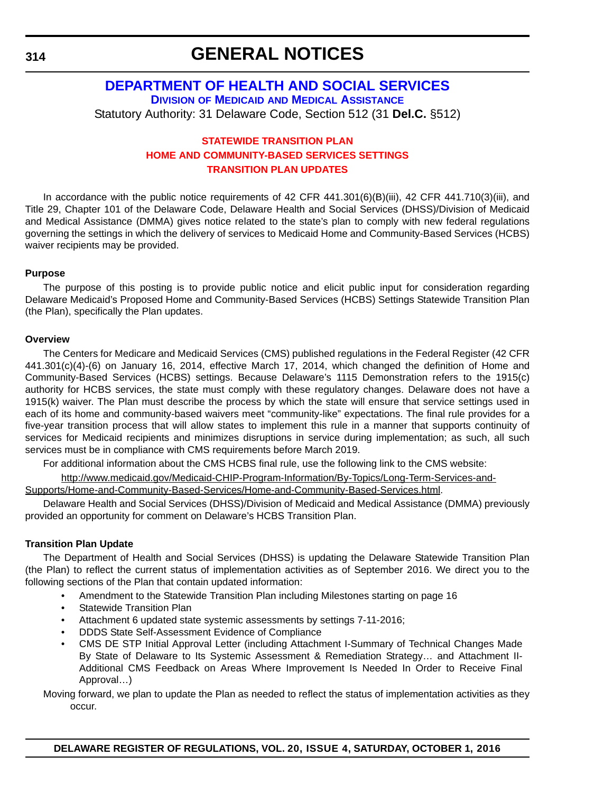## **GENERAL NOTICES**

### **DEPARTMENT OF HEALTH AND SOCIAL SERVICES DIVISION OF MEDICAID AND MEDICAL ASSISTANCE** Statutory Authority: 31 Delaware Code, Section 512 (31 **Del.C.** §512)

#### **STATEWIDE TRANSITION PLAN [HOME AND COMMUNITY-BASED SERVICES SETTINGS](#page-4-0) TRANSITION PLAN UPDATES**

In accordance with the public notice requirements of 42 CFR 441.301(6)(B)(iii), 42 CFR 441.710(3)(iii), and Title 29, Chapter 101 of the Delaware Code, Delaware Health and Social Services (DHSS)/Division of Medicaid and Medical Assistance (DMMA) gives notice related to the state's plan to comply with new federal regulations governing the settings in which the delivery of services to Medicaid Home and Community-Based Services (HCBS) waiver recipients may be provided.

#### **Purpose**

The purpose of this posting is to provide public notice and elicit public input for consideration regarding Delaware Medicaid's Proposed Home and Community-Based Services (HCBS) Settings Statewide Transition Plan (the Plan), specifically the Plan updates.

#### **Overview**

The Centers for Medicare and Medicaid Services (CMS) published regulations in the Federal Register (42 CFR 441.301(c)(4)-(6) on January 16, 2014, effective March 17, 2014, which changed the definition of Home and Community-Based Services (HCBS) settings. Because Delaware's 1115 Demonstration refers to the 1915(c) authority for HCBS services, the state must comply with these regulatory changes. Delaware does not have a 1915(k) waiver. The Plan must describe the process by which the state will ensure that service settings used in each of its home and community-based waivers meet "community-like" expectations. The final rule provides for a five-year transition process that will allow states to implement this rule in a manner that supports continuity of services for Medicaid recipients and minimizes disruptions in service during implementation; as such, all such services must be in compliance with CMS requirements before March 2019.

For additional information about the CMS HCBS final rule, use the following link to the CMS website:

[http://www.medicaid.gov/Medicaid-CHIP-Program-Information/By-Topics/Long-Term-Services-and-](http://www.medicaid.gov/Medicaid-CHIP-Program-Information/By-Topics/Long-Term-Services-and-Supports/Home-and-Community-Based-Services/Home-and-Community-Based-Services.html)

[Supports/Home-and-Community-Based-Services/Home-and-Community-Based-Services.html.](http://www.medicaid.gov/Medicaid-CHIP-Program-Information/By-Topics/Long-Term-Services-and-Supports/Home-and-Community-Based-Services/Home-and-Community-Based-Services.html)

Delaware Health and Social Services (DHSS)/Division of Medicaid and Medical Assistance (DMMA) previously provided an opportunity for comment on Delaware's HCBS Transition Plan.

#### **Transition Plan Update**

The Department of Health and Social Services (DHSS) is updating the Delaware Statewide Transition Plan (the Plan) to reflect the current status of implementation activities as of September 2016. We direct you to the following sections of the Plan that contain updated information:

- Amendment to the Statewide Transition Plan including Milestones starting on page 16
- Statewide Transition Plan
- Attachment 6 updated state systemic assessments by settings 7-11-2016;
- DDDS State Self-Assessment Evidence of Compliance
- CMS DE STP Initial Approval Letter (including Attachment I-Summary of Technical Changes Made By State of Delaware to Its Systemic Assessment & Remediation Strategy… and Attachment II-Additional CMS Feedback on Areas Where Improvement Is Needed In Order to Receive Final Approval…)

Moving forward, we plan to update the Plan as needed to reflect the status of implementation activities as they occur.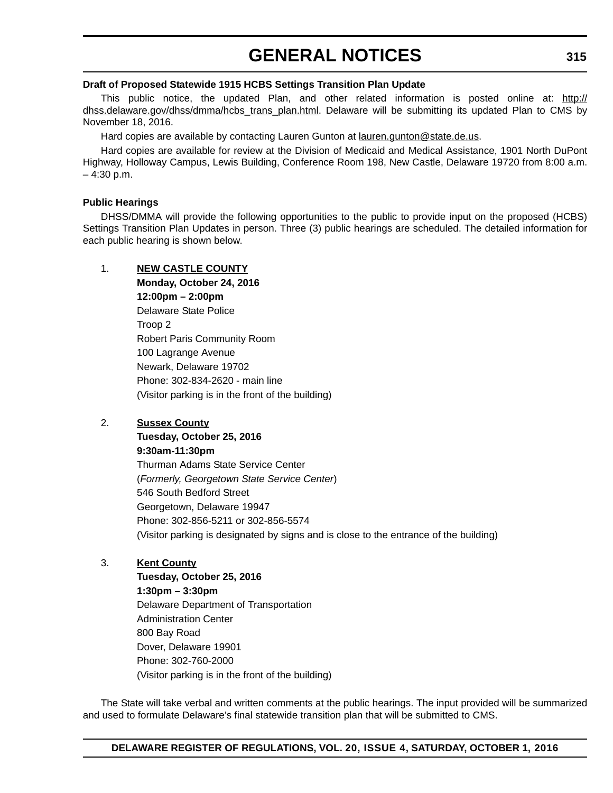#### **Draft of Proposed Statewide 1915 HCBS Settings Transition Plan Update**

This public notice, the updated Plan, and other related information is posted online at: [http://](http://dhss.delaware.gov/dhss/dmma/hcbs_trans_plan.html) [dhss.delaware.gov/dhss/dmma/hcbs\\_trans\\_plan.html](http://dhss.delaware.gov/dhss/dmma/hcbs_trans_plan.html). Delaware will be submitting its updated Plan to CMS by November 18, 2016.

Hard copies are available by contacting Lauren Gunton at lauren.gunton@state.de.us.

Hard copies are available for review at the Division of Medicaid and Medical Assistance, 1901 North DuPont Highway, Holloway Campus, Lewis Building, Conference Room 198, New Castle, Delaware 19720 from 8:00 a.m.  $-4:30$  p.m.

#### **Public Hearings**

DHSS/DMMA will provide the following opportunities to the public to provide input on the proposed (HCBS) Settings Transition Plan Updates in person. Three (3) public hearings are scheduled. The detailed information for each public hearing is shown below.

#### 1. **NEW CASTLE COUNTY**

**Monday, October 24, 2016 12:00pm – 2:00pm** Delaware State Police Troop 2 Robert Paris Community Room 100 Lagrange Avenue Newark, Delaware 19702 Phone: 302-834-2620 - main line (Visitor parking is in the front of the building)

#### 2. **Sussex County**

**Tuesday, October 25, 2016 9:30am-11:30pm**

Thurman Adams State Service Center (*Formerly, Georgetown State Service Center*) 546 South Bedford Street Georgetown, Delaware 19947 Phone: 302-856-5211 or 302-856-5574 (Visitor parking is designated by signs and is close to the entrance of the building)

#### 3. **Kent County**

**Tuesday, October 25, 2016 1:30pm – 3:30pm** Delaware Department of Transportation Administration Center 800 Bay Road Dover, Delaware 19901 Phone: 302-760-2000 (Visitor parking is in the front of the building)

The State will take verbal and written comments at the public hearings. The input provided will be summarized and used to formulate Delaware's final statewide transition plan that will be submitted to CMS.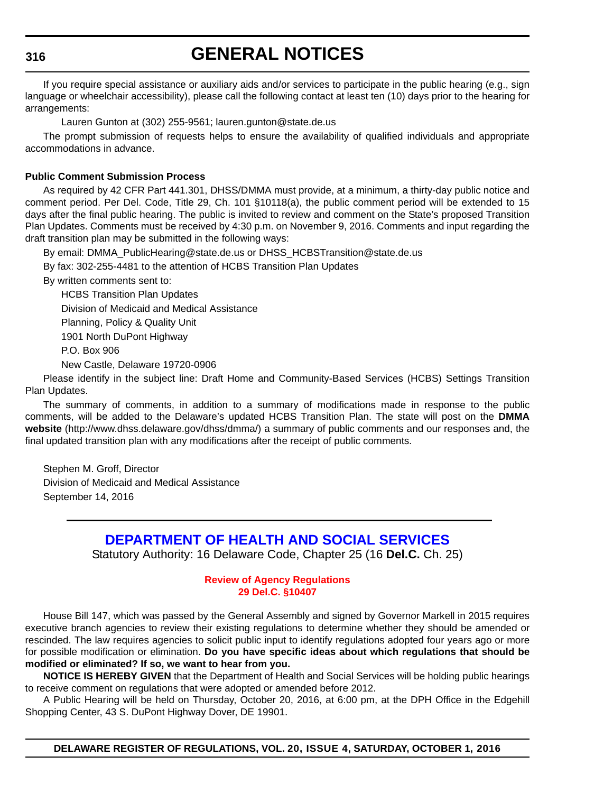## **GENERAL NOTICES**

If you require special assistance or auxiliary aids and/or services to participate in the public hearing (e.g., sign language or wheelchair accessibility), please call the following contact at least ten (10) days prior to the hearing for arrangements:

Lauren Gunton at (302) 255-9561; lauren.gunton@state.de.us

The prompt submission of requests helps to ensure the availability of qualified individuals and appropriate accommodations in advance.

#### **Public Comment Submission Process**

As required by 42 CFR Part 441.301, DHSS/DMMA must provide, at a minimum, a thirty-day public notice and comment period. Per Del. Code, Title 29, Ch. 101 §10118(a), the public comment period will be extended to 15 days after the final public hearing. The public is invited to review and comment on the State's proposed Transition Plan Updates. Comments must be received by 4:30 p.m. on November 9, 2016. Comments and input regarding the draft transition plan may be submitted in the following ways:

By email: [DMMA\\_PublicHearing@state.de.us or DHSS\\_HCBSTransition@state.de.us](mailto:DMMA_PublicHearing@state.de.us)

By fax: 302-255-4481 to the attention of HCBS Transition Plan Updates

By written comments sent to:

HCBS Transition Plan Updates Division of Medicaid and Medical Assistance Planning, Policy & Quality Unit 1901 North DuPont Highway P.O. Box 906

New Castle, Delaware 19720-0906

Please identify in the subject line: Draft Home and Community-Based Services (HCBS) Settings Transition Plan Updates.

The summary of comments, in addition to a summary of modifications made in response to the public comments, will be added to the Delaware's updated HCBS Transition Plan. The state will post on the **DMMA website** (http://www.dhss.delaware.gov/dhss/dmma/) a summary of public comments and our responses and, the final updated transition plan with any modifications after the receipt of public comments.

Stephen M. Groff, Director Division of Medicaid and Medical Assistance September 14, 2016

### **DEPARTMENT OF HEALTH AND SOCIAL SERVICES**

Statutory Authority: 16 Delaware Code, Chapter 25 (16 **Del.C.** Ch. 25)

#### **[Review of Agency Regulations](#page-4-0) 29 Del.C. §10407**

House Bill 147, which was passed by the General Assembly and signed by Governor Markell in 2015 requires executive branch agencies to review their existing regulations to determine whether they should be amended or rescinded. The law requires agencies to solicit public input to identify regulations adopted four years ago or more for possible modification or elimination. **Do you have specific ideas about which regulations that should be modified or eliminated? If so, we want to hear from you.**

**NOTICE IS HEREBY GIVEN** that the Department of Health and Social Services will be holding public hearings to receive comment on regulations that were adopted or amended before 2012.

A Public Hearing will be held on Thursday, October 20, 2016, at 6:00 pm, at the DPH Office in the Edgehill Shopping Center, 43 S. DuPont Highway Dover, DE 19901.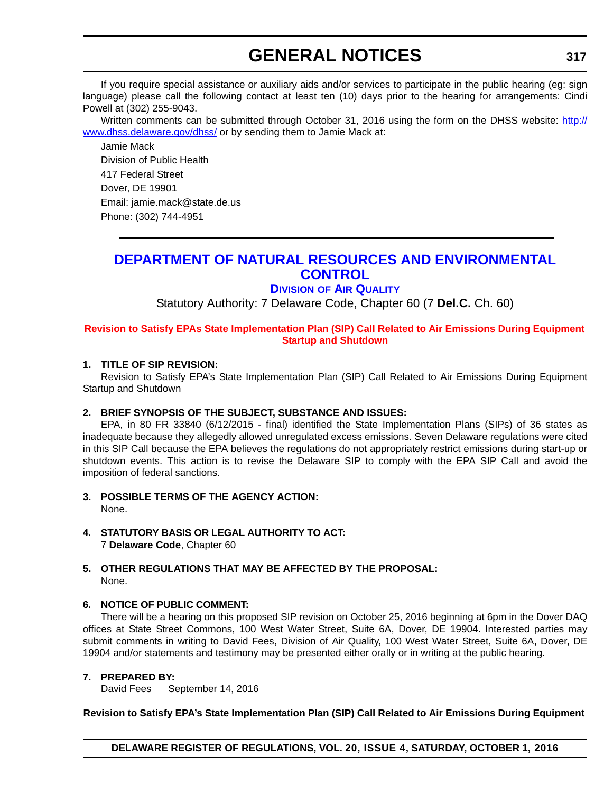If you require special assistance or auxiliary aids and/or services to participate in the public hearing (eg: sign language) please call the following contact at least ten (10) days prior to the hearing for arrangements: Cindi Powell at (302) 255-9043.

Written comments can be submitted through October 31, 2016 using the form on the DHSS website: [http://](http://www.dhss.delaware.gov/dhss/) [www.dhss.delaware.gov/dhss/](http://www.dhss.delaware.gov/dhss/) or by sending them to Jamie Mack at:

Jamie Mack Division of Public Health 417 Federal Street Dover, DE 19901 Email: jamie.mack@state.de.us Phone: (302) 744-4951

### **DEPARTMENT OF NATURAL RESOURCES AND ENVIRONMENTAL CONTROL**

#### **DIVISION OF AIR QUALITY**

Statutory Authority: 7 Delaware Code, Chapter 60 (7 **Del.C.** Ch. 60)

#### **[Revision to Satisfy EPAs State Implementation Plan \(SIP\) Call Related to Air Emissions During Equipment](#page-4-0)  Startup and Shutdown**

#### **1. TITLE OF SIP REVISION:**

Revision to Satisfy EPA's State Implementation Plan (SIP) Call Related to Air Emissions During Equipment Startup and Shutdown

#### **2. BRIEF SYNOPSIS OF THE SUBJECT, SUBSTANCE AND ISSUES:**

EPA, in 80 FR 33840 (6/12/2015 - final) identified the State Implementation Plans (SIPs) of 36 states as inadequate because they allegedly allowed unregulated excess emissions. Seven Delaware regulations were cited in this SIP Call because the EPA believes the regulations do not appropriately restrict emissions during start-up or shutdown events. This action is to revise the Delaware SIP to comply with the EPA SIP Call and avoid the imposition of federal sanctions.

- **3. POSSIBLE TERMS OF THE AGENCY ACTION:** None.
- **4. STATUTORY BASIS OR LEGAL AUTHORITY TO ACT:** 7 **Delaware Code**, Chapter 60

#### **5. OTHER REGULATIONS THAT MAY BE AFFECTED BY THE PROPOSAL:** None.

#### **6. NOTICE OF PUBLIC COMMENT:**

There will be a hearing on this proposed SIP revision on October 25, 2016 beginning at 6pm in the Dover DAQ offices at State Street Commons, 100 West Water Street, Suite 6A, Dover, DE 19904. Interested parties may submit comments in writing to David Fees, Division of Air Quality, 100 West Water Street, Suite 6A, Dover, DE 19904 and/or statements and testimony may be presented either orally or in writing at the public hearing.

#### **7. PREPARED BY:**

David Fees September 14, 2016

#### **Revision to Satisfy EPA's State Implementation Plan (SIP) Call Related to Air Emissions During Equipment**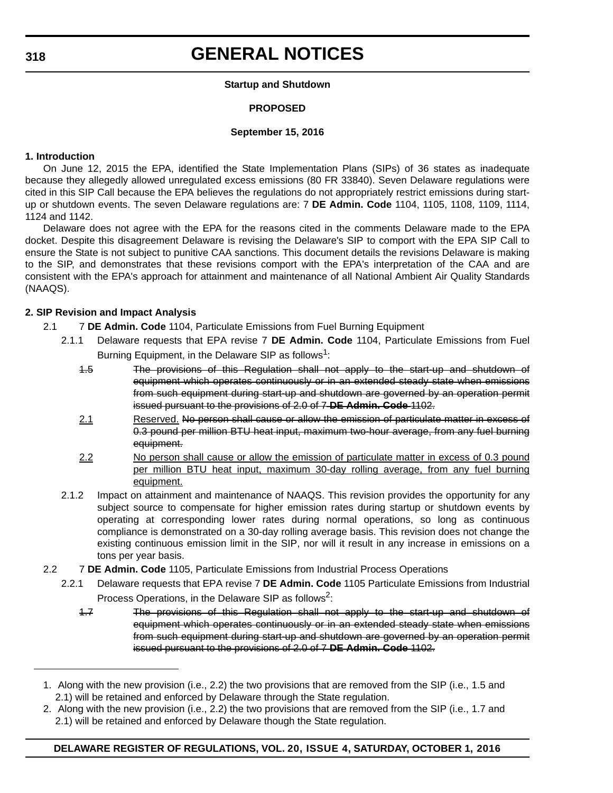#### **Startup and Shutdown**

#### **PROPOSED**

#### **September 15, 2016**

#### **1. Introduction**

On June 12, 2015 the EPA, identified the State Implementation Plans (SIPs) of 36 states as inadequate because they allegedly allowed unregulated excess emissions (80 FR 33840). Seven Delaware regulations were cited in this SIP Call because the EPA believes the regulations do not appropriately restrict emissions during startup or shutdown events. The seven Delaware regulations are: 7 **DE Admin. Code** 1104, 1105, 1108, 1109, 1114, 1124 and 1142.

Delaware does not agree with the EPA for the reasons cited in the comments Delaware made to the EPA docket. Despite this disagreement Delaware is revising the Delaware's SIP to comport with the EPA SIP Call to ensure the State is not subject to punitive CAA sanctions. This document details the revisions Delaware is making to the SIP, and demonstrates that these revisions comport with the EPA's interpretation of the CAA and are consistent with the EPA's approach for attainment and maintenance of all National Ambient Air Quality Standards (NAAQS).

#### **2. SIP Revision and Impact Analysis**

- 2.1 7 **DE Admin. Code** 1104, Particulate Emissions from Fuel Burning Equipment
	- 2.1.1 Delaware requests that EPA revise 7 **DE Admin. Code** 1104, Particulate Emissions from Fuel Burning Equipment, in the Delaware SIP as follows<sup>1</sup>:
		- 1.5 The provisions of this Regulation shall not apply to the start-up and shutdown of equipment which operates continuously or in an extended steady state when emissions from such equipment during start-up and shutdown are governed by an operation permit issued pursuant to the provisions of 2.0 of 7 **DE Admin. Code** 1102.
		- 2.1 Reserved. No person shall cause or allow the emission of particulate matter in excess of 0.3 pound per million BTU heat input, maximum two-hour average, from any fuel burning equipment.
		- 2.2 No person shall cause or allow the emission of particulate matter in excess of 0.3 pound per million BTU heat input, maximum 30-day rolling average, from any fuel burning equipment.
	- 2.1.2 Impact on attainment and maintenance of NAAQS. This revision provides the opportunity for any subject source to compensate for higher emission rates during startup or shutdown events by operating at corresponding lower rates during normal operations, so long as continuous compliance is demonstrated on a 30-day rolling average basis. This revision does not change the existing continuous emission limit in the SIP, nor will it result in any increase in emissions on a tons per year basis.
- 2.2 7 **DE Admin. Code** 1105, Particulate Emissions from Industrial Process Operations
	- 2.2.1 Delaware requests that EPA revise 7 **DE Admin. Code** 1105 Particulate Emissions from Industrial Process Operations, in the Delaware SIP as follows<sup>2</sup>:
		- 1.7 The provisions of this Regulation shall not apply to the start-up and shutdown of equipment which operates continuously or in an extended steady state when emissions from such equipment during start-up and shutdown are governed by an operation permit issued pursuant to the provisions of 2.0 of 7 **DE Admin. Code** 1102.

<sup>1.</sup> Along with the new provision (i.e., 2.2) the two provisions that are removed from the SIP (i.e., 1.5 and 2.1) will be retained and enforced by Delaware through the State regulation.

<sup>2.</sup> Along with the new provision (i.e., 2.2) the two provisions that are removed from the SIP (i.e., 1.7 and 2.1) will be retained and enforced by Delaware though the State regulation.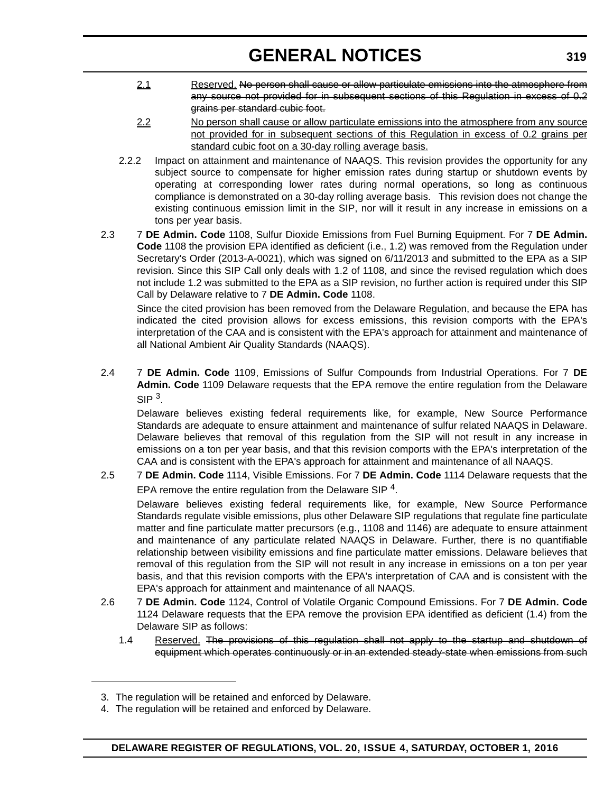- 2.1 Reserved. No person shall cause or allow particulate emissions into the atmosphere from any source not provided for in subsequent sections of this Regulation in excess of 0.2 grains per standard cubic foot.
- 2.2 No person shall cause or allow particulate emissions into the atmosphere from any source not provided for in subsequent sections of this Regulation in excess of 0.2 grains per standard cubic foot on a 30-day rolling average basis.
- 2.2.2 Impact on attainment and maintenance of NAAQS. This revision provides the opportunity for any subject source to compensate for higher emission rates during startup or shutdown events by operating at corresponding lower rates during normal operations, so long as continuous compliance is demonstrated on a 30-day rolling average basis. This revision does not change the existing continuous emission limit in the SIP, nor will it result in any increase in emissions on a tons per year basis.
- 2.3 7 **DE Admin. Code** 1108, Sulfur Dioxide Emissions from Fuel Burning Equipment. For 7 **DE Admin. Code** 1108 the provision EPA identified as deficient (i.e., 1.2) was removed from the Regulation under Secretary's Order (2013-A-0021), which was signed on 6/11/2013 and submitted to the EPA as a SIP revision. Since this SIP Call only deals with 1.2 of 1108, and since the revised regulation which does not include 1.2 was submitted to the EPA as a SIP revision, no further action is required under this SIP Call by Delaware relative to 7 **DE Admin. Code** 1108.

Since the cited provision has been removed from the Delaware Regulation, and because the EPA has indicated the cited provision allows for excess emissions, this revision comports with the EPA's interpretation of the CAA and is consistent with the EPA's approach for attainment and maintenance of all National Ambient Air Quality Standards (NAAQS).

2.4 7 **DE Admin. Code** 1109, Emissions of Sulfur Compounds from Industrial Operations. For 7 **DE Admin. Code** 1109 Delaware requests that the EPA remove the entire regulation from the Delaware  $SIP<sup>3</sup>$ 

Delaware believes existing federal requirements like, for example, New Source Performance Standards are adequate to ensure attainment and maintenance of sulfur related NAAQS in Delaware. Delaware believes that removal of this regulation from the SIP will not result in any increase in emissions on a ton per year basis, and that this revision comports with the EPA's interpretation of the CAA and is consistent with the EPA's approach for attainment and maintenance of all NAAQS.

2.5 7 **DE Admin. Code** 1114, Visible Emissions. For 7 **DE Admin. Code** 1114 Delaware requests that the EPA remove the entire regulation from the Delaware SIP  $4$ .

Delaware believes existing federal requirements like, for example, New Source Performance Standards regulate visible emissions, plus other Delaware SIP regulations that regulate fine particulate matter and fine particulate matter precursors (e.g., 1108 and 1146) are adequate to ensure attainment and maintenance of any particulate related NAAQS in Delaware. Further, there is no quantifiable relationship between visibility emissions and fine particulate matter emissions. Delaware believes that removal of this regulation from the SIP will not result in any increase in emissions on a ton per year basis, and that this revision comports with the EPA's interpretation of CAA and is consistent with the EPA's approach for attainment and maintenance of all NAAQS.

- 2.6 7 **DE Admin. Code** 1124, Control of Volatile Organic Compound Emissions. For 7 **DE Admin. Code** 1124 Delaware requests that the EPA remove the provision EPA identified as deficient (1.4) from the Delaware SIP as follows:
	- 1.4 Reserved. The provisions of this regulation shall not apply to the startup and shutdown of equipment which operates continuously or in an extended steady-state when emissions from such

<sup>3.</sup> The regulation will be retained and enforced by Delaware.

<sup>4.</sup> The regulation will be retained and enforced by Delaware.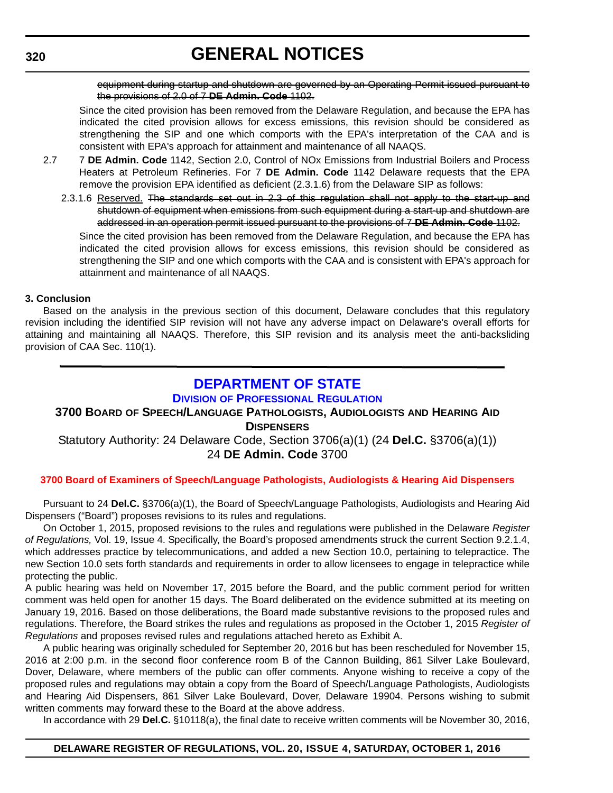equipment during startup and shutdown are governed by an Operating Permit issued pursuant to the provisions of 2.0 of 7 **DE Admin. Code** 1102.

Since the cited provision has been removed from the Delaware Regulation, and because the EPA has indicated the cited provision allows for excess emissions, this revision should be considered as strengthening the SIP and one which comports with the EPA's interpretation of the CAA and is consistent with EPA's approach for attainment and maintenance of all NAAQS.

- 2.7 7 **DE Admin. Code** 1142, Section 2.0, Control of NOx Emissions from Industrial Boilers and Process Heaters at Petroleum Refineries. For 7 **DE Admin. Code** 1142 Delaware requests that the EPA remove the provision EPA identified as deficient (2.3.1.6) from the Delaware SIP as follows:
	- 2.3.1.6 Reserved. The standards set out in 2.3 of this regulation shall not apply to the start-up and shutdown of equipment when emissions from such equipment during a start-up and shutdown are addressed in an operation permit issued pursuant to the provisions of 7 **DE Admin. Code** 1102.

Since the cited provision has been removed from the Delaware Regulation, and because the EPA has indicated the cited provision allows for excess emissions, this revision should be considered as strengthening the SIP and one which comports with the CAA and is consistent with EPA's approach for attainment and maintenance of all NAAQS.

#### **3. Conclusion**

Based on the analysis in the previous section of this document, Delaware concludes that this regulatory revision including the identified SIP revision will not have any adverse impact on Delaware's overall efforts for attaining and maintaining all NAAQS. Therefore, this SIP revision and its analysis meet the anti-backsliding provision of CAA Sec. 110(1).

#### **DEPARTMENT OF STATE DIVISION OF PROFESSIONAL REGULATION**

#### **3700 BOARD OF SPEECH/LANGUAGE PATHOLOGISTS, AUDIOLOGISTS AND HEARING AID DISPENSERS**

#### Statutory Authority: 24 Delaware Code, Section 3706(a)(1) (24 **Del.C.** §3706(a)(1)) 24 **DE Admin. Code** 3700

#### **[3700 Board of Examiners of Speech/Language Pathologists, Audiologists & Hearing Aid Dispensers](#page-4-0)**

Pursuant to 24 **Del.C.** §3706(a)(1), the Board of Speech/Language Pathologists, Audiologists and Hearing Aid Dispensers ("Board") proposes revisions to its rules and regulations.

On October 1, 2015, proposed revisions to the rules and regulations were published in the Delaware *Register of Regulations,* Vol. 19, Issue 4. Specifically, the Board's proposed amendments struck the current Section 9.2.1.4, which addresses practice by telecommunications, and added a new Section 10.0, pertaining to telepractice. The new Section 10.0 sets forth standards and requirements in order to allow licensees to engage in telepractice while protecting the public.

A public hearing was held on November 17, 2015 before the Board, and the public comment period for written comment was held open for another 15 days. The Board deliberated on the evidence submitted at its meeting on January 19, 2016. Based on those deliberations, the Board made substantive revisions to the proposed rules and regulations. Therefore, the Board strikes the rules and regulations as proposed in the October 1, 2015 *Register of Regulations* and proposes revised rules and regulations attached hereto as Exhibit A.

A public hearing was originally scheduled for September 20, 2016 but has been rescheduled for November 15, 2016 at 2:00 p.m. in the second floor conference room B of the Cannon Building, 861 Silver Lake Boulevard, Dover, Delaware, where members of the public can offer comments. Anyone wishing to receive a copy of the proposed rules and regulations may obtain a copy from the Board of Speech/Language Pathologists, Audiologists and Hearing Aid Dispensers, 861 Silver Lake Boulevard, Dover, Delaware 19904. Persons wishing to submit written comments may forward these to the Board at the above address.

In accordance with 29 **Del.C.** §10118(a), the final date to receive written comments will be November 30, 2016,

#### **DELAWARE REGISTER OF REGULATIONS, VOL. 20, ISSUE 4, SATURDAY, OCTOBER 1, 2016**

#### **320**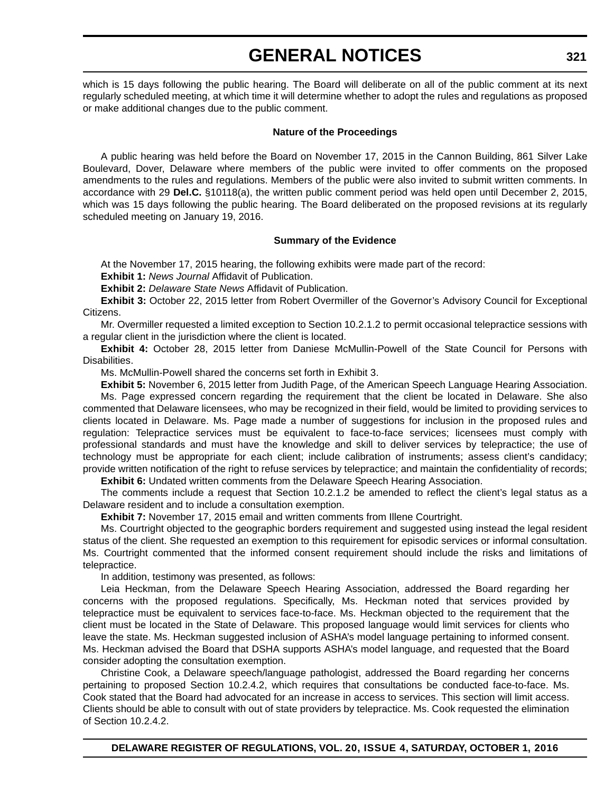which is 15 days following the public hearing. The Board will deliberate on all of the public comment at its next regularly scheduled meeting, at which time it will determine whether to adopt the rules and regulations as proposed or make additional changes due to the public comment.

#### **Nature of the Proceedings**

A public hearing was held before the Board on November 17, 2015 in the Cannon Building, 861 Silver Lake Boulevard, Dover, Delaware where members of the public were invited to offer comments on the proposed amendments to the rules and regulations. Members of the public were also invited to submit written comments. In accordance with 29 **Del.C.** §10118(a), the written public comment period was held open until December 2, 2015, which was 15 days following the public hearing. The Board deliberated on the proposed revisions at its regularly scheduled meeting on January 19, 2016.

#### **Summary of the Evidence**

At the November 17, 2015 hearing, the following exhibits were made part of the record:

**Exhibit 1:** *News Journal* Affidavit of Publication.

**Exhibit 2:** *Delaware State News* Affidavit of Publication.

**Exhibit 3:** October 22, 2015 letter from Robert Overmiller of the Governor's Advisory Council for Exceptional Citizens.

Mr. Overmiller requested a limited exception to Section 10.2.1.2 to permit occasional telepractice sessions with a regular client in the jurisdiction where the client is located.

**Exhibit 4:** October 28, 2015 letter from Daniese McMullin-Powell of the State Council for Persons with Disabilities.

Ms. McMullin-Powell shared the concerns set forth in Exhibit 3.

**Exhibit 5:** November 6, 2015 letter from Judith Page, of the American Speech Language Hearing Association. Ms. Page expressed concern regarding the requirement that the client be located in Delaware. She also commented that Delaware licensees, who may be recognized in their field, would be limited to providing services to clients located in Delaware. Ms. Page made a number of suggestions for inclusion in the proposed rules and regulation: Telepractice services must be equivalent to face-to-face services; licensees must comply with professional standards and must have the knowledge and skill to deliver services by telepractice; the use of technology must be appropriate for each client; include calibration of instruments; assess client's candidacy; provide written notification of the right to refuse services by telepractice; and maintain the confidentiality of records; **Exhibit 6:** Undated written comments from the Delaware Speech Hearing Association.

The comments include a request that Section 10.2.1.2 be amended to reflect the client's legal status as a Delaware resident and to include a consultation exemption.

**Exhibit 7:** November 17, 2015 email and written comments from Illene Courtright.

Ms. Courtright objected to the geographic borders requirement and suggested using instead the legal resident status of the client. She requested an exemption to this requirement for episodic services or informal consultation. Ms. Courtright commented that the informed consent requirement should include the risks and limitations of telepractice.

In addition, testimony was presented, as follows:

Leia Heckman, from the Delaware Speech Hearing Association, addressed the Board regarding her concerns with the proposed regulations. Specifically, Ms. Heckman noted that services provided by telepractice must be equivalent to services face-to-face. Ms. Heckman objected to the requirement that the client must be located in the State of Delaware. This proposed language would limit services for clients who leave the state. Ms. Heckman suggested inclusion of ASHA's model language pertaining to informed consent. Ms. Heckman advised the Board that DSHA supports ASHA's model language, and requested that the Board consider adopting the consultation exemption.

Christine Cook, a Delaware speech/language pathologist, addressed the Board regarding her concerns pertaining to proposed Section 10.2.4.2, which requires that consultations be conducted face-to-face. Ms. Cook stated that the Board had advocated for an increase in access to services. This section will limit access. Clients should be able to consult with out of state providers by telepractice. Ms. Cook requested the elimination of Section 10.2.4.2.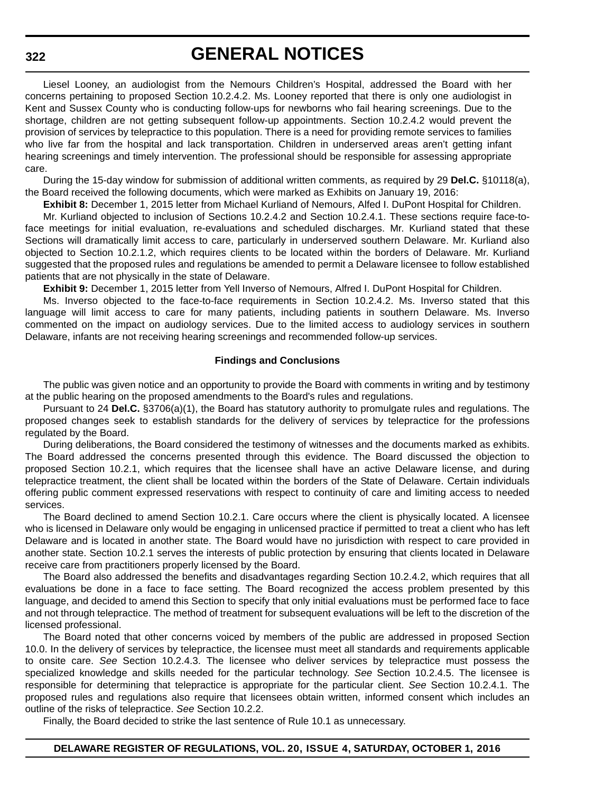## **GENERAL NOTICES**

Liesel Looney, an audiologist from the Nemours Children's Hospital, addressed the Board with her concerns pertaining to proposed Section 10.2.4.2. Ms. Looney reported that there is only one audiologist in Kent and Sussex County who is conducting follow-ups for newborns who fail hearing screenings. Due to the shortage, children are not getting subsequent follow-up appointments. Section 10.2.4.2 would prevent the provision of services by telepractice to this population. There is a need for providing remote services to families who live far from the hospital and lack transportation. Children in underserved areas aren't getting infant hearing screenings and timely intervention. The professional should be responsible for assessing appropriate care.

During the 15-day window for submission of additional written comments, as required by 29 **Del.C.** §10118(a), the Board received the following documents, which were marked as Exhibits on January 19, 2016:

**Exhibit 8:** December 1, 2015 letter from Michael Kurliand of Nemours, Alfed I. DuPont Hospital for Children.

Mr. Kurliand objected to inclusion of Sections 10.2.4.2 and Section 10.2.4.1. These sections require face-toface meetings for initial evaluation, re-evaluations and scheduled discharges. Mr. Kurliand stated that these Sections will dramatically limit access to care, particularly in underserved southern Delaware. Mr. Kurliand also objected to Section 10.2.1.2, which requires clients to be located within the borders of Delaware. Mr. Kurliand suggested that the proposed rules and regulations be amended to permit a Delaware licensee to follow established patients that are not physically in the state of Delaware.

**Exhibit 9:** December 1, 2015 letter from Yell Inverso of Nemours, Alfred I. DuPont Hospital for Children.

Ms. Inverso objected to the face-to-face requirements in Section 10.2.4.2. Ms. Inverso stated that this language will limit access to care for many patients, including patients in southern Delaware. Ms. Inverso commented on the impact on audiology services. Due to the limited access to audiology services in southern Delaware, infants are not receiving hearing screenings and recommended follow-up services.

#### **Findings and Conclusions**

The public was given notice and an opportunity to provide the Board with comments in writing and by testimony at the public hearing on the proposed amendments to the Board's rules and regulations.

Pursuant to 24 **Del.C.** §3706(a)(1), the Board has statutory authority to promulgate rules and regulations. The proposed changes seek to establish standards for the delivery of services by telepractice for the professions regulated by the Board.

During deliberations, the Board considered the testimony of witnesses and the documents marked as exhibits. The Board addressed the concerns presented through this evidence. The Board discussed the objection to proposed Section 10.2.1, which requires that the licensee shall have an active Delaware license, and during telepractice treatment, the client shall be located within the borders of the State of Delaware. Certain individuals offering public comment expressed reservations with respect to continuity of care and limiting access to needed services.

The Board declined to amend Section 10.2.1. Care occurs where the client is physically located. A licensee who is licensed in Delaware only would be engaging in unlicensed practice if permitted to treat a client who has left Delaware and is located in another state. The Board would have no jurisdiction with respect to care provided in another state. Section 10.2.1 serves the interests of public protection by ensuring that clients located in Delaware receive care from practitioners properly licensed by the Board.

The Board also addressed the benefits and disadvantages regarding Section 10.2.4.2, which requires that all evaluations be done in a face to face setting. The Board recognized the access problem presented by this language, and decided to amend this Section to specify that only initial evaluations must be performed face to face and not through telepractice. The method of treatment for subsequent evaluations will be left to the discretion of the licensed professional.

The Board noted that other concerns voiced by members of the public are addressed in proposed Section 10.0. In the delivery of services by telepractice, the licensee must meet all standards and requirements applicable to onsite care. *See* Section 10.2.4.3. The licensee who deliver services by telepractice must possess the specialized knowledge and skills needed for the particular technology. *See* Section 10.2.4.5. The licensee is responsible for determining that telepractice is appropriate for the particular client. *See* Section 10.2.4.1. The proposed rules and regulations also require that licensees obtain written, informed consent which includes an outline of the risks of telepractice. *See* Section 10.2.2.

Finally, the Board decided to strike the last sentence of Rule 10.1 as unnecessary.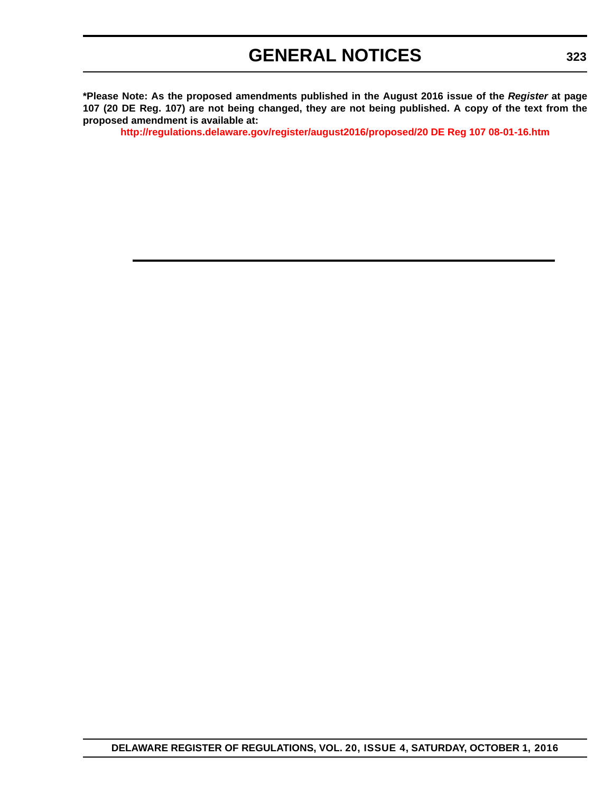**\*Please Note: As the proposed amendments published in the August 2016 issue of the** *Register* **at page 107 (20 DE Reg. 107) are not being changed, they are not being published. A copy of the text from the proposed amendment is available at:**

**<http://regulations.delaware.gov/register/august2016/proposed/20 DE Reg 107 08-01-16.htm>**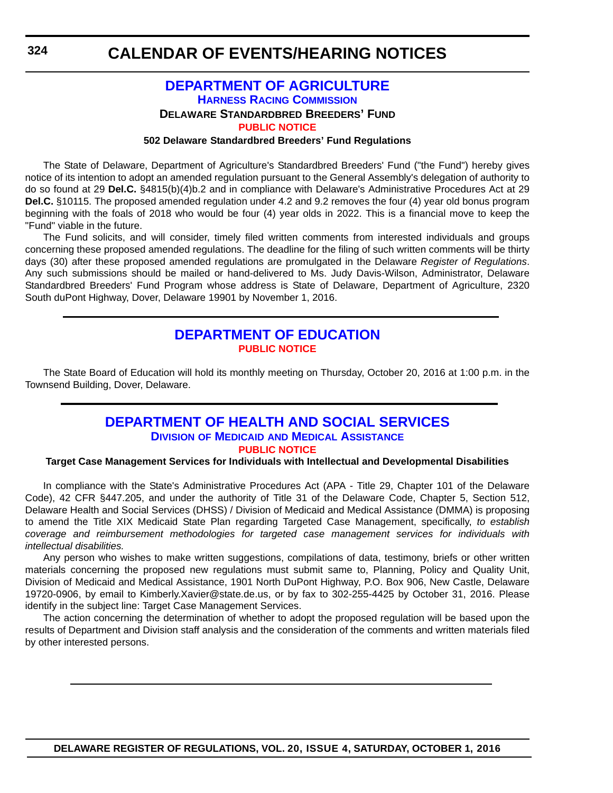#### **DEPARTMENT OF AGRICULTURE HARNESS RACING COMMISSION DELAWARE STANDARDBRED BREEDERS' FUND [PUBLIC NOTICE](#page-4-0) 502 Delaware Standardbred Breeders' Fund Regulations**

The State of Delaware, Department of Agriculture's Standardbred Breeders' Fund ("the Fund") hereby gives notice of its intention to adopt an amended regulation pursuant to the General Assembly's delegation of authority to do so found at 29 **Del.C.** §4815(b)(4)b.2 and in compliance with Delaware's Administrative Procedures Act at 29 **Del.C.** §10115. The proposed amended regulation under 4.2 and 9.2 removes the four (4) year old bonus program beginning with the foals of 2018 who would be four (4) year olds in 2022. This is a financial move to keep the "Fund" viable in the future.

The Fund solicits, and will consider, timely filed written comments from interested individuals and groups concerning these proposed amended regulations. The deadline for the filing of such written comments will be thirty days (30) after these proposed amended regulations are promulgated in the Delaware *Register of Regulations*. Any such submissions should be mailed or hand-delivered to Ms. Judy Davis-Wilson, Administrator, Delaware Standardbred Breeders' Fund Program whose address is State of Delaware, Department of Agriculture, 2320 South duPont Highway, Dover, Delaware 19901 by November 1, 2016.

### **DEPARTMENT OF EDUCATION [PUBLIC NOTICE](#page-4-0)**

The State Board of Education will hold its monthly meeting on Thursday, October 20, 2016 at 1:00 p.m. in the Townsend Building, Dover, Delaware.

### **DEPARTMENT OF HEALTH AND SOCIAL SERVICES DIVISION OF MEDICAID AND MEDICAL ASSISTANCE [PUBLIC NOTICE](#page-4-0)**

#### **Target Case Management Services for Individuals with Intellectual and Developmental Disabilities**

In compliance with the State's Administrative Procedures Act (APA - Title 29, Chapter 101 of the Delaware Code), 42 CFR §447.205, and under the authority of Title 31 of the Delaware Code, Chapter 5, Section 512, Delaware Health and Social Services (DHSS) / Division of Medicaid and Medical Assistance (DMMA) is proposing to amend the Title XIX Medicaid State Plan regarding Targeted Case Management, specifically, *to establish coverage and reimbursement methodologies for targeted case management services for individuals with intellectual disabilities.* 

Any person who wishes to make written suggestions, compilations of data, testimony, briefs or other written materials concerning the proposed new regulations must submit same to, Planning, Policy and Quality Unit, Division of Medicaid and Medical Assistance, 1901 North DuPont Highway, P.O. Box 906, New Castle, Delaware 19720-0906, by email to Kimberly.Xavier@state.de.us, or by fax to 302-255-4425 by October 31, 2016. Please identify in the subject line: Target Case Management Services.

The action concerning the determination of whether to adopt the proposed regulation will be based upon the results of Department and Division staff analysis and the consideration of the comments and written materials filed by other interested persons.

**324**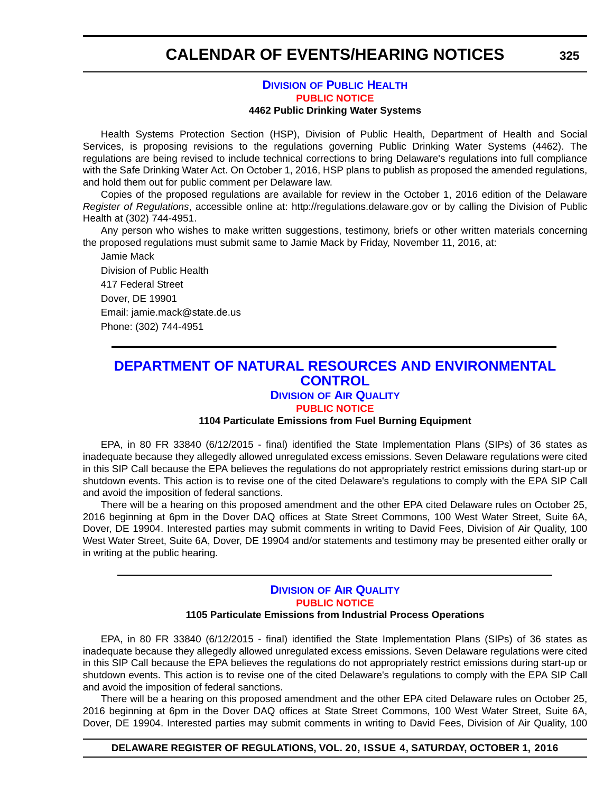#### **DIVISION OF PUBLIC HEALTH [PUBLIC NOTICE](#page-4-0) 4462 Public Drinking Water Systems**

Health Systems Protection Section (HSP), Division of Public Health, Department of Health and Social Services, is proposing revisions to the regulations governing Public Drinking Water Systems (4462). The regulations are being revised to include technical corrections to bring Delaware's regulations into full compliance with the Safe Drinking Water Act. On October 1, 2016, HSP plans to publish as proposed the amended regulations, and hold them out for public comment per Delaware law.

Copies of the proposed regulations are available for review in the October 1, 2016 edition of the Delaware *Register of Regulations*, accessible online at: http://regulations.delaware.gov or by calling the Division of Public Health at (302) 744-4951.

Any person who wishes to make written suggestions, testimony, briefs or other written materials concerning the proposed regulations must submit same to Jamie Mack by Friday, November 11, 2016, at:

Jamie Mack Division of Public Health 417 Federal Street Dover, DE 19901 Email: jamie.mack@state.de.us Phone: (302) 744-4951

### **DEPARTMENT OF NATURAL RESOURCES AND ENVIRONMENTAL CONTROL**

#### **DIVISION OF AIR QUALITY [PUBLIC NOTICE](#page-4-0)**

#### **1104 Particulate Emissions from Fuel Burning Equipment**

EPA, in 80 FR 33840 (6/12/2015 - final) identified the State Implementation Plans (SIPs) of 36 states as inadequate because they allegedly allowed unregulated excess emissions. Seven Delaware regulations were cited in this SIP Call because the EPA believes the regulations do not appropriately restrict emissions during start-up or shutdown events. This action is to revise one of the cited Delaware's regulations to comply with the EPA SIP Call and avoid the imposition of federal sanctions.

There will be a hearing on this proposed amendment and the other EPA cited Delaware rules on October 25, 2016 beginning at 6pm in the Dover DAQ offices at State Street Commons, 100 West Water Street, Suite 6A, Dover, DE 19904. Interested parties may submit comments in writing to David Fees, Division of Air Quality, 100 West Water Street, Suite 6A, Dover, DE 19904 and/or statements and testimony may be presented either orally or in writing at the public hearing.

#### **DIVISION OF AIR QUALITY [PUBLIC NOTICE](#page-4-0) 1105 Particulate Emissions from Industrial Process Operations**

EPA, in 80 FR 33840 (6/12/2015 - final) identified the State Implementation Plans (SIPs) of 36 states as inadequate because they allegedly allowed unregulated excess emissions. Seven Delaware regulations were cited in this SIP Call because the EPA believes the regulations do not appropriately restrict emissions during start-up or shutdown events. This action is to revise one of the cited Delaware's regulations to comply with the EPA SIP Call and avoid the imposition of federal sanctions.

There will be a hearing on this proposed amendment and the other EPA cited Delaware rules on October 25, 2016 beginning at 6pm in the Dover DAQ offices at State Street Commons, 100 West Water Street, Suite 6A, Dover, DE 19904. Interested parties may submit comments in writing to David Fees, Division of Air Quality, 100

#### **DELAWARE REGISTER OF REGULATIONS, VOL. 20, ISSUE 4, SATURDAY, OCTOBER 1, 2016**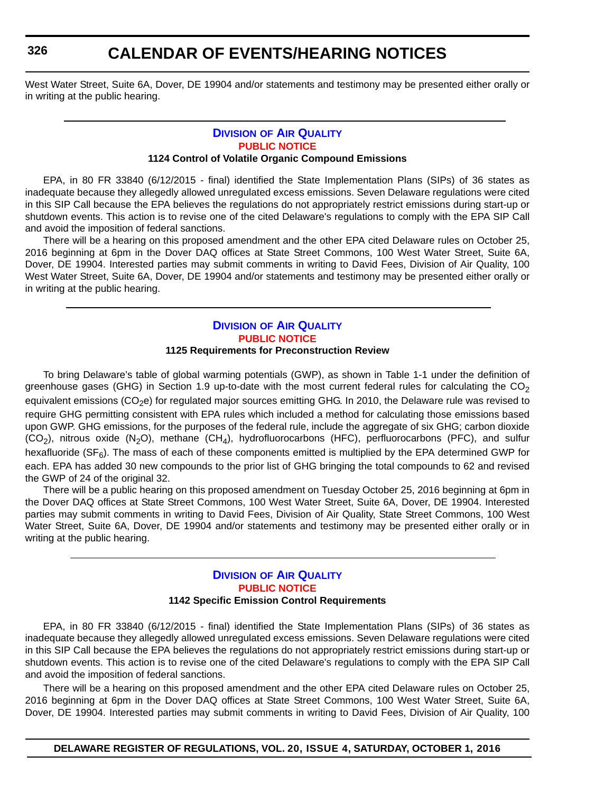## **CALENDAR OF EVENTS/HEARING NOTICES**

West Water Street, Suite 6A, Dover, DE 19904 and/or statements and testimony may be presented either orally or in writing at the public hearing.

#### **DIVISION OF AIR QUALITY [PUBLIC NOTICE](#page-4-0) 1124 Control of Volatile Organic Compound Emissions**

EPA, in 80 FR 33840 (6/12/2015 - final) identified the State Implementation Plans (SIPs) of 36 states as inadequate because they allegedly allowed unregulated excess emissions. Seven Delaware regulations were cited in this SIP Call because the EPA believes the regulations do not appropriately restrict emissions during start-up or shutdown events. This action is to revise one of the cited Delaware's regulations to comply with the EPA SIP Call and avoid the imposition of federal sanctions.

There will be a hearing on this proposed amendment and the other EPA cited Delaware rules on October 25, 2016 beginning at 6pm in the Dover DAQ offices at State Street Commons, 100 West Water Street, Suite 6A, Dover, DE 19904. Interested parties may submit comments in writing to David Fees, Division of Air Quality, 100 West Water Street, Suite 6A, Dover, DE 19904 and/or statements and testimony may be presented either orally or in writing at the public hearing.

#### **DIVISION OF AIR QUALITY [PUBLIC NOTICE](#page-4-0) 1125 Requirements for Preconstruction Review**

To bring Delaware's table of global warming potentials (GWP), as shown in Table 1-1 under the definition of greenhouse gases (GHG) in Section 1.9 up-to-date with the most current federal rules for calculating the  $CO<sub>2</sub>$ equivalent emissions ( $CO<sub>2</sub>e$ ) for regulated major sources emitting GHG. In 2010, the Delaware rule was revised to require GHG permitting consistent with EPA rules which included a method for calculating those emissions based upon GWP. GHG emissions, for the purposes of the federal rule, include the aggregate of six GHG; carbon dioxide  $(CO<sub>2</sub>)$ , nitrous oxide  $(N<sub>2</sub>O)$ , methane  $(CH<sub>4</sub>)$ , hydrofluorocarbons (HFC), perfluorocarbons (PFC), and sulfur hexafluoride ( $S_{F_6}$ ). The mass of each of these components emitted is multiplied by the EPA determined GWP for each. EPA has added 30 new compounds to the prior list of GHG bringing the total compounds to 62 and revised the GWP of 24 of the original 32.

There will be a public hearing on this proposed amendment on Tuesday October 25, 2016 beginning at 6pm in the Dover DAQ offices at State Street Commons, 100 West Water Street, Suite 6A, Dover, DE 19904. Interested parties may submit comments in writing to David Fees, Division of Air Quality, State Street Commons, 100 West Water Street, Suite 6A, Dover, DE 19904 and/or statements and testimony may be presented either orally or in writing at the public hearing.

#### **DIVISION OF AIR QUALITY [PUBLIC NOTICE](#page-4-0) 1142 Specific Emission Control Requirements**

EPA, in 80 FR 33840 (6/12/2015 - final) identified the State Implementation Plans (SIPs) of 36 states as inadequate because they allegedly allowed unregulated excess emissions. Seven Delaware regulations were cited in this SIP Call because the EPA believes the regulations do not appropriately restrict emissions during start-up or shutdown events. This action is to revise one of the cited Delaware's regulations to comply with the EPA SIP Call and avoid the imposition of federal sanctions.

There will be a hearing on this proposed amendment and the other EPA cited Delaware rules on October 25, 2016 beginning at 6pm in the Dover DAQ offices at State Street Commons, 100 West Water Street, Suite 6A, Dover, DE 19904. Interested parties may submit comments in writing to David Fees, Division of Air Quality, 100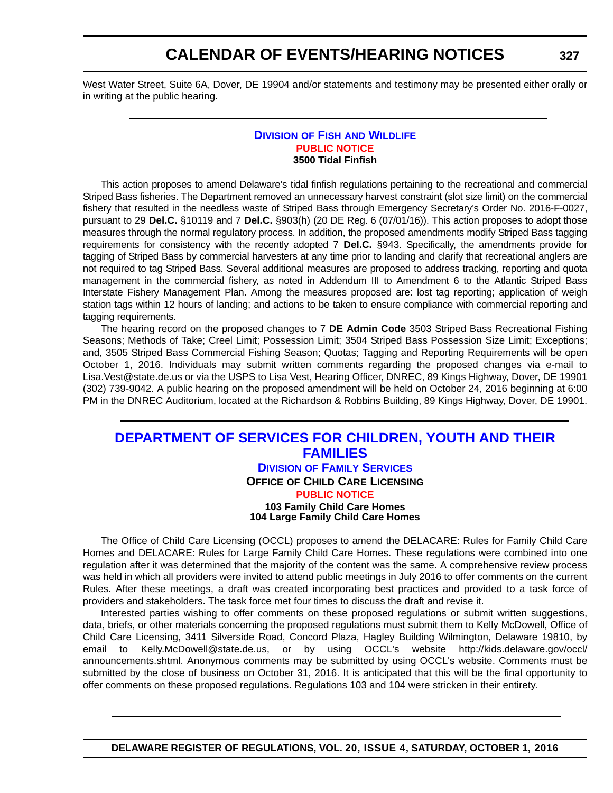West Water Street, Suite 6A, Dover, DE 19904 and/or statements and testimony may be presented either orally or in writing at the public hearing.

#### **DIVISION OF FISH AND WILDLIFE [PUBLIC NOTICE](#page-4-0) 3500 Tidal Finfish**

This action proposes to amend Delaware's tidal finfish regulations pertaining to the recreational and commercial Striped Bass fisheries. The Department removed an unnecessary harvest constraint (slot size limit) on the commercial fishery that resulted in the needless waste of Striped Bass through Emergency Secretary's Order No. 2016-F-0027, pursuant to 29 **Del.C.** §10119 and 7 **Del.C.** §903(h) (20 DE Reg. 6 (07/01/16)). This action proposes to adopt those measures through the normal regulatory process. In addition, the proposed amendments modify Striped Bass tagging requirements for consistency with the recently adopted 7 **Del.C.** §943. Specifically, the amendments provide for tagging of Striped Bass by commercial harvesters at any time prior to landing and clarify that recreational anglers are not required to tag Striped Bass. Several additional measures are proposed to address tracking, reporting and quota management in the commercial fishery, as noted in Addendum III to Amendment 6 to the Atlantic Striped Bass Interstate Fishery Management Plan. Among the measures proposed are: lost tag reporting; application of weigh station tags within 12 hours of landing; and actions to be taken to ensure compliance with commercial reporting and tagging requirements.

The hearing record on the proposed changes to 7 **DE Admin Code** 3503 Striped Bass Recreational Fishing Seasons; Methods of Take; Creel Limit; Possession Limit; 3504 Striped Bass Possession Size Limit; Exceptions; and, 3505 Striped Bass Commercial Fishing Season; Quotas; Tagging and Reporting Requirements will be open October 1, 2016. Individuals may submit written comments regarding the proposed changes via e-mail to Lisa.Vest@state.de.us or via the USPS to Lisa Vest, Hearing Officer, DNREC, 89 Kings Highway, Dover, DE 19901 (302) 739-9042. A public hearing on the proposed amendment will be held on October 24, 2016 beginning at 6:00 PM in the DNREC Auditorium, located at the Richardson & Robbins Building, 89 Kings Highway, Dover, DE 19901.

### **DEPARTMENT OF SERVICES FOR CHILDREN, YOUTH AND THEIR FAMILIES DIVISION OF FAMILY SERVICES OFFICE OF CHILD CARE LICENSING [PUBLIC NOTICE](#page-4-0) 103 Family Child Care Homes 104 Large Family Child Care Homes**

The Office of Child Care Licensing (OCCL) proposes to amend the DELACARE: Rules for Family Child Care Homes and DELACARE: Rules for Large Family Child Care Homes. These regulations were combined into one regulation after it was determined that the majority of the content was the same. A comprehensive review process was held in which all providers were invited to attend public meetings in July 2016 to offer comments on the current Rules. After these meetings, a draft was created incorporating best practices and provided to a task force of providers and stakeholders. The task force met four times to discuss the draft and revise it.

Interested parties wishing to offer comments on these proposed regulations or submit written suggestions, data, briefs, or other materials concerning the proposed regulations must submit them to Kelly McDowell, Office of Child Care Licensing, 3411 Silverside Road, Concord Plaza, Hagley Building Wilmington, Delaware 19810, by email to Kelly.McDowell@state.de.us, or by using OCCL's website http://kids.delaware.gov/occl/ announcements.shtml. Anonymous comments may be submitted by using OCCL's website. Comments must be submitted by the close of business on October 31, 2016. It is anticipated that this will be the final opportunity to offer comments on these proposed regulations. Regulations 103 and 104 were stricken in their entirety.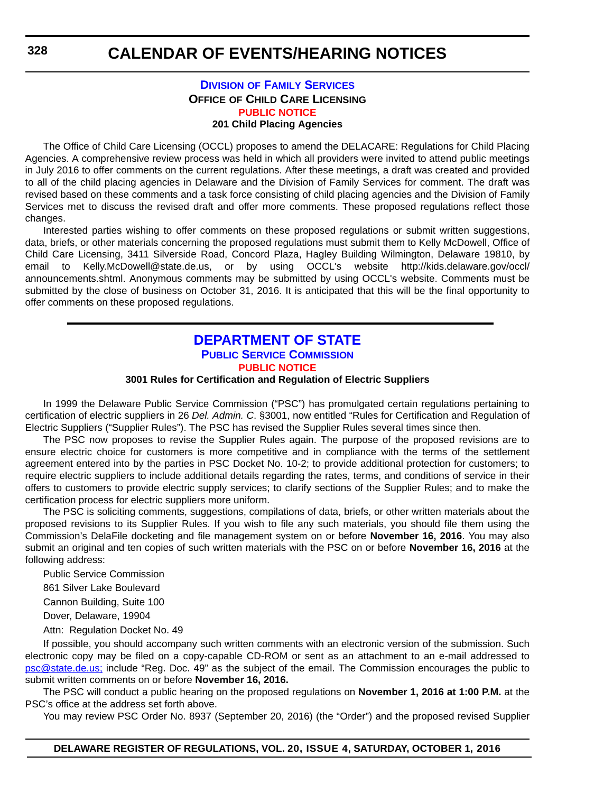#### **DIVISION OF FAMILY SERVICES OFFICE OF CHILD CARE LICENSING [PUBLIC NOTICE](#page-4-0) 201 Child Placing Agencies**

The Office of Child Care Licensing (OCCL) proposes to amend the DELACARE: Regulations for Child Placing Agencies. A comprehensive review process was held in which all providers were invited to attend public meetings in July 2016 to offer comments on the current regulations. After these meetings, a draft was created and provided to all of the child placing agencies in Delaware and the Division of Family Services for comment. The draft was revised based on these comments and a task force consisting of child placing agencies and the Division of Family Services met to discuss the revised draft and offer more comments. These proposed regulations reflect those changes.

Interested parties wishing to offer comments on these proposed regulations or submit written suggestions, data, briefs, or other materials concerning the proposed regulations must submit them to Kelly McDowell, Office of Child Care Licensing, 3411 Silverside Road, Concord Plaza, Hagley Building Wilmington, Delaware 19810, by email to Kelly.McDowell@state.de.us, or by using OCCL's website http://kids.delaware.gov/occl/ announcements.shtml. Anonymous comments may be submitted by using OCCL's website. Comments must be submitted by the close of business on October 31, 2016. It is anticipated that this will be the final opportunity to offer comments on these proposed regulations.

### **DEPARTMENT OF STATE PUBLIC SERVICE COMMISSION [PUBLIC NOTICE](#page-4-0)**

#### **3001 Rules for Certification and Regulation of Electric Suppliers**

In 1999 the Delaware Public Service Commission ("PSC") has promulgated certain regulations pertaining to certification of electric suppliers in 26 *Del. Admin. C*. §3001, now entitled "Rules for Certification and Regulation of Electric Suppliers ("Supplier Rules"). The PSC has revised the Supplier Rules several times since then.

The PSC now proposes to revise the Supplier Rules again. The purpose of the proposed revisions are to ensure electric choice for customers is more competitive and in compliance with the terms of the settlement agreement entered into by the parties in PSC Docket No. 10-2; to provide additional protection for customers; to require electric suppliers to include additional details regarding the rates, terms, and conditions of service in their offers to customers to provide electric supply services; to clarify sections of the Supplier Rules; and to make the certification process for electric suppliers more uniform.

The PSC is soliciting comments, suggestions, compilations of data, briefs, or other written materials about the proposed revisions to its Supplier Rules. If you wish to file any such materials, you should file them using the Commission's DelaFile docketing and file management system on or before **November 16, 2016**. You may also submit an original and ten copies of such written materials with the PSC on or before **November 16, 2016** at the following address:

Public Service Commission

861 Silver Lake Boulevard

Cannon Building, Suite 100

Dover, Delaware, 19904

Attn: Regulation Docket No. 49

If possible, you should accompany such written comments with an electronic version of the submission. Such electronic copy may be filed on a copy-capable CD-ROM or sent as an attachment to an e-mail addressed to [psc@state.de.us;](mailto:psc@state.de.us) include "Reg. Doc. 49" as the subject of the email. The Commission encourages the public to submit written comments on or before **November 16, 2016.**

The PSC will conduct a public hearing on the proposed regulations on **November 1, 2016 at 1:00 P.M.** at the PSC's office at the address set forth above.

You may review PSC Order No. 8937 (September 20, 2016) (the "Order") and the proposed revised Supplier

**328**